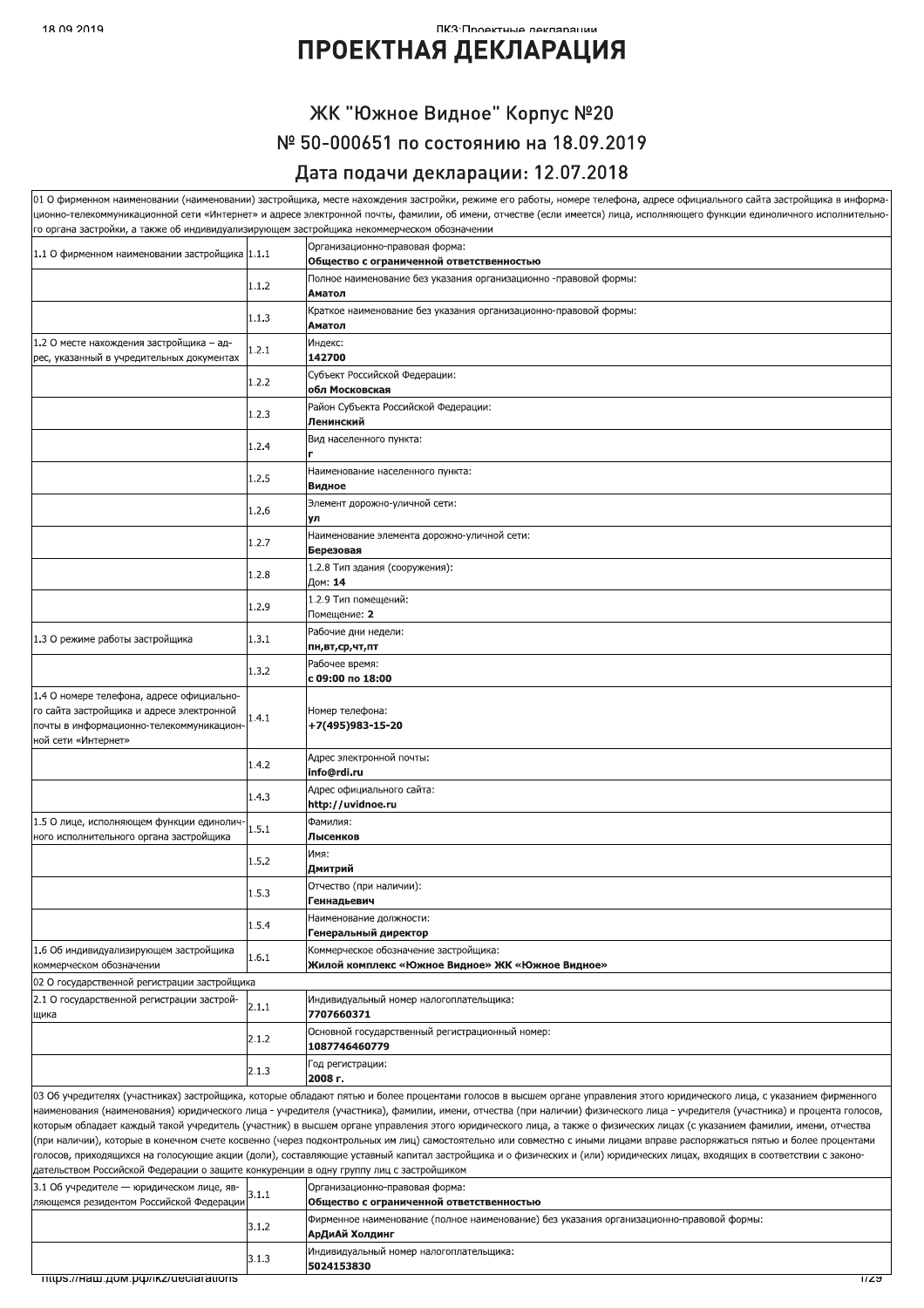#### ПКЗ•Проектные леклярянии

## **ПРОЕКТНАЯ ДЕКЛАРАЦИЯ**

### ЖК "Южное Видное" Корпус №20 № 50-000651 по состоянию на 18.09.2019 Дата подачи декларации: 12.07.2018

| го органа застройки, а также об индивидуализирующем застройщика некоммерческом обозначении                   |       | 01 О фирменном наименовании (наименовании) застройщика, месте нахождения застройки, режиме его работы, номере телефона, адресе официального сайта застройщика в информа-<br>ционно-телекоммуникационной сети «Интернет» и адресе электронной почты, фамилии, об имени, отчестве (если имеется) лица, исполняющего функции единоличного исполнительно-                                                                                                                                                                                                                                                                                                                                                                                                                                                                                                                                       |
|--------------------------------------------------------------------------------------------------------------|-------|---------------------------------------------------------------------------------------------------------------------------------------------------------------------------------------------------------------------------------------------------------------------------------------------------------------------------------------------------------------------------------------------------------------------------------------------------------------------------------------------------------------------------------------------------------------------------------------------------------------------------------------------------------------------------------------------------------------------------------------------------------------------------------------------------------------------------------------------------------------------------------------------|
| 1.1 О фирменном наименовании застройщика 1.1.1                                                               |       | Организационно-правовая форма:<br>Общество с ограниченной ответственностью                                                                                                                                                                                                                                                                                                                                                                                                                                                                                                                                                                                                                                                                                                                                                                                                                  |
|                                                                                                              | 1.1.2 | Полное наименование без указания организационно -правовой формы:                                                                                                                                                                                                                                                                                                                                                                                                                                                                                                                                                                                                                                                                                                                                                                                                                            |
|                                                                                                              | 1.1.3 | Аматол<br>Краткое наименование без указания организационно-правовой формы:                                                                                                                                                                                                                                                                                                                                                                                                                                                                                                                                                                                                                                                                                                                                                                                                                  |
| 1.2 О месте нахождения застройщика - ад-                                                                     | 1.2.1 | Аматол<br>Индекс:                                                                                                                                                                                                                                                                                                                                                                                                                                                                                                                                                                                                                                                                                                                                                                                                                                                                           |
| рес, указанный в учредительных документах                                                                    |       | 142700<br>Субъект Российской Федерации:                                                                                                                                                                                                                                                                                                                                                                                                                                                                                                                                                                                                                                                                                                                                                                                                                                                     |
|                                                                                                              | 1.2.2 | обл Московская                                                                                                                                                                                                                                                                                                                                                                                                                                                                                                                                                                                                                                                                                                                                                                                                                                                                              |
|                                                                                                              | 1.2.3 | Район Субъекта Российской Федерации:<br>Ленинский                                                                                                                                                                                                                                                                                                                                                                                                                                                                                                                                                                                                                                                                                                                                                                                                                                           |
|                                                                                                              | 1.2.4 | Вид населенного пункта:                                                                                                                                                                                                                                                                                                                                                                                                                                                                                                                                                                                                                                                                                                                                                                                                                                                                     |
|                                                                                                              | 1.2.5 | Наименование населенного пункта:<br>Видное                                                                                                                                                                                                                                                                                                                                                                                                                                                                                                                                                                                                                                                                                                                                                                                                                                                  |
|                                                                                                              | 1.2.6 | Элемент дорожно-уличной сети:<br>ул                                                                                                                                                                                                                                                                                                                                                                                                                                                                                                                                                                                                                                                                                                                                                                                                                                                         |
|                                                                                                              | 1.2.7 | Наименование элемента дорожно-уличной сети:<br>Березовая                                                                                                                                                                                                                                                                                                                                                                                                                                                                                                                                                                                                                                                                                                                                                                                                                                    |
|                                                                                                              | 1.2.8 | 1.2.8 Тип здания (сооружения):<br>Дом: 14                                                                                                                                                                                                                                                                                                                                                                                                                                                                                                                                                                                                                                                                                                                                                                                                                                                   |
|                                                                                                              | 1.2.9 | 1.2.9 Тип помещений:<br>Помещение: 2                                                                                                                                                                                                                                                                                                                                                                                                                                                                                                                                                                                                                                                                                                                                                                                                                                                        |
| 1.3 О режиме работы застройщика                                                                              | 1.3.1 | Рабочие дни недели:                                                                                                                                                                                                                                                                                                                                                                                                                                                                                                                                                                                                                                                                                                                                                                                                                                                                         |
|                                                                                                              | 1.3.2 | пн,вт,ср,чт,пт<br>Рабочее время:                                                                                                                                                                                                                                                                                                                                                                                                                                                                                                                                                                                                                                                                                                                                                                                                                                                            |
| 1.4 О номере телефона, адресе официально-                                                                    |       | с 09:00 по 18:00                                                                                                                                                                                                                                                                                                                                                                                                                                                                                                                                                                                                                                                                                                                                                                                                                                                                            |
| го сайта застройщика и адресе электронной<br>почты в информационно-телекоммуникацион-<br>ной сети «Интернет» | 1.4.1 | Номер телефона:<br>+7(495)983-15-20                                                                                                                                                                                                                                                                                                                                                                                                                                                                                                                                                                                                                                                                                                                                                                                                                                                         |
|                                                                                                              | 1.4.2 | Адрес электронной почты:<br>info@rdi.ru                                                                                                                                                                                                                                                                                                                                                                                                                                                                                                                                                                                                                                                                                                                                                                                                                                                     |
|                                                                                                              | 1.4.3 | Адрес официального сайта:<br>http://uvidnoe.ru                                                                                                                                                                                                                                                                                                                                                                                                                                                                                                                                                                                                                                                                                                                                                                                                                                              |
| 1.5 О лице, исполняющем функции единолич-<br>ного исполнительного органа застройщика                         | 1.5.1 | Фамилия:<br>Лысенков                                                                                                                                                                                                                                                                                                                                                                                                                                                                                                                                                                                                                                                                                                                                                                                                                                                                        |
|                                                                                                              | 1.5.2 | Имя:<br>Дмитрий                                                                                                                                                                                                                                                                                                                                                                                                                                                                                                                                                                                                                                                                                                                                                                                                                                                                             |
|                                                                                                              | 1.5.3 | Отчество (при наличии):<br>Геннадьевич                                                                                                                                                                                                                                                                                                                                                                                                                                                                                                                                                                                                                                                                                                                                                                                                                                                      |
|                                                                                                              | 1.5.4 | Наименование должности:<br>Генеральный директор                                                                                                                                                                                                                                                                                                                                                                                                                                                                                                                                                                                                                                                                                                                                                                                                                                             |
| 1.6 Об индивидуализирующем застройщика<br>коммерческом обозначении                                           | 1.6.1 | Коммерческое обозначение застройщика:<br>Жилой комплекс «Южное Видное» ЖК «Южное Видное»                                                                                                                                                                                                                                                                                                                                                                                                                                                                                                                                                                                                                                                                                                                                                                                                    |
| 02 О государственной регистрации застройщика                                                                 |       |                                                                                                                                                                                                                                                                                                                                                                                                                                                                                                                                                                                                                                                                                                                                                                                                                                                                                             |
| 2.1 О государственной регистрации застрой-<br>щика                                                           | 2.1.1 | Индивидуальный номер налогоплательщика:<br>7707660371                                                                                                                                                                                                                                                                                                                                                                                                                                                                                                                                                                                                                                                                                                                                                                                                                                       |
|                                                                                                              | 2.1.2 | Основной государственный регистрационный номер:<br>1087746460779                                                                                                                                                                                                                                                                                                                                                                                                                                                                                                                                                                                                                                                                                                                                                                                                                            |
|                                                                                                              | 2.1.3 | Год регистрации:<br>2008 г.                                                                                                                                                                                                                                                                                                                                                                                                                                                                                                                                                                                                                                                                                                                                                                                                                                                                 |
| дательством Российской Федерации о защите конкуренции в одну группу лиц с застройщиком                       |       | 03 Об учредителях (участниках) застройщика, которые обладают пятью и более процентами голосов в высшем органе управления этого юридического лица, с указанием фирменного<br>наименования (наименования) юридического лица - учредителя (участника), фамилии, имени, отчества (при наличии) физического лица - учредителя (участника) и процента голосов,<br>которым обладает каждый такой учредитель (участник) в высшем органе управления этого юридического лица, а также о физических лицах (с указанием фамилии, имени, отчества<br>(при наличии), которые в конечном счете косвенно (через подконтрольных им лиц) самостоятельно или совместно с иными лицами вправе распоряжаться пятью и более процентами<br>голосов, приходящихся на голосующие акции (доли), составляющие уставный капитал застройщика и о физических и (или) юридических лицах, входящих в соответствии с законо- |
| 3.1 Об учредителе - юридическом лице, яв-<br>ляющемся резидентом Российской Федерации                        | 3.1.1 | Организационно-правовая форма:<br>Общество с ограниченной ответственностью                                                                                                                                                                                                                                                                                                                                                                                                                                                                                                                                                                                                                                                                                                                                                                                                                  |
|                                                                                                              | 3.1.2 | Фирменное наименование (полное наименование) без указания организационно-правовой формы:<br>АрДиАй Холдинг                                                                                                                                                                                                                                                                                                                                                                                                                                                                                                                                                                                                                                                                                                                                                                                  |
|                                                                                                              | 3.1.3 | Индивидуальный номер налогоплательщика:<br>5024153830                                                                                                                                                                                                                                                                                                                                                                                                                                                                                                                                                                                                                                                                                                                                                                                                                                       |
| צמנזווגזוגופניזפוזוג אוזנטרו ואנזור וווגפוזו צמנונד                                                          |       | एरप                                                                                                                                                                                                                                                                                                                                                                                                                                                                                                                                                                                                                                                                                                                                                                                                                                                                                         |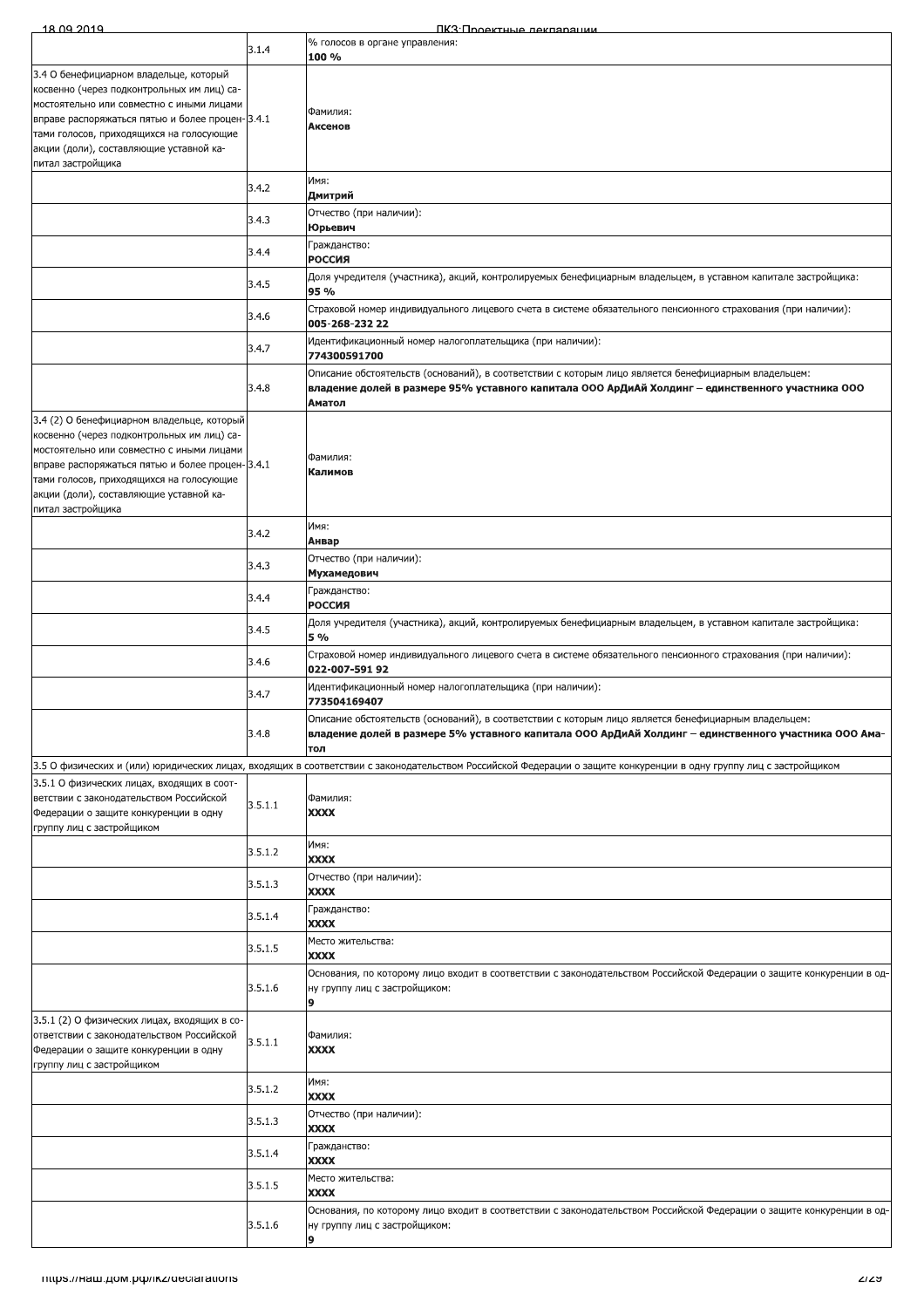| 18 09 2019                                                                                                                                                                                                                                                                                       |         | ПКЗ:Проектные лекпарации                                                                                                                                                                                            |
|--------------------------------------------------------------------------------------------------------------------------------------------------------------------------------------------------------------------------------------------------------------------------------------------------|---------|---------------------------------------------------------------------------------------------------------------------------------------------------------------------------------------------------------------------|
|                                                                                                                                                                                                                                                                                                  | 3.1.4   | % голосов в органе управления:<br>100 %                                                                                                                                                                             |
| 3.4 О бенефициарном владельце, который<br>освенно (через подконтрольных им лиц) са-<br>остоятельно или совместно с иными лицами<br>праве распоряжаться пятью и более процен-3.4.1<br>ами голосов, приходящихся на голосующие<br>ікции (доли), составляющие уставной ка-<br>іитал застройщика     |         | Фамилия:<br>Аксенов                                                                                                                                                                                                 |
|                                                                                                                                                                                                                                                                                                  | 3.4.2   | Имя:<br>Дмитрий                                                                                                                                                                                                     |
|                                                                                                                                                                                                                                                                                                  | 3.4.3   | Отчество (при наличии):<br>Юрьевич                                                                                                                                                                                  |
|                                                                                                                                                                                                                                                                                                  | 3.4.4   | Гражданство:<br>РОССИЯ                                                                                                                                                                                              |
|                                                                                                                                                                                                                                                                                                  | 3.4.5   | Доля учредителя (участника), акций, контролируемых бенефициарным владельцем, в уставном капитале застройщика:<br>95 %                                                                                               |
|                                                                                                                                                                                                                                                                                                  | 3.4.6   | Страховой номер индивидуального лицевого счета в системе обязательного пенсионного страхования (при наличии):<br>005-268-232 22                                                                                     |
|                                                                                                                                                                                                                                                                                                  | 3.4.7   | Идентификационный номер налогоплательщика (при наличии):<br>774300591700                                                                                                                                            |
|                                                                                                                                                                                                                                                                                                  | 3.4.8   | Описание обстоятельств (оснований), в соответствии с которым лицо является бенефициарным владельцем:<br>владение долей в размере 95% уставного капитала ООО АрДиАй Холдинг – единственного участника ООО<br>Аматол  |
| 3.4 (2) О бенефициарном владельце, который<br>освенно (через подконтрольных им лиц) са-<br>остоятельно или совместно с иными лицами<br>праве распоряжаться пятью и более процен-3.4.1<br>ами голосов, приходящихся на голосующие<br>ікции (доли), составляющие уставной ка-<br>іитал застройщика |         | Фамилия:<br>Калимов                                                                                                                                                                                                 |
|                                                                                                                                                                                                                                                                                                  | 3.4.2   | Имя:<br>Анвар                                                                                                                                                                                                       |
|                                                                                                                                                                                                                                                                                                  | 3.4.3   | Отчество (при наличии):<br>Мухамедович                                                                                                                                                                              |
|                                                                                                                                                                                                                                                                                                  | 3.4.4   | Гражданство:<br>РОССИЯ                                                                                                                                                                                              |
|                                                                                                                                                                                                                                                                                                  | 3.4.5   | Доля учредителя (участника), акций, контролируемых бенефициарным владельцем, в уставном капитале застройщика:<br>5 %                                                                                                |
|                                                                                                                                                                                                                                                                                                  | 3.4.6   | Страховой номер индивидуального лицевого счета в системе обязательного пенсионного страхования (при наличии):<br>022-007-591 92                                                                                     |
|                                                                                                                                                                                                                                                                                                  | 3.4.7   | Идентификационный номер налогоплательщика (при наличии):<br>773504169407                                                                                                                                            |
|                                                                                                                                                                                                                                                                                                  | 3.4.8   | Описание обстоятельств (оснований), в соответствии с которым лицо является бенефициарным владельцем:<br>владение долей в размере 5% уставного капитала ООО АрДиАй Холдинг – единственного участника ООО Ама-<br>тол |
|                                                                                                                                                                                                                                                                                                  |         | 1.5 О физических и (или) юридических лицах, входящих в соответствии с законодательством Российской Федерации о защите конкуренции в одну группу лиц с застройщиком                                                  |
| 3.5.1 О физических лицах, входящих в соот-<br>етствии с законодательством Российской<br>beдерации о защите конкуренции в одну<br>руппу лиц с застройщиком                                                                                                                                        | 3.5.1.1 | Фамилия:<br><b>XXXX</b>                                                                                                                                                                                             |
|                                                                                                                                                                                                                                                                                                  | 3.5.1.2 | Имя:<br><b>XXXX</b>                                                                                                                                                                                                 |
|                                                                                                                                                                                                                                                                                                  | 3.5.1.3 | Отчество (при наличии):<br>XXXX                                                                                                                                                                                     |
|                                                                                                                                                                                                                                                                                                  | 3.5.1.4 | Гражданство:<br>XXXX                                                                                                                                                                                                |
|                                                                                                                                                                                                                                                                                                  | 3.5.1.5 | Место жительства:<br>XXXX                                                                                                                                                                                           |
|                                                                                                                                                                                                                                                                                                  | 3.5.1.6 | Основания, по которому лицо входит в соответствии с законодательством Российской Федерации о защите конкуренции в од<br>ну группу лиц с застройщиком:<br>9                                                          |
| 3.5.1 (2) О физических лицах, входящих в со-<br>тветствии с законодательством Российской<br>bедерации о защите конкуренции в одну<br>руппу лиц с застройщиком                                                                                                                                    | 3.5.1.1 | Фамилия:<br>XXXX                                                                                                                                                                                                    |
|                                                                                                                                                                                                                                                                                                  | 3.5.1.2 | Имя:<br><b>XXXX</b>                                                                                                                                                                                                 |
|                                                                                                                                                                                                                                                                                                  | 3.5.1.3 | Отчество (при наличии):<br>XXXX                                                                                                                                                                                     |
|                                                                                                                                                                                                                                                                                                  | 3.5.1.4 | Гражданство:<br>XXXX                                                                                                                                                                                                |
|                                                                                                                                                                                                                                                                                                  | 3.5.1.5 | Место жительства:<br>XXXX                                                                                                                                                                                           |
|                                                                                                                                                                                                                                                                                                  | 3.5.1.6 | Основания, по которому лицо входит в соответствии с законодательством Российской Федерации о защите конкуренции в од<br>ну группу лиц с застройщиком:<br>9                                                          |

a<br>H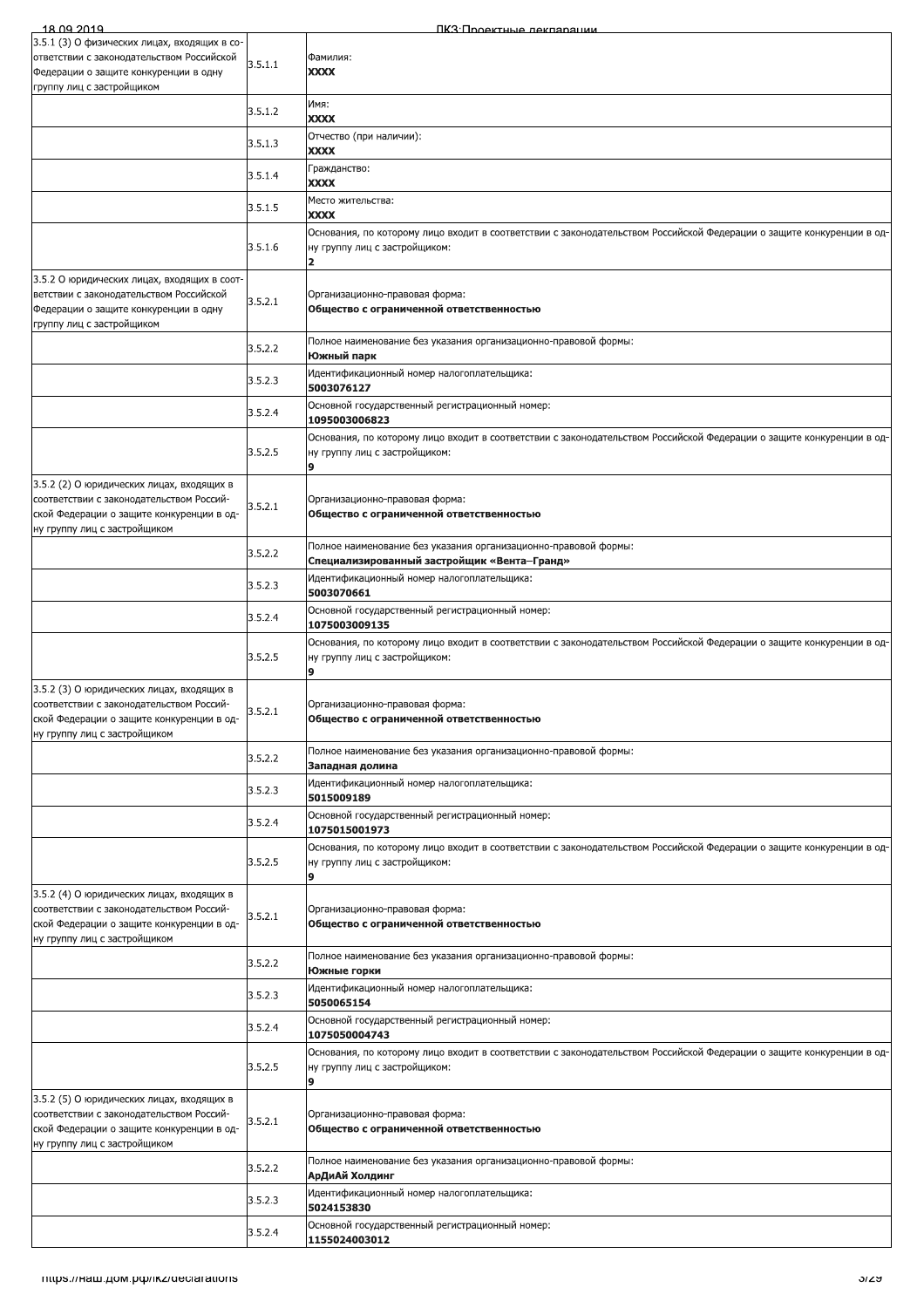| 3.5.1 (3) О физических лицах, входящих в со-<br>Фамилия:<br>3.5.1.1<br>Федерации о защите конкуренции в одну<br><b>XXXX</b><br>Имя:<br>3.5.1.2<br><b>XXXX</b><br>Отчество (при наличии):<br>3.5.1.3<br><b>XXXX</b><br>Гражданство:<br>3.5.1.4<br><b>XXXX</b><br>Место жительства:<br>3.5.1.5<br><b>XXXX</b><br>3.5.1.6<br>ну группу лиц с застройщиком:<br>$\overline{\mathbf{z}}$<br>3.5.2 О юридических лицах, входящих в соот-<br>ветствии с законодательством Российской<br>Организационно-правовая форма:<br>3.5.2.1<br>Федерации о защите конкуренции в одну<br>Общество с ограниченной ответственностью<br>группу лиц с застройщиком<br>Полное наименование без указания организационно-правовой формы:<br>3.5.2.2<br>Южный парк<br>Идентификационный номер налогоплательщика:<br>3.5.2.3<br>5003076127<br>Основной государственный регистрационный номер:<br>3.5.2.4<br>1095003006823<br>Основания, по которому лицо входит в соответствии с законодательством Российской Федерации о защите конкуренции в од-<br>3.5.2.5<br>ну группу лиц с застройщиком:<br>9<br>3.5.2 (2) О юридических лицах, входящих в<br>соответствии с законодательством Россий-<br>Организационно-правовая форма:<br>3.5.2.1<br>ской Федерации о защите конкуренции в од-<br>Общество с ограниченной ответственностью<br>ну группу лиц с застройщиком<br>Полное наименование без указания организационно-правовой формы:<br>3.5.2.2<br>Специализированный застройщик «Вента-Гранд»<br>Идентификационный номер налогоплательщика:<br>3.5.2.3<br>5003070661<br>Основной государственный регистрационный номер:<br>3.5.2.4<br>1075003009135<br>Основания, по которому лицо входит в соответствии с законодательством Российской Федерации о защите конкуренции в од-<br>3.5.2.5<br>ну группу лиц с застройщиком:<br>9<br>3.5.2 (3) О юридических лицах, входящих в<br>соответствии с законодательством Россий-<br>Организационно-правовая форма:<br>3.5.2.1<br>ской Федерации о защите конкуренции в од-<br>Общество с ограниченной ответственностью<br>ну группу лиц с застройщиком<br>Полное наименование без указания организационно-правовой формы:<br>3.5.2.2<br>Западная долина<br>Идентификационный номер налогоплательщика:<br>3.5.2.3<br>5015009189<br>Основной государственный регистрационный номер:<br>3.5.2.4<br>1075015001973<br>Основания, по которому лицо входит в соответствии с законодательством Российской Федерации о защите конкуренции в од-<br>ну группу лиц с застройщиком:<br>3.5.2.5<br>9<br>3.5.2 (4) О юридических лицах, входящих в<br>соответствии с законодательством Россий-<br>Организационно-правовая форма:<br>3.5.2.1<br>ской Федерации о защите конкуренции в од-<br>Общество с ограниченной ответственностью<br>ну группу лиц с застройщиком<br>Полное наименование без указания организационно-правовой формы:<br>3.5.2.2<br>Южные горки<br>Идентификационный номер налогоплательщика:<br>3.5.2.3<br>5050065154<br>Основной государственный регистрационный номер:<br>3.5.2.4<br>1075050004743<br>Основания, по которому лицо входит в соответствии с законодательством Российской Федерации о защите конкуренции в од-<br>ну группу лиц с застройщиком:<br>3.5.2.5<br>9<br>3.5.2 (5) О юридических лицах, входящих в<br>соответствии с законодательством Россий-<br>Организационно-правовая форма:<br>3.5.2.1<br>ской Федерации о защите конкуренции в од-<br>Общество с ограниченной ответственностью<br>ну группу лиц с застройщиком<br>Полное наименование без указания организационно-правовой формы:<br>3.5.2.2<br>АрДиАй Холдинг<br>Идентификационный номер налогоплательщика:<br>3.5.2.3<br>5024153830<br>Основной государственный регистрационный номер:<br>3.5.2.4<br>1155024003012 | 18 09 2019                                | ПКЗ: Проектные леклярации                                                                                             |
|----------------------------------------------------------------------------------------------------------------------------------------------------------------------------------------------------------------------------------------------------------------------------------------------------------------------------------------------------------------------------------------------------------------------------------------------------------------------------------------------------------------------------------------------------------------------------------------------------------------------------------------------------------------------------------------------------------------------------------------------------------------------------------------------------------------------------------------------------------------------------------------------------------------------------------------------------------------------------------------------------------------------------------------------------------------------------------------------------------------------------------------------------------------------------------------------------------------------------------------------------------------------------------------------------------------------------------------------------------------------------------------------------------------------------------------------------------------------------------------------------------------------------------------------------------------------------------------------------------------------------------------------------------------------------------------------------------------------------------------------------------------------------------------------------------------------------------------------------------------------------------------------------------------------------------------------------------------------------------------------------------------------------------------------------------------------------------------------------------------------------------------------------------------------------------------------------------------------------------------------------------------------------------------------------------------------------------------------------------------------------------------------------------------------------------------------------------------------------------------------------------------------------------------------------------------------------------------------------------------------------------------------------------------------------------------------------------------------------------------------------------------------------------------------------------------------------------------------------------------------------------------------------------------------------------------------------------------------------------------------------------------------------------------------------------------------------------------------------------------------------------------------------------------------------------------------------------------------------------------------------------------------------------------------------------------------------------------------------------------------------------------------------------------------------------------------------------------------------------------------------------------------------------------------------------------------------------------------------------------------------------------------------------------------------------------------------------------------|-------------------------------------------|-----------------------------------------------------------------------------------------------------------------------|
|                                                                                                                                                                                                                                                                                                                                                                                                                                                                                                                                                                                                                                                                                                                                                                                                                                                                                                                                                                                                                                                                                                                                                                                                                                                                                                                                                                                                                                                                                                                                                                                                                                                                                                                                                                                                                                                                                                                                                                                                                                                                                                                                                                                                                                                                                                                                                                                                                                                                                                                                                                                                                                                                                                                                                                                                                                                                                                                                                                                                                                                                                                                                                                                                                                                                                                                                                                                                                                                                                                                                                                                                                                                                                                                      | ответствии с законодательством Российской |                                                                                                                       |
|                                                                                                                                                                                                                                                                                                                                                                                                                                                                                                                                                                                                                                                                                                                                                                                                                                                                                                                                                                                                                                                                                                                                                                                                                                                                                                                                                                                                                                                                                                                                                                                                                                                                                                                                                                                                                                                                                                                                                                                                                                                                                                                                                                                                                                                                                                                                                                                                                                                                                                                                                                                                                                                                                                                                                                                                                                                                                                                                                                                                                                                                                                                                                                                                                                                                                                                                                                                                                                                                                                                                                                                                                                                                                                                      | группу лиц с застройщиком                 |                                                                                                                       |
|                                                                                                                                                                                                                                                                                                                                                                                                                                                                                                                                                                                                                                                                                                                                                                                                                                                                                                                                                                                                                                                                                                                                                                                                                                                                                                                                                                                                                                                                                                                                                                                                                                                                                                                                                                                                                                                                                                                                                                                                                                                                                                                                                                                                                                                                                                                                                                                                                                                                                                                                                                                                                                                                                                                                                                                                                                                                                                                                                                                                                                                                                                                                                                                                                                                                                                                                                                                                                                                                                                                                                                                                                                                                                                                      |                                           |                                                                                                                       |
|                                                                                                                                                                                                                                                                                                                                                                                                                                                                                                                                                                                                                                                                                                                                                                                                                                                                                                                                                                                                                                                                                                                                                                                                                                                                                                                                                                                                                                                                                                                                                                                                                                                                                                                                                                                                                                                                                                                                                                                                                                                                                                                                                                                                                                                                                                                                                                                                                                                                                                                                                                                                                                                                                                                                                                                                                                                                                                                                                                                                                                                                                                                                                                                                                                                                                                                                                                                                                                                                                                                                                                                                                                                                                                                      |                                           |                                                                                                                       |
|                                                                                                                                                                                                                                                                                                                                                                                                                                                                                                                                                                                                                                                                                                                                                                                                                                                                                                                                                                                                                                                                                                                                                                                                                                                                                                                                                                                                                                                                                                                                                                                                                                                                                                                                                                                                                                                                                                                                                                                                                                                                                                                                                                                                                                                                                                                                                                                                                                                                                                                                                                                                                                                                                                                                                                                                                                                                                                                                                                                                                                                                                                                                                                                                                                                                                                                                                                                                                                                                                                                                                                                                                                                                                                                      |                                           |                                                                                                                       |
|                                                                                                                                                                                                                                                                                                                                                                                                                                                                                                                                                                                                                                                                                                                                                                                                                                                                                                                                                                                                                                                                                                                                                                                                                                                                                                                                                                                                                                                                                                                                                                                                                                                                                                                                                                                                                                                                                                                                                                                                                                                                                                                                                                                                                                                                                                                                                                                                                                                                                                                                                                                                                                                                                                                                                                                                                                                                                                                                                                                                                                                                                                                                                                                                                                                                                                                                                                                                                                                                                                                                                                                                                                                                                                                      |                                           |                                                                                                                       |
|                                                                                                                                                                                                                                                                                                                                                                                                                                                                                                                                                                                                                                                                                                                                                                                                                                                                                                                                                                                                                                                                                                                                                                                                                                                                                                                                                                                                                                                                                                                                                                                                                                                                                                                                                                                                                                                                                                                                                                                                                                                                                                                                                                                                                                                                                                                                                                                                                                                                                                                                                                                                                                                                                                                                                                                                                                                                                                                                                                                                                                                                                                                                                                                                                                                                                                                                                                                                                                                                                                                                                                                                                                                                                                                      |                                           | Основания, по которому лицо входит в соответствии с законодательством Российской Федерации о защите конкуренции в од- |
|                                                                                                                                                                                                                                                                                                                                                                                                                                                                                                                                                                                                                                                                                                                                                                                                                                                                                                                                                                                                                                                                                                                                                                                                                                                                                                                                                                                                                                                                                                                                                                                                                                                                                                                                                                                                                                                                                                                                                                                                                                                                                                                                                                                                                                                                                                                                                                                                                                                                                                                                                                                                                                                                                                                                                                                                                                                                                                                                                                                                                                                                                                                                                                                                                                                                                                                                                                                                                                                                                                                                                                                                                                                                                                                      |                                           |                                                                                                                       |
|                                                                                                                                                                                                                                                                                                                                                                                                                                                                                                                                                                                                                                                                                                                                                                                                                                                                                                                                                                                                                                                                                                                                                                                                                                                                                                                                                                                                                                                                                                                                                                                                                                                                                                                                                                                                                                                                                                                                                                                                                                                                                                                                                                                                                                                                                                                                                                                                                                                                                                                                                                                                                                                                                                                                                                                                                                                                                                                                                                                                                                                                                                                                                                                                                                                                                                                                                                                                                                                                                                                                                                                                                                                                                                                      |                                           |                                                                                                                       |
|                                                                                                                                                                                                                                                                                                                                                                                                                                                                                                                                                                                                                                                                                                                                                                                                                                                                                                                                                                                                                                                                                                                                                                                                                                                                                                                                                                                                                                                                                                                                                                                                                                                                                                                                                                                                                                                                                                                                                                                                                                                                                                                                                                                                                                                                                                                                                                                                                                                                                                                                                                                                                                                                                                                                                                                                                                                                                                                                                                                                                                                                                                                                                                                                                                                                                                                                                                                                                                                                                                                                                                                                                                                                                                                      |                                           |                                                                                                                       |
|                                                                                                                                                                                                                                                                                                                                                                                                                                                                                                                                                                                                                                                                                                                                                                                                                                                                                                                                                                                                                                                                                                                                                                                                                                                                                                                                                                                                                                                                                                                                                                                                                                                                                                                                                                                                                                                                                                                                                                                                                                                                                                                                                                                                                                                                                                                                                                                                                                                                                                                                                                                                                                                                                                                                                                                                                                                                                                                                                                                                                                                                                                                                                                                                                                                                                                                                                                                                                                                                                                                                                                                                                                                                                                                      |                                           |                                                                                                                       |
|                                                                                                                                                                                                                                                                                                                                                                                                                                                                                                                                                                                                                                                                                                                                                                                                                                                                                                                                                                                                                                                                                                                                                                                                                                                                                                                                                                                                                                                                                                                                                                                                                                                                                                                                                                                                                                                                                                                                                                                                                                                                                                                                                                                                                                                                                                                                                                                                                                                                                                                                                                                                                                                                                                                                                                                                                                                                                                                                                                                                                                                                                                                                                                                                                                                                                                                                                                                                                                                                                                                                                                                                                                                                                                                      |                                           |                                                                                                                       |
|                                                                                                                                                                                                                                                                                                                                                                                                                                                                                                                                                                                                                                                                                                                                                                                                                                                                                                                                                                                                                                                                                                                                                                                                                                                                                                                                                                                                                                                                                                                                                                                                                                                                                                                                                                                                                                                                                                                                                                                                                                                                                                                                                                                                                                                                                                                                                                                                                                                                                                                                                                                                                                                                                                                                                                                                                                                                                                                                                                                                                                                                                                                                                                                                                                                                                                                                                                                                                                                                                                                                                                                                                                                                                                                      |                                           |                                                                                                                       |
|                                                                                                                                                                                                                                                                                                                                                                                                                                                                                                                                                                                                                                                                                                                                                                                                                                                                                                                                                                                                                                                                                                                                                                                                                                                                                                                                                                                                                                                                                                                                                                                                                                                                                                                                                                                                                                                                                                                                                                                                                                                                                                                                                                                                                                                                                                                                                                                                                                                                                                                                                                                                                                                                                                                                                                                                                                                                                                                                                                                                                                                                                                                                                                                                                                                                                                                                                                                                                                                                                                                                                                                                                                                                                                                      |                                           |                                                                                                                       |
|                                                                                                                                                                                                                                                                                                                                                                                                                                                                                                                                                                                                                                                                                                                                                                                                                                                                                                                                                                                                                                                                                                                                                                                                                                                                                                                                                                                                                                                                                                                                                                                                                                                                                                                                                                                                                                                                                                                                                                                                                                                                                                                                                                                                                                                                                                                                                                                                                                                                                                                                                                                                                                                                                                                                                                                                                                                                                                                                                                                                                                                                                                                                                                                                                                                                                                                                                                                                                                                                                                                                                                                                                                                                                                                      |                                           |                                                                                                                       |
|                                                                                                                                                                                                                                                                                                                                                                                                                                                                                                                                                                                                                                                                                                                                                                                                                                                                                                                                                                                                                                                                                                                                                                                                                                                                                                                                                                                                                                                                                                                                                                                                                                                                                                                                                                                                                                                                                                                                                                                                                                                                                                                                                                                                                                                                                                                                                                                                                                                                                                                                                                                                                                                                                                                                                                                                                                                                                                                                                                                                                                                                                                                                                                                                                                                                                                                                                                                                                                                                                                                                                                                                                                                                                                                      |                                           |                                                                                                                       |
|                                                                                                                                                                                                                                                                                                                                                                                                                                                                                                                                                                                                                                                                                                                                                                                                                                                                                                                                                                                                                                                                                                                                                                                                                                                                                                                                                                                                                                                                                                                                                                                                                                                                                                                                                                                                                                                                                                                                                                                                                                                                                                                                                                                                                                                                                                                                                                                                                                                                                                                                                                                                                                                                                                                                                                                                                                                                                                                                                                                                                                                                                                                                                                                                                                                                                                                                                                                                                                                                                                                                                                                                                                                                                                                      |                                           |                                                                                                                       |
|                                                                                                                                                                                                                                                                                                                                                                                                                                                                                                                                                                                                                                                                                                                                                                                                                                                                                                                                                                                                                                                                                                                                                                                                                                                                                                                                                                                                                                                                                                                                                                                                                                                                                                                                                                                                                                                                                                                                                                                                                                                                                                                                                                                                                                                                                                                                                                                                                                                                                                                                                                                                                                                                                                                                                                                                                                                                                                                                                                                                                                                                                                                                                                                                                                                                                                                                                                                                                                                                                                                                                                                                                                                                                                                      |                                           |                                                                                                                       |
|                                                                                                                                                                                                                                                                                                                                                                                                                                                                                                                                                                                                                                                                                                                                                                                                                                                                                                                                                                                                                                                                                                                                                                                                                                                                                                                                                                                                                                                                                                                                                                                                                                                                                                                                                                                                                                                                                                                                                                                                                                                                                                                                                                                                                                                                                                                                                                                                                                                                                                                                                                                                                                                                                                                                                                                                                                                                                                                                                                                                                                                                                                                                                                                                                                                                                                                                                                                                                                                                                                                                                                                                                                                                                                                      |                                           |                                                                                                                       |
|                                                                                                                                                                                                                                                                                                                                                                                                                                                                                                                                                                                                                                                                                                                                                                                                                                                                                                                                                                                                                                                                                                                                                                                                                                                                                                                                                                                                                                                                                                                                                                                                                                                                                                                                                                                                                                                                                                                                                                                                                                                                                                                                                                                                                                                                                                                                                                                                                                                                                                                                                                                                                                                                                                                                                                                                                                                                                                                                                                                                                                                                                                                                                                                                                                                                                                                                                                                                                                                                                                                                                                                                                                                                                                                      |                                           |                                                                                                                       |
|                                                                                                                                                                                                                                                                                                                                                                                                                                                                                                                                                                                                                                                                                                                                                                                                                                                                                                                                                                                                                                                                                                                                                                                                                                                                                                                                                                                                                                                                                                                                                                                                                                                                                                                                                                                                                                                                                                                                                                                                                                                                                                                                                                                                                                                                                                                                                                                                                                                                                                                                                                                                                                                                                                                                                                                                                                                                                                                                                                                                                                                                                                                                                                                                                                                                                                                                                                                                                                                                                                                                                                                                                                                                                                                      |                                           |                                                                                                                       |
|                                                                                                                                                                                                                                                                                                                                                                                                                                                                                                                                                                                                                                                                                                                                                                                                                                                                                                                                                                                                                                                                                                                                                                                                                                                                                                                                                                                                                                                                                                                                                                                                                                                                                                                                                                                                                                                                                                                                                                                                                                                                                                                                                                                                                                                                                                                                                                                                                                                                                                                                                                                                                                                                                                                                                                                                                                                                                                                                                                                                                                                                                                                                                                                                                                                                                                                                                                                                                                                                                                                                                                                                                                                                                                                      |                                           |                                                                                                                       |
|                                                                                                                                                                                                                                                                                                                                                                                                                                                                                                                                                                                                                                                                                                                                                                                                                                                                                                                                                                                                                                                                                                                                                                                                                                                                                                                                                                                                                                                                                                                                                                                                                                                                                                                                                                                                                                                                                                                                                                                                                                                                                                                                                                                                                                                                                                                                                                                                                                                                                                                                                                                                                                                                                                                                                                                                                                                                                                                                                                                                                                                                                                                                                                                                                                                                                                                                                                                                                                                                                                                                                                                                                                                                                                                      |                                           |                                                                                                                       |
|                                                                                                                                                                                                                                                                                                                                                                                                                                                                                                                                                                                                                                                                                                                                                                                                                                                                                                                                                                                                                                                                                                                                                                                                                                                                                                                                                                                                                                                                                                                                                                                                                                                                                                                                                                                                                                                                                                                                                                                                                                                                                                                                                                                                                                                                                                                                                                                                                                                                                                                                                                                                                                                                                                                                                                                                                                                                                                                                                                                                                                                                                                                                                                                                                                                                                                                                                                                                                                                                                                                                                                                                                                                                                                                      |                                           |                                                                                                                       |
|                                                                                                                                                                                                                                                                                                                                                                                                                                                                                                                                                                                                                                                                                                                                                                                                                                                                                                                                                                                                                                                                                                                                                                                                                                                                                                                                                                                                                                                                                                                                                                                                                                                                                                                                                                                                                                                                                                                                                                                                                                                                                                                                                                                                                                                                                                                                                                                                                                                                                                                                                                                                                                                                                                                                                                                                                                                                                                                                                                                                                                                                                                                                                                                                                                                                                                                                                                                                                                                                                                                                                                                                                                                                                                                      |                                           |                                                                                                                       |
|                                                                                                                                                                                                                                                                                                                                                                                                                                                                                                                                                                                                                                                                                                                                                                                                                                                                                                                                                                                                                                                                                                                                                                                                                                                                                                                                                                                                                                                                                                                                                                                                                                                                                                                                                                                                                                                                                                                                                                                                                                                                                                                                                                                                                                                                                                                                                                                                                                                                                                                                                                                                                                                                                                                                                                                                                                                                                                                                                                                                                                                                                                                                                                                                                                                                                                                                                                                                                                                                                                                                                                                                                                                                                                                      |                                           |                                                                                                                       |
|                                                                                                                                                                                                                                                                                                                                                                                                                                                                                                                                                                                                                                                                                                                                                                                                                                                                                                                                                                                                                                                                                                                                                                                                                                                                                                                                                                                                                                                                                                                                                                                                                                                                                                                                                                                                                                                                                                                                                                                                                                                                                                                                                                                                                                                                                                                                                                                                                                                                                                                                                                                                                                                                                                                                                                                                                                                                                                                                                                                                                                                                                                                                                                                                                                                                                                                                                                                                                                                                                                                                                                                                                                                                                                                      |                                           |                                                                                                                       |
|                                                                                                                                                                                                                                                                                                                                                                                                                                                                                                                                                                                                                                                                                                                                                                                                                                                                                                                                                                                                                                                                                                                                                                                                                                                                                                                                                                                                                                                                                                                                                                                                                                                                                                                                                                                                                                                                                                                                                                                                                                                                                                                                                                                                                                                                                                                                                                                                                                                                                                                                                                                                                                                                                                                                                                                                                                                                                                                                                                                                                                                                                                                                                                                                                                                                                                                                                                                                                                                                                                                                                                                                                                                                                                                      |                                           |                                                                                                                       |
|                                                                                                                                                                                                                                                                                                                                                                                                                                                                                                                                                                                                                                                                                                                                                                                                                                                                                                                                                                                                                                                                                                                                                                                                                                                                                                                                                                                                                                                                                                                                                                                                                                                                                                                                                                                                                                                                                                                                                                                                                                                                                                                                                                                                                                                                                                                                                                                                                                                                                                                                                                                                                                                                                                                                                                                                                                                                                                                                                                                                                                                                                                                                                                                                                                                                                                                                                                                                                                                                                                                                                                                                                                                                                                                      |                                           |                                                                                                                       |
|                                                                                                                                                                                                                                                                                                                                                                                                                                                                                                                                                                                                                                                                                                                                                                                                                                                                                                                                                                                                                                                                                                                                                                                                                                                                                                                                                                                                                                                                                                                                                                                                                                                                                                                                                                                                                                                                                                                                                                                                                                                                                                                                                                                                                                                                                                                                                                                                                                                                                                                                                                                                                                                                                                                                                                                                                                                                                                                                                                                                                                                                                                                                                                                                                                                                                                                                                                                                                                                                                                                                                                                                                                                                                                                      |                                           |                                                                                                                       |
|                                                                                                                                                                                                                                                                                                                                                                                                                                                                                                                                                                                                                                                                                                                                                                                                                                                                                                                                                                                                                                                                                                                                                                                                                                                                                                                                                                                                                                                                                                                                                                                                                                                                                                                                                                                                                                                                                                                                                                                                                                                                                                                                                                                                                                                                                                                                                                                                                                                                                                                                                                                                                                                                                                                                                                                                                                                                                                                                                                                                                                                                                                                                                                                                                                                                                                                                                                                                                                                                                                                                                                                                                                                                                                                      |                                           |                                                                                                                       |
|                                                                                                                                                                                                                                                                                                                                                                                                                                                                                                                                                                                                                                                                                                                                                                                                                                                                                                                                                                                                                                                                                                                                                                                                                                                                                                                                                                                                                                                                                                                                                                                                                                                                                                                                                                                                                                                                                                                                                                                                                                                                                                                                                                                                                                                                                                                                                                                                                                                                                                                                                                                                                                                                                                                                                                                                                                                                                                                                                                                                                                                                                                                                                                                                                                                                                                                                                                                                                                                                                                                                                                                                                                                                                                                      |                                           |                                                                                                                       |
|                                                                                                                                                                                                                                                                                                                                                                                                                                                                                                                                                                                                                                                                                                                                                                                                                                                                                                                                                                                                                                                                                                                                                                                                                                                                                                                                                                                                                                                                                                                                                                                                                                                                                                                                                                                                                                                                                                                                                                                                                                                                                                                                                                                                                                                                                                                                                                                                                                                                                                                                                                                                                                                                                                                                                                                                                                                                                                                                                                                                                                                                                                                                                                                                                                                                                                                                                                                                                                                                                                                                                                                                                                                                                                                      |                                           |                                                                                                                       |
| mups.//наш.дом.pф/ikz/declarations<br><i>সাহ</i> স্ত                                                                                                                                                                                                                                                                                                                                                                                                                                                                                                                                                                                                                                                                                                                                                                                                                                                                                                                                                                                                                                                                                                                                                                                                                                                                                                                                                                                                                                                                                                                                                                                                                                                                                                                                                                                                                                                                                                                                                                                                                                                                                                                                                                                                                                                                                                                                                                                                                                                                                                                                                                                                                                                                                                                                                                                                                                                                                                                                                                                                                                                                                                                                                                                                                                                                                                                                                                                                                                                                                                                                                                                                                                                                 |                                           |                                                                                                                       |
|                                                                                                                                                                                                                                                                                                                                                                                                                                                                                                                                                                                                                                                                                                                                                                                                                                                                                                                                                                                                                                                                                                                                                                                                                                                                                                                                                                                                                                                                                                                                                                                                                                                                                                                                                                                                                                                                                                                                                                                                                                                                                                                                                                                                                                                                                                                                                                                                                                                                                                                                                                                                                                                                                                                                                                                                                                                                                                                                                                                                                                                                                                                                                                                                                                                                                                                                                                                                                                                                                                                                                                                                                                                                                                                      |                                           |                                                                                                                       |
|                                                                                                                                                                                                                                                                                                                                                                                                                                                                                                                                                                                                                                                                                                                                                                                                                                                                                                                                                                                                                                                                                                                                                                                                                                                                                                                                                                                                                                                                                                                                                                                                                                                                                                                                                                                                                                                                                                                                                                                                                                                                                                                                                                                                                                                                                                                                                                                                                                                                                                                                                                                                                                                                                                                                                                                                                                                                                                                                                                                                                                                                                                                                                                                                                                                                                                                                                                                                                                                                                                                                                                                                                                                                                                                      |                                           |                                                                                                                       |
|                                                                                                                                                                                                                                                                                                                                                                                                                                                                                                                                                                                                                                                                                                                                                                                                                                                                                                                                                                                                                                                                                                                                                                                                                                                                                                                                                                                                                                                                                                                                                                                                                                                                                                                                                                                                                                                                                                                                                                                                                                                                                                                                                                                                                                                                                                                                                                                                                                                                                                                                                                                                                                                                                                                                                                                                                                                                                                                                                                                                                                                                                                                                                                                                                                                                                                                                                                                                                                                                                                                                                                                                                                                                                                                      |                                           |                                                                                                                       |
|                                                                                                                                                                                                                                                                                                                                                                                                                                                                                                                                                                                                                                                                                                                                                                                                                                                                                                                                                                                                                                                                                                                                                                                                                                                                                                                                                                                                                                                                                                                                                                                                                                                                                                                                                                                                                                                                                                                                                                                                                                                                                                                                                                                                                                                                                                                                                                                                                                                                                                                                                                                                                                                                                                                                                                                                                                                                                                                                                                                                                                                                                                                                                                                                                                                                                                                                                                                                                                                                                                                                                                                                                                                                                                                      |                                           |                                                                                                                       |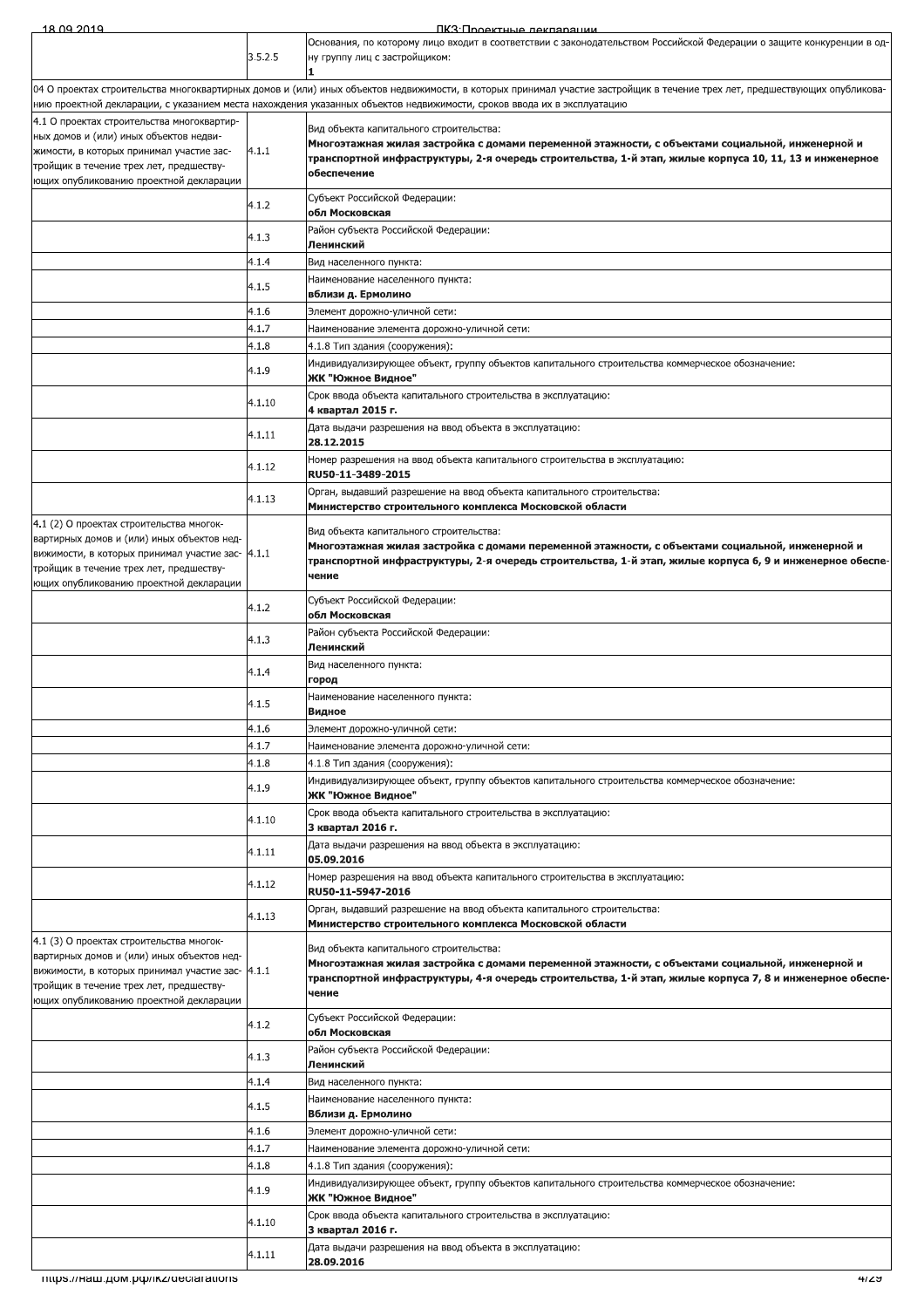| 18.09.2019                                                                                                                                                                                                                       |                | ПКЗ: Проектные лекпарации                                                                                                                                                                                                                                                                            |
|----------------------------------------------------------------------------------------------------------------------------------------------------------------------------------------------------------------------------------|----------------|------------------------------------------------------------------------------------------------------------------------------------------------------------------------------------------------------------------------------------------------------------------------------------------------------|
|                                                                                                                                                                                                                                  | 3.5.2.5        | Основания, по которому лицо входит в соответствии с законодательством Российской Федерации о защите конкуренции в од-<br>ну группу лиц с застройщиком:                                                                                                                                               |
|                                                                                                                                                                                                                                  |                | 04 О проектах строительства многоквартирных домов и (или) иных объектов недвижимости, в которых принимал участие застройщик в течение трех лет, предшествующих опубликова-<br>нию проектной декларации, с указанием места нахождения указанных объектов недвижимости, сроков ввода их в эксплуатацию |
| 4.1 О проектах строительства многоквартир-<br>ных домов и (или) иных объектов недви-<br>жимости, в которых принимал участие зас-<br>тройщик в течение трех лет, предшеству-<br>ющих опубликованию проектной декларации           | 4.1.1          | Вид объекта капитального строительства:<br>Многоэтажная жилая застройка с домами переменной этажности, с объектами социальной, инженерной и<br>транспортной инфраструктуры, 2-я очередь строительства, 1-й этап, жилые корпуса 10, 11, 13 и инженерное<br>обеспечение                                |
|                                                                                                                                                                                                                                  | 4.1.2          | Субъект Российской Федерации:<br>обл Московская                                                                                                                                                                                                                                                      |
|                                                                                                                                                                                                                                  | 4.1.3          | Район субъекта Российской Федерации:<br>Ленинский                                                                                                                                                                                                                                                    |
|                                                                                                                                                                                                                                  | 4.1.4          | Вид населенного пункта:                                                                                                                                                                                                                                                                              |
|                                                                                                                                                                                                                                  | 4.1.5          | Наименование населенного пункта:<br>вблизи д. Ермолино                                                                                                                                                                                                                                               |
|                                                                                                                                                                                                                                  | 4.1.6          | Элемент дорожно-уличной сети:                                                                                                                                                                                                                                                                        |
|                                                                                                                                                                                                                                  | 4.1.7          | Наименование элемента дорожно-уличной сети:                                                                                                                                                                                                                                                          |
|                                                                                                                                                                                                                                  | 4.1.8          | 4.1.8 Тип здания (сооружения):                                                                                                                                                                                                                                                                       |
|                                                                                                                                                                                                                                  | 4.1.9          | Индивидуализирующее объект, группу объектов капитального строительства коммерческое обозначение:<br>ЖК "Южное Видное"                                                                                                                                                                                |
|                                                                                                                                                                                                                                  | 4.1.10         | Срок ввода объекта капитального строительства в эксплуатацию:                                                                                                                                                                                                                                        |
|                                                                                                                                                                                                                                  | 4.1.11         | 4 квартал 2015 г.<br>Дата выдачи разрешения на ввод объекта в эксплуатацию:                                                                                                                                                                                                                          |
|                                                                                                                                                                                                                                  | 4.1.12         | 28.12.2015<br>Номер разрешения на ввод объекта капитального строительства в эксплуатацию:                                                                                                                                                                                                            |
|                                                                                                                                                                                                                                  |                | RU50-11-3489-2015                                                                                                                                                                                                                                                                                    |
|                                                                                                                                                                                                                                  | 4.1.13         | Орган, выдавший разрешение на ввод объекта капитального строительства:<br>Министерство строительного комплекса Московской области                                                                                                                                                                    |
| 4.1 (2) О проектах строительства многок-<br>вартирных домов и (или) иных объектов нед-<br>вижимости, в которых принимал участие зас- 4.1.1<br>тройщик в течение трех лет, предшеству-<br>ющих опубликованию проектной декларации |                | Вид объекта капитального строительства:<br>Многоэтажная жилая застройка с домами переменной этажности, с объектами социальной, инженерной и<br>транспортной инфраструктуры, 2-я очередь строительства, 1-й этап, жилые корпуса 6, 9 и инженерное обеспе-<br>чение                                    |
|                                                                                                                                                                                                                                  | 4.1.2          | Субъект Российской Федерации:<br>обл Московская                                                                                                                                                                                                                                                      |
|                                                                                                                                                                                                                                  | 4.1.3          | Район субъекта Российской Федерации:<br>Ленинский                                                                                                                                                                                                                                                    |
|                                                                                                                                                                                                                                  | 4.1.4          | Вид населенного пункта:                                                                                                                                                                                                                                                                              |
|                                                                                                                                                                                                                                  | 4.1.5          | город<br>Наименование населенного пункта:                                                                                                                                                                                                                                                            |
|                                                                                                                                                                                                                                  |                | Видное                                                                                                                                                                                                                                                                                               |
|                                                                                                                                                                                                                                  | 4.1.6          | Элемент дорожно-уличной сети:                                                                                                                                                                                                                                                                        |
|                                                                                                                                                                                                                                  | 4.1.7          | Наименование элемента дорожно-уличной сети:                                                                                                                                                                                                                                                          |
|                                                                                                                                                                                                                                  | 4.1.8<br>4.1.9 | 4.1.8 Тип здания (сооружения):<br>Индивидуализирующее объект, группу объектов капитального строительства коммерческое обозначение:                                                                                                                                                                   |
|                                                                                                                                                                                                                                  | 4.1.10         | ЖК "Южное Видное"<br>Срок ввода объекта капитального строительства в эксплуатацию:                                                                                                                                                                                                                   |
|                                                                                                                                                                                                                                  | 4.1.11         | 3 квартал 2016 г.<br>Дата выдачи разрешения на ввод объекта в эксплуатацию:                                                                                                                                                                                                                          |
|                                                                                                                                                                                                                                  | 4.1.12         | 05.09.2016<br>Номер разрешения на ввод объекта капитального строительства в эксплуатацию:                                                                                                                                                                                                            |
|                                                                                                                                                                                                                                  |                | RU50-11-5947-2016<br>Орган, выдавший разрешение на ввод объекта капитального строительства:                                                                                                                                                                                                          |
|                                                                                                                                                                                                                                  | 4.1.13         | Министерство строительного комплекса Московской области                                                                                                                                                                                                                                              |
| 4.1 (3) О проектах строительства многок-<br>вартирных домов и (или) иных объектов нед-<br>вижимости, в которых принимал участие зас- 4.1.1<br>тройщик в течение трех лет, предшеству-<br>ющих опубликованию проектной декларации |                | Вид объекта капитального строительства:<br>Многоэтажная жилая застройка с домами переменной этажности, с объектами социальной, инженерной и<br>транспортной инфраструктуры, 4-я очередь строительства, 1-й этап, жилые корпуса 7, 8 и инженерное обеспе-<br>чение                                    |
|                                                                                                                                                                                                                                  | 4.1.2          | Субъект Российской Федерации:<br>обл Московская                                                                                                                                                                                                                                                      |
|                                                                                                                                                                                                                                  | 4.1.3          | Район субъекта Российской Федерации:<br>Ленинский                                                                                                                                                                                                                                                    |
|                                                                                                                                                                                                                                  | 4.1.4          | Вид населенного пункта:                                                                                                                                                                                                                                                                              |
|                                                                                                                                                                                                                                  | 4.1.5          | Наименование населенного пункта:                                                                                                                                                                                                                                                                     |
|                                                                                                                                                                                                                                  |                | Вблизи д. Ермолино                                                                                                                                                                                                                                                                                   |
|                                                                                                                                                                                                                                  | 4.1.6          | Элемент дорожно-уличной сети:                                                                                                                                                                                                                                                                        |
|                                                                                                                                                                                                                                  | 4.1.7<br>4.1.8 | Наименование элемента дорожно-уличной сети:<br>4.1.8 Тип здания (сооружения):                                                                                                                                                                                                                        |
|                                                                                                                                                                                                                                  | 4.1.9          | Индивидуализирующее объект, группу объектов капитального строительства коммерческое обозначение:                                                                                                                                                                                                     |
|                                                                                                                                                                                                                                  | 4.1.10         | ЖК "Южное Видное"<br>Срок ввода объекта капитального строительства в эксплуатацию:                                                                                                                                                                                                                   |
|                                                                                                                                                                                                                                  |                | 3 квартал 2016 г.<br>Дата выдачи разрешения на ввод объекта в эксплуатацию:                                                                                                                                                                                                                          |
|                                                                                                                                                                                                                                  | 4.1.11         | 28.09.2016                                                                                                                                                                                                                                                                                           |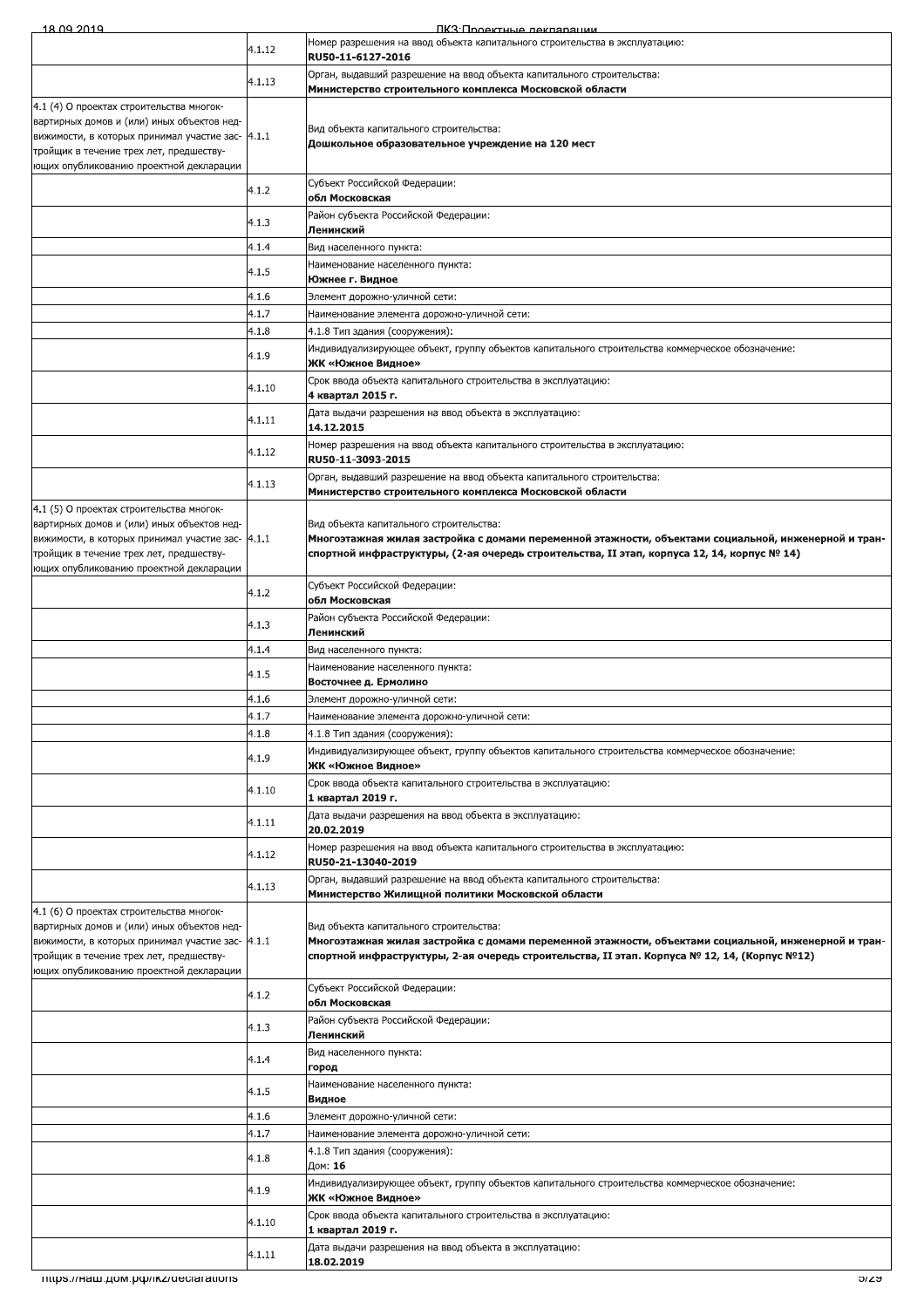| 18 09 2019                                                                                  |                | ПКЗ: Проектные леклярации                                                                                                                                                                            |
|---------------------------------------------------------------------------------------------|----------------|------------------------------------------------------------------------------------------------------------------------------------------------------------------------------------------------------|
|                                                                                             | 4.1.12         | Номер разрешения на ввод объекта капитального строительства в эксплуатацию:<br>RU50-11-6127-2016                                                                                                     |
|                                                                                             | 4.1.13         | Орган, выдавший разрешение на ввод объекта капитального строительства:                                                                                                                               |
| 4.1 (4) О проектах строительства многок-                                                    |                | Министерство строительного комплекса Московской области                                                                                                                                              |
| вартирных домов и (или) иных объектов нед-                                                  |                | Вид объекта капитального строительства:                                                                                                                                                              |
| вижимости, в которых принимал участие зас- 4.1.1<br>тройщик в течение трех лет, предшеству- |                | Дошкольное образовательное учреждение на 120 мест                                                                                                                                                    |
| ющих опубликованию проектной декларации                                                     |                |                                                                                                                                                                                                      |
|                                                                                             | 4.1.2          | Субъект Российской Федерации:<br>обл Московская                                                                                                                                                      |
|                                                                                             | 4.1.3          | Район субъекта Российской Федерации:<br>Ленинский                                                                                                                                                    |
|                                                                                             | 4.1.4          | Вид населенного пункта:                                                                                                                                                                              |
|                                                                                             | 4.1.5          | Наименование населенного пункта:<br>Южнее г. Видное                                                                                                                                                  |
|                                                                                             | 4.1.6          | Элемент дорожно-уличной сети:                                                                                                                                                                        |
|                                                                                             | 4.1.7<br>4.1.8 | Наименование элемента дорожно-уличной сети:<br>4.1.8 Тип здания (сооружения):                                                                                                                        |
|                                                                                             | 4.1.9          | Индивидуализирующее объект, группу объектов капитального строительства коммерческое обозначение:                                                                                                     |
|                                                                                             |                | ЖК «Южное Видное»<br>Срок ввода объекта капитального строительства в эксплуатацию:                                                                                                                   |
|                                                                                             | 4.1.10         | 4 квартал 2015 г.                                                                                                                                                                                    |
|                                                                                             | 4.1.11         | Дата выдачи разрешения на ввод объекта в эксплуатацию:<br>14.12.2015                                                                                                                                 |
|                                                                                             | 4.1.12         | Номер разрешения на ввод объекта капитального строительства в эксплуатацию:<br>RU50-11-3093-2015                                                                                                     |
|                                                                                             | 4.1.13         | Орган, выдавший разрешение на ввод объекта капитального строительства:                                                                                                                               |
|                                                                                             |                | Министерство строительного комплекса Московской области                                                                                                                                              |
| 4.1 (5) О проектах строительства многок-<br>вартирных домов и (или) иных объектов нед-      |                | Вид объекта капитального строительства:                                                                                                                                                              |
| вижимости, в которых принимал участие зас- 4.1.1<br>тройщик в течение трех лет, предшеству- |                | Многоэтажная жилая застройка с домами переменной этажности, объектами социальной, инженерной и тран-<br>спортной инфраструктуры, (2-ая очередь строительства, II этап, корпуса 12, 14, корпус № 14)  |
| ющих опубликованию проектной декларации                                                     |                |                                                                                                                                                                                                      |
|                                                                                             | 4.1.2          | Субъект Российской Федерации:<br>обл Московская                                                                                                                                                      |
|                                                                                             | 4.1.3          | Район субъекта Российской Федерации:<br>Ленинский                                                                                                                                                    |
|                                                                                             | 4.1.4          | Вид населенного пункта:                                                                                                                                                                              |
|                                                                                             | 4.1.5          | Наименование населенного пункта:<br>Восточнее д. Ермолино                                                                                                                                            |
|                                                                                             | 4.1.6          | Элемент дорожно-уличной сети:                                                                                                                                                                        |
|                                                                                             | 4.1.7<br>4.1.8 | Наименование элемента дорожно-уличной сети:<br>4.1.8 Тип здания (сооружения):                                                                                                                        |
|                                                                                             | 4.1.9          | Индивидуализирующее объект, группу объектов капитального строительства коммерческое обозначение:                                                                                                     |
|                                                                                             |                | ЖК «Южное Видное»<br>Срок ввода объекта капитального строительства в эксплуатацию:                                                                                                                   |
|                                                                                             | 4.1.10         | 1 квартал 2019 г.                                                                                                                                                                                    |
|                                                                                             | 4.1.11         | Дата выдачи разрешения на ввод объекта в эксплуатацию:<br>20.02.2019                                                                                                                                 |
|                                                                                             | 4.1.12         | Номер разрешения на ввод объекта капитального строительства в эксплуатацию:<br>RU50-21-13040-2019                                                                                                    |
|                                                                                             | 4.1.13         | Орган, выдавший разрешение на ввод объекта капитального строительства:                                                                                                                               |
| 4.1 (6) О проектах строительства многок-                                                    |                | Министерство Жилищной политики Московской области                                                                                                                                                    |
| вартирных домов и (или) иных объектов нед-                                                  |                | Вид объекта капитального строительства:                                                                                                                                                              |
| вижимости, в которых принимал участие зас- 4.1.1<br>тройщик в течение трех лет, предшеству- |                | Многоэтажная жилая застройка с домами переменной этажности, объектами социальной, инженерной и тран-<br>спортной инфраструктуры, 2-ая очередь строительства, II этап. Корпуса № 12, 14, (Корпус №12) |
| ющих опубликованию проектной декларации                                                     |                |                                                                                                                                                                                                      |
|                                                                                             | 4.1.2          | Субъект Российской Федерации:<br>обл Московская                                                                                                                                                      |
|                                                                                             | 4.1.3          | Район субъекта Российской Федерации:<br>Ленинский                                                                                                                                                    |
|                                                                                             | 4.1.4          | Вид населенного пункта:                                                                                                                                                                              |
|                                                                                             |                | город<br>Наименование населенного пункта:                                                                                                                                                            |
|                                                                                             | 4.1.5          | Видное                                                                                                                                                                                               |
|                                                                                             | 4.1.6<br>4.1.7 | Элемент дорожно-уличной сети:<br>Наименование элемента дорожно-уличной сети:                                                                                                                         |
|                                                                                             | 4.1.8          | 4.1.8 Тип здания (сооружения):<br>Дом: 16                                                                                                                                                            |
|                                                                                             | 4.1.9          | Индивидуализирующее объект, группу объектов капитального строительства коммерческое обозначение:                                                                                                     |
|                                                                                             |                | ЖК «Южное Видное»<br>Срок ввода объекта капитального строительства в эксплуатацию:                                                                                                                   |
|                                                                                             | 4.1.10         | 1 квартал 2019 г.                                                                                                                                                                                    |
|                                                                                             | 4.1.11         | Дата выдачи разрешения на ввод объекта в эксплуатацию:<br>18.02.2019                                                                                                                                 |
| mups.//наш.дом.pф/ikz/declarations                                                          |                | ລາຂອ                                                                                                                                                                                                 |
|                                                                                             |                |                                                                                                                                                                                                      |
|                                                                                             |                |                                                                                                                                                                                                      |
|                                                                                             |                |                                                                                                                                                                                                      |
|                                                                                             |                |                                                                                                                                                                                                      |
|                                                                                             |                |                                                                                                                                                                                                      |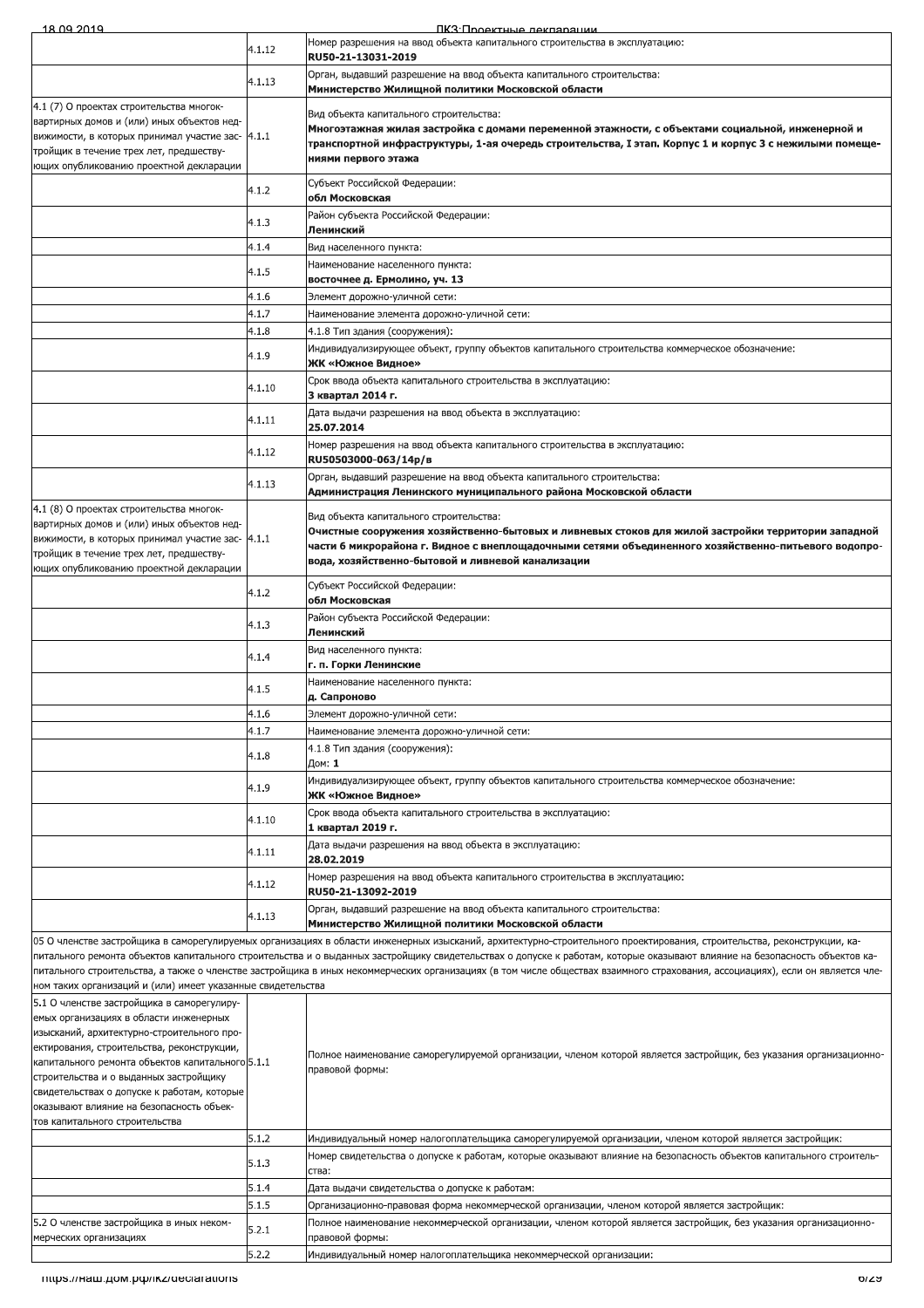| 18 09 2019                                                                                                                                                                                                                                                                                                                                                    |        | ПКЗ: Проектные леклярации                                                                                                                                                                                                                                                                                  |
|---------------------------------------------------------------------------------------------------------------------------------------------------------------------------------------------------------------------------------------------------------------------------------------------------------------------------------------------------------------|--------|------------------------------------------------------------------------------------------------------------------------------------------------------------------------------------------------------------------------------------------------------------------------------------------------------------|
|                                                                                                                                                                                                                                                                                                                                                               | 4.1.12 | Номер разрешения на ввод объекта капитального строительства в эксплуатацию:<br>RU50-21-13031-2019                                                                                                                                                                                                          |
|                                                                                                                                                                                                                                                                                                                                                               |        | Орган, выдавший разрешение на ввод объекта капитального строительства:                                                                                                                                                                                                                                     |
|                                                                                                                                                                                                                                                                                                                                                               | 4.1.13 | Министерство Жилищной политики Московской области                                                                                                                                                                                                                                                          |
| 4.1 (7) О проектах строительства многок-<br>вартирных домов и (или) иных объектов нед-<br>вижимости, в которых принимал участие зас- 4.1.1<br>тройщик в течение трех лет, предшеству-<br>ющих опубликованию проектной декларации                                                                                                                              |        | Вид объекта капитального строительства:<br>Многоэтажная жилая застройка с домами переменной этажности, с объектами социальной, инженерной и<br>транспортной инфраструктуры, 1-ая очередь строительства, I этап. Корпус 1 и корпус 3 с нежилыми помеще-<br>ниями первого этажа                              |
|                                                                                                                                                                                                                                                                                                                                                               | 4.1.2  | Субъект Российской Федерации:<br>обл Московская                                                                                                                                                                                                                                                            |
|                                                                                                                                                                                                                                                                                                                                                               | 4.1.3  | Район субъекта Российской Федерации:                                                                                                                                                                                                                                                                       |
|                                                                                                                                                                                                                                                                                                                                                               | 4.1.4  | Ленинский<br>Вид населенного пункта:                                                                                                                                                                                                                                                                       |
|                                                                                                                                                                                                                                                                                                                                                               | 4.1.5  | Наименование населенного пункта:                                                                                                                                                                                                                                                                           |
|                                                                                                                                                                                                                                                                                                                                                               | 4.1.6  | восточнее д. Ермолино, уч. 13<br>Элемент дорожно-уличной сети:                                                                                                                                                                                                                                             |
|                                                                                                                                                                                                                                                                                                                                                               | 4.1.7  | Наименование элемента дорожно-уличной сети:                                                                                                                                                                                                                                                                |
|                                                                                                                                                                                                                                                                                                                                                               | 4.1.8  | 4.1.8 Тип здания (сооружения):                                                                                                                                                                                                                                                                             |
|                                                                                                                                                                                                                                                                                                                                                               | 4.1.9  | Индивидуализирующее объект, группу объектов капитального строительства коммерческое обозначение:<br>ЖК «Южное Видное»                                                                                                                                                                                      |
|                                                                                                                                                                                                                                                                                                                                                               | 4.1.10 | Срок ввода объекта капитального строительства в эксплуатацию:<br>3 квартал 2014 г.                                                                                                                                                                                                                         |
|                                                                                                                                                                                                                                                                                                                                                               | 4.1.11 | Дата выдачи разрешения на ввод объекта в эксплуатацию:<br>25.07.2014                                                                                                                                                                                                                                       |
|                                                                                                                                                                                                                                                                                                                                                               | 4.1.12 | Номер разрешения на ввод объекта капитального строительства в эксплуатацию:                                                                                                                                                                                                                                |
|                                                                                                                                                                                                                                                                                                                                                               | 4.1.13 | RU50503000-063/14p/B<br>Орган, выдавший разрешение на ввод объекта капитального строительства:                                                                                                                                                                                                             |
|                                                                                                                                                                                                                                                                                                                                                               |        | Администрация Ленинского муниципального района Московской области                                                                                                                                                                                                                                          |
| 4.1 (8) О проектах строительства многок-<br>вартирных домов и (или) иных объектов нед-<br>вижимости, в которых принимал участие зас- 4.1.1<br>тройщик в течение трех лет, предшеству-<br>ющих опубликованию проектной декларации                                                                                                                              |        | Вид объекта капитального строительства:<br>Очистные сооружения хозяйственно-бытовых и ливневых стоков для жилой застройки территории западной<br>части 6 микрорайона г. Видное с внеплощадочными сетями объединенного хозяйственно-питьевого водопро-<br>вода, хозяйственно-бытовой и ливневой канализации |
|                                                                                                                                                                                                                                                                                                                                                               | 4.1.2  | Субъект Российской Федерации:<br>обл Московская                                                                                                                                                                                                                                                            |
|                                                                                                                                                                                                                                                                                                                                                               | 4.1.3  | Район субъекта Российской Федерации:<br>Ленинский                                                                                                                                                                                                                                                          |
|                                                                                                                                                                                                                                                                                                                                                               | 4.1.4  | Вид населенного пункта:<br>г. п. Горки Ленинские                                                                                                                                                                                                                                                           |
|                                                                                                                                                                                                                                                                                                                                                               | 4.1.5  | Наименование населенного пункта:                                                                                                                                                                                                                                                                           |
|                                                                                                                                                                                                                                                                                                                                                               | 4.1.6  | д. Сапроново<br>Элемент дорожно-уличной сети:                                                                                                                                                                                                                                                              |
|                                                                                                                                                                                                                                                                                                                                                               | 4.1.7  | Наименование элемента дорожно-уличной сети:                                                                                                                                                                                                                                                                |
|                                                                                                                                                                                                                                                                                                                                                               | 4.1.8  | 4.1.8 Тип здания (сооружения):<br>Дом: 1                                                                                                                                                                                                                                                                   |
|                                                                                                                                                                                                                                                                                                                                                               | 4.1.9  | Индивидуализирующее объект, группу объектов капитального строительства коммерческое обозначение:<br>ЖК «Южное Видное»                                                                                                                                                                                      |
|                                                                                                                                                                                                                                                                                                                                                               | 4.1.10 | Срок ввода объекта капитального строительства в эксплуатацию:<br>1 квартал 2019 г.                                                                                                                                                                                                                         |
|                                                                                                                                                                                                                                                                                                                                                               | 4.1.11 | Дата выдачи разрешения на ввод объекта в эксплуатацию:<br>28.02.2019                                                                                                                                                                                                                                       |
|                                                                                                                                                                                                                                                                                                                                                               | 4.1.12 | Номер разрешения на ввод объекта капитального строительства в эксплуатацию:                                                                                                                                                                                                                                |
|                                                                                                                                                                                                                                                                                                                                                               | 4.1.13 | RU50-21-13092-2019<br>Орган, выдавший разрешение на ввод объекта капитального строительства:                                                                                                                                                                                                               |
|                                                                                                                                                                                                                                                                                                                                                               |        | Министерство Жилищной политики Московской области<br>05 О членстве застройщика в саморегулируемых организациях в области инженерных изысканий, архитектурно-строительного проектирования, строительства, реконструкции, ка-                                                                                |
|                                                                                                                                                                                                                                                                                                                                                               |        | питального ремонта объектов капитального строительства и о выданных застройщику свидетельствах о допуске к работам, которые оказывают влияние на безопасность объектов ка-                                                                                                                                 |
|                                                                                                                                                                                                                                                                                                                                                               |        | питального строительства, а также о членстве застройщика в иных некоммерческих организациях (в том числе обществах взаимного страхования, ассоциациях), если он является чле-                                                                                                                              |
| ном таких организаций и (или) имеет указанные свидетельства<br>5.1 О членстве застройщика в саморегулиру-                                                                                                                                                                                                                                                     |        |                                                                                                                                                                                                                                                                                                            |
| емых организациях в области инженерных<br>изысканий, архитектурно-строительного про-<br>ектирования, строительства, реконструкции,<br>капитального ремонта объектов капитального 5.1.1<br>строительства и о выданных застройщику<br>свидетельствах о допуске к работам, которые<br>оказывают влияние на безопасность объек-<br>тов капитального строительства |        | Полное наименование саморегулируемой организации, членом которой является застройщик, без указания организационно-<br>правовой формы:                                                                                                                                                                      |
|                                                                                                                                                                                                                                                                                                                                                               | 5.1.2  | Индивидуальный номер налогоплательщика саморегулируемой организации, членом которой является застройщик:                                                                                                                                                                                                   |
|                                                                                                                                                                                                                                                                                                                                                               | 5.1.3  | Номер свидетельства о допуске к работам, которые оказывают влияние на безопасность объектов капитального строитель-                                                                                                                                                                                        |
|                                                                                                                                                                                                                                                                                                                                                               | 5.1.4  | ства:<br>Дата выдачи свидетельства о допуске к работам:                                                                                                                                                                                                                                                    |
|                                                                                                                                                                                                                                                                                                                                                               | 5.1.5  | Организационно-правовая форма некоммерческой организации, членом которой является застройщик:                                                                                                                                                                                                              |
| 5.2 О членстве застройщика в иных неком-<br>мерческих организациях                                                                                                                                                                                                                                                                                            | 5.2.1  | Полное наименование некоммерческой организации, членом которой является застройщик, без указания организационно-<br>правовой формы:                                                                                                                                                                        |
|                                                                                                                                                                                                                                                                                                                                                               | 5.2.2  | Индивидуальный номер налогоплательщика некоммерческой организации:                                                                                                                                                                                                                                         |
| mups.//наш.дом.рф/ikz/declarations                                                                                                                                                                                                                                                                                                                            |        | olza                                                                                                                                                                                                                                                                                                       |
|                                                                                                                                                                                                                                                                                                                                                               |        |                                                                                                                                                                                                                                                                                                            |
|                                                                                                                                                                                                                                                                                                                                                               |        |                                                                                                                                                                                                                                                                                                            |
|                                                                                                                                                                                                                                                                                                                                                               |        |                                                                                                                                                                                                                                                                                                            |
|                                                                                                                                                                                                                                                                                                                                                               |        |                                                                                                                                                                                                                                                                                                            |
|                                                                                                                                                                                                                                                                                                                                                               |        |                                                                                                                                                                                                                                                                                                            |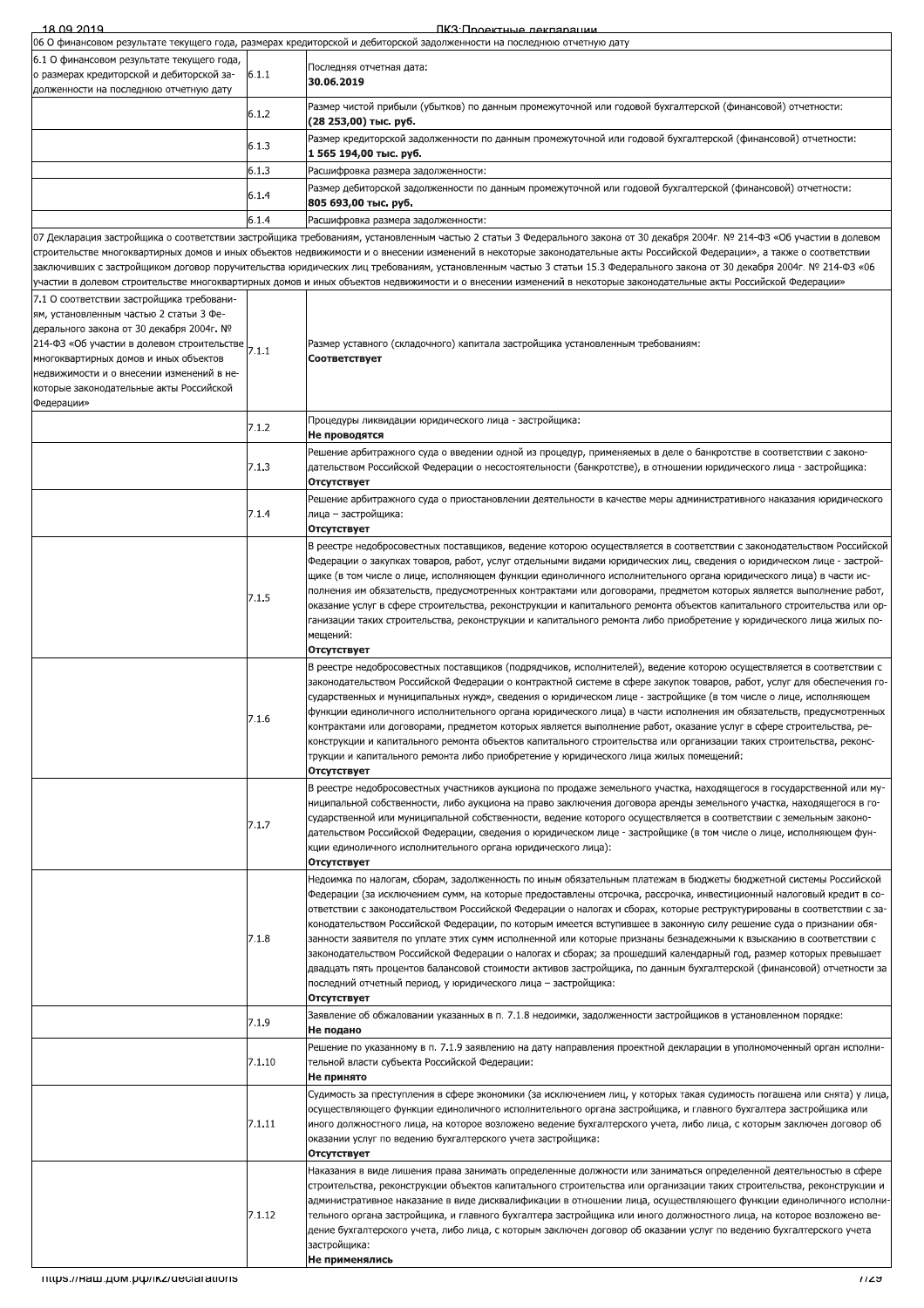| 18 09 2019                                                                                                                                                                                                                                                                                                                    |        | ПКЗ: Проектные леклярации                                                                                                                                                                                                                                                                                                                                                                                                                                                                                                                                                                                                                                                                                                                                                                                                                                                                                                               |
|-------------------------------------------------------------------------------------------------------------------------------------------------------------------------------------------------------------------------------------------------------------------------------------------------------------------------------|--------|-----------------------------------------------------------------------------------------------------------------------------------------------------------------------------------------------------------------------------------------------------------------------------------------------------------------------------------------------------------------------------------------------------------------------------------------------------------------------------------------------------------------------------------------------------------------------------------------------------------------------------------------------------------------------------------------------------------------------------------------------------------------------------------------------------------------------------------------------------------------------------------------------------------------------------------------|
|                                                                                                                                                                                                                                                                                                                               |        | 06 О финансовом результате текущего года, размерах кредиторской и дебиторской задолженности на последнюю отчетную дату                                                                                                                                                                                                                                                                                                                                                                                                                                                                                                                                                                                                                                                                                                                                                                                                                  |
| 6.1 О финансовом результате текущего года,<br>о размерах кредиторской и дебиторской за-<br>долженности на последнюю отчетную дату                                                                                                                                                                                             | 6.1.1  | Последняя отчетная дата:<br>30.06.2019                                                                                                                                                                                                                                                                                                                                                                                                                                                                                                                                                                                                                                                                                                                                                                                                                                                                                                  |
|                                                                                                                                                                                                                                                                                                                               | 6.1.2  | Размер чистой прибыли (убытков) по данным промежуточной или годовой бухгалтерской (финансовой) отчетности:<br>(28 253,00) тыс. руб.                                                                                                                                                                                                                                                                                                                                                                                                                                                                                                                                                                                                                                                                                                                                                                                                     |
|                                                                                                                                                                                                                                                                                                                               | 6.1.3  | Размер кредиторской задолженности по данным промежуточной или годовой бухгалтерской (финансовой) отчетности:<br>1 565 194,00 тыс. руб.                                                                                                                                                                                                                                                                                                                                                                                                                                                                                                                                                                                                                                                                                                                                                                                                  |
|                                                                                                                                                                                                                                                                                                                               | 6.1.3  | Расшифровка размера задолженности:                                                                                                                                                                                                                                                                                                                                                                                                                                                                                                                                                                                                                                                                                                                                                                                                                                                                                                      |
|                                                                                                                                                                                                                                                                                                                               | 6.1.4  | Размер дебиторской задолженности по данным промежуточной или годовой бухгалтерской (финансовой) отчетности:<br>805 693,00 тыс. руб.                                                                                                                                                                                                                                                                                                                                                                                                                                                                                                                                                                                                                                                                                                                                                                                                     |
|                                                                                                                                                                                                                                                                                                                               | 6.1.4  | Расшифровка размера задолженности:                                                                                                                                                                                                                                                                                                                                                                                                                                                                                                                                                                                                                                                                                                                                                                                                                                                                                                      |
|                                                                                                                                                                                                                                                                                                                               |        | 07 Декларация застройщика о соответствии застройщика требованиям, установленным частью 2 статьи 3 Федерального закона от 30 декабря 2004г. № 214-ФЗ «Об участии в долевом<br>строительстве многоквартирных домов и иных объектов недвижимости и о внесении изменений в некоторые законодательные акты Российской Федерации», а также о соответствии<br>заключивших с застройщиком договор поручительства юридических лиц требованиям, установленным частью 3 статьи 15.3 Федерального закона от 30 декабря 2004г. № 214-ФЗ «06<br>участии в долевом строительстве многоквартирных домов и иных объектов недвижимости и о внесении изменений в некоторые законодательные акты Российской Федерации»                                                                                                                                                                                                                                      |
| 7.1 О соответствии застройщика требовани-<br>ям, установленным частью 2 статьи 3 Фе-<br>дерального закона от 30 декабря 2004г. №<br>214-ФЗ «Об участии в долевом строительстве<br>многоквартирных домов и иных объектов<br>недвижимости и о внесении изменений в не-<br>которые законодательные акты Российской<br>Федерации» | 7.1.1  | Размер уставного (складочного) капитала застройщика установленным требованиям:<br>Соответствует                                                                                                                                                                                                                                                                                                                                                                                                                                                                                                                                                                                                                                                                                                                                                                                                                                         |
|                                                                                                                                                                                                                                                                                                                               | 7.1.2  | Процедуры ликвидации юридического лица - застройщика:<br>Не проводятся                                                                                                                                                                                                                                                                                                                                                                                                                                                                                                                                                                                                                                                                                                                                                                                                                                                                  |
|                                                                                                                                                                                                                                                                                                                               | 7.1.3  | Решение арбитражного суда о введении одной из процедур, применяемых в деле о банкротстве в соответствии с законо-<br>дательством Российской Федерации о несостоятельности (банкротстве), в отношении юридического лица - застройщика:<br>Отсутствует                                                                                                                                                                                                                                                                                                                                                                                                                                                                                                                                                                                                                                                                                    |
|                                                                                                                                                                                                                                                                                                                               | 7.1.4  | Решение арбитражного суда о приостановлении деятельности в качестве меры административного наказания юридического<br>лица — застройщика:<br>Отсутствует                                                                                                                                                                                                                                                                                                                                                                                                                                                                                                                                                                                                                                                                                                                                                                                 |
|                                                                                                                                                                                                                                                                                                                               | 7.1.5  | В реестре недобросовестных поставщиков, ведение которою осуществляется в соответствии с законодательством Российской<br>Федерации о закупках товаров, работ, услуг отдельными видами юридических лиц, сведения о юридическом лице - застрой-<br>щике (в том числе о лице, исполняющем функции единоличного исполнительного органа юридического лица) в части ис-<br>полнения им обязательств, предусмотренных контрактами или договорами, предметом которых является выполнение работ,<br>оказание услуг в сфере строительства, реконструкции и капитального ремонта объектов капитального строительства или ор-<br>-ганизации таких строительства, реконструкции и капитального ремонта либо приобретение у юридического лица жилых по-<br>мещений:<br>Отсутствует                                                                                                                                                                     |
|                                                                                                                                                                                                                                                                                                                               | 7.1.6  | В реестре недобросовестных поставщиков (подрядчиков, исполнителей), ведение которою осуществляется в соответствии с<br>законодательством Российской Федерации о контрактной системе в сфере закупок товаров, работ, услуг для обеспечения го-<br>сударственных и муниципальных нужд», сведения о юридическом лице - застройщике (в том числе о лице, исполняющем<br>функции единоличного исполнительного органа юридического лица) в части исполнения им обязательств, предусмотренных<br>контрактами или договорами, предметом которых является выполнение работ, оказание услуг в сфере строительства, ре-<br>конструкции и капитального ремонта объектов капитального строительства или организации таких строительства, реконс-<br>трукции и капитального ремонта либо приобретение у юридического лица жилых помещений:<br>Отсутствует                                                                                             |
|                                                                                                                                                                                                                                                                                                                               | 7.1.7  | В реестре недобросовестных участников аукциона по продаже земельного участка, находящегося в государственной или му-<br>ниципальной собственности, либо аукциона на право заключения договора аренды земельного участка, находящегося в го-<br>сударственной или муниципальной собственности, ведение которого осуществляется в соответствии с земельным законо-<br>дательством Российской Федерации, сведения о юридическом лице - застройщике (в том числе о лице, исполняющем фун-<br>кции единоличного исполнительного органа юридического лица):<br>Отсутствует                                                                                                                                                                                                                                                                                                                                                                    |
|                                                                                                                                                                                                                                                                                                                               | 7.1.8  | Недоимка по налогам, сборам, задолженность по иным обязательным платежам в бюджеты бюджетной системы Российской<br>Федерации (за исключением сумм, на которые предоставлены отсрочка, рассрочка, инвестиционный налоговый кредит в со-<br>ответствии с законодательством Российской Федерации о налогах и сборах, которые реструктурированы в соответствии с за-<br>конодательством Российской Федерации, по которым имеется вступившее в законную силу решение суда о признании обя-<br>занности заявителя по уплате этих сумм исполненной или которые признаны безнадежными к взысканию в соответствии с<br>законодательством Российской Федерации о налогах и сборах; за прошедший календарный год, размер которых превышает<br>двадцать пять процентов балансовой стоимости активов застройщика, по данным бухгалтерской (финансовой) отчетности за<br>последний отчетный период, у юридического лица - застройщика:<br>Отсутствует |
|                                                                                                                                                                                                                                                                                                                               | 7.1.9  | Заявление об обжаловании указанных в п. 7.1.8 недоимки, задолженности застройщиков в установленном порядке:<br>Не подано                                                                                                                                                                                                                                                                                                                                                                                                                                                                                                                                                                                                                                                                                                                                                                                                                |
|                                                                                                                                                                                                                                                                                                                               | 7.1.10 | Решение по указанному в п. 7.1.9 заявлению на дату направления проектной декларации в уполномоченный орган исполни-<br>тельной власти субъекта Российской Федерации:<br>Не принято                                                                                                                                                                                                                                                                                                                                                                                                                                                                                                                                                                                                                                                                                                                                                      |
|                                                                                                                                                                                                                                                                                                                               | 7.1.11 | Судимость за преступления в сфере экономики (за исключением лиц, у которых такая судимость погашена или снята) у лица,<br>осуществляющего функции единоличного исполнительного органа застройщика, и главного бухгалтера застройщика или<br>иного должностного лица, на которое возложено ведение бухгалтерского учета, либо лица, с которым заключен договор об<br>оказании услуг по ведению бухгалтерского учета застройщика:<br>Отсутствует                                                                                                                                                                                                                                                                                                                                                                                                                                                                                          |
|                                                                                                                                                                                                                                                                                                                               | 7.1.12 | Наказания в виде лишения права занимать определенные должности или заниматься определенной деятельностью в сфере<br>строительства, реконструкции объектов капитального строительства или организации таких строительства, реконструкции и<br>административное наказание в виде дисквалификации в отношении лица, осуществляющего функции единоличного исполни-<br>тельного органа застройщика, и главного бухгалтера застройщика или иного должностного лица, на которое возложено ве-<br>дение бухгалтерского учета, либо лица, с которым заключен договор об оказании услуг по ведению бухгалтерского учета<br>застройщика:<br>Не применялись                                                                                                                                                                                                                                                                                         |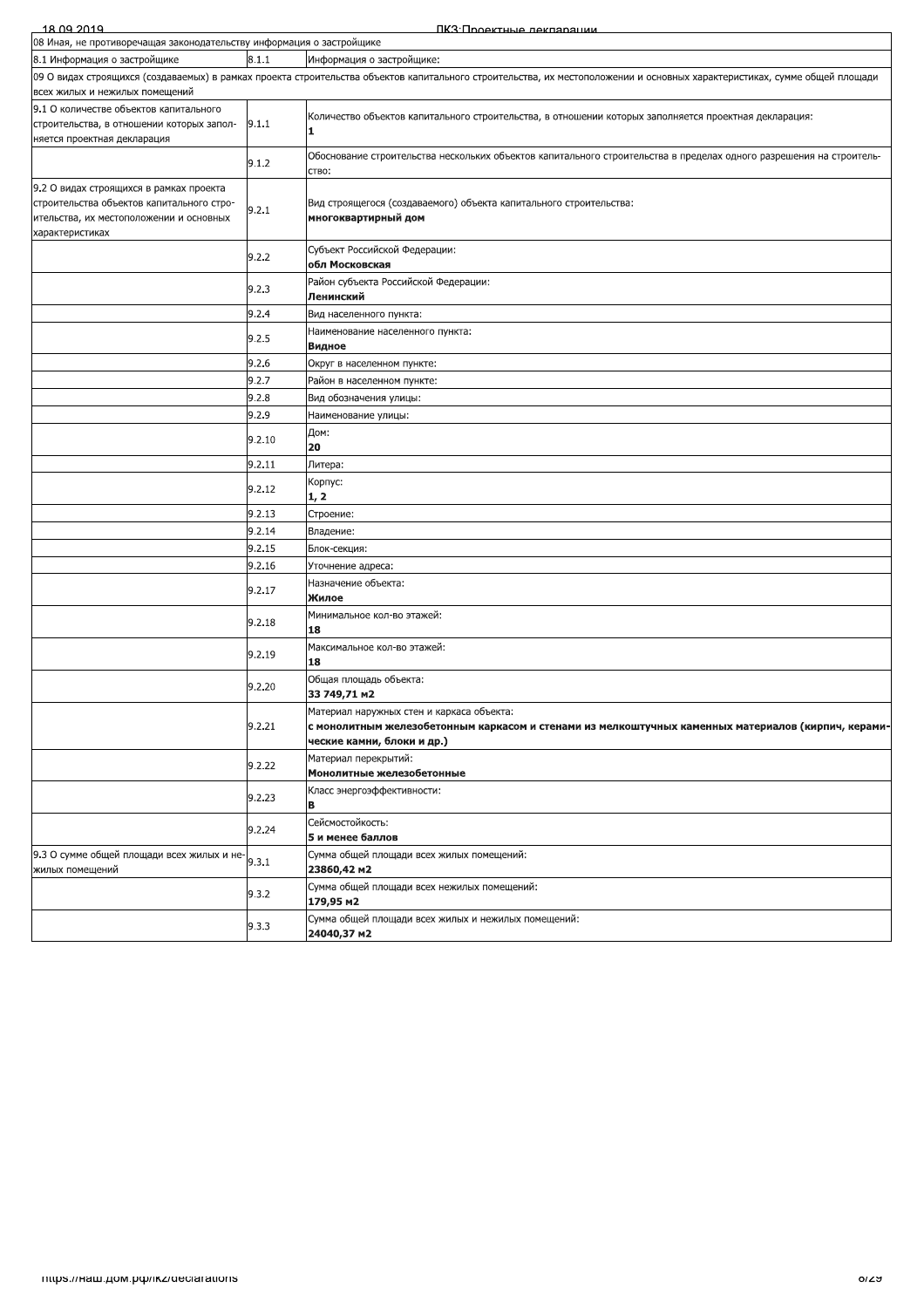| 18.09.2019<br>ПКЗ:Проектные лекпарации                                                                                                             |                                    |                                                                                                                                                                                |  |
|----------------------------------------------------------------------------------------------------------------------------------------------------|------------------------------------|--------------------------------------------------------------------------------------------------------------------------------------------------------------------------------|--|
| 08 Иная, не противоречащая законодательству информация о застройщике                                                                               |                                    |                                                                                                                                                                                |  |
| 8.1 Информация о застройщике                                                                                                                       | 8.1.1<br>Информация о застройщике: |                                                                                                                                                                                |  |
| всех жилых и нежилых помещений                                                                                                                     |                                    | 09 О видах строящихся (создаваемых) в рамках проекта строительства объектов капитального строительства, их местоположении и основных характеристиках, сумме общей площади      |  |
| 9.1 О количестве объектов капитального<br>строительства, в отношении которых запол-<br>няется проектная декларация                                 | 9.1.1                              | Количество объектов капитального строительства, в отношении которых заполняется проектная декларация:<br>11                                                                    |  |
|                                                                                                                                                    | 9.1.2                              | Обоснование строительства нескольких объектов капитального строительства в пределах одного разрешения на строитель-<br>ство:                                                   |  |
| 9.2 О видах строящихся в рамках проекта<br>строительства объектов капитального стро-<br>ительства, их местоположении и основных<br>характеристиках | 9.2.1                              | Вид строящегося (создаваемого) объекта капитального строительства:<br>многоквартирный дом                                                                                      |  |
|                                                                                                                                                    | 9.2.2                              | Субъект Российской Федерации:<br>обл Московская                                                                                                                                |  |
|                                                                                                                                                    | 9.2.3                              | Район субъекта Российской Федерации:<br>Ленинский                                                                                                                              |  |
|                                                                                                                                                    | 9.2.4                              | Вид населенного пункта:                                                                                                                                                        |  |
|                                                                                                                                                    | 9.2.5                              | Наименование населенного пункта:<br>Видное                                                                                                                                     |  |
|                                                                                                                                                    | 9.2.6                              | Округ в населенном пункте:                                                                                                                                                     |  |
|                                                                                                                                                    | 9.2.7                              | Район в населенном пункте:                                                                                                                                                     |  |
|                                                                                                                                                    | 9.2.8                              | Вид обозначения улицы:                                                                                                                                                         |  |
|                                                                                                                                                    | 9.2.9                              | Наименование улицы:                                                                                                                                                            |  |
|                                                                                                                                                    | 9.2.10                             | Дом:                                                                                                                                                                           |  |
|                                                                                                                                                    | 9.2.11                             | 20<br>Литера:                                                                                                                                                                  |  |
|                                                                                                                                                    | 9.2.12                             | Корпус:<br>1, 2                                                                                                                                                                |  |
|                                                                                                                                                    | 9.2.13                             | Строение:                                                                                                                                                                      |  |
|                                                                                                                                                    | 9.2.14                             | Владение:                                                                                                                                                                      |  |
|                                                                                                                                                    | 9.2.15                             | Блок-секция:                                                                                                                                                                   |  |
|                                                                                                                                                    | 9.2.16                             | Уточнение адреса:                                                                                                                                                              |  |
|                                                                                                                                                    | 9.2.17                             | Назначение объекта:<br>Жилое                                                                                                                                                   |  |
|                                                                                                                                                    | 9.2.18                             | Минимальное кол-во этажей:<br>18                                                                                                                                               |  |
|                                                                                                                                                    | 9.2.19                             | Максимальное кол-во этажей:<br>18                                                                                                                                              |  |
|                                                                                                                                                    | 9.2.20                             | Общая площадь объекта:<br>33 749,71 M2                                                                                                                                         |  |
|                                                                                                                                                    | 9.2.21                             | Материал наружных стен и каркаса объекта:<br>с монолитным железобетонным каркасом и стенами из мелкоштучных каменных материалов (кирпич, керами-<br>ческие камни, блоки и др.) |  |
|                                                                                                                                                    | 9.2.22                             | Материал перекрытий:<br>Монолитные железобетонные                                                                                                                              |  |
|                                                                                                                                                    | 9.2.23                             | Класс энергоэффективности:<br>в                                                                                                                                                |  |
|                                                                                                                                                    | 9.2.24                             | Сейсмостойкость:<br>5 и менее баллов                                                                                                                                           |  |
| 9.3 О сумме общей площади всех жилых и не-<br>жилых помещений                                                                                      | 9.3.1                              | Сумма общей площади всех жилых помещений:<br>23860,42 m2                                                                                                                       |  |
|                                                                                                                                                    | 9.3.2                              | Сумма общей площади всех нежилых помещений:<br>179,95 m2                                                                                                                       |  |
|                                                                                                                                                    | 9.3.3                              | Сумма общей площади всех жилых и нежилых помещений:<br>24040,37 m2                                                                                                             |  |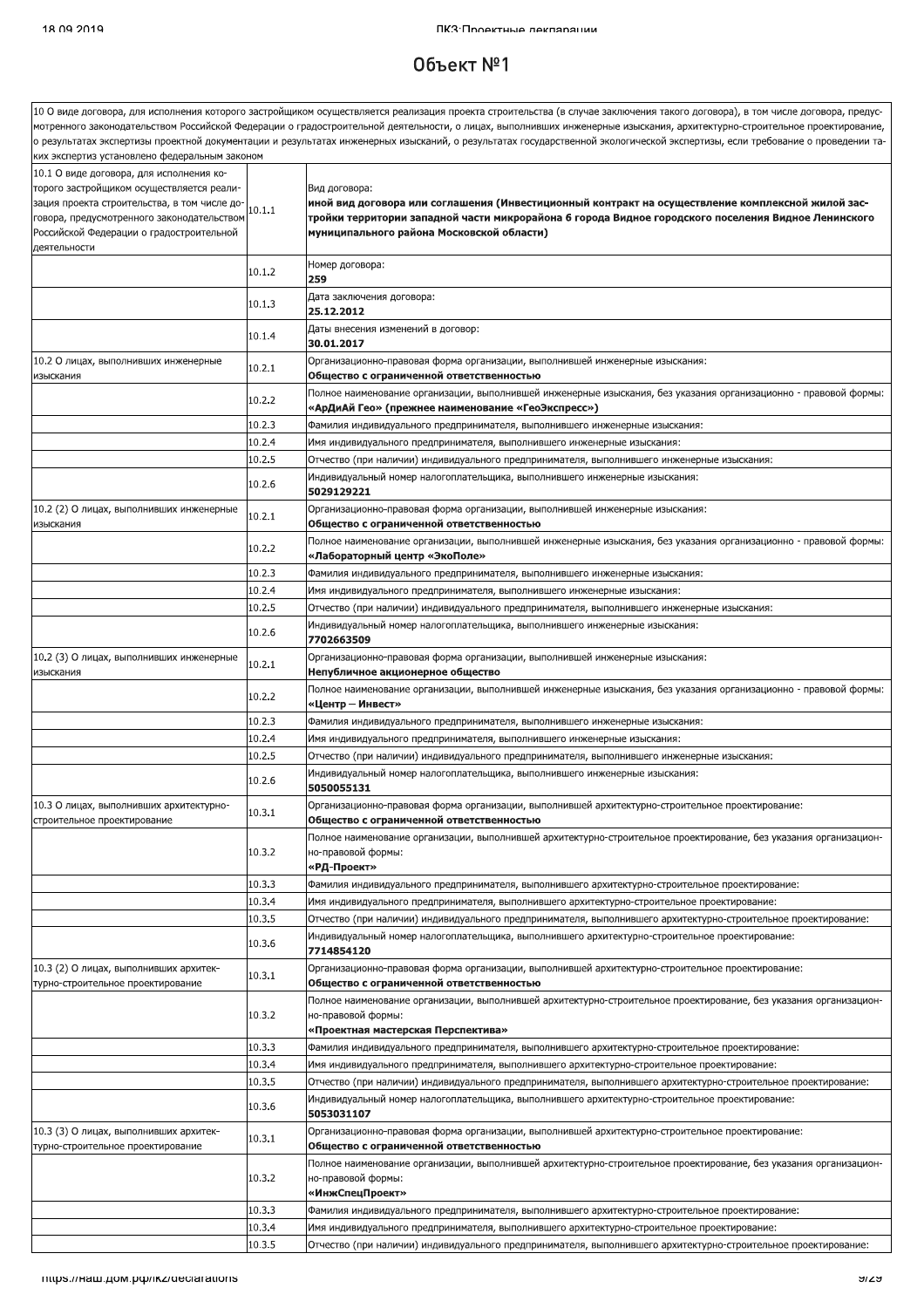#### $06$ ъект  $N<sup>°</sup>1$

.<br>10 О виде договора, для исполнения которого застройщиком осуществляется реализация проекта строительства (в случае заключения такого договора), в том числе договора, предусмотренного законодательством Российской Федерации о градостроительной деятельности, о лицах, выполнивших инженерные изыскания, архитектурно-строительное проектирование, , результатах экспертизы проектной документации и результатах инженерных изысканий, о результатах государственной экологической экспертизы, если требование о проведении таих экспертиз установлено федеральным закон<mark>ом</mark> 10.1 О виде договора, для исполнения которого застройщиком осуществляется реали-Вил логовора: .<br>иной вид договора или соглашения (Инвестиционный контракт на осуществление комплексной жилой засзация проекта строительства, в том числе до- $10.1.1$ тройки территории западной части микрорайона 6 города Видное городского поселения Видное Ленинского овора, предусмотренного законодательство муниципального района Московской области) Российской Федерации о градостроительной деятельности Номер договора:  $10.1.2$ 259 Дата заключения договора:  $10.1.3$ 25.12.2012 .<br>Даты внесения изменений в договор: 10.1.4 30.01.2017 10.2 О лицах, выполнивших инженерные Организационно-правовая форма организации, выполнившей инженерные изыскания:  $10.2.1$ изыскания Общество с ограниченной ответственностью .<br>Полное наименование организации, выполнившей инженерные изыскания, без указания организационно - правовой формы 10.2.2 «АрДиАй Гео» (прежнее наименование «ГеоЭкспресс»  $10.2.3$ Фамилия индивидуального предпринимателя, выполнившего инженерные изыскания:  $1024$ Имя индивидуального предпринимателя, выполнившего инженерные изыскания:  $10.2.5$ Отчество (при наличии) индивидуального предпринимателя, выполнившего инженерные изыскания: Индивидуальный номер налогоплательщика, выполнившего инженерные изыскания: 10.2.6 5029129221 10.2 (2) О лицах, выполнивших инженерные Организационно-правовая форма организации, выполнившей инженерные изыскания:  $10.2.1$ Общество с ограниченной ответственностью изыскания Толное наименование организации, выполнившей инженерные изыскания, без указания организационно - правовой формы: 10.2.2 «Лабораторный центр «ЭкоПоле»  $10.2.3$ Фамилия индивидуального предпринимателя, выполнившего инженерные изыскания:  $10.2.4$ Имя индивидуального предпринимателя, выполнившего инженерные изыскания:  $10.2.5$ Отчество (при наличии) индивидуального предпринимателя, выполнившего инженерные изыскания: Инливилуальный номер налогоплательшика, выполнившего инженерные изыскания: 10.2.6 7702663509 10.2 (3) О лицах, выполнивших инженерные Организационно-правовая форма организации, выполнившей инженерные изыскания:  $10.2.1$ лзыскания Непубличное акционерное общество .<br>Полное наименование организации, выполнившей инженерные изыскания, без указания организационно - правовой формы 10.2.2 «Центр – Инвест»  $10.2.3$ .<br>Фамилия индивидуального предпринимателя, выполнившего инженерные изыскания:  $10.2.4$ Имя индивидуального предпринимателя, выполнившего инженерные изыскания  $10.2.5$ .<br>Отчество (при наличии) индивидуального предпринимателя, выполнившего инженерные изыскания: Индивидуальный номер налогоплательщика, выполнившего инженерные изыскания:  $10.2.6$ 5050055131 10.3 О лицах, выполнивших архитектурно-.<br>Организационно-правовая форма организации, выполнившей архитектурно-строительное проектирование  $10.3.1$ строительное проектирование Общество с ограниченной ответственностью Полное наименование организации, выполнившей архитектурно-строительное проектирование, без указания организацион-10.3.2 но-правовой формы: «РД-Проект» 10.3.3 Фамилия индивидуального предпринимателя, выполнившего архитектурно-строительное проектирование: 10.3.4 Имя индивидуального предпринимателя, выполнившего архитектурно-строительное проектирование: 10.3.5 Отчество (при наличии) индивидуального предпринимателя, выполнившего архитектурно-строительное проектирование: Индивидуальный номер налогоплательщика, выполнившего архитектурно-строительное проектирование: 10.3.6 7714854120 10.3 (2) О лицах, выполнивших архитек-.<br>Организационно-правовая форма организации, выполнившей архитектурно-строительное проектирование 10.3.1 гурно-строительное проектирование Обшество с ограниченной ответственностью Полное наименование организации, выполнившей архитектурно-строительное проектирование, без указания организацион-10.3.2 но-правовой формы: «Проектная мастерская Перспектива»  $10.3.3$ Фамилия индивидуального предпринимателя, выполнившего архитектурно-строительное проектирование:  $10.3.4$ Лмя индивидуального предпринимателя, выполнившего архитектурно-строительное проектирование  $10.3.5$ .<br>Отчество (при наличии) индивидуального предпринимателя, выполнившего архитектурно-строительное проектирование: .<br>Индивидуальный номер налогоплательщика, выполнившего архитектурно-строительное проектирование: 10.3.6 5053031107 10.3 (3) О линах, выполнивших архитек-.<br>Организационно-правовая форма организации, выполнившей архитектурно-строительное проектирование  $10.3.1$ турно-строительное проектирование Общество с ограниченной ответственностью Полное наименование организации, выполнившей архитектурно-строительное проектирование, без указания организацион-10.3.2 но-правовой формы: «ИнжСпецПроект» 10.3.3 Фамилия индивидуального предпринимателя, выполнившего архитектурно-строительное проектирование: 10.3.4 Имя индивидуального предпринимателя, выполнившего архитектурно-строительное проектирование

Отчество (при наличии) индивидуального предпринимателя, выполнившего архитектурно-строительное проектирование:

 $10.35$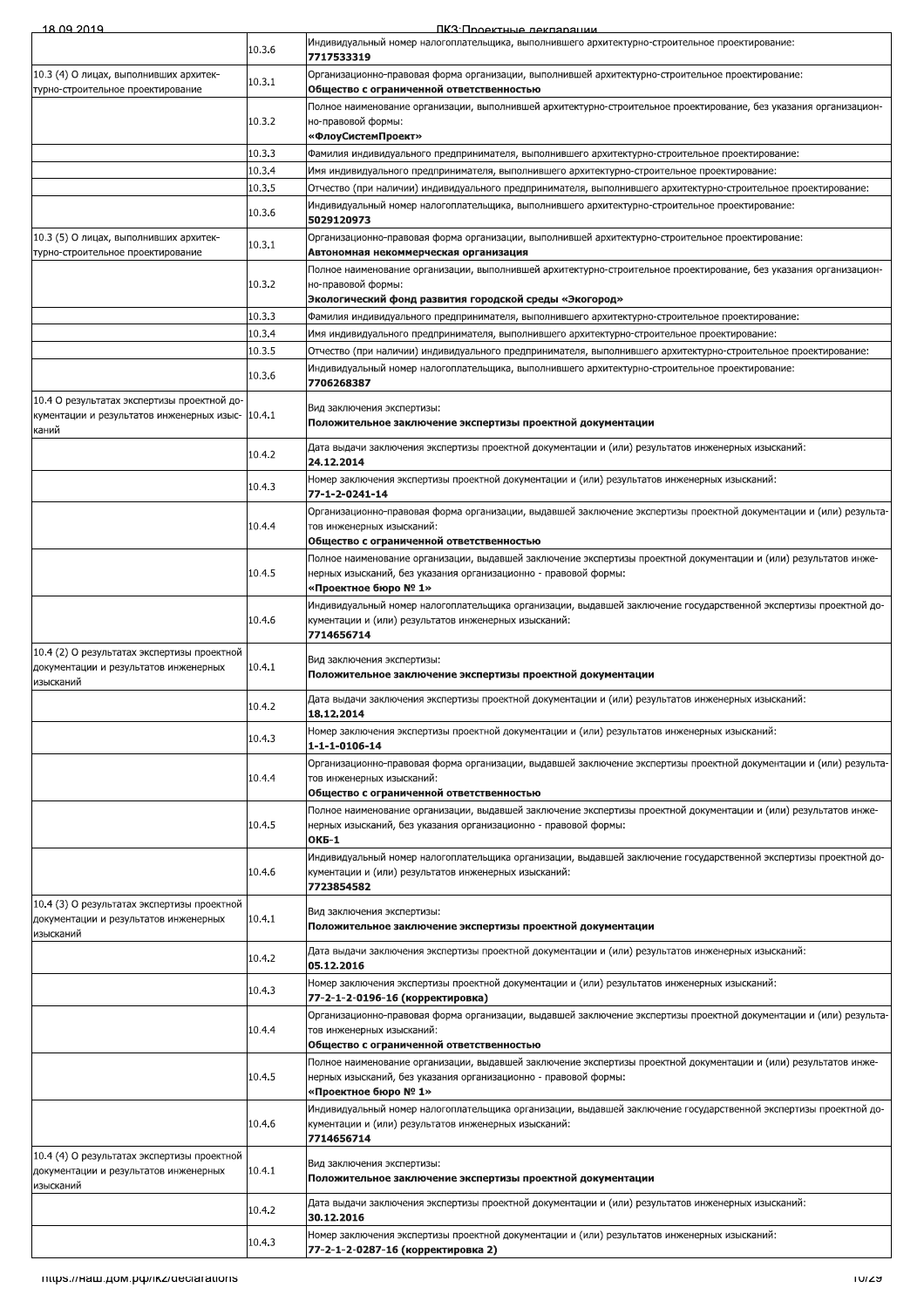|  | 18 NQ 2010 |  |
|--|------------|--|

ПКЗ:Проектные лекларации

| 10.4 О результатах экспертизы проектной до-                                                       |        | Вид заключения экспертизы:                                                                                                                                                                                                               |
|---------------------------------------------------------------------------------------------------|--------|------------------------------------------------------------------------------------------------------------------------------------------------------------------------------------------------------------------------------------------|
| кументации и результатов инженерных изыс-<br>каний                                                | 10.4.1 | Положительное заключение экспертизы проектной документации                                                                                                                                                                               |
|                                                                                                   | 10.4.2 | Дата выдачи заключения экспертизы проектной документации и (или) результатов инженерных изысканий:<br>24.12.2014                                                                                                                         |
|                                                                                                   | 10.4.3 | Номер заключения экспертизы проектной документации и (или) результатов инженерных изысканий:<br>77-1-2-0241-14                                                                                                                           |
|                                                                                                   | 10.4.4 | Организационно-правовая форма организации, выдавшей заключение экспертизы проектной документации и (или) результа-<br>тов инженерных изысканий:                                                                                          |
|                                                                                                   |        | Общество с ограниченной ответственностью                                                                                                                                                                                                 |
|                                                                                                   | 10.4.5 | Полное наименование организации, выдавшей заключение экспертизы проектной документации и (или) результатов инже-<br>нерных изысканий, без указания организационно - правовой формы:<br>«Проектное бюро № 1»                              |
|                                                                                                   | 10.4.6 | Индивидуальный номер налогоплательщика организации, выдавшей заключение государственной экспертизы проектной до-<br>кументации и (или) результатов инженерных изысканий:                                                                 |
| 10.4 (2) О результатах экспертизы проектной                                                       |        | 7714656714                                                                                                                                                                                                                               |
| документации и результатов инженерных<br>изысканий                                                | 10.4.1 | Вид заключения экспертизы:<br>Положительное заключение экспертизы проектной документации                                                                                                                                                 |
|                                                                                                   | 10.4.2 | Дата выдачи заключения экспертизы проектной документации и (или) результатов инженерных изысканий:<br>18.12.2014                                                                                                                         |
|                                                                                                   | 10.4.3 | Номер заключения экспертизы проектной документации и (или) результатов инженерных изысканий:<br>$1 - 1 - 1 - 0106 - 14$                                                                                                                  |
|                                                                                                   | 10.4.4 | Организационно-правовая форма организации, выдавшей заключение экспертизы проектной документации и (или) результа-<br>тов инженерных изысканий:                                                                                          |
|                                                                                                   | 10.4.5 | Общество с ограниченной ответственностью<br>Полное наименование организации, выдавшей заключение экспертизы проектной документации и (или) результатов инже-<br>нерных изысканий, без указания организационно - правовой формы:<br>ОКБ-1 |
|                                                                                                   | 10.4.6 | Индивидуальный номер налогоплательщика организации, выдавшей заключение государственной экспертизы проектной до-<br>кументации и (или) результатов инженерных изысканий:<br>7723854582                                                   |
| 10.4 (3) О результатах экспертизы проектной<br>документации и результатов инженерных<br>изысканий | 10.4.1 | Вид заключения экспертизы:<br>Положительное заключение экспертизы проектной документации                                                                                                                                                 |
|                                                                                                   | 10.4.2 | Дата выдачи заключения экспертизы проектной документации и (или) результатов инженерных изысканий:                                                                                                                                       |
|                                                                                                   | 10.4.3 | 05.12.2016<br>Номер заключения экспертизы проектной документации и (или) результатов инженерных изысканий:                                                                                                                               |
|                                                                                                   |        | 77-2-1-2-0196-16 (корректировка)<br>Организационно-правовая форма организации, выдавшей заключение экспертизы проектной документации и (или) результа-                                                                                   |
|                                                                                                   | 10.4.4 | тов инженерных изысканий:<br>Общество с ограниченной ответственностью                                                                                                                                                                    |
|                                                                                                   |        | Полное наименование организации, выдавшей заключение экспертизы проектной документации и (или) результатов инже-                                                                                                                         |
|                                                                                                   | 10.4.5 | нерных изысканий, без указания организационно - правовой формы:<br>«Проектное бюро № 1»                                                                                                                                                  |
|                                                                                                   | 10.4.6 | Индивидуальный номер налогоплательщика организации, выдавшей заключение государственной экспертизы проектной до-<br>кументации и (или) результатов инженерных изысканий:                                                                 |
| 10.4 (4) О результатах экспертизы проектной                                                       |        | 7714656714                                                                                                                                                                                                                               |
| документации и результатов инженерных<br>изысканий                                                | 10.4.1 | Вид заключения экспертизы:<br>Положительное заключение экспертизы проектной документации                                                                                                                                                 |
|                                                                                                   | 10.4.2 | Дата выдачи заключения экспертизы проектной документации и (или) результатов инженерных изысканий:<br>30.12.2016                                                                                                                         |
|                                                                                                   | 10.4.3 | Номер заключения экспертизы проектной документации и (или) результатов инженерных изысканий:<br>77-2-1-2-0287-16 (корректировка 2)                                                                                                       |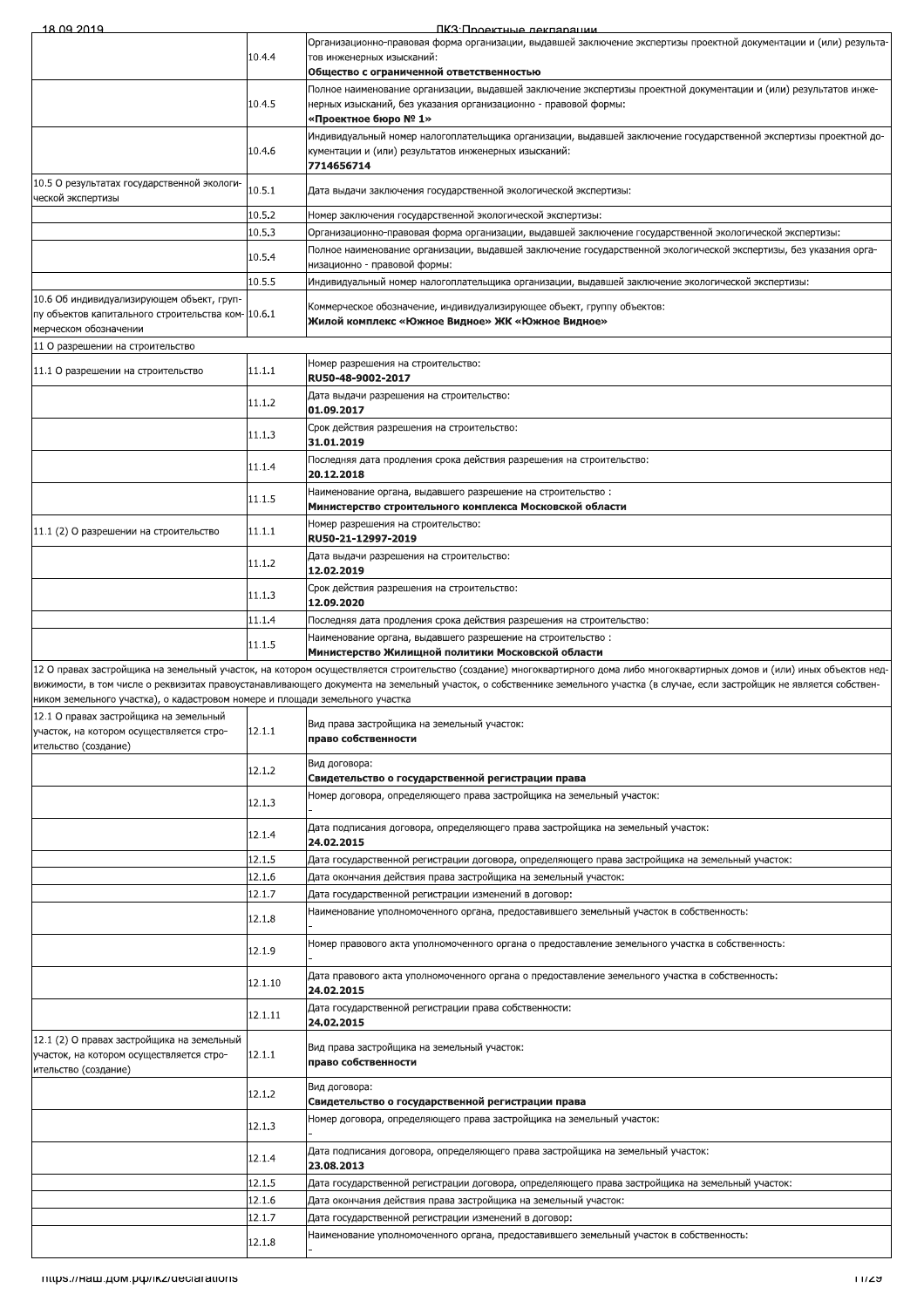|                                                                                                                         |                  | ПКЗ: Проектные леклярации                                                                                                                                                                                                                                                                                                                                    |
|-------------------------------------------------------------------------------------------------------------------------|------------------|--------------------------------------------------------------------------------------------------------------------------------------------------------------------------------------------------------------------------------------------------------------------------------------------------------------------------------------------------------------|
|                                                                                                                         | 10.4.4           | Организационно-правовая форма организации, выдавшей заключение экспертизы проектной документации и (или) результа-<br>тов инженерных изысканий:                                                                                                                                                                                                              |
|                                                                                                                         |                  | Общество с ограниченной ответственностью                                                                                                                                                                                                                                                                                                                     |
|                                                                                                                         | 10.4.5           | Полное наименование организации, выдавшей заключение экспертизы проектной документации и (или) результатов инже-<br>нерных изысканий, без указания организационно - правовой формы:<br>«Проектное бюро № 1»                                                                                                                                                  |
|                                                                                                                         | 10.4.6           | Индивидуальный номер налогоплательщика организации, выдавшей заключение государственной экспертизы проектной до-<br>кументации и (или) результатов инженерных изысканий:<br>7714656714                                                                                                                                                                       |
| 10.5 О результатах государственной экологи-<br>ческой экспертизы                                                        | 10.5.1           | Дата выдачи заключения государственной экологической экспертизы:                                                                                                                                                                                                                                                                                             |
|                                                                                                                         | 10.5.2           | Номер заключения государственной экологической экспертизы:                                                                                                                                                                                                                                                                                                   |
|                                                                                                                         | 10.5.3           | Организационно-правовая форма организации, выдавшей заключение государственной экологической экспертизы:                                                                                                                                                                                                                                                     |
|                                                                                                                         | 10.5.4           | Полное наименование организации, выдавшей заключение государственной экологической экспертизы, без указания орга-                                                                                                                                                                                                                                            |
|                                                                                                                         | 10.5.5           | низационно - правовой формы:<br>"Индивидуальный номер налогоплательщика организации, выдавшей заключение экологической экспертизы                                                                                                                                                                                                                            |
| 10.6 Об индивидуализирующем объект, груп-<br>пу объектов капитального строительства ком-10.6.1<br>мерческом обозначении |                  | Коммерческое обозначение, индивидуализирующее объект, группу объектов:<br>Жилой комплекс «Южное Видное» ЖК «Южное Видное»                                                                                                                                                                                                                                    |
| 11 О разрешении на строительство                                                                                        |                  |                                                                                                                                                                                                                                                                                                                                                              |
| 11.1 О разрешении на строительство                                                                                      | 11.1.1           | Номер разрешения на строительство:<br>RU50-48-9002-2017                                                                                                                                                                                                                                                                                                      |
|                                                                                                                         | 11.1.2           | Дата выдачи разрешения на строительство:<br>01.09.2017                                                                                                                                                                                                                                                                                                       |
|                                                                                                                         | 11.1.3           | Срок действия разрешения на строительство:<br>31.01.2019                                                                                                                                                                                                                                                                                                     |
|                                                                                                                         | 11.1.4           | Последняя дата продления срока действия разрешения на строительство:<br>20.12.2018                                                                                                                                                                                                                                                                           |
|                                                                                                                         | 11.1.5           | Наименование органа, выдавшего разрешение на строительство:<br>Министерство строительного комплекса Московской области                                                                                                                                                                                                                                       |
| 11.1 (2) О разрешении на строительство                                                                                  | 11.1.1           | Номер разрешения на строительство:<br>RU50-21-12997-2019                                                                                                                                                                                                                                                                                                     |
|                                                                                                                         | 11.1.2           | Дата выдачи разрешения на строительство:<br>12.02.2019                                                                                                                                                                                                                                                                                                       |
|                                                                                                                         | 11.1.3           | Срок действия разрешения на строительство:<br>12.09.2020                                                                                                                                                                                                                                                                                                     |
|                                                                                                                         | 11.1.4           | Последняя дата продления срока действия разрешения на строительство:                                                                                                                                                                                                                                                                                         |
|                                                                                                                         | 11.1.5           | Наименование органа, выдавшего разрешение на строительство:<br>Министерство Жилищной политики Московской области                                                                                                                                                                                                                                             |
| ником земельного участка), о кадастровом номере и площади земельного участка                                            |                  | 12 О правах застройщика на земельный участок, на котором осуществляется строительство (создание) многоквартирного дома либо многоквартирных домов и (или) иных объектов нед-<br>вижимости, в том числе о реквизитах правоустанавливающего документа на земельный участок, о собственнике земельного участка (в случае, если застройщик не является собствен- |
|                                                                                                                         |                  |                                                                                                                                                                                                                                                                                                                                                              |
| 12.1 О правах застройщика на земельный<br>участок, на котором осуществляется стро-<br>ительство (создание)              | 12.1.1           | Вид права застройщика на земельный участок:<br>право собственности                                                                                                                                                                                                                                                                                           |
|                                                                                                                         | 12.1.2           | Вид договора:<br>Свидетельство о государственной регистрации права                                                                                                                                                                                                                                                                                           |
|                                                                                                                         |                  | Номер договора, определяющего права застройщика на земельный участок:                                                                                                                                                                                                                                                                                        |
|                                                                                                                         | 12.1.3           | Дата подписания договора, определяющего права застройщика на земельный участок:                                                                                                                                                                                                                                                                              |
|                                                                                                                         | 12.1.4           | 24.02.2015                                                                                                                                                                                                                                                                                                                                                   |
|                                                                                                                         | 12.1.5           | Дата государственной регистрации договора, определяющего права застройщика на земельный участок:                                                                                                                                                                                                                                                             |
|                                                                                                                         | 12.1.6           | Дата окончания действия права застройщика на земельный участок:                                                                                                                                                                                                                                                                                              |
|                                                                                                                         | 12.1.7<br>12.1.8 | Дата государственной регистрации изменений в договор:<br>Наименование уполномоченного органа, предоставившего земельный участок в собственность:                                                                                                                                                                                                             |
|                                                                                                                         | 12.1.9           | Номер правового акта уполномоченного органа о предоставление земельного участка в собственность:                                                                                                                                                                                                                                                             |
|                                                                                                                         | 12.1.10          | Дата правового акта уполномоченного органа о предоставление земельного участка в собственность:<br>24.02.2015                                                                                                                                                                                                                                                |
|                                                                                                                         | 12.1.11          | Дата государственной регистрации права собственности:<br>24.02.2015                                                                                                                                                                                                                                                                                          |
| 12.1 (2) О правах застройщика на земельный<br>участок, на котором осуществляется стро-<br>ительство (создание)          | 12.1.1           | Вид права застройщика на земельный участок:<br>право собственности                                                                                                                                                                                                                                                                                           |
|                                                                                                                         | 12.1.2           | Вид договора:<br>Свидетельство о государственной регистрации права                                                                                                                                                                                                                                                                                           |
|                                                                                                                         | 12.1.3           | Номер договора, определяющего права застройщика на земельный участок:                                                                                                                                                                                                                                                                                        |
|                                                                                                                         | 12.1.4           | Дата подписания договора, определяющего права застройщика на земельный участок:<br>23.08.2013                                                                                                                                                                                                                                                                |
|                                                                                                                         | 12.1.5           | Дата государственной регистрации договора, определяющего права застройщика на земельный участок:                                                                                                                                                                                                                                                             |
|                                                                                                                         | 12.1.6           | Дата окончания действия права застройщика на земельный участок:                                                                                                                                                                                                                                                                                              |
|                                                                                                                         | 12.1.7           | Дата государственной регистрации изменений в договор:<br>Наименование уполномоченного органа, предоставившего земельный участок в собственность:                                                                                                                                                                                                             |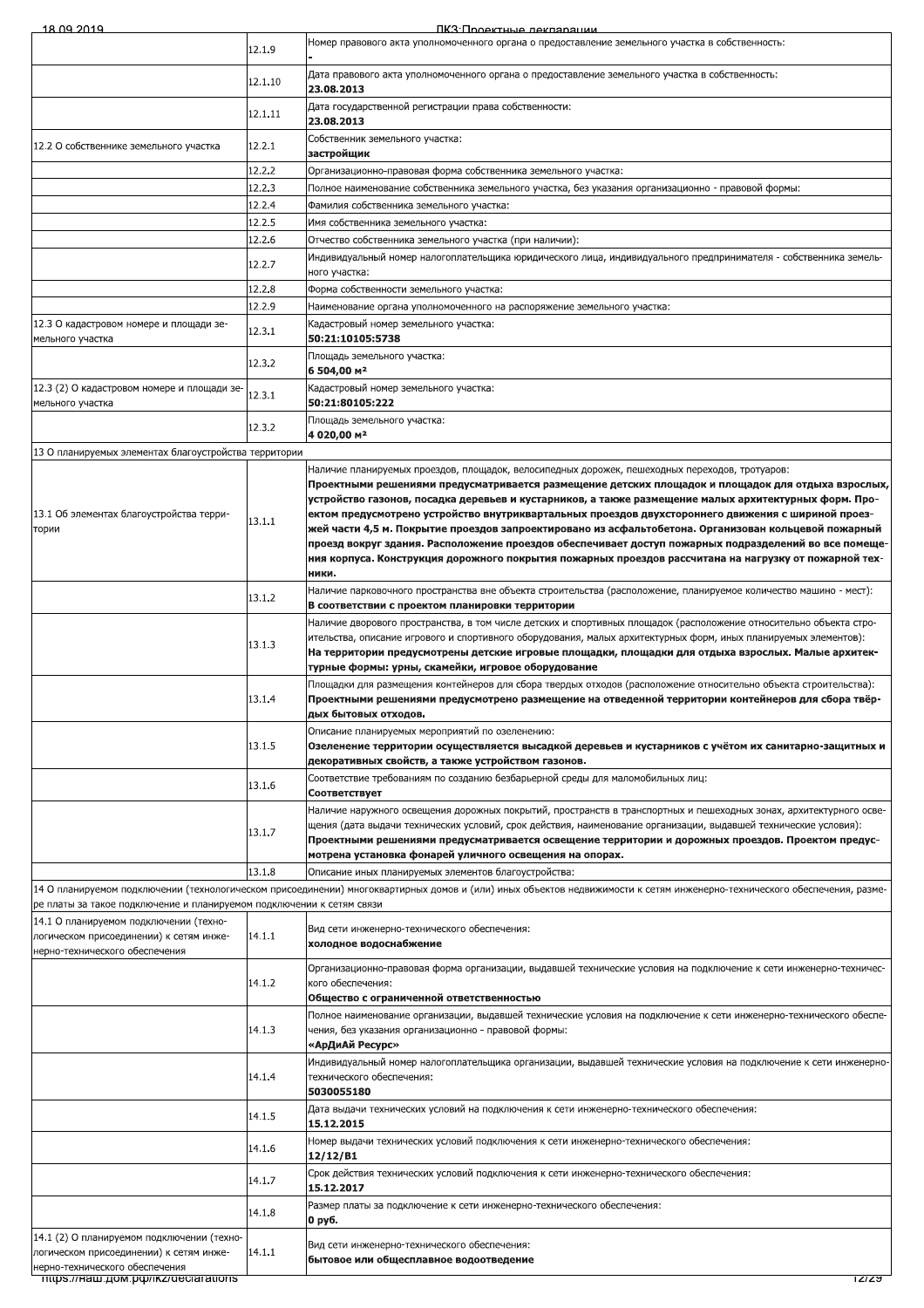| 18.09.2019                                                                                                          |         | ПКЗ Подектные лекляряции                                                                                                                                                                                                                                                                                                                                                                                                                                                                                                                                                                                                                                                                                                                             |
|---------------------------------------------------------------------------------------------------------------------|---------|------------------------------------------------------------------------------------------------------------------------------------------------------------------------------------------------------------------------------------------------------------------------------------------------------------------------------------------------------------------------------------------------------------------------------------------------------------------------------------------------------------------------------------------------------------------------------------------------------------------------------------------------------------------------------------------------------------------------------------------------------|
|                                                                                                                     | 12.1.9  | "Номер правового акта уполномоченного органа о предоставление земельного участка в собственность                                                                                                                                                                                                                                                                                                                                                                                                                                                                                                                                                                                                                                                     |
|                                                                                                                     | 12.1.10 | Дата правового акта уполномоченного органа о предоставление земельного участка в собственность:<br>23.08.2013                                                                                                                                                                                                                                                                                                                                                                                                                                                                                                                                                                                                                                        |
|                                                                                                                     | 12.1.11 | Дата государственной регистрации права собственности:<br>23.08.2013                                                                                                                                                                                                                                                                                                                                                                                                                                                                                                                                                                                                                                                                                  |
| 12.2 О собственнике земельного участка                                                                              | 12.2.1  | Собственник земельного участка:<br>застройщик                                                                                                                                                                                                                                                                                                                                                                                                                                                                                                                                                                                                                                                                                                        |
|                                                                                                                     | 12.2.2  | Организационно-правовая форма собственника земельного участка:                                                                                                                                                                                                                                                                                                                                                                                                                                                                                                                                                                                                                                                                                       |
|                                                                                                                     | 12.2.3  | .Полное наименование собственника земельного участка, без указания организационно - правовой формы                                                                                                                                                                                                                                                                                                                                                                                                                                                                                                                                                                                                                                                   |
|                                                                                                                     | 12.2.4  | Фамилия собственника земельного участка:                                                                                                                                                                                                                                                                                                                                                                                                                                                                                                                                                                                                                                                                                                             |
|                                                                                                                     | 12.2.5  | Имя собственника земельного участка:                                                                                                                                                                                                                                                                                                                                                                                                                                                                                                                                                                                                                                                                                                                 |
|                                                                                                                     | 12.2.6  | Отчество собственника земельного участка (при наличии):                                                                                                                                                                                                                                                                                                                                                                                                                                                                                                                                                                                                                                                                                              |
|                                                                                                                     | 12.2.7  | Индивидуальный номер налогоплательщика юридического лица, индивидуального предпринимателя - собственника земель-<br>ного участка:                                                                                                                                                                                                                                                                                                                                                                                                                                                                                                                                                                                                                    |
|                                                                                                                     | 12.2.8  | Форма собственности земельного участка:                                                                                                                                                                                                                                                                                                                                                                                                                                                                                                                                                                                                                                                                                                              |
|                                                                                                                     | 12.2.9  | Наименование органа уполномоченного на распоряжение земельного участка:                                                                                                                                                                                                                                                                                                                                                                                                                                                                                                                                                                                                                                                                              |
| 12.3 О кадастровом номере и площади зе-<br>мельного участка                                                         | 12.3.1  | Кадастровый номер земельного участка:<br>50:21:10105:5738                                                                                                                                                                                                                                                                                                                                                                                                                                                                                                                                                                                                                                                                                            |
|                                                                                                                     | 12.3.2  | Площадь земельного участка:<br>6 504,00 м <sup>2</sup>                                                                                                                                                                                                                                                                                                                                                                                                                                                                                                                                                                                                                                                                                               |
| 12.3 (2) О кадастровом номере и площади зе-<br>мельного участка                                                     | 12.3.1  | Кадастровый номер земельного участка:<br>50:21:80105:222                                                                                                                                                                                                                                                                                                                                                                                                                                                                                                                                                                                                                                                                                             |
|                                                                                                                     | 12.3.2  | Площадь земельного участка:<br>4 020,00 m <sup>2</sup>                                                                                                                                                                                                                                                                                                                                                                                                                                                                                                                                                                                                                                                                                               |
| 13 О планируемых элементах благоустройства территории                                                               |         |                                                                                                                                                                                                                                                                                                                                                                                                                                                                                                                                                                                                                                                                                                                                                      |
| 13.1 Об элементах благоустройства терри-<br>тории                                                                   | 13.1.1  | Наличие планируемых проездов, площадок, велосипедных дорожек, пешеходных переходов, тротуаров:<br>Проектными решениями предусматривается размещение детских площадок и площадок для отдыха взрослых<br>устройство газонов, посадка деревьев и кустарников, а также размещение малых архитектурных форм. Про-<br>-ектом предусмотрено устройство внутриквартальных проездов двухстороннего движения с шириной проез<br>жей части 4,5 м. Покрытие проездов запроектировано из асфальтобетона. Организован кольцевой пожарный<br>проезд вокруг здания. Расположение проездов обеспечивает доступ пожарных подразделений во все помеще<br>ния корпуса. Конструкция дорожного покрытия пожарных проездов рассчитана на нагрузку от пожарной тех-<br>ники. |
|                                                                                                                     | 13.1.2  | Наличие парковочного пространства вне объекта строительства (расположение, планируемое количество машино - мест):<br>В соответствии с проектом планировки территории                                                                                                                                                                                                                                                                                                                                                                                                                                                                                                                                                                                 |
|                                                                                                                     | 13.1.3  | Наличие дворового пространства, в том числе детских и спортивных площадок (расположение относительно объекта стро-<br>ительства, описание игрового и спортивного оборудования, малых архитектурных форм, иных планируемых элементов):<br>На территории предусмотрены детские игровые площадки, площадки для отдыха взрослых. Малые архитек-<br>турные формы: урны, скамейки, игровое оборудование                                                                                                                                                                                                                                                                                                                                                    |
|                                                                                                                     | 13.1.4  | Площадки для размещения контейнеров для сбора твердых отходов (расположение относительно объекта строительства):<br>Проектными решениями предусмотрено размещение на отведенной территории контейнеров для сбора твёр-<br>ных бытовых отходов.                                                                                                                                                                                                                                                                                                                                                                                                                                                                                                       |
|                                                                                                                     | 13.1.5  | Описание планируемых мероприятий по озеленению:<br>Озеленение территории осуществляется высадкой деревьев и кустарников с учётом их санитарно-защитных и<br>декоративных свойств, а также устройством газонов.                                                                                                                                                                                                                                                                                                                                                                                                                                                                                                                                       |
|                                                                                                                     | 13.1.6  | Соответствие требованиям по созданию безбарьерной среды для маломобильных лиц:<br>Соответствует                                                                                                                                                                                                                                                                                                                                                                                                                                                                                                                                                                                                                                                      |
|                                                                                                                     | 13.1.7  | Наличие наружного освещения дорожных покрытий, пространств в транспортных и пешеходных зонах, архитектурного осве-<br>щения (дата выдачи технических условий, срок действия, наименование организации, выдавшей технические условия):<br>Проектными решениями предусматривается освещение территории и дорожных проездов. Проектом предус-<br>мотрена установка фонарей уличного освещения на опорах.                                                                                                                                                                                                                                                                                                                                                |
|                                                                                                                     | 13.1.8  | Описание иных планируемых элементов благоустройства:                                                                                                                                                                                                                                                                                                                                                                                                                                                                                                                                                                                                                                                                                                 |
| ре платы за такое подключение и планируемом подключении к сетям связи                                               |         | 14 О планируемом подключении (технологическом присоединении) многоквартирных домов и (или) иных объектов недвижимости к сетям инженерно-технического обеспечения, разме-                                                                                                                                                                                                                                                                                                                                                                                                                                                                                                                                                                             |
| 14.1 О планируемом подключении (техно-<br>логическом присоединении) к сетям инже-<br>нерно-технического обеспечения | 14.1.1  | Вид сети инженерно-технического обеспечения:<br>холодное водоснабжение                                                                                                                                                                                                                                                                                                                                                                                                                                                                                                                                                                                                                                                                               |
|                                                                                                                     | 14.1.2  | Организационно-правовая форма организации, выдавшей технические условия на подключение к сети инженерно-техничес-<br>кого обеспечения:<br>Общество с ограниченной ответственностью                                                                                                                                                                                                                                                                                                                                                                                                                                                                                                                                                                   |
|                                                                                                                     | 14.1.3  | Полное наименование организации, выдавшей технические условия на подключение к сети инженерно-технического обеспе<br>чения, без указания организационно - правовой формы:<br>«АрДиАй Ресурс»                                                                                                                                                                                                                                                                                                                                                                                                                                                                                                                                                         |
|                                                                                                                     | 14.1.4  | Индивидуальный номер налогоплательщика организации, выдавшей технические условия на подключение к сети инженерно<br>технического обеспечения:<br>5030055180                                                                                                                                                                                                                                                                                                                                                                                                                                                                                                                                                                                          |
|                                                                                                                     | 14.1.5  | Дата выдачи технических условий на подключения к сети инженерно-технического обеспечения:<br>15.12.2015                                                                                                                                                                                                                                                                                                                                                                                                                                                                                                                                                                                                                                              |
|                                                                                                                     | 14.1.6  | Номер выдачи технических условий подключения к сети инженерно-технического обеспечения:<br>12/12/B1                                                                                                                                                                                                                                                                                                                                                                                                                                                                                                                                                                                                                                                  |
|                                                                                                                     | 14.1.7  | Срок действия технических условий подключения к сети инженерно-технического обеспечения:<br>15.12.2017                                                                                                                                                                                                                                                                                                                                                                                                                                                                                                                                                                                                                                               |
|                                                                                                                     | 14.1.8  | Размер платы за подключение к сети инженерно-технического обеспечения:<br>0 руб.                                                                                                                                                                                                                                                                                                                                                                                                                                                                                                                                                                                                                                                                     |
| 14.1 (2) О планируемом подключении (техно-<br>логическом присоединении) к сетям инже-                               | 14.1.1  | Вид сети инженерно-технического обеспечения:<br>бытовое или общесплавное водоотведение                                                                                                                                                                                                                                                                                                                                                                                                                                                                                                                                                                                                                                                               |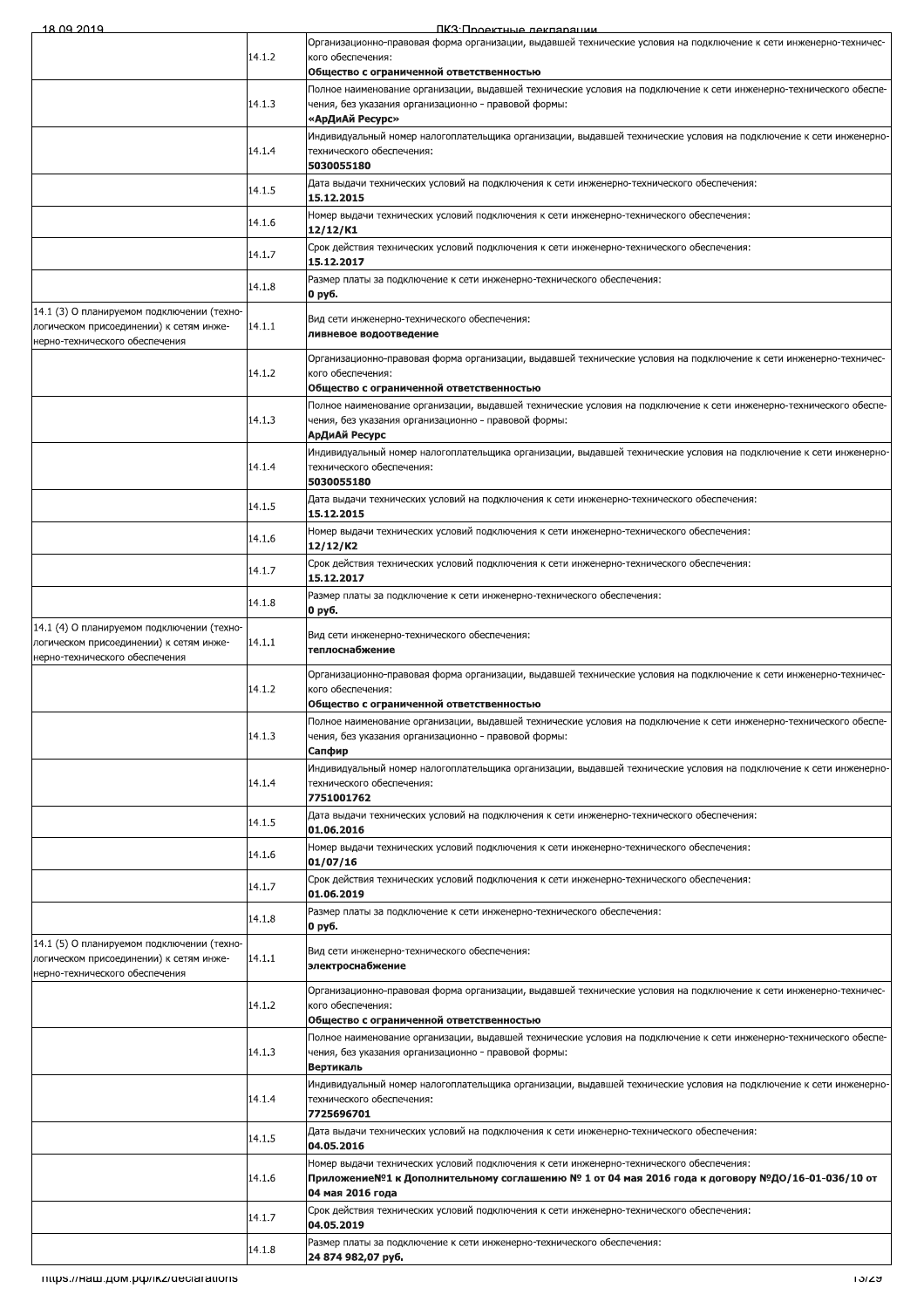ПКЗ: Проектные лекларации

|                                                                                                                         |        | <u>IK.STIMOPKTHEIP NAKTISMSIIMM</u>                                                                                                    |
|-------------------------------------------------------------------------------------------------------------------------|--------|----------------------------------------------------------------------------------------------------------------------------------------|
|                                                                                                                         | 14.1.2 | Организационно-правовая форма организации, выдавшей технические условия на подключение к сети инженерно-техничес-<br>кого обеспечения: |
|                                                                                                                         |        | Общество с ограниченной ответственностью                                                                                               |
|                                                                                                                         |        | Полное наименование организации, выдавшей технические условия на подключение к сети инженерно-технического обеспе-                     |
|                                                                                                                         | 14.1.3 | чения, без указания организационно - правовой формы:<br>«АрДиАй Ресурс»                                                                |
|                                                                                                                         |        | Индивидуальный номер налогоплательщика организации, выдавшей технические условия на подключение к сети инженерно-                      |
|                                                                                                                         | 14.1.4 | технического обеспечения:<br>5030055180                                                                                                |
|                                                                                                                         | 14.1.5 | Дата выдачи технических условий на подключения к сети инженерно-технического обеспечения:                                              |
|                                                                                                                         |        | 15.12.2015                                                                                                                             |
|                                                                                                                         | 14.1.6 | Номер выдачи технических условий подключения к сети инженерно-технического обеспечения:<br>12/12/K1                                    |
|                                                                                                                         | 14.1.7 | Срок действия технических условий подключения к сети инженерно-технического обеспечения:<br>15.12.2017                                 |
|                                                                                                                         | 14.1.8 | Размер платы за подключение к сети инженерно-технического обеспечения:                                                                 |
|                                                                                                                         |        | 0 руб.                                                                                                                                 |
| 14.1 (3) О планируемом подключении (техно-<br>логическом присоединении) к сетям инже-<br>нерно-технического обеспечения | 14.1.1 | Вид сети инженерно-технического обеспечения:<br>ливневое водоотведение                                                                 |
|                                                                                                                         | 14.1.2 | Организационно-правовая форма организации, выдавшей технические условия на подключение к сети инженерно-техничес-<br>кого обеспечения: |
|                                                                                                                         |        | Общество с ограниченной ответственностью                                                                                               |
|                                                                                                                         |        | Полное наименование организации, выдавшей технические условия на подключение к сети инженерно-технического обеспе-                     |
|                                                                                                                         | 14.1.3 | чения, без указания организационно - правовой формы:<br>АрДиАй Ресурс                                                                  |
|                                                                                                                         |        | Индивидуальный номер налогоплательщика организации, выдавшей технические условия на подключение к сети инженерно-                      |
|                                                                                                                         | 14.1.4 | технического обеспечения:<br>5030055180                                                                                                |
|                                                                                                                         | 14.1.5 | Дата выдачи технических условий на подключения к сети инженерно-технического обеспечения:<br>15.12.2015                                |
|                                                                                                                         | 14.1.6 | Номер выдачи технических условий подключения к сети инженерно-технического обеспечения:<br>12/12/K2                                    |
|                                                                                                                         | 14.1.7 | Срок действия технических условий подключения к сети инженерно-технического обеспечения:                                               |
|                                                                                                                         |        | 15.12.2017<br>Размер платы за подключение к сети инженерно-технического обеспечения:                                                   |
|                                                                                                                         | 14.1.8 | 0 руб.                                                                                                                                 |
| 14.1 (4) О планируемом подключении (техно-<br>логическом присоединении) к сетям инже-<br>нерно-технического обеспечения | 14.1.1 | Вид сети инженерно-технического обеспечения:<br>теплоснабжение                                                                         |
|                                                                                                                         |        | Организационно-правовая форма организации, выдавшей технические условия на подключение к сети инженерно-техничес-                      |
|                                                                                                                         | 14.1.2 | кого обеспечения:<br>Общество с ограниченной ответственностью                                                                          |
|                                                                                                                         |        | Полное наименование организации, выдавшей технические условия на подключение к сети инженерно-технического обеспе-                     |
|                                                                                                                         | 14.1.3 | чения, без указания организационно - правовой формы:<br>Сапфир                                                                         |
|                                                                                                                         |        | Индивидуальный номер налогоплательщика организации, выдавшей технические условия на подключение к сети инженерно-                      |
|                                                                                                                         | 14.1.4 | технического обеспечения:<br>7751001762                                                                                                |
|                                                                                                                         | 14.1.5 | Дата выдачи технических условий на подключения к сети инженерно-технического обеспечения:                                              |
|                                                                                                                         |        | 01.06.2016<br>Номер выдачи технических условий подключения к сети инженерно-технического обеспечения:                                  |
|                                                                                                                         | 14.1.6 | 01/07/16                                                                                                                               |
|                                                                                                                         | 14.1.7 | Срок действия технических условий подключения к сети инженерно-технического обеспечения:<br>01.06.2019                                 |
|                                                                                                                         | 14.1.8 | Размер платы за подключение к сети инженерно-технического обеспечения:                                                                 |
|                                                                                                                         |        | 0 руб.                                                                                                                                 |
| 14.1 (5) О планируемом подключении (техно-<br>логическом присоединении) к сетям инже-<br>нерно-технического обеспечения | 14.1.1 | Вид сети инженерно-технического обеспечения:<br>электроснабжение                                                                       |
|                                                                                                                         | 14.1.2 | Организационно-правовая форма организации, выдавшей технические условия на подключение к сети инженерно-техничес-                      |
|                                                                                                                         |        | кого обеспечения:<br>Общество с ограниченной ответственностью                                                                          |
|                                                                                                                         |        | Полное наименование организации, выдавшей технические условия на подключение к сети инженерно-технического обеспе-                     |
|                                                                                                                         | 14.1.3 | чения, без указания организационно - правовой формы:<br>Вертикаль                                                                      |
|                                                                                                                         |        | Индивидуальный номер налогоплательщика организации, выдавшей технические условия на подключение к сети инженерно-                      |
|                                                                                                                         | 14.1.4 | технического обеспечения:<br>7725696701                                                                                                |
|                                                                                                                         | 14.1.5 | Дата выдачи технических условий на подключения к сети инженерно-технического обеспечения:                                              |
|                                                                                                                         |        | 04.05.2016<br>Номер выдачи технических условий подключения к сети инженерно-технического обеспечения:                                  |
|                                                                                                                         | 14.1.6 | Приложение№1 к Дополнительному соглашению № 1 от 04 мая 2016 года к договору №ДО/16-01-036/10 от                                       |
|                                                                                                                         |        | 04 мая 2016 года                                                                                                                       |
|                                                                                                                         | 14.1.7 | Срок действия технических условий подключения к сети инженерно-технического обеспечения:<br>04.05.2019                                 |
|                                                                                                                         | 14.1.8 | Размер платы за подключение к сети инженерно-технического обеспечения:<br>24 874 982.07 pv6.                                           |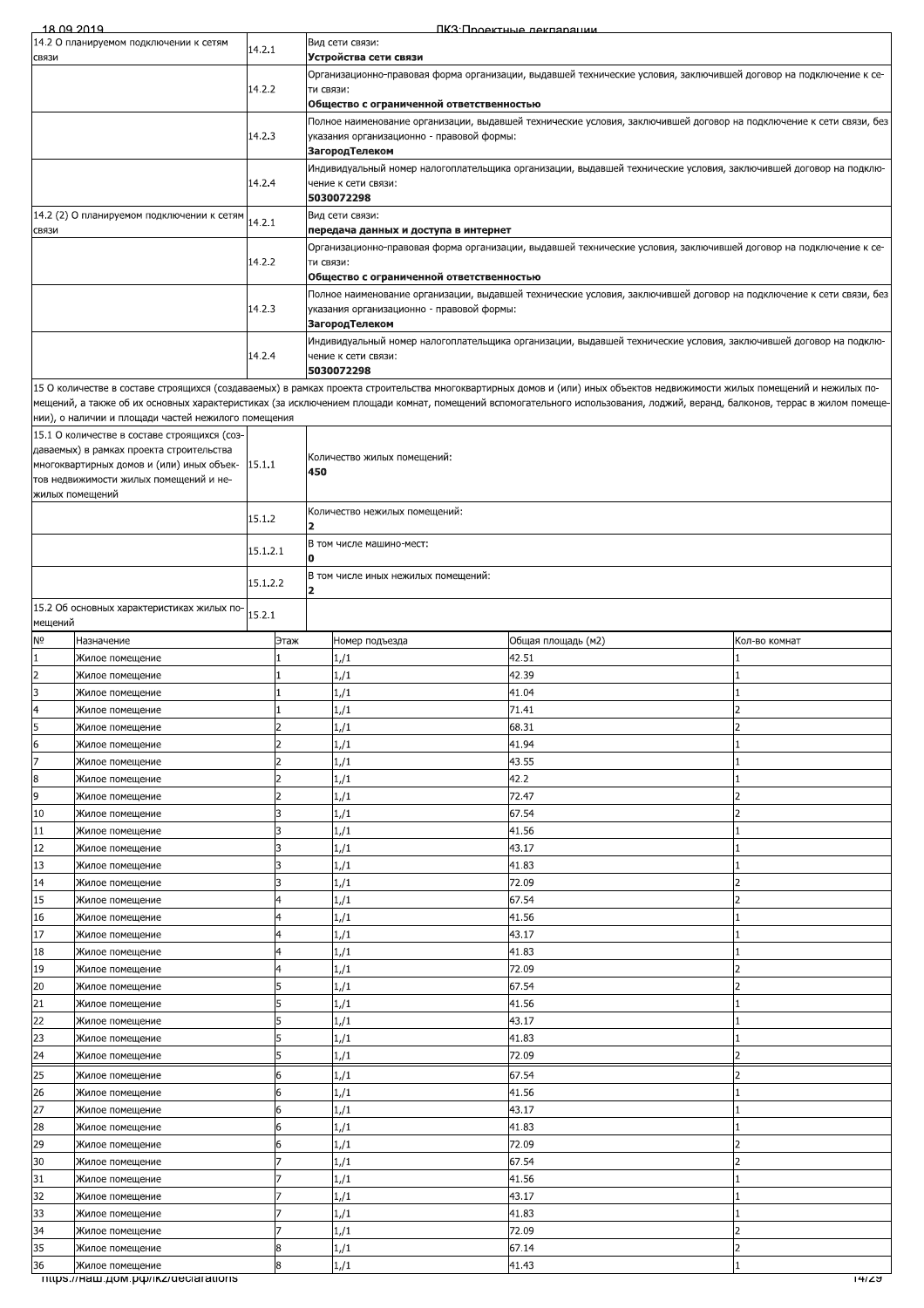| 18.09.2019                  |                                                                                     |          |      |                         |                                           | ПКЗ: Проектные лекляряции                                                                                                                                                  |                          |  |  |  |
|-----------------------------|-------------------------------------------------------------------------------------|----------|------|-------------------------|-------------------------------------------|----------------------------------------------------------------------------------------------------------------------------------------------------------------------------|--------------------------|--|--|--|
|                             | 14.2 О планируемом подключении к сетям                                              | 14.2.1   |      |                         | Вид сети связи:                           |                                                                                                                                                                            |                          |  |  |  |
| СВЯЗИ                       |                                                                                     |          |      |                         | Устройства сети связи                     | Организационно-правовая форма организации, выдавшей технические условия, заключившей договор на подключение к се-                                                          |                          |  |  |  |
|                             |                                                                                     | 14.2.2   |      | ти связи:               |                                           |                                                                                                                                                                            |                          |  |  |  |
|                             |                                                                                     |          |      |                         | Общество с ограниченной ответственностью  |                                                                                                                                                                            |                          |  |  |  |
|                             |                                                                                     | 14.2.3   |      |                         | указания организационно - правовой формы: | Полное наименование организации, выдавшей технические условия, заключившей договор на подключение к сети связи, без                                                        |                          |  |  |  |
|                             |                                                                                     |          |      |                         | <b>ЗагородТелеком</b>                     |                                                                                                                                                                            |                          |  |  |  |
|                             |                                                                                     |          |      |                         |                                           | Индивидуальный номер налогоплательщика организации, выдавшей технические условия, заключившей договор на подклю-                                                           |                          |  |  |  |
|                             |                                                                                     | 14.2.4   |      |                         | чение к сети связи:<br>5030072298         |                                                                                                                                                                            |                          |  |  |  |
|                             | 14.2 (2) О планируемом подключении к сетям                                          |          |      |                         | Вид сети связи:                           |                                                                                                                                                                            |                          |  |  |  |
| СВЯЗИ                       |                                                                                     | 14.2.1   |      |                         | передача данных и доступа в интернет      |                                                                                                                                                                            |                          |  |  |  |
|                             |                                                                                     |          |      |                         |                                           | Организационно-правовая форма организации, выдавшей технические условия, заключившей договор на подключение к се-                                                          |                          |  |  |  |
|                             |                                                                                     | 14.2.2   |      | ти связи:               | Общество с ограниченной ответственностью  |                                                                                                                                                                            |                          |  |  |  |
|                             |                                                                                     |          |      |                         |                                           | Полное наименование организации, выдавшей технические условия, заключившей договор на подключение к сети связи, без                                                        |                          |  |  |  |
|                             |                                                                                     | 14.2.3   |      |                         | указания организационно - правовой формы: |                                                                                                                                                                            |                          |  |  |  |
|                             |                                                                                     |          |      |                         | <b>ЗагородТелеком</b>                     |                                                                                                                                                                            |                          |  |  |  |
|                             |                                                                                     | 14.2.4   |      |                         | чение к сети связи:                       | Индивидуальный номер налогоплательщика организации, выдавшей технические условия, заключившей договор на подклю-                                                           |                          |  |  |  |
|                             |                                                                                     |          |      |                         | 5030072298                                |                                                                                                                                                                            |                          |  |  |  |
|                             |                                                                                     |          |      |                         |                                           | 15 О количестве в составе строящихся (создаваемых) в рамках проекта строительства многоквартирных домов и (или) иных объектов недвижимости жилых помещений и нежилых по-   |                          |  |  |  |
|                             | нии), о наличии и площади частей нежилого помещения                                 |          |      |                         |                                           | мещений, а также об их основных характеристиках (за исключением площади комнат, помещений вспомогательного использования, лоджий, веранд, балконов, террас в жилом помеще- |                          |  |  |  |
|                             | 15.1 О количестве в составе строящихся (соз-                                        |          |      |                         |                                           |                                                                                                                                                                            |                          |  |  |  |
|                             | даваемых) в рамках проекта строительства                                            |          |      |                         | Количество жилых помещений:               |                                                                                                                                                                            |                          |  |  |  |
|                             | многоквартирных домов и (или) иных объек-<br>тов недвижимости жилых помещений и не- | 15.1.1   |      | 450                     |                                           |                                                                                                                                                                            |                          |  |  |  |
|                             | жилых помещений                                                                     |          |      |                         |                                           |                                                                                                                                                                            |                          |  |  |  |
|                             |                                                                                     | 15.1.2   |      |                         | Количество нежилых помещений:             |                                                                                                                                                                            |                          |  |  |  |
|                             |                                                                                     |          |      | $\overline{\mathbf{2}}$ |                                           |                                                                                                                                                                            |                          |  |  |  |
|                             |                                                                                     | 15.1.2.1 |      | O                       | В том числе машино-мест:                  |                                                                                                                                                                            |                          |  |  |  |
|                             |                                                                                     |          |      |                         | В том числе иных нежилых помещений:       |                                                                                                                                                                            |                          |  |  |  |
|                             |                                                                                     | 15.1.2.2 |      | $\overline{2}$          |                                           |                                                                                                                                                                            |                          |  |  |  |
|                             | 15.2 Об основных характеристиках жилых по-                                          | 15.2.1   |      |                         |                                           |                                                                                                                                                                            |                          |  |  |  |
| мещений<br>N <sub>o</sub>   | Назначение                                                                          |          | Этаж |                         | Номер подъезда                            | Общая площадь (м2)                                                                                                                                                         | Кол-во комнат            |  |  |  |
| 1                           | Жилое помещение                                                                     |          |      |                         | 1/1                                       | 42.51                                                                                                                                                                      |                          |  |  |  |
| $\overline{2}$              | Жилое помещение                                                                     |          |      |                         | 1/1                                       | 42.39                                                                                                                                                                      | 1                        |  |  |  |
| 3                           | Жилое помещение                                                                     |          |      |                         | 1/1                                       | 41.04                                                                                                                                                                      | 1                        |  |  |  |
| 4                           | Жилое помещение                                                                     |          |      |                         | 1/1                                       | 71.41                                                                                                                                                                      | $\overline{\phantom{a}}$ |  |  |  |
| 5                           | Жилое помещение                                                                     |          |      |                         | 1/1                                       | 68.31                                                                                                                                                                      |                          |  |  |  |
| 6<br>$\overline{7}$         | Жилое помещение<br>Жилое помещение                                                  |          |      |                         | 1/1<br>1/1                                | 41.94<br>43.55                                                                                                                                                             |                          |  |  |  |
| 8                           | Жилое помещение                                                                     |          |      |                         | 1/1                                       | 42.2                                                                                                                                                                       |                          |  |  |  |
| 9                           | Жилое помещение                                                                     |          |      |                         | 1/1                                       | 72.47                                                                                                                                                                      | $\overline{2}$           |  |  |  |
| 10                          | Жилое помещение                                                                     |          |      |                         | 1/1                                       | 67.54                                                                                                                                                                      |                          |  |  |  |
| 11                          | Жилое помещение                                                                     |          |      |                         | 1/1                                       | 41.56                                                                                                                                                                      |                          |  |  |  |
| 12                          | Жилое помещение                                                                     |          |      |                         | 1/1                                       | 43.17                                                                                                                                                                      |                          |  |  |  |
| 13                          | Жилое помещение                                                                     |          |      |                         | 1/1                                       | 41.83                                                                                                                                                                      |                          |  |  |  |
| 14<br>15                    | Жилое помещение<br>Жилое помещение                                                  |          |      |                         | 1/1<br>1/1                                | 72.09<br>67.54                                                                                                                                                             | フ                        |  |  |  |
| 16                          | Жилое помещение                                                                     |          |      |                         | 1/1                                       | 41.56                                                                                                                                                                      |                          |  |  |  |
| 17                          | Жилое помещение                                                                     |          |      |                         | 1/1                                       | 43.17                                                                                                                                                                      |                          |  |  |  |
| 18                          | Жилое помещение                                                                     |          |      |                         | 1/1                                       | 41.83                                                                                                                                                                      |                          |  |  |  |
| 19                          | Жилое помещение                                                                     |          |      |                         | 1/1                                       | 72.09                                                                                                                                                                      | $\overline{\phantom{a}}$ |  |  |  |
| 20                          | Жилое помещение                                                                     |          |      |                         | 1/1                                       | 67.54                                                                                                                                                                      |                          |  |  |  |
| 21<br>22                    | Жилое помещение<br>Жилое помещение                                                  |          | 5    |                         | $1/\sqrt{1}$<br>1/1                       | 41.56<br>43.17                                                                                                                                                             |                          |  |  |  |
| 23                          | Жилое помещение                                                                     |          | 5    |                         | 1/1                                       | 41.83                                                                                                                                                                      |                          |  |  |  |
| 24                          | Жилое помещение                                                                     |          |      |                         | 1/1                                       | 72.09                                                                                                                                                                      |                          |  |  |  |
| 25                          | Жилое помещение<br>6                                                                |          |      |                         | 1/1                                       | 67.54                                                                                                                                                                      |                          |  |  |  |
| 26<br>Жилое помещение       |                                                                                     |          |      |                         | 1/1                                       | 41.56                                                                                                                                                                      |                          |  |  |  |
| 27<br>Жилое помещение       |                                                                                     |          |      |                         | 1/1                                       | 43.17                                                                                                                                                                      |                          |  |  |  |
| 28                          | Жилое помещение                                                                     |          | 6    |                         | 1/1                                       | 41.83                                                                                                                                                                      | 1                        |  |  |  |
| 29<br>Жилое помещение<br>30 |                                                                                     |          | 6    |                         | 1/1<br>1/1                                | 72.09<br>67.54                                                                                                                                                             |                          |  |  |  |
| 31                          | Жилое помещение<br>Жилое помещение                                                  |          |      |                         | 1/1                                       | 41.56                                                                                                                                                                      |                          |  |  |  |
| 32                          | Жилое помещение                                                                     |          |      |                         | 1/1                                       | 43.17                                                                                                                                                                      |                          |  |  |  |
| 33                          | Жилое помещение                                                                     |          |      |                         | 1/1                                       | 41.83                                                                                                                                                                      |                          |  |  |  |
| 34                          | Жилое помещение                                                                     |          |      |                         | 1/1                                       | 72.09                                                                                                                                                                      | フ                        |  |  |  |
| 35<br>36                    | Жилое помещение<br>Жилое помещение                                                  |          | 8    |                         | 1/1                                       | 67.14<br>41 43                                                                                                                                                             | $\overline{2}$           |  |  |  |
|                             |                                                                                     |          |      |                         |                                           |                                                                                                                                                                            |                          |  |  |  |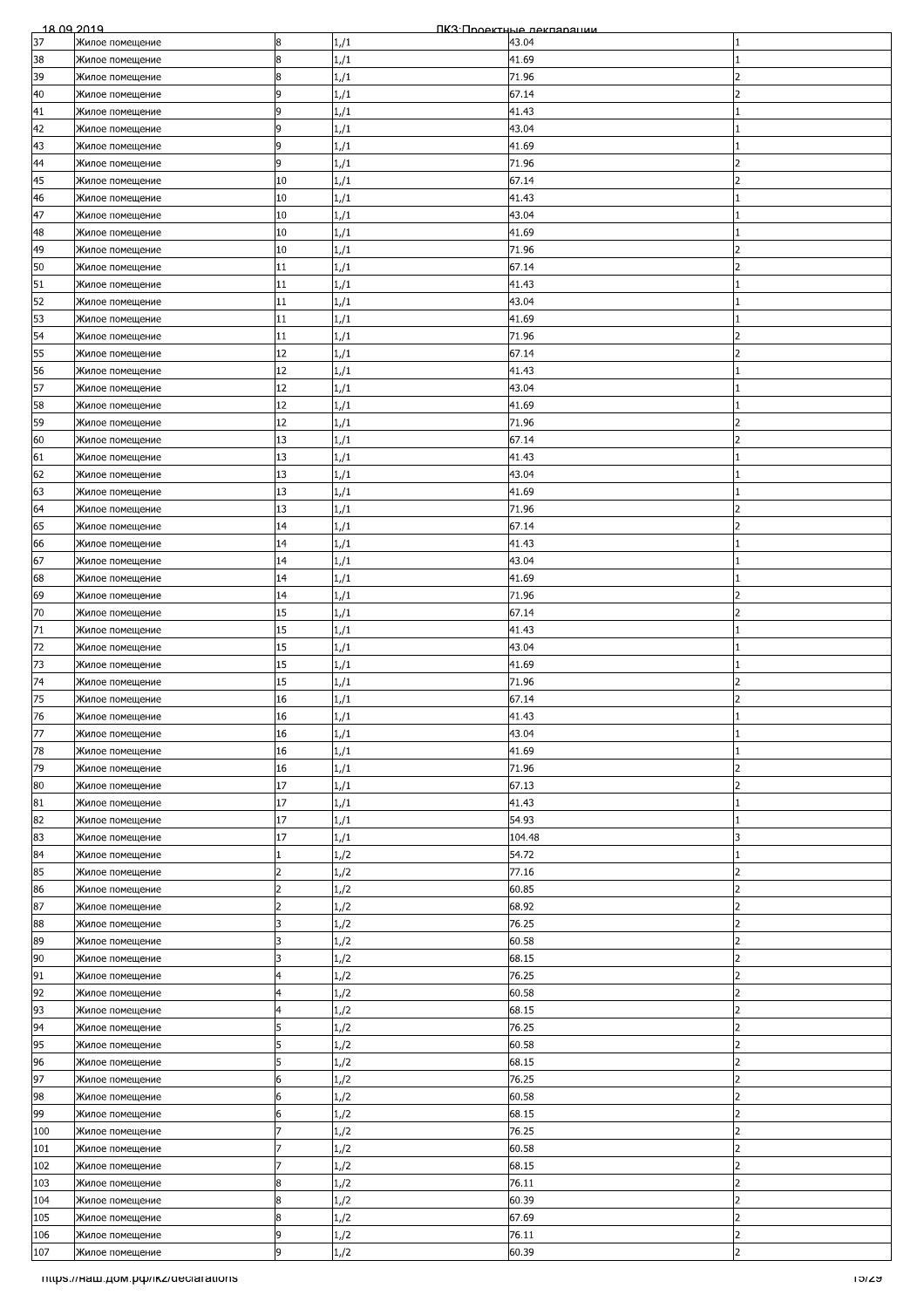| 18.09.2019 |                                     |                |      | ПКЗ Проектные лекпарации |                          |
|------------|-------------------------------------|----------------|------|--------------------------|--------------------------|
| 37         | Жилое помещение                     | 8              | 1/1  | 43.04                    |                          |
| 38         | Жилое помещение                     | 8              | 1/1  | 41.69                    |                          |
| 39         | Жилое помещение                     | 8              | 1/1  | 71.96                    | $\overline{\phantom{a}}$ |
| 40         | Жилое помещение                     | 9              | 1/1  | 67.14                    | 2                        |
| 41         | Жилое помещение                     | 9              | 1/1  | 41.43                    |                          |
| 42         | Жилое помещение                     | 9              | 1/1  | 43.04                    |                          |
| 43         |                                     | 9              |      | 41.69                    |                          |
|            | Жилое помещение                     |                | 1/1  |                          |                          |
| 44         | Жилое помещение                     | 9              | 1/1  | 71.96                    | $\overline{\phantom{a}}$ |
| 45         | Жилое помещение                     | 10             | 1/1  | 67.14                    | フ                        |
| 46         | Жилое помещение                     | 10             | 1/1  | 41.43                    |                          |
| 47         | Жилое помещение                     | 10             | 1/1  | 43.04                    |                          |
| 48         | Жилое помещение                     | 10             | 1/1  | 41.69                    |                          |
| 49         | Жилое помещение                     | 10             | 1/1  | 71.96                    |                          |
| 50         | Жилое помещение                     | 11             | 1/1  | 67.14                    | フ                        |
| 51         | Жилое помещение                     | 11             | 1/1  | 41.43                    |                          |
| 52         | Жилое помещение                     | 11             | 1/1  | 43.04                    |                          |
| 53         | Жилое помещение                     | 11             | 1/1  | 41.69                    |                          |
| 54         |                                     | 11             |      | 71.96                    |                          |
|            | Жилое помещение                     |                | 1/1  |                          |                          |
| 55         | Жилое помещение                     | 12             | 1/1  | 67.14                    |                          |
| 56         | Жилое помещение                     | 12             | 1/1  | 41.43                    |                          |
| 57         | Жилое помещение                     | 12             | 1/1  | 43.04                    |                          |
| 58         | Жилое помещение                     | 12             | 1/1  | 41.69                    |                          |
| 59         | Жилое помещение                     | 12             | 1/1  | 71.96                    |                          |
| 60         | Жилое помещение                     | 13             | 1/1  | 67.14                    | っ                        |
| 61         | Жилое помещение                     | 13             | 1/1  | 41.43                    |                          |
| 62         | Жилое помещение                     | 13             | 1/1  | 43.04                    |                          |
| 63         | Жилое помещение                     | 13             | 1/1  | 41.69                    |                          |
| 64         | Жилое помещение                     | 13             | 1/1  | 71.96                    | 2                        |
| 65         |                                     | 14             |      | 67.14                    |                          |
|            | Жилое помещение                     |                | 1/1  |                          |                          |
| 66         | Жилое помещение                     | 14             | 1/1  | 41.43                    |                          |
| 67         | Жилое помещение                     | 14             | 1/1  | 43.04                    |                          |
| 68         | Жилое помещение                     | 14             | 1/1  | 41.69                    |                          |
| 69         | Жилое помещение                     | 14             | 1/1  | 71.96                    |                          |
| 70         | Жилое помещение                     | 15             | 1/1  | 67.14                    | $\overline{\phantom{a}}$ |
| 71         | Жилое помещение                     | 15             | 1/1  | 41.43                    |                          |
| 72         | Жилое помещение                     | 15             | 1/1  | 43.04                    |                          |
| 73         | Жилое помещение                     | 15             | 1/1  | 41.69                    |                          |
| 74         | Жилое помещение                     | 15             | 1/1  | 71.96                    | っ                        |
| 75         | Жилое помещение                     | 16             | 1/1  | 67.14                    | $\overline{\phantom{a}}$ |
| 76         | Жилое помещение                     | 16             | 1/1  | 41.43                    |                          |
| 77         |                                     |                |      |                          |                          |
|            | Жилое помещение                     | 16             | 1/1  | 43.04                    |                          |
| 78         | Жилое помещение                     | 16             | 1/1  | 41.69                    |                          |
| 79         | Жилое помещение                     | 16             | 1/1  | 71.96                    | フ                        |
| 80         | Жилое помещение                     | 17             | 1/1  | 67.13                    | フ                        |
| 81         | Жилое помещение                     | 17             | 1/1  | 41.43                    |                          |
| 82         | Жилое помещение                     | 17             | 1/1  | 54.93                    |                          |
| 83         | Жилое помещение                     | 17             | 1/1  | 104.48                   |                          |
| 84         | Жилое помещение                     |                | 1/2  | 54.72                    |                          |
| 85         | Жилое помещение                     | $\overline{2}$ | 1,/2 | 77.16                    | 2                        |
| 86         | Жилое помещение                     | $\overline{2}$ | 1/2  | 60.85                    | 2                        |
| 87         | Жилое помещение                     | $\overline{c}$ | 1/2  | 68.92                    | 2                        |
| 88         |                                     | 3              |      | 76.25                    | $\overline{\mathbf{c}}$  |
| 89         | Жилое помещение                     | k              | 1/2  | 60.58                    | $\overline{2}$           |
|            | Жилое помещение                     |                | 1/2  |                          |                          |
| 90         | Жилое помещение                     | 3              | 1/2  | 68.15                    | フ                        |
| 91         | Жилое помещение                     | 4              | 1/2  | 76.25                    | $\overline{\phantom{a}}$ |
| 92         | Жилое помещение                     | 4              | 1/2  | 60.58                    | 2                        |
| 93         | Жилое помещение                     | 4              | 1/2  | 68.15                    | 2                        |
| 94         | Жилое помещение                     | 5              | 1/2  | 76.25                    | $\overline{2}$           |
| 95         | Жилое помещение                     | 5              | 1/2  | 60.58                    | 2                        |
| 96         | Жилое помещение                     | 5              | 1/2  | 68.15                    | 2                        |
| 97         | Жилое помещение                     | 6              | 1,/2 | 76.25                    |                          |
| 98         | Жилое помещение                     | 6              | 1/2  | 60.58                    | $\mathcal{P}$            |
| 99         | Жилое помещение                     | 6              | 1/2  | 68.15                    | 2                        |
| 100        | Жилое помещение                     |                | 1/2  | 76.25                    | $\overline{\phantom{a}}$ |
| 101        | Жилое помещение                     |                | 1/2  | 60.58                    | $\overline{2}$           |
| 102        |                                     |                |      | 68.15                    | 2                        |
| 103        | Жилое помещение                     | 8              | 1/2  | 76.11                    |                          |
|            | Жилое помещение                     |                | 1/2  |                          |                          |
| 104        | Жилое помещение                     | 8              | 1,/2 | 60.39                    |                          |
| 105        | Жилое помещение                     | 8              | 1/2  | 67.69                    | $\overline{\phantom{a}}$ |
| 106        | Жилое помещение                     | 9              | 1/2  | 76.11                    | $\overline{2}$           |
| 107        | Жилое помещение                     | 9              | 1/2  | 60.39                    | $\overline{2}$           |
|            | mtps://Ham.pom.po//ikz/declarations |                |      |                          | າວາzອ                    |
|            |                                     |                |      |                          |                          |
|            |                                     |                |      |                          |                          |
|            |                                     |                |      |                          |                          |
|            |                                     |                |      |                          |                          |
|            |                                     |                |      |                          |                          |
|            |                                     |                |      |                          |                          |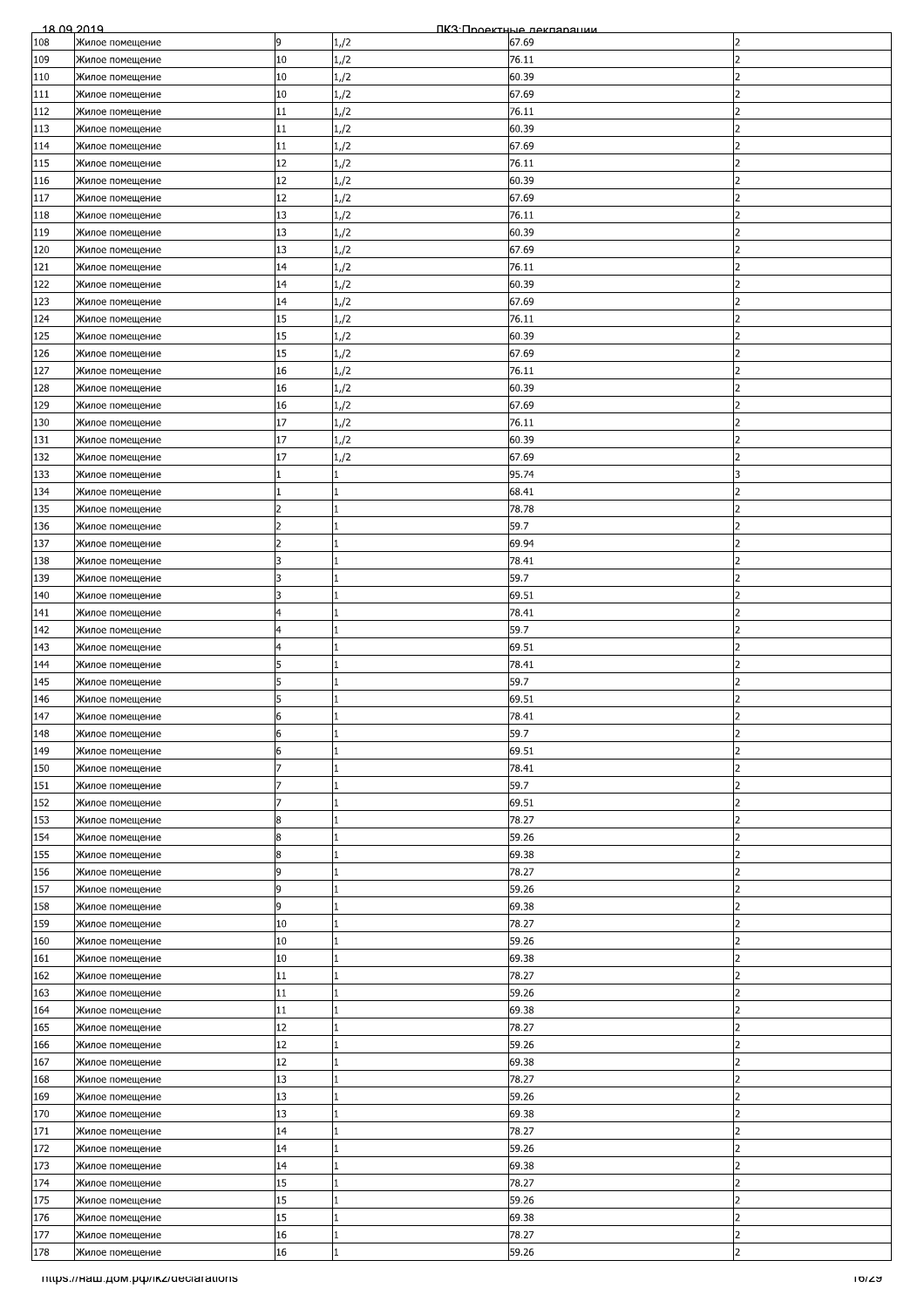| 108<br>Жилое помещение<br>109<br>Жилое помещение<br>110<br>Жилое помещение<br>111<br>Жилое помещение<br>112<br>Жилое помещение<br>113<br>Жилое помещение<br>114<br>Жилое помещение<br>115<br>Жилое помещение<br>116<br>Жилое помещение<br>117<br>Жилое помещение<br>118<br>Жилое помещение<br>119<br>Жилое помещение<br>120<br>Жилое помещение |                                     | 9<br>10<br>10<br>10<br>11<br>11<br>11 | 1,/2<br>1/2<br>1/2<br>1/2<br>1/2 | 67.69<br>76.11<br>60.39<br>67.69<br>76.11 | 2<br>フ<br>$\mathcal{P}$<br>2 |
|------------------------------------------------------------------------------------------------------------------------------------------------------------------------------------------------------------------------------------------------------------------------------------------------------------------------------------------------|-------------------------------------|---------------------------------------|----------------------------------|-------------------------------------------|------------------------------|
|                                                                                                                                                                                                                                                                                                                                                |                                     |                                       |                                  |                                           |                              |
|                                                                                                                                                                                                                                                                                                                                                |                                     |                                       |                                  |                                           |                              |
|                                                                                                                                                                                                                                                                                                                                                |                                     |                                       |                                  |                                           |                              |
|                                                                                                                                                                                                                                                                                                                                                |                                     |                                       |                                  |                                           |                              |
|                                                                                                                                                                                                                                                                                                                                                |                                     |                                       |                                  |                                           |                              |
|                                                                                                                                                                                                                                                                                                                                                |                                     |                                       |                                  | 60.39                                     |                              |
|                                                                                                                                                                                                                                                                                                                                                |                                     |                                       | 1/2                              |                                           | $\overline{\phantom{a}}$     |
|                                                                                                                                                                                                                                                                                                                                                |                                     |                                       | 1/2                              | 67.69                                     |                              |
|                                                                                                                                                                                                                                                                                                                                                |                                     | 12                                    | 1/2                              | 76.11                                     | $\overline{2}$               |
|                                                                                                                                                                                                                                                                                                                                                |                                     | 12                                    | 1/2                              | 60.39                                     | フ                            |
|                                                                                                                                                                                                                                                                                                                                                |                                     | 12                                    | 1/2                              | 67.69                                     | っ                            |
|                                                                                                                                                                                                                                                                                                                                                |                                     | 13                                    | 1/2                              | 76.11                                     | 2                            |
|                                                                                                                                                                                                                                                                                                                                                |                                     | 13                                    | 1/2                              | 60.39                                     |                              |
|                                                                                                                                                                                                                                                                                                                                                |                                     | 13                                    | 1/2                              | 67.69                                     |                              |
| 121<br>Жилое помещение                                                                                                                                                                                                                                                                                                                         |                                     | 14                                    | 1,/2                             | 76.11                                     | フ                            |
| 122                                                                                                                                                                                                                                                                                                                                            |                                     | 14                                    | 1/2                              | 60.39                                     | 2                            |
| Жилое помещение                                                                                                                                                                                                                                                                                                                                |                                     |                                       |                                  |                                           |                              |
| 123<br>Жилое помещение                                                                                                                                                                                                                                                                                                                         |                                     | 14                                    | 1/2                              | 67.69                                     | 2                            |
| 124<br>Жилое помещение                                                                                                                                                                                                                                                                                                                         |                                     | 15                                    | 1/2                              | 76.11                                     | フ                            |
| 125<br>Жилое помещение                                                                                                                                                                                                                                                                                                                         |                                     | 15                                    | 1,/2                             | 60.39                                     | 2                            |
| 126<br>Жилое помещение                                                                                                                                                                                                                                                                                                                         |                                     | 15                                    | 1/2                              | 67.69                                     |                              |
| 127<br>Жилое помещение                                                                                                                                                                                                                                                                                                                         |                                     | 16                                    | 1/2                              | 76.11                                     |                              |
| 128<br>Жилое помещение                                                                                                                                                                                                                                                                                                                         |                                     | 16                                    | 1,/2                             | 60.39                                     | $\mathcal{P}$                |
| 129<br>Жилое помещение                                                                                                                                                                                                                                                                                                                         |                                     | 16                                    | 1/2                              | 67.69                                     | 2                            |
| 130<br>Жилое помещение                                                                                                                                                                                                                                                                                                                         |                                     | 17                                    | 1/2                              | 76.11                                     | 2                            |
|                                                                                                                                                                                                                                                                                                                                                |                                     |                                       |                                  |                                           | っ                            |
| 131<br>Жилое помещение                                                                                                                                                                                                                                                                                                                         |                                     | 17                                    | 1/2                              | 60.39                                     |                              |
| 132<br>Жилое помещение                                                                                                                                                                                                                                                                                                                         |                                     | 17                                    | 1/2                              | 67.69                                     | 2                            |
| 133<br>Жилое помещение                                                                                                                                                                                                                                                                                                                         |                                     |                                       | $\mathbf{1}$                     | 95.74                                     |                              |
| 134<br>Жилое помещение                                                                                                                                                                                                                                                                                                                         |                                     |                                       | 1                                | 68.41                                     | $\overline{\phantom{0}}$     |
| 135<br>Жилое помещение                                                                                                                                                                                                                                                                                                                         |                                     | フ                                     | 1                                | 78.78                                     | 2                            |
| 136<br>Жилое помещение                                                                                                                                                                                                                                                                                                                         |                                     | 2                                     | 1                                | 59.7                                      | 2                            |
| 137<br>Жилое помещение                                                                                                                                                                                                                                                                                                                         |                                     | $\overline{2}$                        | $\mathbf{1}$                     | 69.94                                     |                              |
| 138<br>Жилое помещение                                                                                                                                                                                                                                                                                                                         |                                     | R                                     | 1                                | 78.41                                     | っ                            |
| 139<br>Жилое помещение                                                                                                                                                                                                                                                                                                                         |                                     | 3                                     | 1                                | 59.7                                      | 2                            |
|                                                                                                                                                                                                                                                                                                                                                |                                     | 3                                     |                                  |                                           | フ                            |
| 140<br>Жилое помещение                                                                                                                                                                                                                                                                                                                         |                                     |                                       | 1                                | 69.51                                     |                              |
| 141<br>Жилое помещение                                                                                                                                                                                                                                                                                                                         |                                     |                                       | 1                                | 78.41                                     | $\overline{\phantom{a}}$     |
| 142<br>Жилое помещение                                                                                                                                                                                                                                                                                                                         |                                     | 4                                     | 1                                | 59.7                                      | 2                            |
| 143<br>Жилое помещение                                                                                                                                                                                                                                                                                                                         |                                     | 4                                     | 1                                | 69.51                                     | 2                            |
| Жилое помещение<br>144                                                                                                                                                                                                                                                                                                                         |                                     | 5                                     | 1                                | 78.41                                     | 2                            |
| 145<br>Жилое помещение                                                                                                                                                                                                                                                                                                                         |                                     | 5                                     | 1                                | 59.7                                      | フ                            |
| 146<br>Жилое помещение                                                                                                                                                                                                                                                                                                                         |                                     | 5                                     | 1                                | 69.51                                     | $\overline{\phantom{a}}$     |
| 147<br>Жилое помещение                                                                                                                                                                                                                                                                                                                         |                                     | 6                                     |                                  | 78.41                                     | $\overline{ }$               |
| 148                                                                                                                                                                                                                                                                                                                                            |                                     | 6                                     | 1                                | 59.7                                      | $\overline{2}$               |
| Жилое помещение                                                                                                                                                                                                                                                                                                                                |                                     |                                       |                                  |                                           |                              |
| 149<br>Жилое помещение                                                                                                                                                                                                                                                                                                                         |                                     | 6                                     | 1                                | 69.51                                     |                              |
| 150<br>Жилое помещение                                                                                                                                                                                                                                                                                                                         |                                     |                                       | $\mathbf{1}$                     | 78.41                                     | フ                            |
| 151<br>Жилое помещение                                                                                                                                                                                                                                                                                                                         |                                     | 7                                     | 1                                | 59.7                                      | 2                            |
| 152<br>Жилое помещение                                                                                                                                                                                                                                                                                                                         |                                     |                                       | 1                                | 69.51                                     | 2                            |
| 153<br>Жилое помещение                                                                                                                                                                                                                                                                                                                         |                                     | 8                                     | 1                                | 78.27                                     | $\overline{2}$               |
| 154<br>Жилое помещение                                                                                                                                                                                                                                                                                                                         |                                     | 8                                     | 1                                | 59.26                                     | 2                            |
| 155<br>Жилое помещение                                                                                                                                                                                                                                                                                                                         |                                     | 8                                     | 1                                | 69.38                                     | $\overline{\phantom{a}}$     |
| 156<br>Жилое помещение                                                                                                                                                                                                                                                                                                                         |                                     | 9                                     | 1                                | 78.27                                     | 2                            |
| 157                                                                                                                                                                                                                                                                                                                                            |                                     | 9                                     | $\mathbf{1}$                     | 59.26                                     | 2                            |
| Жилое помещение                                                                                                                                                                                                                                                                                                                                |                                     |                                       |                                  |                                           | フ                            |
| 158<br>Жилое помещение                                                                                                                                                                                                                                                                                                                         |                                     | 9                                     | 1                                | 69.38                                     |                              |
| 159<br>Жилое помещение                                                                                                                                                                                                                                                                                                                         |                                     | 10                                    | $\mathbf{1}$                     | 78.27                                     | $\overline{\mathbf{c}}$      |
| 160<br>Жилое помещение                                                                                                                                                                                                                                                                                                                         |                                     | 10                                    | 1                                | 59.26                                     | $\overline{2}$               |
| 161<br>Жилое помещение                                                                                                                                                                                                                                                                                                                         |                                     | 10                                    | $\mathbf{1}$                     | 69.38                                     | フ                            |
| 162<br>Жилое помещение                                                                                                                                                                                                                                                                                                                         |                                     | 11                                    | 1                                | 78.27                                     | $\overline{\phantom{a}}$     |
| 163<br>Жилое помещение                                                                                                                                                                                                                                                                                                                         |                                     | 11                                    | 1                                | 59.26                                     | 2                            |
| 164<br>Жилое помещение                                                                                                                                                                                                                                                                                                                         |                                     | 11                                    | 1                                | 69.38                                     | 2                            |
| 165<br>Жилое помещение                                                                                                                                                                                                                                                                                                                         |                                     | 12                                    | 1                                | 78.27                                     | $\overline{2}$               |
| 166<br>Жилое помещение                                                                                                                                                                                                                                                                                                                         |                                     | 12                                    | 1                                | 59.26                                     | 2                            |
| 167                                                                                                                                                                                                                                                                                                                                            |                                     | 12                                    | $\mathbf{1}$                     | 69.38                                     | 2                            |
| Жилое помещение                                                                                                                                                                                                                                                                                                                                |                                     |                                       |                                  |                                           |                              |
| 168<br>Жилое помещение                                                                                                                                                                                                                                                                                                                         |                                     | 13                                    | 1                                | 78.27                                     |                              |
| 169<br>Жилое помещение                                                                                                                                                                                                                                                                                                                         |                                     | 13                                    | $\mathbf{1}$                     | 59.26                                     | $\mathcal{P}$                |
| 170<br>Жилое помещение                                                                                                                                                                                                                                                                                                                         |                                     | 13                                    | 1                                | 69.38                                     | 2                            |
| 171<br>Жилое помещение                                                                                                                                                                                                                                                                                                                         |                                     | 14                                    | 1                                | 78.27                                     | $\overline{\phantom{a}}$     |
| 172<br>Жилое помещение                                                                                                                                                                                                                                                                                                                         |                                     | 14                                    | 1                                | 59.26                                     | $\overline{2}$               |
| 173<br>Жилое помещение                                                                                                                                                                                                                                                                                                                         |                                     | 14                                    | 1                                | 69.38                                     | 2                            |
| 174<br>Жилое помещение                                                                                                                                                                                                                                                                                                                         |                                     | 15                                    | 1                                | 78.27                                     |                              |
| 175<br>Жилое помещение                                                                                                                                                                                                                                                                                                                         |                                     | 15                                    | 1                                | 59.26                                     |                              |
| 176                                                                                                                                                                                                                                                                                                                                            |                                     | 15                                    | 1                                | 69.38                                     | $\overline{\phantom{a}}$     |
| Жилое помещение                                                                                                                                                                                                                                                                                                                                |                                     |                                       |                                  |                                           |                              |
| 177<br>Жилое помещение                                                                                                                                                                                                                                                                                                                         |                                     | 16                                    | 1                                | 78.27                                     | $\overline{2}$               |
| 178<br>Жилое помещение                                                                                                                                                                                                                                                                                                                         |                                     | 16                                    | $\mathbf{1}$                     | 59.26                                     | $\overline{2}$               |
|                                                                                                                                                                                                                                                                                                                                                | mtps://Ham.pom.po//ikz/declarations |                                       |                                  |                                           | באטו                         |
|                                                                                                                                                                                                                                                                                                                                                |                                     |                                       |                                  |                                           |                              |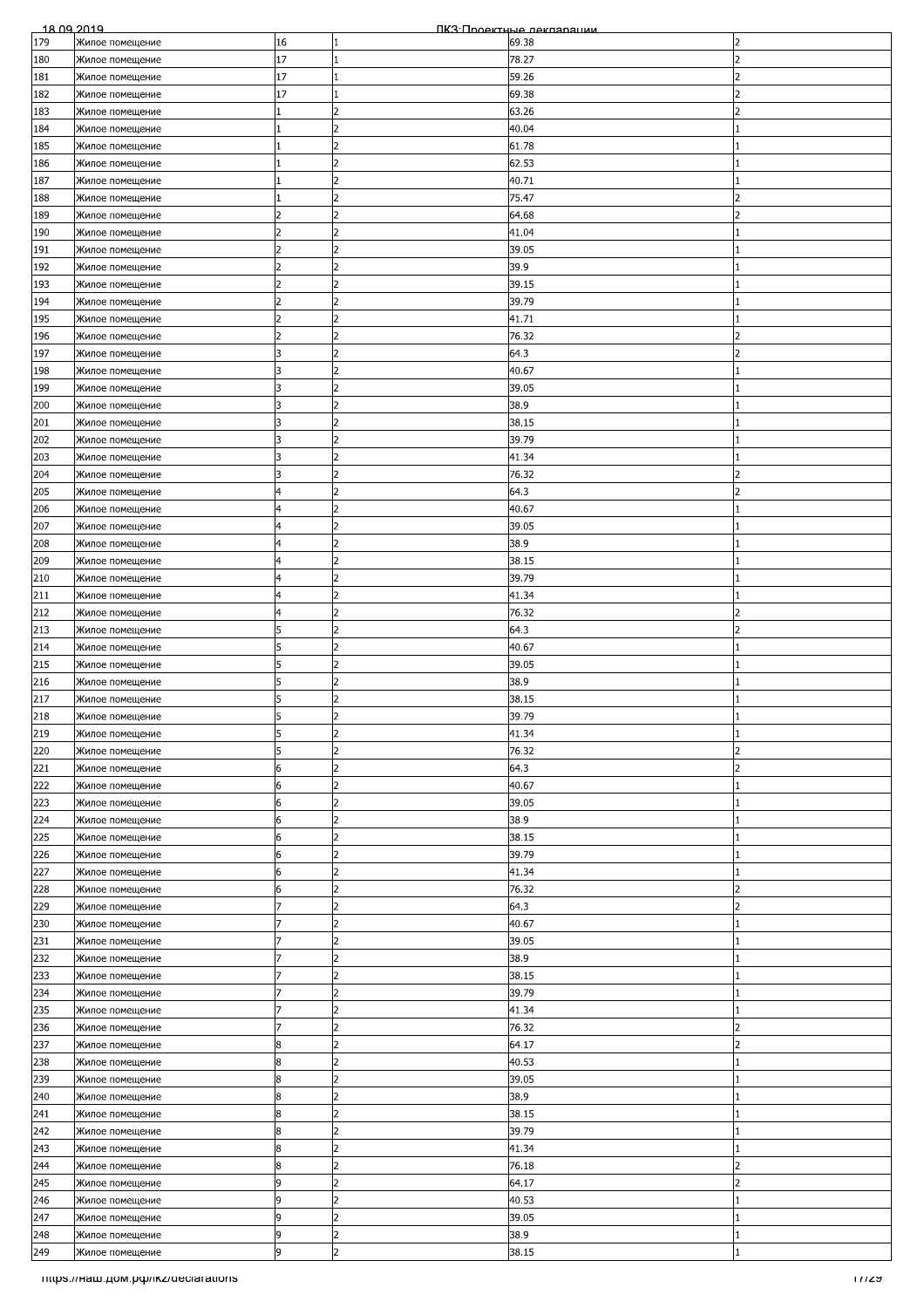| 179 | Жилое помещение                    |                |                |       |                          |
|-----|------------------------------------|----------------|----------------|-------|--------------------------|
|     |                                    | 16             | 1              | 69.38 | 2                        |
| 180 | Жилое помещение                    | 17             | 1              | 78.27 | フ                        |
| 181 | Жилое помещение                    | 17             | 1              | 59.26 | $\overline{\phantom{a}}$ |
| 182 | Жилое помещение                    | 17             | 1              | 69.38 | 2                        |
| 183 | Жилое помещение                    |                | 2              | 63.26 |                          |
| 184 |                                    |                |                | 40.04 |                          |
|     | Жилое помещение                    |                |                |       |                          |
| 185 | Жилое помещение                    |                | 2              | 61.78 |                          |
| 186 | Жилое помещение                    | 11             | $\overline{2}$ | 62.53 |                          |
| 187 | Жилое помещение                    |                | $\overline{2}$ | 40.71 |                          |
| 188 | Жилое помещение                    |                | $\overline{2}$ | 75.47 | $\overline{\phantom{a}}$ |
| 189 | Жилое помещение                    |                | 2              | 64.68 |                          |
| 190 | Жилое помещение                    |                | 2              | 41.04 |                          |
| 191 | Жилое помещение                    |                | $\overline{2}$ | 39.05 |                          |
|     |                                    | $\overline{2}$ | 2              | 39.9  |                          |
| 192 | Жилое помещение                    |                |                |       |                          |
| 193 | Жилое помещение                    | 2              | $\overline{2}$ | 39.15 |                          |
| 194 | Жилое помещение                    | $\overline{2}$ | 2              | 39.79 |                          |
| 195 | Жилое помещение                    | $\overline{z}$ | $\overline{2}$ | 41.71 |                          |
| 196 | Жилое помещение                    | 2              | 2              | 76.32 | 2                        |
| 197 | Жилое помещение                    | 3              | 2              | 64.3  |                          |
| 198 | Жилое помещение                    |                | l2             | 40.67 |                          |
| 199 | Жилое помещение                    | 3              | $\overline{2}$ | 39.05 |                          |
| 200 | Жилое помещение                    | 3              | $\overline{2}$ | 38.9  |                          |
|     |                                    |                | 2              |       |                          |
| 201 | Жилое помещение                    | 3              |                | 38.15 |                          |
| 202 | Жилое помещение                    | 3              | $\overline{2}$ | 39.79 |                          |
| 203 | Жилое помещение                    | 3              | 2              | 41.34 |                          |
| 204 | Жилое помещение                    | 3              | 2              | 76.32 |                          |
| 205 | Жилое помещение                    | $\overline{4}$ | l2             | 64.3  | っ                        |
| 206 | Жилое помещение                    | 4              | l2             | 40.67 |                          |
| 207 | Жилое помещение                    | 4              | $\overline{2}$ | 39.05 |                          |
|     |                                    | 4              | $\overline{2}$ | 38.9  |                          |
| 208 | Жилое помещение                    |                |                |       |                          |
| 209 | Жилое помещение                    | $\overline{4}$ | 2              | 38.15 |                          |
| 210 | Жилое помещение                    | 4              | 2              | 39.79 |                          |
| 211 | Жилое помещение                    | 4              | 2              | 41.34 |                          |
| 212 | Жилое помещение                    | $\overline{4}$ | 2              | 76.32 | $\overline{\phantom{a}}$ |
| 213 | Жилое помещение                    | 5              | 2              | 64.3  | 2                        |
| 214 | Жилое помещение                    | 5              | 2              | 40.67 |                          |
| 215 | Жилое помещение                    |                | $\overline{2}$ | 39.05 |                          |
|     |                                    |                | $\overline{2}$ |       |                          |
| 216 | Жилое помещение                    | 5              |                | 38.9  |                          |
| 217 | Жилое помещение                    | 5              | 2              | 38.15 |                          |
| 218 | Жилое помещение                    | 5              | b              | 39.79 |                          |
| 219 | Жилое помещение                    | 5              | 2              | 41.34 |                          |
| 220 | Жилое помещение                    | 5              | 2              | 76.32 |                          |
| 221 | Жилое помещение                    | 6              | $\overline{2}$ | 64.3  | 2                        |
| 222 | Жилое помещение                    | 6              | 2              | 40.67 |                          |
| 223 |                                    | 6              | $\overline{2}$ | 39.05 |                          |
|     | Жилое помещение                    |                |                |       |                          |
| 224 | Жилое помещение                    | 6              | $\overline{2}$ | 38.9  |                          |
| 225 | Жилое помещение                    | 6              | $\overline{2}$ | 38.15 |                          |
| 226 | Жилое помещение                    | 6              | $\overline{2}$ | 39.79 |                          |
| 227 | Жилое помещение                    | 6              | $\overline{2}$ | 41.34 |                          |
| 228 | Жилое помещение                    | 6              | 2              | 76.32 | 2                        |
| 229 | Жилое помещение                    |                | $\overline{2}$ | 64.3  | 2                        |
| 230 | Жилое помещение                    |                | 2              | 40.67 |                          |
|     |                                    |                | l2             |       |                          |
| 231 | Жилое помещение                    |                |                | 39.05 |                          |
| 232 | Жилое помещение                    |                | $\overline{2}$ | 38.9  |                          |
| 233 | Жилое помещение                    |                | $\overline{2}$ | 38.15 |                          |
| 234 | Жилое помещение                    |                | $\overline{2}$ | 39.79 |                          |
| 235 | Жилое помещение                    |                | $\overline{2}$ | 41.34 |                          |
| 236 | Жилое помещение                    |                | $\overline{2}$ | 76.32 | $\overline{\phantom{a}}$ |
| 237 | Жилое помещение                    | 8              | 2              | 64.17 | 2                        |
| 238 | Жилое помещение                    | 8              | 2              | 40.53 |                          |
| 239 | Жилое помещение                    | 8              |                | 39.05 |                          |
| 240 |                                    | 8              | 2              | 38.9  |                          |
|     | Жилое помещение                    |                |                |       |                          |
| 241 | Жилое помещение                    | 8              | 2              | 38.15 |                          |
| 242 | Жилое помещение                    | 8              | $\overline{2}$ | 39.79 |                          |
| 243 | Жилое помещение                    | 8              | 2              | 41.34 |                          |
| 244 | Жилое помещение                    | 8              | $\overline{2}$ | 76.18 | 2                        |
| 245 | Жилое помещение                    | 9              | 2              | 64.17 | 2                        |
| 246 | Жилое помещение                    | 9              | $\overline{2}$ | 40.53 |                          |
| 247 | Жилое помещение                    | 9              | 2              | 39.05 |                          |
|     |                                    | 9              | $\overline{2}$ |       |                          |
| 248 | Жилое помещение                    | 9              | $\overline{2}$ | 38.9  |                          |
| 249 | Жилое помещение                    |                |                | 38.15 |                          |
|     | mups.//наш.дом.рф/ikz/declarations |                |                |       | 1772 T                   |
|     |                                    |                |                |       |                          |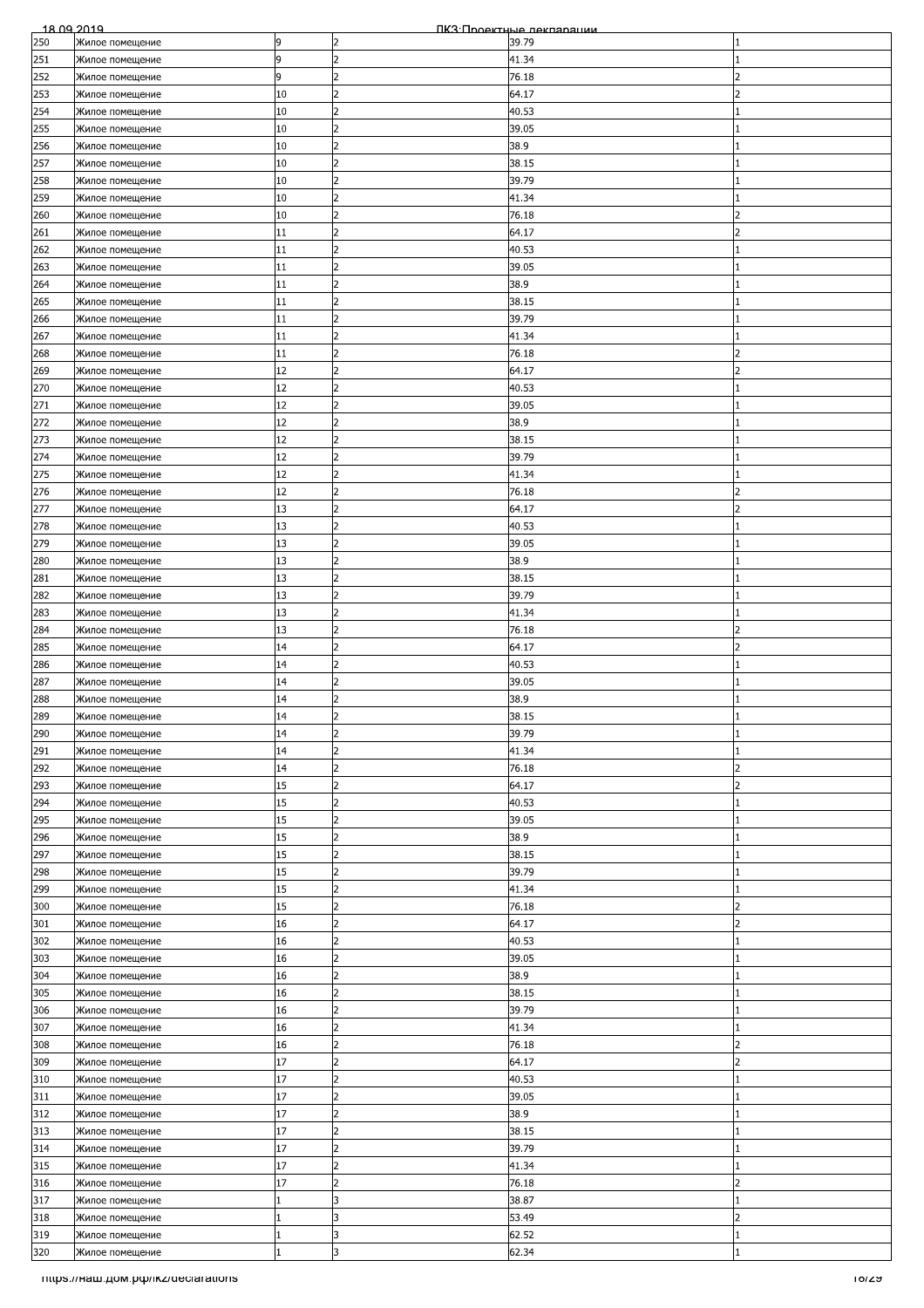| 18.09.2019 |                                      |    |                | ПКЗ Проектные лекляряции |                          |
|------------|--------------------------------------|----|----------------|--------------------------|--------------------------|
| 250        | Жилое помещение                      | 9  | 2              | 39.79                    |                          |
| 251        | Жилое помещение                      | 9  | $\overline{2}$ | 41.34                    |                          |
| 252        | Жилое помещение                      | 9  | 2              | 76.18                    | $\overline{\phantom{a}}$ |
| 253        | Жилое помещение                      | 10 | 2              | 64.17                    | $\overline{2}$           |
| 254        | Жилое помещение                      | 10 | $\overline{2}$ | 40.53                    |                          |
|            |                                      | 10 |                | 39.05                    |                          |
| 255        | Жилое помещение                      |    |                |                          |                          |
| 256        | Жилое помещение                      | 10 | $\overline{2}$ | 38.9                     |                          |
| 257        | Жилое помещение                      | 10 | $\overline{2}$ | 38.15                    |                          |
| 258        | Жилое помещение                      | 10 | $\overline{2}$ | 39.79                    |                          |
| 259        | Жилое помещение                      | 10 | $\overline{2}$ | 41.34                    |                          |
| 260        | Жилое помещение                      | 10 | 2              | 76.18                    |                          |
| 261        | Жилое помещение                      | 11 | 2              | 64.17                    |                          |
| 262        | Жилое помещение                      | 11 | l2             | 40.53                    |                          |
|            |                                      | 11 | $\overline{2}$ |                          |                          |
| 263        | Жилое помещение                      |    |                | 39.05                    |                          |
| 264        | Жилое помещение                      | 11 | $\overline{2}$ | 38.9                     |                          |
| 265        | Жилое помещение                      | 11 | $\overline{2}$ | 38.15                    |                          |
| 266        | Жилое помещение                      | 11 | $\overline{2}$ | 39.79                    |                          |
| 267        | Жилое помещение                      | 11 | 2              | 41.34                    |                          |
| 268        | Жилое помещение                      | 11 | $\overline{2}$ | 76.18                    |                          |
| 269        | Жилое помещение                      | 12 | 2              | 64.17                    |                          |
| 270        | Жилое помещение                      | 12 | $\overline{2}$ | 40.53                    |                          |
| 271        | Жилое помещение                      | 12 | $\overline{2}$ | 39.05                    |                          |
|            |                                      |    | $\overline{2}$ |                          |                          |
| 272        | Жилое помещение                      | 12 |                | 38.9                     |                          |
| 273        | Жилое помещение                      | 12 | 2              | 38.15                    |                          |
| 274        | Жилое помещение                      | 12 | 2              | 39.79                    |                          |
| 275        | Жилое помещение                      | 12 | 2              | 41.34                    |                          |
| 276        | Жилое помещение                      | 12 | $\overline{2}$ | 76.18                    |                          |
| 277        | Жилое помещение                      | 13 | l2             | 64.17                    | 2                        |
| 278        | Жилое помещение                      | 13 | $\overline{2}$ | 40.53                    |                          |
| 279        | Жилое помещение                      | 13 | $\overline{2}$ | 39.05                    |                          |
|            |                                      |    | 2              |                          |                          |
| 280        | Жилое помещение                      | 13 |                | 38.9                     |                          |
| 281        | Жилое помещение                      | 13 | 2              | 38.15                    |                          |
| 282        | Жилое помещение                      | 13 | 2              | 39.79                    |                          |
| 283        | Жилое помещение                      | 13 | 2              | 41.34                    |                          |
| 284        | Жилое помещение                      | 13 | 2              | 76.18                    | 2                        |
| 285        | Жилое помещение                      | 14 | $\overline{2}$ | 64.17                    | $\overline{\phantom{a}}$ |
| 286        | Жилое помещение                      | 14 | 2              | 40.53                    |                          |
| 287        | Жилое помещение                      | 14 | $\overline{2}$ | 39.05                    |                          |
|            |                                      | 14 | $\overline{2}$ | 38.9                     |                          |
| 288        | Жилое помещение                      |    |                |                          |                          |
| 289        | Жилое помещение                      | 14 | $\overline{2}$ | 38.15                    |                          |
| 290        | Жилое помещение                      | 14 | 2              | 39.79                    |                          |
| 291        | Жилое помещение                      | 14 | 2              | 41.34                    |                          |
| 292        | Жилое помещение                      | 14 | $\overline{2}$ | 76.18                    | フ                        |
| 293        | Жилое помещение                      | 15 | 2              | 64.17                    | $\overline{2}$           |
| 294        | Жилое помещение                      | 15 | $\overline{2}$ | 40.53                    |                          |
| 295        | Жилое помещение                      | 15 | $\overline{2}$ | 39.05                    |                          |
| 296        |                                      | 15 | 2              | 38.9                     |                          |
|            | Жилое помещение                      |    |                |                          |                          |
| 297        | Жилое помещение                      | 15 | 2              | 38.15                    |                          |
| 298        | Жилое помещение                      | 15 | $\overline{2}$ | 39.79                    |                          |
| 299        | Жилое помещение                      | 15 | 2              | 41.34                    |                          |
| 300        | Жилое помещение                      | 15 | 2              | 76.18                    | 2                        |
| 301        | Жилое помещение                      | 16 | $\overline{2}$ | 64.17                    | $\overline{2}$           |
| 302        | Жилое помещение                      | 16 | 2              | 40.53                    |                          |
| 303        | Жилое помещение                      | 16 | 2              | 39.05                    |                          |
| 304        | Жилое помещение                      | 16 | 2              | 38.9                     |                          |
|            |                                      |    | $\overline{2}$ |                          |                          |
| 305        | Жилое помещение                      | 16 |                | 38.15                    |                          |
| 306        | Жилое помещение                      | 16 | 2              | 39.79                    |                          |
| 307        | Жилое помещение                      | 16 | $\overline{2}$ | 41.34                    |                          |
| 308        | Жилое помещение                      | 16 | 2              | 76.18                    | 2                        |
| 309        | Жилое помещение                      | 17 | 2              | 64.17                    | フ                        |
| 310        | Жилое помещение                      | 17 | $\overline{2}$ | 40.53                    |                          |
| 311        | Жилое помещение                      | 17 | 2              | 39.05                    |                          |
| 312        | Жилое помещение                      | 17 | $\overline{2}$ | 38.9                     |                          |
| 313        | Жилое помещение                      | 17 | $\overline{2}$ | 38.15                    |                          |
|            |                                      |    | 2              |                          |                          |
| 314        | Жилое помещение                      | 17 |                | 39.79                    |                          |
| 315        | Жилое помещение                      | 17 | 2              | 41.34                    |                          |
| 316        | Жилое помещение                      | 17 | 2              | 76.18                    | 2                        |
| 317        | Жилое помещение                      |    | 3              | 38.87                    |                          |
| 318        | Жилое помещение                      |    | l3             | 53.49                    | $\overline{2}$           |
| 319        | Жилое помещение                      | 11 | 3              | 62.52                    |                          |
| 320        | Жилое помещение                      | 1  | 3              | 62.34                    |                          |
|            | Titips.//Ham.pom.po/ikz/declarations |    |                |                          | 101ZA                    |
|            |                                      |    |                |                          |                          |
|            |                                      |    |                |                          |                          |
|            |                                      |    |                |                          |                          |
|            |                                      |    |                |                          |                          |
|            |                                      |    |                |                          |                          |
|            |                                      |    |                |                          |                          |
|            |                                      |    |                |                          |                          |
|            |                                      |    |                |                          |                          |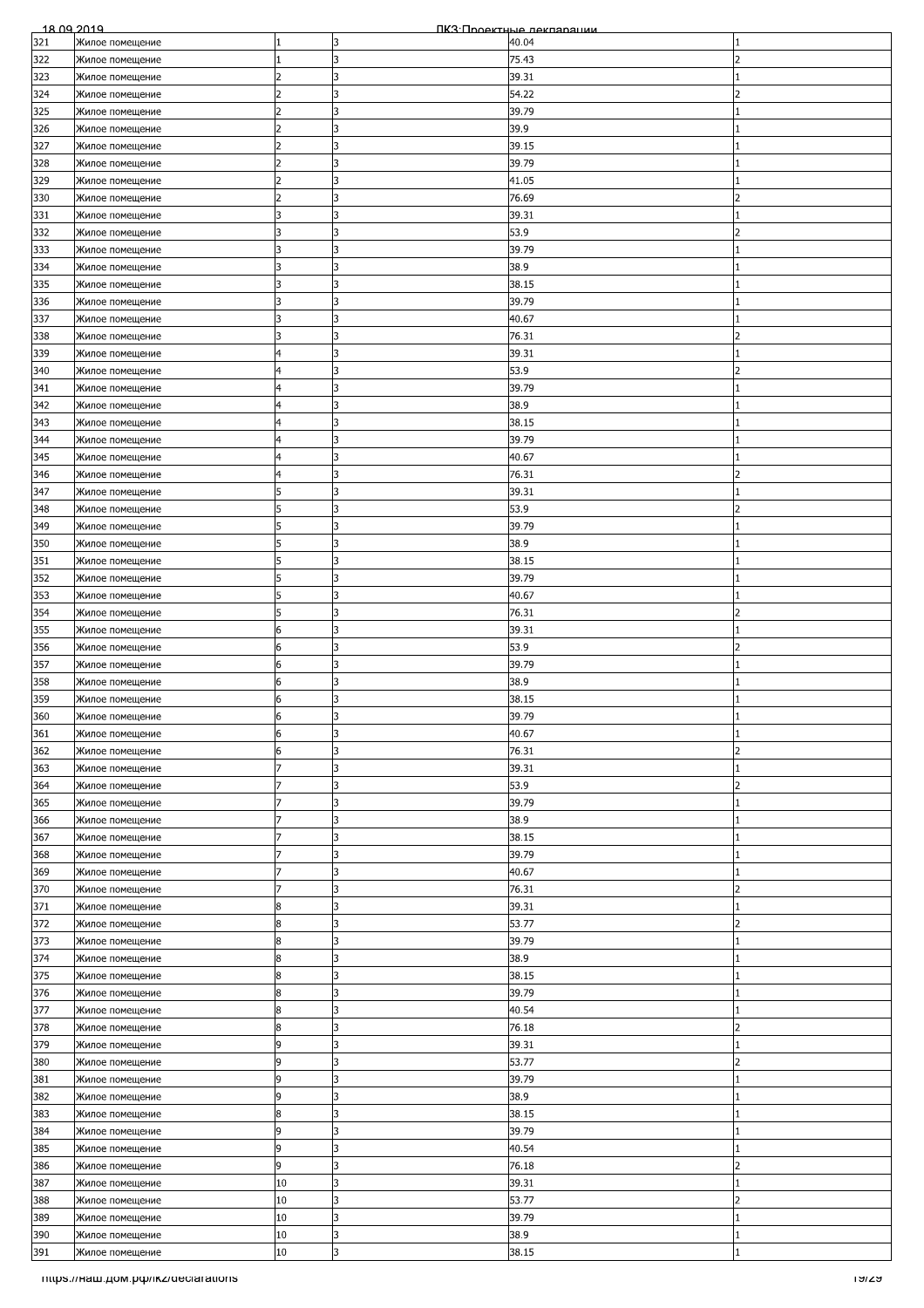| <u> 18 NQ 2019</u> |                 |                |    | ПКЗ Проектные леклярации |                          |
|--------------------|-----------------|----------------|----|--------------------------|--------------------------|
| 321                | Жилое помещение |                | l3 | 40.04                    |                          |
| 322                | Жилое помещение |                | 3  | 75.43                    | 2                        |
|                    |                 |                |    |                          |                          |
| 323                | Жилое помещение |                | 3  | 39.31                    |                          |
| 324                | Жилое помещение |                | ß. | 54.22                    |                          |
|                    |                 |                |    |                          |                          |
| 325                | Жилое помещение | 2              | 3  | 39.79                    |                          |
| 326                | Жилое помещение | 2              | 3  | 39.9                     |                          |
| 327                | Жилое помещение |                | 3  | 39.15                    |                          |
|                    |                 |                |    |                          |                          |
| 328                | Жилое помещение | $\overline{2}$ | l3 | 39.79                    |                          |
| 329                | Жилое помещение | 12             | l3 | 41.05                    |                          |
|                    |                 |                |    |                          |                          |
| 330                | Жилое помещение |                | 3  | 76.69                    |                          |
| 331                | Жилое помещение |                | l3 | 39.31                    |                          |
|                    |                 |                | 3  |                          | 2                        |
| 332                | Жилое помещение | 3              |    | 53.9                     |                          |
| 333                | Жилое помещение | 3              | l3 | 39.79                    |                          |
| 334                | Жилое помещение |                | 3  | 38.9                     |                          |
|                    |                 |                |    |                          |                          |
| 335                | Жилое помещение | 3              | l3 | 38.15                    |                          |
| 336                | Жилое помещение | 3              | 3  | 39.79                    |                          |
|                    |                 |                |    |                          |                          |
| 337                | Жилое помещение | 3              | 3  | 40.67                    |                          |
| 338                | Жилое помещение | 3              | 3  | 76.31                    | $\overline{\phantom{0}}$ |
| 339                |                 | 4              | 3  | 39.31                    |                          |
|                    | Жилое помещение |                |    |                          |                          |
| 340                | Жилое помещение | 4              | 3  | 53.9                     | 2                        |
| 341                | Жилое помещение | 4              | 3  | 39.79                    |                          |
|                    |                 |                |    |                          |                          |
| 342                | Жилое помещение | $\overline{4}$ | l3 | 38.9                     |                          |
| 343                | Жилое помещение | 4              | 3  | 38.15                    |                          |
|                    |                 |                |    |                          |                          |
| 344                | Жилое помещение | 4              | 3  | 39.79                    |                          |
| 345                | Жилое помещение | $\overline{4}$ | l3 | 40.67                    |                          |
|                    |                 |                |    |                          |                          |
| 346                | Жилое помещение | 4              | l3 | 76.31                    | 2                        |
| 347                | Жилое помещение | 5              | 3  | 39.31                    |                          |
| 348                |                 | 5              | 3  | 53.9                     | 2                        |
|                    | Жилое помещение |                |    |                          |                          |
| 349                | Жилое помещение | 5              | l3 | 39.79                    |                          |
| 350                | Жилое помещение | 5              | 3  | 38.9                     |                          |
|                    |                 |                |    |                          |                          |
| 351                | Жилое помещение | 5              | l3 | 38.15                    |                          |
| 352                | Жилое помещение | 5              | l3 | 39.79                    |                          |
|                    |                 |                |    |                          |                          |
| 353                | Жилое помещение | 5              | 3  | 40.67                    |                          |
| 354                | Жилое помещение | 5              | 3  | 76.31                    | フ                        |
| 355                |                 | 6              | 3  | 39.31                    |                          |
|                    | Жилое помещение |                |    |                          |                          |
| 356                | Жилое помещение | 6              | 3  | 53.9                     | 2                        |
| 357                | Жилое помещение | 6              | l3 | 39.79                    |                          |
|                    |                 |                |    |                          |                          |
| 358                | Жилое помещение | 6              | 3  | 38.9                     |                          |
| 359                | Жилое помещение | 6              | 3  | 38.15                    |                          |
|                    |                 |                |    |                          |                          |
| 360                | Жилое помещение | 6              | 3  | 39.79                    |                          |
| 361                | Жилое помещение | 6              | 3  | 40.67                    |                          |
| 362                | Жилое помещение | 6              | 3  | 76.31                    | $\overline{\phantom{a}}$ |
|                    |                 |                |    |                          |                          |
| 363                | Жилое помещение |                | l3 | 39.31                    |                          |
| 364                | Жилое помещение | 7              | 3  | 53.9                     | $\overline{2}$           |
|                    |                 |                |    |                          |                          |
| 365                | Жилое помещение |                | 3  | 39.79                    |                          |
| 366                | Жилое помещение |                | l3 | 38.9                     |                          |
|                    |                 |                |    |                          |                          |
| 367                | Жилое помещение |                | 3  | 38.15                    |                          |
| 368                | Жилое помещение |                | 3  | 39.79                    |                          |
|                    |                 |                | lз | 40.67                    |                          |
| 369                | Жилое помещение |                |    |                          |                          |
| 370                | Жилое помещение |                | l3 | 76.31                    | 2                        |
| 371                | Жилое помещение | 8              | l3 | 39.31                    |                          |
|                    |                 |                |    |                          |                          |
| 372                | Жилое помещение | 8              | 3  | 53.77                    |                          |
| 373                | Жилое помещение | 8              | l3 | 39.79                    |                          |
|                    |                 |                |    |                          |                          |
| 374                | Жилое помещение | 8              | 3  | 38.9                     |                          |
| 375                | Жилое помещение | 8              | 3  | 38.15                    |                          |
| 376                |                 | 8              | l3 | 39.79                    |                          |
|                    | Жилое помещение |                |    |                          |                          |
| 377                | Жилое помещение | 8              | l3 | 40.54                    |                          |
| 378                | Жилое помещение | 8              | 3  | 76.18                    | フ                        |
|                    |                 |                |    |                          |                          |
| 379                | Жилое помещение | 9              | 3  | 39.31                    |                          |
| 380                | Жилое помещение | 9              | l3 | 53.77                    | $\overline{\phantom{a}}$ |
|                    |                 |                |    |                          |                          |
| 381                | Жилое помещение | 9              | 3  | 39.79                    |                          |
| 382                | Жилое помещение | 9              | 3  | 38.9                     |                          |
|                    |                 |                |    |                          |                          |
| 383                | Жилое помещение | 8              | l3 | 38.15                    |                          |
| 384                | Жилое помещение | 9              | 3  | 39.79                    |                          |
| 385                | Жилое помещение | 9              | 3  | 40.54                    |                          |
|                    |                 |                |    |                          |                          |
| 386                | Жилое помещение | 9              | 3  | 76.18                    |                          |
| 387                | Жилое помещение | 10             | l3 | 39.31                    |                          |
|                    |                 |                |    |                          |                          |
| 388                | Жилое помещение | 10             | 3  | 53.77                    | $\overline{2}$           |
| 389                | Жилое помещение | 10             | 3  | 39.79                    |                          |
|                    |                 |                |    |                          |                          |
| 390                | Жилое помещение | 10             | lз | 38.9                     |                          |
| 391                | Жилое помещение | 10             | l3 | 38.15                    |                          |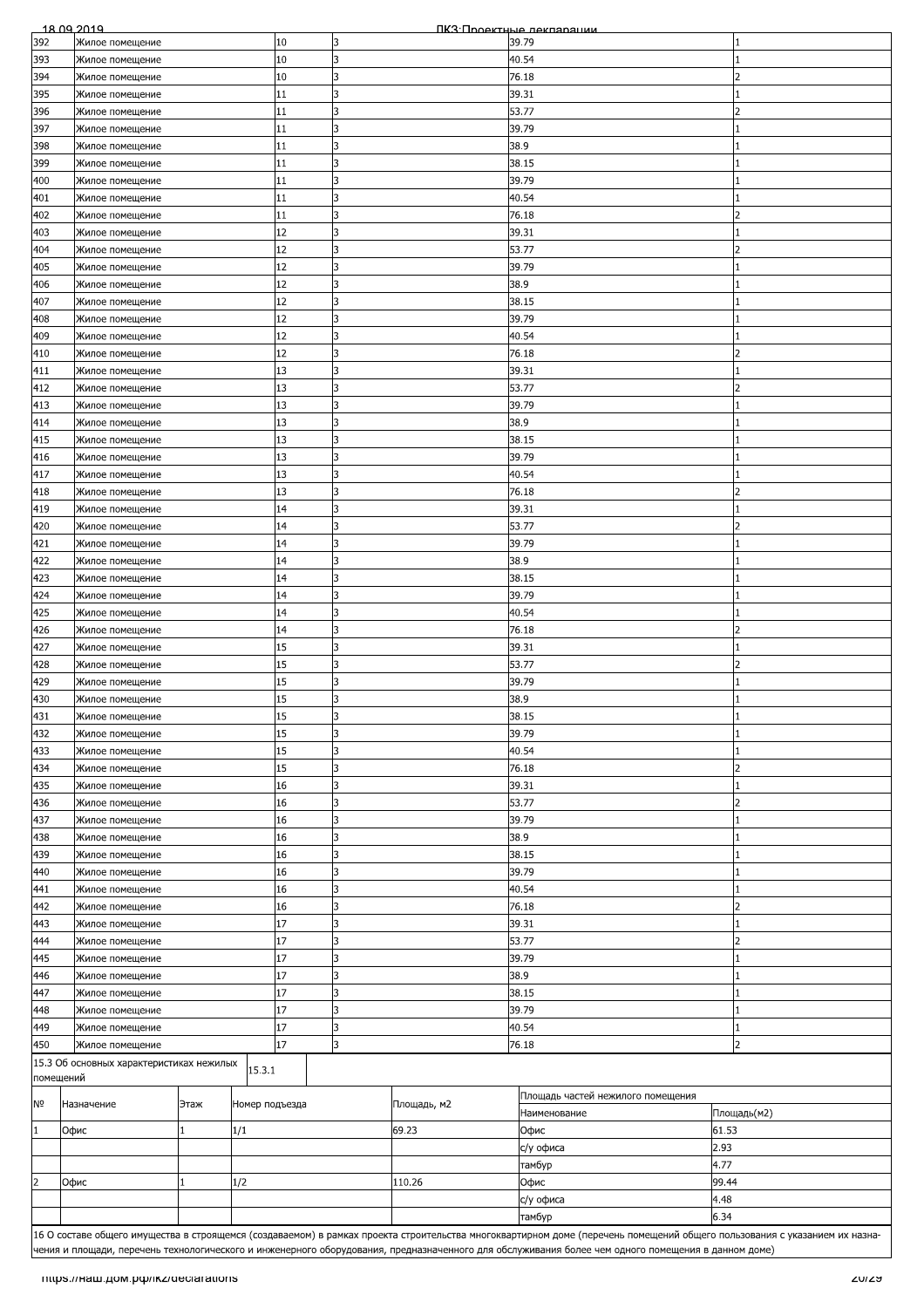|                | <u>18 09 2019</u><br>ПКЗ Проектные лекляряции |                |          |              |             |                                                                                                                                                    |       |                                                                                                                                                                           |
|----------------|-----------------------------------------------|----------------|----------|--------------|-------------|----------------------------------------------------------------------------------------------------------------------------------------------------|-------|---------------------------------------------------------------------------------------------------------------------------------------------------------------------------|
| 392            | Жилое помещение                               |                | 10       | 3            |             | 39.79                                                                                                                                              |       |                                                                                                                                                                           |
| 393            | Жилое помещение                               |                | 10       | 3            |             | 40.54                                                                                                                                              |       |                                                                                                                                                                           |
| 394            | Жилое помещение                               |                | 10       |              |             | 76.18                                                                                                                                              |       |                                                                                                                                                                           |
| 395            | Жилое помещение                               |                | 11       | 3            |             | 39.31                                                                                                                                              |       |                                                                                                                                                                           |
| 396            | Жилое помещение                               |                | 11       | 3            |             | 53.77                                                                                                                                              |       |                                                                                                                                                                           |
| 397            | Жилое помещение                               |                | 11       | 3            |             | 39.79                                                                                                                                              |       |                                                                                                                                                                           |
| 398            | Жилое помещение                               |                | 11       | <sub>3</sub> |             | 38.9                                                                                                                                               |       |                                                                                                                                                                           |
| 399            | Жилое помещение                               |                | 11       | 3            |             | 38.15                                                                                                                                              |       |                                                                                                                                                                           |
| 400            | Жилое помещение                               |                | 11       | 3            |             | 39.79                                                                                                                                              |       |                                                                                                                                                                           |
| 401            | Жилое помещение                               |                | 11       | 3            |             | 40.54                                                                                                                                              |       |                                                                                                                                                                           |
| 402            | Жилое помещение                               |                | 11       | 3            |             | 76.18                                                                                                                                              |       |                                                                                                                                                                           |
| 403            | Жилое помещение                               |                | 12       | 3            |             | 39.31                                                                                                                                              |       |                                                                                                                                                                           |
| 404            | Жилое помещение                               |                | 12       | 3            |             | 53.77                                                                                                                                              |       |                                                                                                                                                                           |
| 405            | Жилое помещение                               |                | 12       | 3            |             | 39.79                                                                                                                                              |       |                                                                                                                                                                           |
| 406            | Жилое помещение                               |                | 12       | 3            |             | 38.9                                                                                                                                               |       |                                                                                                                                                                           |
| 407            | Жилое помещение                               |                | 12       | 3            |             | 38.15                                                                                                                                              |       |                                                                                                                                                                           |
| 408            | Жилое помещение                               |                | 12       | 3            |             | 39.79                                                                                                                                              |       |                                                                                                                                                                           |
| 409            | Жилое помещение                               |                | 12       | 3            |             | 40.54                                                                                                                                              |       |                                                                                                                                                                           |
| 410            | Жилое помещение                               |                | 12       | 3            |             | 76.18                                                                                                                                              |       |                                                                                                                                                                           |
| 411            | Жилое помещение                               |                | 13       | 3            |             | 39.31                                                                                                                                              |       |                                                                                                                                                                           |
| 412            | Жилое помещение                               |                | 13       | 3            |             | 53.77                                                                                                                                              |       |                                                                                                                                                                           |
| 413            | Жилое помещение                               |                | 13       | 3            |             | 39.79                                                                                                                                              |       |                                                                                                                                                                           |
| 414            | Жилое помещение                               |                | 13       | 3            |             | 38.9                                                                                                                                               |       |                                                                                                                                                                           |
| 415            | Жилое помещение                               |                | 13       | k.           |             | 38.15                                                                                                                                              |       |                                                                                                                                                                           |
| 416            | Жилое помещение                               |                | 13       | 3            |             | 39.79                                                                                                                                              |       |                                                                                                                                                                           |
| 417            | Жилое помещение                               |                | 13       | 3            |             | 40.54                                                                                                                                              |       |                                                                                                                                                                           |
| 418            | Жилое помещение                               |                | 13       | 3            |             | 76.18                                                                                                                                              |       |                                                                                                                                                                           |
| 419            | Жилое помещение                               |                | 14       | R.           |             | 39.31                                                                                                                                              |       |                                                                                                                                                                           |
| 420            | Жилое помещение                               |                | 14       | 3            |             | 53.77                                                                                                                                              |       |                                                                                                                                                                           |
| 421            | Жилое помещение                               |                | 14       | 3            |             | 39.79                                                                                                                                              |       |                                                                                                                                                                           |
| 422            | Жилое помещение                               |                | 14       | 3            |             | 38.9                                                                                                                                               |       |                                                                                                                                                                           |
| 423            | Жилое помещение                               |                | 14       | 3            |             | 38.15                                                                                                                                              |       |                                                                                                                                                                           |
| 424            | Жилое помещение                               |                | 14       | 3<br>3       |             | 39.79                                                                                                                                              |       |                                                                                                                                                                           |
| 425            | Жилое помещение<br>Жилое помещение            |                | 14<br>14 | 3            |             | 40.54<br>76.18                                                                                                                                     |       |                                                                                                                                                                           |
| 426<br>427     | Жилое помещение                               |                | 15       | 3            |             | 39.31                                                                                                                                              |       |                                                                                                                                                                           |
| 428            | Жилое помещение                               |                | 15       | 3            |             | 53.77                                                                                                                                              |       |                                                                                                                                                                           |
| 429            | Жилое помещение                               |                | 15       | <sub>3</sub> |             | 39.79                                                                                                                                              |       |                                                                                                                                                                           |
| 430            | Жилое помещение                               |                | 15       | 3            |             | 38.9                                                                                                                                               |       |                                                                                                                                                                           |
| 431            | Жилое помещение                               |                | 15       | IJ.          |             | 38.15                                                                                                                                              |       |                                                                                                                                                                           |
| 432            | Жилое помещение                               |                | 15       | 3            |             | 39.79                                                                                                                                              |       |                                                                                                                                                                           |
| 433            | Жилое помещение                               |                | 15       | 3            |             | 40.54                                                                                                                                              |       |                                                                                                                                                                           |
| 434            | Жилое помещение                               |                | 15       | 3            |             | 76.18                                                                                                                                              |       |                                                                                                                                                                           |
| 435            | Жилое помещение                               |                | 16       | 3            |             | 39.31                                                                                                                                              |       |                                                                                                                                                                           |
| 436            | Жилое помещение                               |                | 16       | 3            |             | 53.77                                                                                                                                              |       | <b>C</b>                                                                                                                                                                  |
| 437            | Жилое помещение                               |                | 16       | 3            |             | 39.79                                                                                                                                              |       |                                                                                                                                                                           |
| 438            | Жилое помещение                               |                | 16       | 3            |             | 38.9                                                                                                                                               |       |                                                                                                                                                                           |
| 439            | Жилое помещение                               |                | 16       | 3            |             | 38.15                                                                                                                                              |       |                                                                                                                                                                           |
| 440            | Жилое помещение                               |                | 16       | 3            |             | 39.79                                                                                                                                              |       |                                                                                                                                                                           |
| 441            | Жилое помещение                               |                | 16       | 3            |             | 40.54                                                                                                                                              |       |                                                                                                                                                                           |
| 442            | Жилое помещение                               |                | 16       | 3            |             | 76.18                                                                                                                                              |       |                                                                                                                                                                           |
| 443            | Жилое помещение                               |                | 17       | 3            |             | 39.31                                                                                                                                              |       |                                                                                                                                                                           |
| 444            | Жилое помещение                               |                | 17       | 3            |             | 53.77                                                                                                                                              |       |                                                                                                                                                                           |
| 445            | Жилое помещение                               |                | 17       | 3            |             | 39.79                                                                                                                                              |       |                                                                                                                                                                           |
| 446            | Жилое помещение                               |                | 17       | 3            |             | 38.9                                                                                                                                               |       |                                                                                                                                                                           |
| 447            | Жилое помещение                               |                | 17       | 3            |             | 38.15                                                                                                                                              |       |                                                                                                                                                                           |
| 448            | Жилое помещение                               |                | 17       | 3            |             | 39.79                                                                                                                                              |       |                                                                                                                                                                           |
| 449            | Жилое помещение                               |                | 17       | 3            |             | 40.54                                                                                                                                              |       |                                                                                                                                                                           |
| 450            | Жилое помещение                               |                | 17       | 3            |             | 76.18                                                                                                                                              |       | $\mathcal{P}$                                                                                                                                                             |
|                | 15.3 Об основных характеристиках нежилых      |                |          |              |             |                                                                                                                                                    |       |                                                                                                                                                                           |
| помещений      |                                               | 15.3.1         |          |              |             |                                                                                                                                                    |       |                                                                                                                                                                           |
| N <sub>o</sub> | Назначение<br>Этаж                            | Номер подъезда |          |              | Площадь, м2 | Площадь частей нежилого помещения                                                                                                                  |       |                                                                                                                                                                           |
|                |                                               |                |          |              |             | Наименование                                                                                                                                       |       | Площадь(м2)                                                                                                                                                               |
|                | 1<br>Офис                                     | 1/1            |          |              | 69.23       | Офис                                                                                                                                               | 61.53 |                                                                                                                                                                           |
|                |                                               |                |          |              |             | с/у офиса                                                                                                                                          | 2.93  |                                                                                                                                                                           |
|                |                                               |                |          |              |             | тамбур                                                                                                                                             | 4.77  |                                                                                                                                                                           |
| 2              | Офис<br>1                                     | 1/2            |          |              | 110.26      | Офис                                                                                                                                               | 99.44 |                                                                                                                                                                           |
|                |                                               |                |          |              |             | с/у офиса                                                                                                                                          | 4.48  |                                                                                                                                                                           |
|                |                                               |                |          |              |             | тамбур                                                                                                                                             | 6.34  |                                                                                                                                                                           |
|                |                                               |                |          |              |             |                                                                                                                                                    |       | 16 О составе общего имущества в строящемся (создаваемом) в рамках проекта строительства многоквартирном доме (перечень помещений общего пользования с указанием их назна- |
|                |                                               |                |          |              |             | чения и площади, перечень технологического и инженерного оборудования, предназначенного для обслуживания более чем одного помещения в данном доме) |       |                                                                                                                                                                           |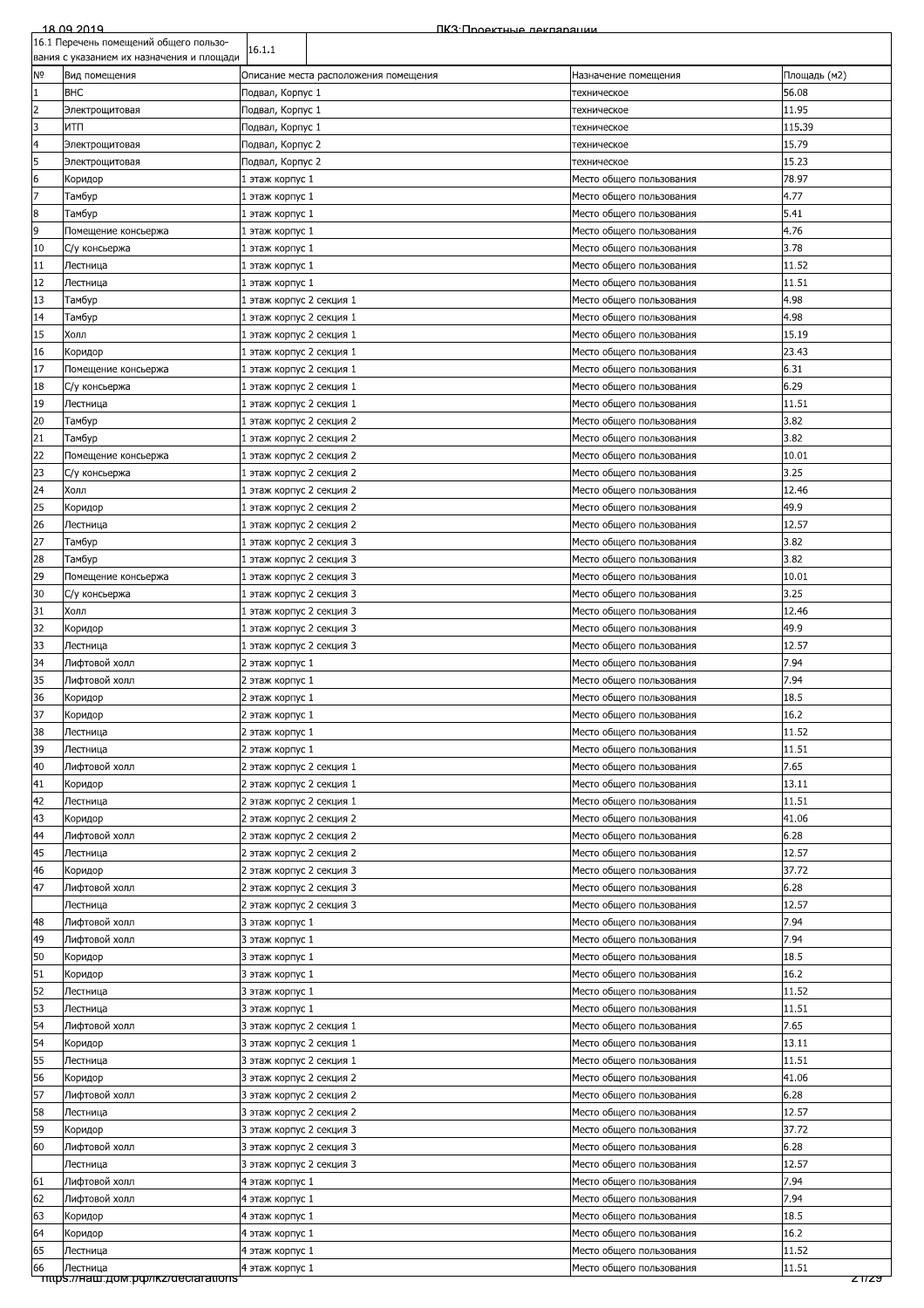| 18.09.2019                             |  |
|----------------------------------------|--|
| 16.1 Перечень помещений общего пользо- |  |
|                                        |  |

|                | TO'T LIGhGAGHP LIOMEITIGHNN OOITIGI O LIONPRO-<br>вания с указанием их назначения и площади | 16.1.1                                               |                                                      |               |
|----------------|---------------------------------------------------------------------------------------------|------------------------------------------------------|------------------------------------------------------|---------------|
| N <sub>o</sub> | Вид помещения                                                                               | Описание места расположения помещения                | Назначение помещения                                 | Площадь (м2)  |
| $\mathbf{1}$   | <b>BHC</b>                                                                                  | Подвал, Корпус 1                                     | техническое                                          | 56.08         |
| $\overline{2}$ | Электрощитовая                                                                              | Подвал, Корпус 1                                     | техническое                                          | 11.95         |
| 3              | итп                                                                                         | Тодвал, Корпус 1                                     | техническое                                          | 115.39        |
| 4              | Электрощитовая                                                                              | Подвал, Корпус 2                                     | техническое                                          | 15.79         |
| 5              | Электрощитовая                                                                              | Подвал, Корпус 2                                     | техническое                                          | 15.23         |
| 6              | Коридор                                                                                     | 1 этаж корпус 1                                      | Место общего пользования                             | 78.97         |
| 7              | Тамбур                                                                                      | 1 этаж корпус 1                                      | Место общего пользования                             | 4.77          |
| 8              | Тамбур                                                                                      | 1 этаж корпус 1                                      | Место общего пользования                             | 5.41          |
| 9              | Помещение консьержа                                                                         | 1 этаж корпус 1                                      | Место общего пользования                             | 4.76<br>3.78  |
| 10<br>11       | С/у консьержа<br>Лестница                                                                   | 1 этаж корпус 1<br>1 этаж корпус 1                   | Место общего пользования<br>Место общего пользования | 11.52         |
| 12             | Лестница                                                                                    | 1 этаж корпус 1                                      | Место общего пользования                             | 11.51         |
| 13             | Тамбур                                                                                      | 1 этаж корпус 2 секция 1                             | Место общего пользования                             | 4.98          |
| 14             | Тамбур                                                                                      | 1 этаж корпус 2 секция 1                             | Место общего пользования                             | 4.98          |
| 15             | Холл                                                                                        | 1 этаж корпус 2 секция 1                             | Место общего пользования                             | 15.19         |
| 16             | Коридор                                                                                     | 1 этаж корпус 2 секция 1                             | Место общего пользования                             | 23.43         |
| 17             | Помещение консьержа                                                                         | 1 этаж корпус 2 секция 1                             | Место общего пользования                             | 6.31          |
| 18             | С/у консьержа                                                                               | 1 этаж корпус 2 секция 1                             | Место общего пользования                             | 6.29          |
| 19             | Лестница                                                                                    | 1 этаж корпус 2 секция 1                             | Место общего пользования                             | 11.51         |
| 20             | Тамбур                                                                                      | 1 этаж корпус 2 секция 2                             | Место общего пользования                             | 3.82          |
| 21             | Тамбур                                                                                      | 1 этаж корпус 2 секция 2                             | Место общего пользования                             | 3.82          |
| 22             | Помещение консьержа                                                                         | 1 этаж корпус 2 секция 2                             | Место общего пользования                             | 10.01         |
| 23             | С/у консьержа                                                                               | 1 этаж корпус 2 секция 2                             | Место общего пользования                             | 3.25          |
| 24             | Холл                                                                                        | 1 этаж корпус 2 секция 2                             | Место общего пользования                             | 12.46         |
| 25             | Коридор                                                                                     | 1 этаж корпус 2 секция 2                             | Место общего пользования                             | 49.9          |
| 26             | Лестница                                                                                    | 1 этаж корпус 2 секция 2                             | Место общего пользования                             | 12.57         |
| 27<br>28       | Тамбур                                                                                      | 1 этаж корпус 2 секция 3                             | Место общего пользования                             | 3.82<br>3.82  |
| 29             | Тамбур                                                                                      | 1 этаж корпус 2 секция 3                             | Место общего пользования                             | 10.01         |
| 30             | Помещение консьержа<br>С/у консьержа                                                        | 1 этаж корпус 2 секция 3<br>1 этаж корпус 2 секция 3 | Место общего пользования<br>Место общего пользования | 3.25          |
| 31             | Холл                                                                                        | 1 этаж корпус 2 секция 3                             | Место общего пользования                             | 12.46         |
| 32             | Коридор                                                                                     | 1 этаж корпус 2 секция 3                             | Место общего пользования                             | 49.9          |
| 33             | Лестница                                                                                    | 1 этаж корпус 2 секция 3                             | Место общего пользования                             | 12.57         |
| 34             | Лифтовой холл                                                                               | 2 этаж корпус 1                                      | Место общего пользования                             | 7.94          |
| 35             | Лифтовой холл                                                                               | 2 этаж корпус 1                                      | Место общего пользования                             | 7.94          |
| 36             | Коридор                                                                                     | 2 этаж корпус 1                                      | Место общего пользования                             | 18.5          |
| 37             | Коридор                                                                                     | 2 этаж корпус 1                                      | Место общего пользования                             | 16.2          |
| 38             | Лестница                                                                                    | 2 этаж корпус 1                                      | Место общего пользования                             | 11.52         |
| 39             | Лестница                                                                                    | 2 этаж корпус 1                                      | Место общего пользования                             | 11.51         |
| 40             | Лифтовой холл                                                                               | 2 этаж корпус 2 секция 1                             | Место общего пользования                             | 7.65          |
| 41             | Коридор                                                                                     | 2 этаж корпус 2 секция 1                             | Место общего пользования                             | 13.11         |
| 42             | Лестница                                                                                    | 2 этаж корпус 2 секция 1                             | Место общего пользования                             | 11.51         |
| 43             | Коридор                                                                                     | 2 этаж корпус 2 секция 2                             | Место общего пользования                             | 41.06         |
| 44             | Лифтовой холл                                                                               | 2 этаж корпус 2 секция 2                             | Место общего пользования                             | 6.28          |
| 45             | Лестница                                                                                    | 2 этаж корпус 2 секция 2                             | Место общего пользования                             | 12.57         |
| 46             | Коридор                                                                                     | 2 этаж корпус 2 секция 3                             | Место общего пользования                             | 37.72         |
| 47             | Лифтовой холл                                                                               | 2 этаж корпус 2 секция 3<br>2 этаж корпус 2 секция 3 | Место общего пользования<br>Место общего пользования | 6.28<br>12.57 |
| 48             | Лестница<br>Лифтовой холл                                                                   | 3 этаж корпус 1                                      | Место общего пользования                             | 7.94          |
| 49             | Лифтовой холл                                                                               | 3 этаж корпус 1                                      | Место общего пользования                             | 7.94          |
| 50             | Коридор                                                                                     | 3 этаж корпус 1                                      | Место общего пользования                             | 18.5          |
| 51             | Коридор                                                                                     | 3 этаж корпус 1                                      | Место общего пользования                             | 16.2          |
| 52             | Лестница                                                                                    | 3 этаж корпус 1                                      | Место общего пользования                             | 11.52         |
| 53             | Лестница                                                                                    | 3 этаж корпус 1                                      | Место общего пользования                             | 11.51         |
| 54             | Лифтовой холл                                                                               | 3 этаж корпус 2 секция 1                             | Место общего пользования                             | 7.65          |
| 54             | Коридор                                                                                     | 3 этаж корпус 2 секция 1                             | Место общего пользования                             | 13.11         |
| 55             | Лестница                                                                                    | 3 этаж корпус 2 секция 1                             | Место общего пользования                             | 11.51         |
| 56             | Коридор                                                                                     | 3 этаж корпус 2 секция 2                             | Место общего пользования                             | 41.06         |
| 57             | Лифтовой холл                                                                               | 3 этаж корпус 2 секция 2                             | Место общего пользования                             | 6.28          |
| 58             | Лестница                                                                                    | 3 этаж корпус 2 секция 2                             | Место общего пользования                             | 12.57         |
| 59             | Коридор                                                                                     | 3 этаж корпус 2 секция 3                             | Место общего пользования                             | 37.72         |
| 60             | Лифтовой холл                                                                               | 3 этаж корпус 2 секция 3                             | Место общего пользования                             | 6.28          |
|                | Лестница                                                                                    | 3 этаж корпус 2 секция 3                             | Место общего пользования                             | 12.57         |
| 61             | Лифтовой холл                                                                               | 4 этаж корпус 1                                      | Место общего пользования                             | 7.94          |
| 62             | Лифтовой холл                                                                               | 4 этаж корпус 1                                      | Место общего пользования                             | 7.94          |
| 63<br>64       | Коридор                                                                                     | 4 этаж корпус 1                                      | Место общего пользования                             | 18.5<br>16.2  |
| 65             | Коридор<br>Лестница                                                                         | 4 этаж корпус 1<br>4 этаж корпус 1                   | Место общего пользования<br>Место общего пользования | 11.52         |
| 66             | Лестница                                                                                    | 4 этаж корпус 1                                      | Место общего пользования                             | 11.51         |
|                | mups.//наш.дом.pф/ikz/declarations                                                          |                                                      |                                                      | 21129         |
|                |                                                                                             |                                                      |                                                      |               |
|                |                                                                                             |                                                      |                                                      |               |
|                |                                                                                             |                                                      |                                                      |               |
|                |                                                                                             |                                                      |                                                      |               |
|                |                                                                                             |                                                      |                                                      |               |
|                |                                                                                             |                                                      |                                                      |               |
|                |                                                                                             |                                                      |                                                      |               |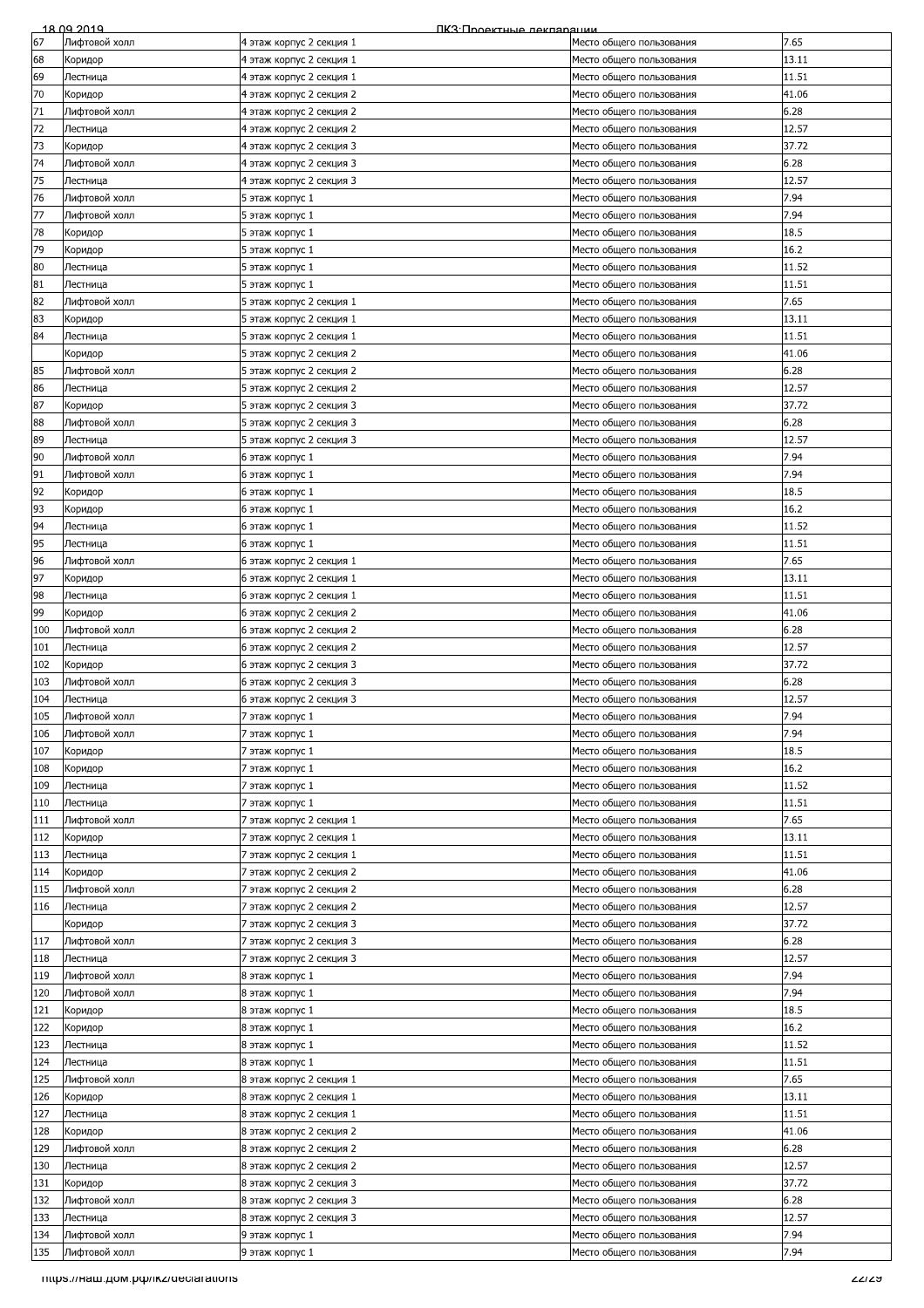| 67<br>7.65<br>Лифтовой холл<br>4 этаж корпус 2 секция 1<br>Место общего пользования<br>68<br>13.11<br>4 этаж корпус 2 секция 1<br>Коридор<br>Место общего пользования<br>69<br>Лестница<br>4 этаж корпус 2 секция 1<br>11.51<br>Место общего пользования<br>70<br>41.06<br>Коридор<br>4 этаж корпус 2 секция 2<br>Место общего пользования<br>71<br>6.28<br>Лифтовой холл<br>4 этаж корпус 2 секция 2<br>Место общего пользования<br>72<br>12.57<br>4 этаж корпус 2 секция 2<br>Место общего пользования<br>Лестница<br>73<br>37.72<br>Коридор<br>4 этаж корпус 2 секция 3<br>Место общего пользования<br>74<br>6.28<br>Лифтовой холл<br>4 этаж корпус 2 секция 3<br>Место общего пользования<br>75<br>12.57<br>Лестница<br>4 этаж корпус 2 секция 3<br>Место общего пользования<br>76<br>7.94<br>Лифтовой холл<br>Место общего пользования<br>5 этаж корпус 1<br>77<br>Лифтовой холл<br>7.94<br>5 этаж корпус 1<br>Место общего пользования<br>78<br>18.5<br>5 этаж корпус 1<br>Место общего пользования<br>Коридор<br>79<br>16.2<br>5 этаж корпус 1<br>Место общего пользования<br>Коридор<br>80<br>11.52<br>Лестница<br>5 этаж корпус 1<br>Место общего пользования<br>81<br>11.51<br>5 этаж корпус 1<br>Место общего пользования<br>Лестница<br>82<br>7.65<br>Лифтовой холл<br>5 этаж корпус 2 секция 1<br>Место общего пользования<br>83<br>13.11<br>5 этаж корпус 2 секция 1<br>Место общего пользования<br>Коридор<br>84<br>Лестница<br>5 этаж корпус 2 секция 1<br>11.51<br>Место общего пользования<br>5 этаж корпус 2 секция 2<br>41.06<br>Коридор<br>Место общего пользования<br>85<br>Лифтовой холл<br>5 этаж корпус 2 секция 2<br>6.28<br>Место общего пользования<br>86<br>12.57<br>5 этаж корпус 2 секция 2<br>Лестница<br>Место общего пользования<br>87<br>5 этаж корпус 2 секция 3<br>37.72<br>Коридор<br>Место общего пользования<br>88<br>6.28<br>Лифтовой холл<br>5 этаж корпус 2 секция 3<br>Место общего пользования<br>89<br>12.57<br>Лестница<br>5 этаж корпус 2 секция 3<br>Место общего пользования<br>90<br>7.94<br>Лифтовой холл<br>Место общего пользования<br>6 этаж корпус 1<br>91<br>7.94<br>Лифтовой холл<br>Место общего пользования<br>6 этаж корпус 1<br>92<br>18.5<br>6 этаж корпус 1<br>Место общего пользования<br>Коридор<br>93<br>16.2<br>6 этаж корпус 1<br>Место общего пользования<br>Коридор<br>94<br>11.52<br>Лестница<br>6 этаж корпус 1<br>Место общего пользования<br>95<br>11.51<br>Лестница<br>6 этаж корпус 1<br>Место общего пользования<br>96<br>7.65<br>Лифтовой холл<br>6 этаж корпус 2 секция 1<br>Место общего пользования<br>97<br>13.11<br>6 этаж корпус 2 секция 1<br>Место общего пользования<br>Коридор<br>98<br>11.51<br>6 этаж корпус 2 секция 1<br>Место общего пользования<br>Лестница<br>99<br>41.06<br>Коридор<br>6 этаж корпус 2 секция 2<br>Место общего пользования<br>100<br>6.28<br>Лифтовой холл<br>6 этаж корпус 2 секция 2<br>Место общего пользования<br>101<br>12.57<br>6 этаж корпус 2 секция 2<br>Место общего пользования<br>Лестница<br>102<br>37.72<br>6 этаж корпус 2 секция 3<br>Место общего пользования<br>Коридор<br>6.28<br>103<br>Лифтовой холл<br>6 этаж корпус 2 секция 3<br>Место общего пользования<br>104<br>12.57<br>Лестница<br>6 этаж корпус 2 секция 3<br>Место общего пользования<br>105<br>Лифтовой холл<br>7.94<br>7 этаж корпус 1<br>Место общего пользования<br>106<br>7.94<br>Лифтовой холл<br>7 этаж корпус 1<br>Место общего пользования<br>107<br>18.5<br>Коридор<br>7 этаж корпус 1<br>Место общего пользования<br>16.2<br>108<br>7 этаж корпус 1<br>Место общего пользования<br>Коридор<br>109<br>11.52<br>Лестница<br>7 этаж корпус 1<br>Место общего пользования<br>110<br>11.51<br>Лестница<br>7 этаж корпус 1<br>Место общего пользования<br>111<br>7.65<br>Лифтовой холл<br>7 этаж корпус 2 секция 1<br>Место общего пользования<br>112<br>13.11<br>Коридор<br>7 этаж корпус 2 секция 1<br>Место общего пользования<br>113<br>11.51<br>Лестница<br>7 этаж корпус 2 секция 1<br>Место общего пользования<br>114<br>41.06<br>Коридор<br>7 этаж корпус 2 секция 2<br>Место общего пользования<br>115<br>6.28<br>Лифтовой холл<br>7 этаж корпус 2 секция 2<br>Место общего пользования<br>12.57<br>116<br>7 этаж корпус 2 секция 2<br>Лестница<br>Место общего пользования<br>37.72<br>Коридор<br>7 этаж корпус 2 секция 3<br>Место общего пользования<br>117<br>Лифтовой холл<br>7 этаж корпус 2 секция 3<br>6.28<br>Место общего пользования<br>118<br>7 этаж корпус 2 секция 3<br>12.57<br>Лестница<br>Место общего пользования<br>119<br>7.94<br>Лифтовой холл<br>8 этаж корпус 1<br>Место общего пользования<br>120<br>7.94<br>Лифтовой холл<br>8 этаж корпус 1<br>Место общего пользования<br>121<br>18.5<br>8 этаж корпус 1<br>Место общего пользования<br>Коридор<br>16.2<br>122<br>8 этаж корпус 1<br>Коридор<br>Место общего пользования<br>123<br>11.52<br>Лестница<br>8 этаж корпус 1<br>Место общего пользования<br>124<br>11.51<br>Лестница<br>8 этаж корпус 1<br>Место общего пользования<br>125<br>7.65<br>Лифтовой холл<br>8 этаж корпус 2 секция 1<br>Место общего пользования<br>126<br>13.11<br>8 этаж корпус 2 секция 1<br>Место общего пользования<br>Коридор<br>127<br>11.51<br>8 этаж корпус 2 секция 1<br>Лестница<br>Место общего пользования<br>128<br>8 этаж корпус 2 секция 2<br>41.06<br>Коридор<br>Место общего пользования<br>129<br>8 этаж корпус 2 секция 2<br>6.28<br>Лифтовой холл<br>Место общего пользования<br>130<br>12.57<br>Лестница<br>8 этаж корпус 2 секция 2<br>Место общего пользования<br>131<br>37.72<br>8 этаж корпус 2 секция 3<br>Место общего пользования<br>Коридор<br>132<br>Лифтовой холл<br>8 этаж корпус 2 секция 3<br>6.28<br>Место общего пользования<br>133<br>12.57<br>Лестница<br>8 этаж корпус 2 секция 3<br>Место общего пользования<br>134<br>7.94<br>Лифтовой холл<br>9 этаж корпус 1<br>Место общего пользования<br>135<br>7.94<br>Лифтовой холл<br>9 этаж корпус 1<br>Место общего пользования<br>mups.//наш.дом.pф/ikz/declarations<br>771 <i>7</i> 2 | 18.09.2019 | ПКЗ: Проектные лекпарации |  |
|----------------------------------------------------------------------------------------------------------------------------------------------------------------------------------------------------------------------------------------------------------------------------------------------------------------------------------------------------------------------------------------------------------------------------------------------------------------------------------------------------------------------------------------------------------------------------------------------------------------------------------------------------------------------------------------------------------------------------------------------------------------------------------------------------------------------------------------------------------------------------------------------------------------------------------------------------------------------------------------------------------------------------------------------------------------------------------------------------------------------------------------------------------------------------------------------------------------------------------------------------------------------------------------------------------------------------------------------------------------------------------------------------------------------------------------------------------------------------------------------------------------------------------------------------------------------------------------------------------------------------------------------------------------------------------------------------------------------------------------------------------------------------------------------------------------------------------------------------------------------------------------------------------------------------------------------------------------------------------------------------------------------------------------------------------------------------------------------------------------------------------------------------------------------------------------------------------------------------------------------------------------------------------------------------------------------------------------------------------------------------------------------------------------------------------------------------------------------------------------------------------------------------------------------------------------------------------------------------------------------------------------------------------------------------------------------------------------------------------------------------------------------------------------------------------------------------------------------------------------------------------------------------------------------------------------------------------------------------------------------------------------------------------------------------------------------------------------------------------------------------------------------------------------------------------------------------------------------------------------------------------------------------------------------------------------------------------------------------------------------------------------------------------------------------------------------------------------------------------------------------------------------------------------------------------------------------------------------------------------------------------------------------------------------------------------------------------------------------------------------------------------------------------------------------------------------------------------------------------------------------------------------------------------------------------------------------------------------------------------------------------------------------------------------------------------------------------------------------------------------------------------------------------------------------------------------------------------------------------------------------------------------------------------------------------------------------------------------------------------------------------------------------------------------------------------------------------------------------------------------------------------------------------------------------------------------------------------------------------------------------------------------------------------------------------------------------------------------------------------------------------------------------------------------------------------------------------------------------------------------------------------------------------------------------------------------------------------------------------------------------------------------------------------------------------------------------------------------------------------------------------------------------------------------------------------------------------------------------------------------------------------------------------------------------------------------------------------------------------------------------------------------------------------------------------------------------------------------------------------------------------------------------------------------------------------------------------------------------------------------------------------------------------------------------------------------------------------------------------------------------------------------------------------------------------------------------------------------------------------------------------------------------------------------------------------------------------------------------------------------------------------------------------------------|------------|---------------------------|--|
|                                                                                                                                                                                                                                                                                                                                                                                                                                                                                                                                                                                                                                                                                                                                                                                                                                                                                                                                                                                                                                                                                                                                                                                                                                                                                                                                                                                                                                                                                                                                                                                                                                                                                                                                                                                                                                                                                                                                                                                                                                                                                                                                                                                                                                                                                                                                                                                                                                                                                                                                                                                                                                                                                                                                                                                                                                                                                                                                                                                                                                                                                                                                                                                                                                                                                                                                                                                                                                                                                                                                                                                                                                                                                                                                                                                                                                                                                                                                                                                                                                                                                                                                                                                                                                                                                                                                                                                                                                                                                                                                                                                                                                                                                                                                                                                                                                                                                                                                                                                                                                                                                                                                                                                                                                                                                                                                                                                                                                                                                                                                                                                                                                                                                                                                                                                                                                                                                                                                                                                                                                              |            |                           |  |
|                                                                                                                                                                                                                                                                                                                                                                                                                                                                                                                                                                                                                                                                                                                                                                                                                                                                                                                                                                                                                                                                                                                                                                                                                                                                                                                                                                                                                                                                                                                                                                                                                                                                                                                                                                                                                                                                                                                                                                                                                                                                                                                                                                                                                                                                                                                                                                                                                                                                                                                                                                                                                                                                                                                                                                                                                                                                                                                                                                                                                                                                                                                                                                                                                                                                                                                                                                                                                                                                                                                                                                                                                                                                                                                                                                                                                                                                                                                                                                                                                                                                                                                                                                                                                                                                                                                                                                                                                                                                                                                                                                                                                                                                                                                                                                                                                                                                                                                                                                                                                                                                                                                                                                                                                                                                                                                                                                                                                                                                                                                                                                                                                                                                                                                                                                                                                                                                                                                                                                                                                                              |            |                           |  |
|                                                                                                                                                                                                                                                                                                                                                                                                                                                                                                                                                                                                                                                                                                                                                                                                                                                                                                                                                                                                                                                                                                                                                                                                                                                                                                                                                                                                                                                                                                                                                                                                                                                                                                                                                                                                                                                                                                                                                                                                                                                                                                                                                                                                                                                                                                                                                                                                                                                                                                                                                                                                                                                                                                                                                                                                                                                                                                                                                                                                                                                                                                                                                                                                                                                                                                                                                                                                                                                                                                                                                                                                                                                                                                                                                                                                                                                                                                                                                                                                                                                                                                                                                                                                                                                                                                                                                                                                                                                                                                                                                                                                                                                                                                                                                                                                                                                                                                                                                                                                                                                                                                                                                                                                                                                                                                                                                                                                                                                                                                                                                                                                                                                                                                                                                                                                                                                                                                                                                                                                                                              |            |                           |  |
|                                                                                                                                                                                                                                                                                                                                                                                                                                                                                                                                                                                                                                                                                                                                                                                                                                                                                                                                                                                                                                                                                                                                                                                                                                                                                                                                                                                                                                                                                                                                                                                                                                                                                                                                                                                                                                                                                                                                                                                                                                                                                                                                                                                                                                                                                                                                                                                                                                                                                                                                                                                                                                                                                                                                                                                                                                                                                                                                                                                                                                                                                                                                                                                                                                                                                                                                                                                                                                                                                                                                                                                                                                                                                                                                                                                                                                                                                                                                                                                                                                                                                                                                                                                                                                                                                                                                                                                                                                                                                                                                                                                                                                                                                                                                                                                                                                                                                                                                                                                                                                                                                                                                                                                                                                                                                                                                                                                                                                                                                                                                                                                                                                                                                                                                                                                                                                                                                                                                                                                                                                              |            |                           |  |
|                                                                                                                                                                                                                                                                                                                                                                                                                                                                                                                                                                                                                                                                                                                                                                                                                                                                                                                                                                                                                                                                                                                                                                                                                                                                                                                                                                                                                                                                                                                                                                                                                                                                                                                                                                                                                                                                                                                                                                                                                                                                                                                                                                                                                                                                                                                                                                                                                                                                                                                                                                                                                                                                                                                                                                                                                                                                                                                                                                                                                                                                                                                                                                                                                                                                                                                                                                                                                                                                                                                                                                                                                                                                                                                                                                                                                                                                                                                                                                                                                                                                                                                                                                                                                                                                                                                                                                                                                                                                                                                                                                                                                                                                                                                                                                                                                                                                                                                                                                                                                                                                                                                                                                                                                                                                                                                                                                                                                                                                                                                                                                                                                                                                                                                                                                                                                                                                                                                                                                                                                                              |            |                           |  |
|                                                                                                                                                                                                                                                                                                                                                                                                                                                                                                                                                                                                                                                                                                                                                                                                                                                                                                                                                                                                                                                                                                                                                                                                                                                                                                                                                                                                                                                                                                                                                                                                                                                                                                                                                                                                                                                                                                                                                                                                                                                                                                                                                                                                                                                                                                                                                                                                                                                                                                                                                                                                                                                                                                                                                                                                                                                                                                                                                                                                                                                                                                                                                                                                                                                                                                                                                                                                                                                                                                                                                                                                                                                                                                                                                                                                                                                                                                                                                                                                                                                                                                                                                                                                                                                                                                                                                                                                                                                                                                                                                                                                                                                                                                                                                                                                                                                                                                                                                                                                                                                                                                                                                                                                                                                                                                                                                                                                                                                                                                                                                                                                                                                                                                                                                                                                                                                                                                                                                                                                                                              |            |                           |  |
|                                                                                                                                                                                                                                                                                                                                                                                                                                                                                                                                                                                                                                                                                                                                                                                                                                                                                                                                                                                                                                                                                                                                                                                                                                                                                                                                                                                                                                                                                                                                                                                                                                                                                                                                                                                                                                                                                                                                                                                                                                                                                                                                                                                                                                                                                                                                                                                                                                                                                                                                                                                                                                                                                                                                                                                                                                                                                                                                                                                                                                                                                                                                                                                                                                                                                                                                                                                                                                                                                                                                                                                                                                                                                                                                                                                                                                                                                                                                                                                                                                                                                                                                                                                                                                                                                                                                                                                                                                                                                                                                                                                                                                                                                                                                                                                                                                                                                                                                                                                                                                                                                                                                                                                                                                                                                                                                                                                                                                                                                                                                                                                                                                                                                                                                                                                                                                                                                                                                                                                                                                              |            |                           |  |
|                                                                                                                                                                                                                                                                                                                                                                                                                                                                                                                                                                                                                                                                                                                                                                                                                                                                                                                                                                                                                                                                                                                                                                                                                                                                                                                                                                                                                                                                                                                                                                                                                                                                                                                                                                                                                                                                                                                                                                                                                                                                                                                                                                                                                                                                                                                                                                                                                                                                                                                                                                                                                                                                                                                                                                                                                                                                                                                                                                                                                                                                                                                                                                                                                                                                                                                                                                                                                                                                                                                                                                                                                                                                                                                                                                                                                                                                                                                                                                                                                                                                                                                                                                                                                                                                                                                                                                                                                                                                                                                                                                                                                                                                                                                                                                                                                                                                                                                                                                                                                                                                                                                                                                                                                                                                                                                                                                                                                                                                                                                                                                                                                                                                                                                                                                                                                                                                                                                                                                                                                                              |            |                           |  |
|                                                                                                                                                                                                                                                                                                                                                                                                                                                                                                                                                                                                                                                                                                                                                                                                                                                                                                                                                                                                                                                                                                                                                                                                                                                                                                                                                                                                                                                                                                                                                                                                                                                                                                                                                                                                                                                                                                                                                                                                                                                                                                                                                                                                                                                                                                                                                                                                                                                                                                                                                                                                                                                                                                                                                                                                                                                                                                                                                                                                                                                                                                                                                                                                                                                                                                                                                                                                                                                                                                                                                                                                                                                                                                                                                                                                                                                                                                                                                                                                                                                                                                                                                                                                                                                                                                                                                                                                                                                                                                                                                                                                                                                                                                                                                                                                                                                                                                                                                                                                                                                                                                                                                                                                                                                                                                                                                                                                                                                                                                                                                                                                                                                                                                                                                                                                                                                                                                                                                                                                                                              |            |                           |  |
|                                                                                                                                                                                                                                                                                                                                                                                                                                                                                                                                                                                                                                                                                                                                                                                                                                                                                                                                                                                                                                                                                                                                                                                                                                                                                                                                                                                                                                                                                                                                                                                                                                                                                                                                                                                                                                                                                                                                                                                                                                                                                                                                                                                                                                                                                                                                                                                                                                                                                                                                                                                                                                                                                                                                                                                                                                                                                                                                                                                                                                                                                                                                                                                                                                                                                                                                                                                                                                                                                                                                                                                                                                                                                                                                                                                                                                                                                                                                                                                                                                                                                                                                                                                                                                                                                                                                                                                                                                                                                                                                                                                                                                                                                                                                                                                                                                                                                                                                                                                                                                                                                                                                                                                                                                                                                                                                                                                                                                                                                                                                                                                                                                                                                                                                                                                                                                                                                                                                                                                                                                              |            |                           |  |
|                                                                                                                                                                                                                                                                                                                                                                                                                                                                                                                                                                                                                                                                                                                                                                                                                                                                                                                                                                                                                                                                                                                                                                                                                                                                                                                                                                                                                                                                                                                                                                                                                                                                                                                                                                                                                                                                                                                                                                                                                                                                                                                                                                                                                                                                                                                                                                                                                                                                                                                                                                                                                                                                                                                                                                                                                                                                                                                                                                                                                                                                                                                                                                                                                                                                                                                                                                                                                                                                                                                                                                                                                                                                                                                                                                                                                                                                                                                                                                                                                                                                                                                                                                                                                                                                                                                                                                                                                                                                                                                                                                                                                                                                                                                                                                                                                                                                                                                                                                                                                                                                                                                                                                                                                                                                                                                                                                                                                                                                                                                                                                                                                                                                                                                                                                                                                                                                                                                                                                                                                                              |            |                           |  |
|                                                                                                                                                                                                                                                                                                                                                                                                                                                                                                                                                                                                                                                                                                                                                                                                                                                                                                                                                                                                                                                                                                                                                                                                                                                                                                                                                                                                                                                                                                                                                                                                                                                                                                                                                                                                                                                                                                                                                                                                                                                                                                                                                                                                                                                                                                                                                                                                                                                                                                                                                                                                                                                                                                                                                                                                                                                                                                                                                                                                                                                                                                                                                                                                                                                                                                                                                                                                                                                                                                                                                                                                                                                                                                                                                                                                                                                                                                                                                                                                                                                                                                                                                                                                                                                                                                                                                                                                                                                                                                                                                                                                                                                                                                                                                                                                                                                                                                                                                                                                                                                                                                                                                                                                                                                                                                                                                                                                                                                                                                                                                                                                                                                                                                                                                                                                                                                                                                                                                                                                                                              |            |                           |  |
|                                                                                                                                                                                                                                                                                                                                                                                                                                                                                                                                                                                                                                                                                                                                                                                                                                                                                                                                                                                                                                                                                                                                                                                                                                                                                                                                                                                                                                                                                                                                                                                                                                                                                                                                                                                                                                                                                                                                                                                                                                                                                                                                                                                                                                                                                                                                                                                                                                                                                                                                                                                                                                                                                                                                                                                                                                                                                                                                                                                                                                                                                                                                                                                                                                                                                                                                                                                                                                                                                                                                                                                                                                                                                                                                                                                                                                                                                                                                                                                                                                                                                                                                                                                                                                                                                                                                                                                                                                                                                                                                                                                                                                                                                                                                                                                                                                                                                                                                                                                                                                                                                                                                                                                                                                                                                                                                                                                                                                                                                                                                                                                                                                                                                                                                                                                                                                                                                                                                                                                                                                              |            |                           |  |
|                                                                                                                                                                                                                                                                                                                                                                                                                                                                                                                                                                                                                                                                                                                                                                                                                                                                                                                                                                                                                                                                                                                                                                                                                                                                                                                                                                                                                                                                                                                                                                                                                                                                                                                                                                                                                                                                                                                                                                                                                                                                                                                                                                                                                                                                                                                                                                                                                                                                                                                                                                                                                                                                                                                                                                                                                                                                                                                                                                                                                                                                                                                                                                                                                                                                                                                                                                                                                                                                                                                                                                                                                                                                                                                                                                                                                                                                                                                                                                                                                                                                                                                                                                                                                                                                                                                                                                                                                                                                                                                                                                                                                                                                                                                                                                                                                                                                                                                                                                                                                                                                                                                                                                                                                                                                                                                                                                                                                                                                                                                                                                                                                                                                                                                                                                                                                                                                                                                                                                                                                                              |            |                           |  |
|                                                                                                                                                                                                                                                                                                                                                                                                                                                                                                                                                                                                                                                                                                                                                                                                                                                                                                                                                                                                                                                                                                                                                                                                                                                                                                                                                                                                                                                                                                                                                                                                                                                                                                                                                                                                                                                                                                                                                                                                                                                                                                                                                                                                                                                                                                                                                                                                                                                                                                                                                                                                                                                                                                                                                                                                                                                                                                                                                                                                                                                                                                                                                                                                                                                                                                                                                                                                                                                                                                                                                                                                                                                                                                                                                                                                                                                                                                                                                                                                                                                                                                                                                                                                                                                                                                                                                                                                                                                                                                                                                                                                                                                                                                                                                                                                                                                                                                                                                                                                                                                                                                                                                                                                                                                                                                                                                                                                                                                                                                                                                                                                                                                                                                                                                                                                                                                                                                                                                                                                                                              |            |                           |  |
|                                                                                                                                                                                                                                                                                                                                                                                                                                                                                                                                                                                                                                                                                                                                                                                                                                                                                                                                                                                                                                                                                                                                                                                                                                                                                                                                                                                                                                                                                                                                                                                                                                                                                                                                                                                                                                                                                                                                                                                                                                                                                                                                                                                                                                                                                                                                                                                                                                                                                                                                                                                                                                                                                                                                                                                                                                                                                                                                                                                                                                                                                                                                                                                                                                                                                                                                                                                                                                                                                                                                                                                                                                                                                                                                                                                                                                                                                                                                                                                                                                                                                                                                                                                                                                                                                                                                                                                                                                                                                                                                                                                                                                                                                                                                                                                                                                                                                                                                                                                                                                                                                                                                                                                                                                                                                                                                                                                                                                                                                                                                                                                                                                                                                                                                                                                                                                                                                                                                                                                                                                              |            |                           |  |
|                                                                                                                                                                                                                                                                                                                                                                                                                                                                                                                                                                                                                                                                                                                                                                                                                                                                                                                                                                                                                                                                                                                                                                                                                                                                                                                                                                                                                                                                                                                                                                                                                                                                                                                                                                                                                                                                                                                                                                                                                                                                                                                                                                                                                                                                                                                                                                                                                                                                                                                                                                                                                                                                                                                                                                                                                                                                                                                                                                                                                                                                                                                                                                                                                                                                                                                                                                                                                                                                                                                                                                                                                                                                                                                                                                                                                                                                                                                                                                                                                                                                                                                                                                                                                                                                                                                                                                                                                                                                                                                                                                                                                                                                                                                                                                                                                                                                                                                                                                                                                                                                                                                                                                                                                                                                                                                                                                                                                                                                                                                                                                                                                                                                                                                                                                                                                                                                                                                                                                                                                                              |            |                           |  |
|                                                                                                                                                                                                                                                                                                                                                                                                                                                                                                                                                                                                                                                                                                                                                                                                                                                                                                                                                                                                                                                                                                                                                                                                                                                                                                                                                                                                                                                                                                                                                                                                                                                                                                                                                                                                                                                                                                                                                                                                                                                                                                                                                                                                                                                                                                                                                                                                                                                                                                                                                                                                                                                                                                                                                                                                                                                                                                                                                                                                                                                                                                                                                                                                                                                                                                                                                                                                                                                                                                                                                                                                                                                                                                                                                                                                                                                                                                                                                                                                                                                                                                                                                                                                                                                                                                                                                                                                                                                                                                                                                                                                                                                                                                                                                                                                                                                                                                                                                                                                                                                                                                                                                                                                                                                                                                                                                                                                                                                                                                                                                                                                                                                                                                                                                                                                                                                                                                                                                                                                                                              |            |                           |  |
|                                                                                                                                                                                                                                                                                                                                                                                                                                                                                                                                                                                                                                                                                                                                                                                                                                                                                                                                                                                                                                                                                                                                                                                                                                                                                                                                                                                                                                                                                                                                                                                                                                                                                                                                                                                                                                                                                                                                                                                                                                                                                                                                                                                                                                                                                                                                                                                                                                                                                                                                                                                                                                                                                                                                                                                                                                                                                                                                                                                                                                                                                                                                                                                                                                                                                                                                                                                                                                                                                                                                                                                                                                                                                                                                                                                                                                                                                                                                                                                                                                                                                                                                                                                                                                                                                                                                                                                                                                                                                                                                                                                                                                                                                                                                                                                                                                                                                                                                                                                                                                                                                                                                                                                                                                                                                                                                                                                                                                                                                                                                                                                                                                                                                                                                                                                                                                                                                                                                                                                                                                              |            |                           |  |
|                                                                                                                                                                                                                                                                                                                                                                                                                                                                                                                                                                                                                                                                                                                                                                                                                                                                                                                                                                                                                                                                                                                                                                                                                                                                                                                                                                                                                                                                                                                                                                                                                                                                                                                                                                                                                                                                                                                                                                                                                                                                                                                                                                                                                                                                                                                                                                                                                                                                                                                                                                                                                                                                                                                                                                                                                                                                                                                                                                                                                                                                                                                                                                                                                                                                                                                                                                                                                                                                                                                                                                                                                                                                                                                                                                                                                                                                                                                                                                                                                                                                                                                                                                                                                                                                                                                                                                                                                                                                                                                                                                                                                                                                                                                                                                                                                                                                                                                                                                                                                                                                                                                                                                                                                                                                                                                                                                                                                                                                                                                                                                                                                                                                                                                                                                                                                                                                                                                                                                                                                                              |            |                           |  |
|                                                                                                                                                                                                                                                                                                                                                                                                                                                                                                                                                                                                                                                                                                                                                                                                                                                                                                                                                                                                                                                                                                                                                                                                                                                                                                                                                                                                                                                                                                                                                                                                                                                                                                                                                                                                                                                                                                                                                                                                                                                                                                                                                                                                                                                                                                                                                                                                                                                                                                                                                                                                                                                                                                                                                                                                                                                                                                                                                                                                                                                                                                                                                                                                                                                                                                                                                                                                                                                                                                                                                                                                                                                                                                                                                                                                                                                                                                                                                                                                                                                                                                                                                                                                                                                                                                                                                                                                                                                                                                                                                                                                                                                                                                                                                                                                                                                                                                                                                                                                                                                                                                                                                                                                                                                                                                                                                                                                                                                                                                                                                                                                                                                                                                                                                                                                                                                                                                                                                                                                                                              |            |                           |  |
|                                                                                                                                                                                                                                                                                                                                                                                                                                                                                                                                                                                                                                                                                                                                                                                                                                                                                                                                                                                                                                                                                                                                                                                                                                                                                                                                                                                                                                                                                                                                                                                                                                                                                                                                                                                                                                                                                                                                                                                                                                                                                                                                                                                                                                                                                                                                                                                                                                                                                                                                                                                                                                                                                                                                                                                                                                                                                                                                                                                                                                                                                                                                                                                                                                                                                                                                                                                                                                                                                                                                                                                                                                                                                                                                                                                                                                                                                                                                                                                                                                                                                                                                                                                                                                                                                                                                                                                                                                                                                                                                                                                                                                                                                                                                                                                                                                                                                                                                                                                                                                                                                                                                                                                                                                                                                                                                                                                                                                                                                                                                                                                                                                                                                                                                                                                                                                                                                                                                                                                                                                              |            |                           |  |
|                                                                                                                                                                                                                                                                                                                                                                                                                                                                                                                                                                                                                                                                                                                                                                                                                                                                                                                                                                                                                                                                                                                                                                                                                                                                                                                                                                                                                                                                                                                                                                                                                                                                                                                                                                                                                                                                                                                                                                                                                                                                                                                                                                                                                                                                                                                                                                                                                                                                                                                                                                                                                                                                                                                                                                                                                                                                                                                                                                                                                                                                                                                                                                                                                                                                                                                                                                                                                                                                                                                                                                                                                                                                                                                                                                                                                                                                                                                                                                                                                                                                                                                                                                                                                                                                                                                                                                                                                                                                                                                                                                                                                                                                                                                                                                                                                                                                                                                                                                                                                                                                                                                                                                                                                                                                                                                                                                                                                                                                                                                                                                                                                                                                                                                                                                                                                                                                                                                                                                                                                                              |            |                           |  |
|                                                                                                                                                                                                                                                                                                                                                                                                                                                                                                                                                                                                                                                                                                                                                                                                                                                                                                                                                                                                                                                                                                                                                                                                                                                                                                                                                                                                                                                                                                                                                                                                                                                                                                                                                                                                                                                                                                                                                                                                                                                                                                                                                                                                                                                                                                                                                                                                                                                                                                                                                                                                                                                                                                                                                                                                                                                                                                                                                                                                                                                                                                                                                                                                                                                                                                                                                                                                                                                                                                                                                                                                                                                                                                                                                                                                                                                                                                                                                                                                                                                                                                                                                                                                                                                                                                                                                                                                                                                                                                                                                                                                                                                                                                                                                                                                                                                                                                                                                                                                                                                                                                                                                                                                                                                                                                                                                                                                                                                                                                                                                                                                                                                                                                                                                                                                                                                                                                                                                                                                                                              |            |                           |  |
|                                                                                                                                                                                                                                                                                                                                                                                                                                                                                                                                                                                                                                                                                                                                                                                                                                                                                                                                                                                                                                                                                                                                                                                                                                                                                                                                                                                                                                                                                                                                                                                                                                                                                                                                                                                                                                                                                                                                                                                                                                                                                                                                                                                                                                                                                                                                                                                                                                                                                                                                                                                                                                                                                                                                                                                                                                                                                                                                                                                                                                                                                                                                                                                                                                                                                                                                                                                                                                                                                                                                                                                                                                                                                                                                                                                                                                                                                                                                                                                                                                                                                                                                                                                                                                                                                                                                                                                                                                                                                                                                                                                                                                                                                                                                                                                                                                                                                                                                                                                                                                                                                                                                                                                                                                                                                                                                                                                                                                                                                                                                                                                                                                                                                                                                                                                                                                                                                                                                                                                                                                              |            |                           |  |
|                                                                                                                                                                                                                                                                                                                                                                                                                                                                                                                                                                                                                                                                                                                                                                                                                                                                                                                                                                                                                                                                                                                                                                                                                                                                                                                                                                                                                                                                                                                                                                                                                                                                                                                                                                                                                                                                                                                                                                                                                                                                                                                                                                                                                                                                                                                                                                                                                                                                                                                                                                                                                                                                                                                                                                                                                                                                                                                                                                                                                                                                                                                                                                                                                                                                                                                                                                                                                                                                                                                                                                                                                                                                                                                                                                                                                                                                                                                                                                                                                                                                                                                                                                                                                                                                                                                                                                                                                                                                                                                                                                                                                                                                                                                                                                                                                                                                                                                                                                                                                                                                                                                                                                                                                                                                                                                                                                                                                                                                                                                                                                                                                                                                                                                                                                                                                                                                                                                                                                                                                                              |            |                           |  |
|                                                                                                                                                                                                                                                                                                                                                                                                                                                                                                                                                                                                                                                                                                                                                                                                                                                                                                                                                                                                                                                                                                                                                                                                                                                                                                                                                                                                                                                                                                                                                                                                                                                                                                                                                                                                                                                                                                                                                                                                                                                                                                                                                                                                                                                                                                                                                                                                                                                                                                                                                                                                                                                                                                                                                                                                                                                                                                                                                                                                                                                                                                                                                                                                                                                                                                                                                                                                                                                                                                                                                                                                                                                                                                                                                                                                                                                                                                                                                                                                                                                                                                                                                                                                                                                                                                                                                                                                                                                                                                                                                                                                                                                                                                                                                                                                                                                                                                                                                                                                                                                                                                                                                                                                                                                                                                                                                                                                                                                                                                                                                                                                                                                                                                                                                                                                                                                                                                                                                                                                                                              |            |                           |  |
|                                                                                                                                                                                                                                                                                                                                                                                                                                                                                                                                                                                                                                                                                                                                                                                                                                                                                                                                                                                                                                                                                                                                                                                                                                                                                                                                                                                                                                                                                                                                                                                                                                                                                                                                                                                                                                                                                                                                                                                                                                                                                                                                                                                                                                                                                                                                                                                                                                                                                                                                                                                                                                                                                                                                                                                                                                                                                                                                                                                                                                                                                                                                                                                                                                                                                                                                                                                                                                                                                                                                                                                                                                                                                                                                                                                                                                                                                                                                                                                                                                                                                                                                                                                                                                                                                                                                                                                                                                                                                                                                                                                                                                                                                                                                                                                                                                                                                                                                                                                                                                                                                                                                                                                                                                                                                                                                                                                                                                                                                                                                                                                                                                                                                                                                                                                                                                                                                                                                                                                                                                              |            |                           |  |
|                                                                                                                                                                                                                                                                                                                                                                                                                                                                                                                                                                                                                                                                                                                                                                                                                                                                                                                                                                                                                                                                                                                                                                                                                                                                                                                                                                                                                                                                                                                                                                                                                                                                                                                                                                                                                                                                                                                                                                                                                                                                                                                                                                                                                                                                                                                                                                                                                                                                                                                                                                                                                                                                                                                                                                                                                                                                                                                                                                                                                                                                                                                                                                                                                                                                                                                                                                                                                                                                                                                                                                                                                                                                                                                                                                                                                                                                                                                                                                                                                                                                                                                                                                                                                                                                                                                                                                                                                                                                                                                                                                                                                                                                                                                                                                                                                                                                                                                                                                                                                                                                                                                                                                                                                                                                                                                                                                                                                                                                                                                                                                                                                                                                                                                                                                                                                                                                                                                                                                                                                                              |            |                           |  |
|                                                                                                                                                                                                                                                                                                                                                                                                                                                                                                                                                                                                                                                                                                                                                                                                                                                                                                                                                                                                                                                                                                                                                                                                                                                                                                                                                                                                                                                                                                                                                                                                                                                                                                                                                                                                                                                                                                                                                                                                                                                                                                                                                                                                                                                                                                                                                                                                                                                                                                                                                                                                                                                                                                                                                                                                                                                                                                                                                                                                                                                                                                                                                                                                                                                                                                                                                                                                                                                                                                                                                                                                                                                                                                                                                                                                                                                                                                                                                                                                                                                                                                                                                                                                                                                                                                                                                                                                                                                                                                                                                                                                                                                                                                                                                                                                                                                                                                                                                                                                                                                                                                                                                                                                                                                                                                                                                                                                                                                                                                                                                                                                                                                                                                                                                                                                                                                                                                                                                                                                                                              |            |                           |  |
|                                                                                                                                                                                                                                                                                                                                                                                                                                                                                                                                                                                                                                                                                                                                                                                                                                                                                                                                                                                                                                                                                                                                                                                                                                                                                                                                                                                                                                                                                                                                                                                                                                                                                                                                                                                                                                                                                                                                                                                                                                                                                                                                                                                                                                                                                                                                                                                                                                                                                                                                                                                                                                                                                                                                                                                                                                                                                                                                                                                                                                                                                                                                                                                                                                                                                                                                                                                                                                                                                                                                                                                                                                                                                                                                                                                                                                                                                                                                                                                                                                                                                                                                                                                                                                                                                                                                                                                                                                                                                                                                                                                                                                                                                                                                                                                                                                                                                                                                                                                                                                                                                                                                                                                                                                                                                                                                                                                                                                                                                                                                                                                                                                                                                                                                                                                                                                                                                                                                                                                                                                              |            |                           |  |
|                                                                                                                                                                                                                                                                                                                                                                                                                                                                                                                                                                                                                                                                                                                                                                                                                                                                                                                                                                                                                                                                                                                                                                                                                                                                                                                                                                                                                                                                                                                                                                                                                                                                                                                                                                                                                                                                                                                                                                                                                                                                                                                                                                                                                                                                                                                                                                                                                                                                                                                                                                                                                                                                                                                                                                                                                                                                                                                                                                                                                                                                                                                                                                                                                                                                                                                                                                                                                                                                                                                                                                                                                                                                                                                                                                                                                                                                                                                                                                                                                                                                                                                                                                                                                                                                                                                                                                                                                                                                                                                                                                                                                                                                                                                                                                                                                                                                                                                                                                                                                                                                                                                                                                                                                                                                                                                                                                                                                                                                                                                                                                                                                                                                                                                                                                                                                                                                                                                                                                                                                                              |            |                           |  |
|                                                                                                                                                                                                                                                                                                                                                                                                                                                                                                                                                                                                                                                                                                                                                                                                                                                                                                                                                                                                                                                                                                                                                                                                                                                                                                                                                                                                                                                                                                                                                                                                                                                                                                                                                                                                                                                                                                                                                                                                                                                                                                                                                                                                                                                                                                                                                                                                                                                                                                                                                                                                                                                                                                                                                                                                                                                                                                                                                                                                                                                                                                                                                                                                                                                                                                                                                                                                                                                                                                                                                                                                                                                                                                                                                                                                                                                                                                                                                                                                                                                                                                                                                                                                                                                                                                                                                                                                                                                                                                                                                                                                                                                                                                                                                                                                                                                                                                                                                                                                                                                                                                                                                                                                                                                                                                                                                                                                                                                                                                                                                                                                                                                                                                                                                                                                                                                                                                                                                                                                                                              |            |                           |  |
|                                                                                                                                                                                                                                                                                                                                                                                                                                                                                                                                                                                                                                                                                                                                                                                                                                                                                                                                                                                                                                                                                                                                                                                                                                                                                                                                                                                                                                                                                                                                                                                                                                                                                                                                                                                                                                                                                                                                                                                                                                                                                                                                                                                                                                                                                                                                                                                                                                                                                                                                                                                                                                                                                                                                                                                                                                                                                                                                                                                                                                                                                                                                                                                                                                                                                                                                                                                                                                                                                                                                                                                                                                                                                                                                                                                                                                                                                                                                                                                                                                                                                                                                                                                                                                                                                                                                                                                                                                                                                                                                                                                                                                                                                                                                                                                                                                                                                                                                                                                                                                                                                                                                                                                                                                                                                                                                                                                                                                                                                                                                                                                                                                                                                                                                                                                                                                                                                                                                                                                                                                              |            |                           |  |
|                                                                                                                                                                                                                                                                                                                                                                                                                                                                                                                                                                                                                                                                                                                                                                                                                                                                                                                                                                                                                                                                                                                                                                                                                                                                                                                                                                                                                                                                                                                                                                                                                                                                                                                                                                                                                                                                                                                                                                                                                                                                                                                                                                                                                                                                                                                                                                                                                                                                                                                                                                                                                                                                                                                                                                                                                                                                                                                                                                                                                                                                                                                                                                                                                                                                                                                                                                                                                                                                                                                                                                                                                                                                                                                                                                                                                                                                                                                                                                                                                                                                                                                                                                                                                                                                                                                                                                                                                                                                                                                                                                                                                                                                                                                                                                                                                                                                                                                                                                                                                                                                                                                                                                                                                                                                                                                                                                                                                                                                                                                                                                                                                                                                                                                                                                                                                                                                                                                                                                                                                                              |            |                           |  |
|                                                                                                                                                                                                                                                                                                                                                                                                                                                                                                                                                                                                                                                                                                                                                                                                                                                                                                                                                                                                                                                                                                                                                                                                                                                                                                                                                                                                                                                                                                                                                                                                                                                                                                                                                                                                                                                                                                                                                                                                                                                                                                                                                                                                                                                                                                                                                                                                                                                                                                                                                                                                                                                                                                                                                                                                                                                                                                                                                                                                                                                                                                                                                                                                                                                                                                                                                                                                                                                                                                                                                                                                                                                                                                                                                                                                                                                                                                                                                                                                                                                                                                                                                                                                                                                                                                                                                                                                                                                                                                                                                                                                                                                                                                                                                                                                                                                                                                                                                                                                                                                                                                                                                                                                                                                                                                                                                                                                                                                                                                                                                                                                                                                                                                                                                                                                                                                                                                                                                                                                                                              |            |                           |  |
|                                                                                                                                                                                                                                                                                                                                                                                                                                                                                                                                                                                                                                                                                                                                                                                                                                                                                                                                                                                                                                                                                                                                                                                                                                                                                                                                                                                                                                                                                                                                                                                                                                                                                                                                                                                                                                                                                                                                                                                                                                                                                                                                                                                                                                                                                                                                                                                                                                                                                                                                                                                                                                                                                                                                                                                                                                                                                                                                                                                                                                                                                                                                                                                                                                                                                                                                                                                                                                                                                                                                                                                                                                                                                                                                                                                                                                                                                                                                                                                                                                                                                                                                                                                                                                                                                                                                                                                                                                                                                                                                                                                                                                                                                                                                                                                                                                                                                                                                                                                                                                                                                                                                                                                                                                                                                                                                                                                                                                                                                                                                                                                                                                                                                                                                                                                                                                                                                                                                                                                                                                              |            |                           |  |
|                                                                                                                                                                                                                                                                                                                                                                                                                                                                                                                                                                                                                                                                                                                                                                                                                                                                                                                                                                                                                                                                                                                                                                                                                                                                                                                                                                                                                                                                                                                                                                                                                                                                                                                                                                                                                                                                                                                                                                                                                                                                                                                                                                                                                                                                                                                                                                                                                                                                                                                                                                                                                                                                                                                                                                                                                                                                                                                                                                                                                                                                                                                                                                                                                                                                                                                                                                                                                                                                                                                                                                                                                                                                                                                                                                                                                                                                                                                                                                                                                                                                                                                                                                                                                                                                                                                                                                                                                                                                                                                                                                                                                                                                                                                                                                                                                                                                                                                                                                                                                                                                                                                                                                                                                                                                                                                                                                                                                                                                                                                                                                                                                                                                                                                                                                                                                                                                                                                                                                                                                                              |            |                           |  |
|                                                                                                                                                                                                                                                                                                                                                                                                                                                                                                                                                                                                                                                                                                                                                                                                                                                                                                                                                                                                                                                                                                                                                                                                                                                                                                                                                                                                                                                                                                                                                                                                                                                                                                                                                                                                                                                                                                                                                                                                                                                                                                                                                                                                                                                                                                                                                                                                                                                                                                                                                                                                                                                                                                                                                                                                                                                                                                                                                                                                                                                                                                                                                                                                                                                                                                                                                                                                                                                                                                                                                                                                                                                                                                                                                                                                                                                                                                                                                                                                                                                                                                                                                                                                                                                                                                                                                                                                                                                                                                                                                                                                                                                                                                                                                                                                                                                                                                                                                                                                                                                                                                                                                                                                                                                                                                                                                                                                                                                                                                                                                                                                                                                                                                                                                                                                                                                                                                                                                                                                                                              |            |                           |  |
|                                                                                                                                                                                                                                                                                                                                                                                                                                                                                                                                                                                                                                                                                                                                                                                                                                                                                                                                                                                                                                                                                                                                                                                                                                                                                                                                                                                                                                                                                                                                                                                                                                                                                                                                                                                                                                                                                                                                                                                                                                                                                                                                                                                                                                                                                                                                                                                                                                                                                                                                                                                                                                                                                                                                                                                                                                                                                                                                                                                                                                                                                                                                                                                                                                                                                                                                                                                                                                                                                                                                                                                                                                                                                                                                                                                                                                                                                                                                                                                                                                                                                                                                                                                                                                                                                                                                                                                                                                                                                                                                                                                                                                                                                                                                                                                                                                                                                                                                                                                                                                                                                                                                                                                                                                                                                                                                                                                                                                                                                                                                                                                                                                                                                                                                                                                                                                                                                                                                                                                                                                              |            |                           |  |
|                                                                                                                                                                                                                                                                                                                                                                                                                                                                                                                                                                                                                                                                                                                                                                                                                                                                                                                                                                                                                                                                                                                                                                                                                                                                                                                                                                                                                                                                                                                                                                                                                                                                                                                                                                                                                                                                                                                                                                                                                                                                                                                                                                                                                                                                                                                                                                                                                                                                                                                                                                                                                                                                                                                                                                                                                                                                                                                                                                                                                                                                                                                                                                                                                                                                                                                                                                                                                                                                                                                                                                                                                                                                                                                                                                                                                                                                                                                                                                                                                                                                                                                                                                                                                                                                                                                                                                                                                                                                                                                                                                                                                                                                                                                                                                                                                                                                                                                                                                                                                                                                                                                                                                                                                                                                                                                                                                                                                                                                                                                                                                                                                                                                                                                                                                                                                                                                                                                                                                                                                                              |            |                           |  |
|                                                                                                                                                                                                                                                                                                                                                                                                                                                                                                                                                                                                                                                                                                                                                                                                                                                                                                                                                                                                                                                                                                                                                                                                                                                                                                                                                                                                                                                                                                                                                                                                                                                                                                                                                                                                                                                                                                                                                                                                                                                                                                                                                                                                                                                                                                                                                                                                                                                                                                                                                                                                                                                                                                                                                                                                                                                                                                                                                                                                                                                                                                                                                                                                                                                                                                                                                                                                                                                                                                                                                                                                                                                                                                                                                                                                                                                                                                                                                                                                                                                                                                                                                                                                                                                                                                                                                                                                                                                                                                                                                                                                                                                                                                                                                                                                                                                                                                                                                                                                                                                                                                                                                                                                                                                                                                                                                                                                                                                                                                                                                                                                                                                                                                                                                                                                                                                                                                                                                                                                                                              |            |                           |  |
|                                                                                                                                                                                                                                                                                                                                                                                                                                                                                                                                                                                                                                                                                                                                                                                                                                                                                                                                                                                                                                                                                                                                                                                                                                                                                                                                                                                                                                                                                                                                                                                                                                                                                                                                                                                                                                                                                                                                                                                                                                                                                                                                                                                                                                                                                                                                                                                                                                                                                                                                                                                                                                                                                                                                                                                                                                                                                                                                                                                                                                                                                                                                                                                                                                                                                                                                                                                                                                                                                                                                                                                                                                                                                                                                                                                                                                                                                                                                                                                                                                                                                                                                                                                                                                                                                                                                                                                                                                                                                                                                                                                                                                                                                                                                                                                                                                                                                                                                                                                                                                                                                                                                                                                                                                                                                                                                                                                                                                                                                                                                                                                                                                                                                                                                                                                                                                                                                                                                                                                                                                              |            |                           |  |
|                                                                                                                                                                                                                                                                                                                                                                                                                                                                                                                                                                                                                                                                                                                                                                                                                                                                                                                                                                                                                                                                                                                                                                                                                                                                                                                                                                                                                                                                                                                                                                                                                                                                                                                                                                                                                                                                                                                                                                                                                                                                                                                                                                                                                                                                                                                                                                                                                                                                                                                                                                                                                                                                                                                                                                                                                                                                                                                                                                                                                                                                                                                                                                                                                                                                                                                                                                                                                                                                                                                                                                                                                                                                                                                                                                                                                                                                                                                                                                                                                                                                                                                                                                                                                                                                                                                                                                                                                                                                                                                                                                                                                                                                                                                                                                                                                                                                                                                                                                                                                                                                                                                                                                                                                                                                                                                                                                                                                                                                                                                                                                                                                                                                                                                                                                                                                                                                                                                                                                                                                                              |            |                           |  |
|                                                                                                                                                                                                                                                                                                                                                                                                                                                                                                                                                                                                                                                                                                                                                                                                                                                                                                                                                                                                                                                                                                                                                                                                                                                                                                                                                                                                                                                                                                                                                                                                                                                                                                                                                                                                                                                                                                                                                                                                                                                                                                                                                                                                                                                                                                                                                                                                                                                                                                                                                                                                                                                                                                                                                                                                                                                                                                                                                                                                                                                                                                                                                                                                                                                                                                                                                                                                                                                                                                                                                                                                                                                                                                                                                                                                                                                                                                                                                                                                                                                                                                                                                                                                                                                                                                                                                                                                                                                                                                                                                                                                                                                                                                                                                                                                                                                                                                                                                                                                                                                                                                                                                                                                                                                                                                                                                                                                                                                                                                                                                                                                                                                                                                                                                                                                                                                                                                                                                                                                                                              |            |                           |  |
|                                                                                                                                                                                                                                                                                                                                                                                                                                                                                                                                                                                                                                                                                                                                                                                                                                                                                                                                                                                                                                                                                                                                                                                                                                                                                                                                                                                                                                                                                                                                                                                                                                                                                                                                                                                                                                                                                                                                                                                                                                                                                                                                                                                                                                                                                                                                                                                                                                                                                                                                                                                                                                                                                                                                                                                                                                                                                                                                                                                                                                                                                                                                                                                                                                                                                                                                                                                                                                                                                                                                                                                                                                                                                                                                                                                                                                                                                                                                                                                                                                                                                                                                                                                                                                                                                                                                                                                                                                                                                                                                                                                                                                                                                                                                                                                                                                                                                                                                                                                                                                                                                                                                                                                                                                                                                                                                                                                                                                                                                                                                                                                                                                                                                                                                                                                                                                                                                                                                                                                                                                              |            |                           |  |
|                                                                                                                                                                                                                                                                                                                                                                                                                                                                                                                                                                                                                                                                                                                                                                                                                                                                                                                                                                                                                                                                                                                                                                                                                                                                                                                                                                                                                                                                                                                                                                                                                                                                                                                                                                                                                                                                                                                                                                                                                                                                                                                                                                                                                                                                                                                                                                                                                                                                                                                                                                                                                                                                                                                                                                                                                                                                                                                                                                                                                                                                                                                                                                                                                                                                                                                                                                                                                                                                                                                                                                                                                                                                                                                                                                                                                                                                                                                                                                                                                                                                                                                                                                                                                                                                                                                                                                                                                                                                                                                                                                                                                                                                                                                                                                                                                                                                                                                                                                                                                                                                                                                                                                                                                                                                                                                                                                                                                                                                                                                                                                                                                                                                                                                                                                                                                                                                                                                                                                                                                                              |            |                           |  |
|                                                                                                                                                                                                                                                                                                                                                                                                                                                                                                                                                                                                                                                                                                                                                                                                                                                                                                                                                                                                                                                                                                                                                                                                                                                                                                                                                                                                                                                                                                                                                                                                                                                                                                                                                                                                                                                                                                                                                                                                                                                                                                                                                                                                                                                                                                                                                                                                                                                                                                                                                                                                                                                                                                                                                                                                                                                                                                                                                                                                                                                                                                                                                                                                                                                                                                                                                                                                                                                                                                                                                                                                                                                                                                                                                                                                                                                                                                                                                                                                                                                                                                                                                                                                                                                                                                                                                                                                                                                                                                                                                                                                                                                                                                                                                                                                                                                                                                                                                                                                                                                                                                                                                                                                                                                                                                                                                                                                                                                                                                                                                                                                                                                                                                                                                                                                                                                                                                                                                                                                                                              |            |                           |  |
|                                                                                                                                                                                                                                                                                                                                                                                                                                                                                                                                                                                                                                                                                                                                                                                                                                                                                                                                                                                                                                                                                                                                                                                                                                                                                                                                                                                                                                                                                                                                                                                                                                                                                                                                                                                                                                                                                                                                                                                                                                                                                                                                                                                                                                                                                                                                                                                                                                                                                                                                                                                                                                                                                                                                                                                                                                                                                                                                                                                                                                                                                                                                                                                                                                                                                                                                                                                                                                                                                                                                                                                                                                                                                                                                                                                                                                                                                                                                                                                                                                                                                                                                                                                                                                                                                                                                                                                                                                                                                                                                                                                                                                                                                                                                                                                                                                                                                                                                                                                                                                                                                                                                                                                                                                                                                                                                                                                                                                                                                                                                                                                                                                                                                                                                                                                                                                                                                                                                                                                                                                              |            |                           |  |
|                                                                                                                                                                                                                                                                                                                                                                                                                                                                                                                                                                                                                                                                                                                                                                                                                                                                                                                                                                                                                                                                                                                                                                                                                                                                                                                                                                                                                                                                                                                                                                                                                                                                                                                                                                                                                                                                                                                                                                                                                                                                                                                                                                                                                                                                                                                                                                                                                                                                                                                                                                                                                                                                                                                                                                                                                                                                                                                                                                                                                                                                                                                                                                                                                                                                                                                                                                                                                                                                                                                                                                                                                                                                                                                                                                                                                                                                                                                                                                                                                                                                                                                                                                                                                                                                                                                                                                                                                                                                                                                                                                                                                                                                                                                                                                                                                                                                                                                                                                                                                                                                                                                                                                                                                                                                                                                                                                                                                                                                                                                                                                                                                                                                                                                                                                                                                                                                                                                                                                                                                                              |            |                           |  |
|                                                                                                                                                                                                                                                                                                                                                                                                                                                                                                                                                                                                                                                                                                                                                                                                                                                                                                                                                                                                                                                                                                                                                                                                                                                                                                                                                                                                                                                                                                                                                                                                                                                                                                                                                                                                                                                                                                                                                                                                                                                                                                                                                                                                                                                                                                                                                                                                                                                                                                                                                                                                                                                                                                                                                                                                                                                                                                                                                                                                                                                                                                                                                                                                                                                                                                                                                                                                                                                                                                                                                                                                                                                                                                                                                                                                                                                                                                                                                                                                                                                                                                                                                                                                                                                                                                                                                                                                                                                                                                                                                                                                                                                                                                                                                                                                                                                                                                                                                                                                                                                                                                                                                                                                                                                                                                                                                                                                                                                                                                                                                                                                                                                                                                                                                                                                                                                                                                                                                                                                                                              |            |                           |  |
|                                                                                                                                                                                                                                                                                                                                                                                                                                                                                                                                                                                                                                                                                                                                                                                                                                                                                                                                                                                                                                                                                                                                                                                                                                                                                                                                                                                                                                                                                                                                                                                                                                                                                                                                                                                                                                                                                                                                                                                                                                                                                                                                                                                                                                                                                                                                                                                                                                                                                                                                                                                                                                                                                                                                                                                                                                                                                                                                                                                                                                                                                                                                                                                                                                                                                                                                                                                                                                                                                                                                                                                                                                                                                                                                                                                                                                                                                                                                                                                                                                                                                                                                                                                                                                                                                                                                                                                                                                                                                                                                                                                                                                                                                                                                                                                                                                                                                                                                                                                                                                                                                                                                                                                                                                                                                                                                                                                                                                                                                                                                                                                                                                                                                                                                                                                                                                                                                                                                                                                                                                              |            |                           |  |
|                                                                                                                                                                                                                                                                                                                                                                                                                                                                                                                                                                                                                                                                                                                                                                                                                                                                                                                                                                                                                                                                                                                                                                                                                                                                                                                                                                                                                                                                                                                                                                                                                                                                                                                                                                                                                                                                                                                                                                                                                                                                                                                                                                                                                                                                                                                                                                                                                                                                                                                                                                                                                                                                                                                                                                                                                                                                                                                                                                                                                                                                                                                                                                                                                                                                                                                                                                                                                                                                                                                                                                                                                                                                                                                                                                                                                                                                                                                                                                                                                                                                                                                                                                                                                                                                                                                                                                                                                                                                                                                                                                                                                                                                                                                                                                                                                                                                                                                                                                                                                                                                                                                                                                                                                                                                                                                                                                                                                                                                                                                                                                                                                                                                                                                                                                                                                                                                                                                                                                                                                                              |            |                           |  |
|                                                                                                                                                                                                                                                                                                                                                                                                                                                                                                                                                                                                                                                                                                                                                                                                                                                                                                                                                                                                                                                                                                                                                                                                                                                                                                                                                                                                                                                                                                                                                                                                                                                                                                                                                                                                                                                                                                                                                                                                                                                                                                                                                                                                                                                                                                                                                                                                                                                                                                                                                                                                                                                                                                                                                                                                                                                                                                                                                                                                                                                                                                                                                                                                                                                                                                                                                                                                                                                                                                                                                                                                                                                                                                                                                                                                                                                                                                                                                                                                                                                                                                                                                                                                                                                                                                                                                                                                                                                                                                                                                                                                                                                                                                                                                                                                                                                                                                                                                                                                                                                                                                                                                                                                                                                                                                                                                                                                                                                                                                                                                                                                                                                                                                                                                                                                                                                                                                                                                                                                                                              |            |                           |  |
|                                                                                                                                                                                                                                                                                                                                                                                                                                                                                                                                                                                                                                                                                                                                                                                                                                                                                                                                                                                                                                                                                                                                                                                                                                                                                                                                                                                                                                                                                                                                                                                                                                                                                                                                                                                                                                                                                                                                                                                                                                                                                                                                                                                                                                                                                                                                                                                                                                                                                                                                                                                                                                                                                                                                                                                                                                                                                                                                                                                                                                                                                                                                                                                                                                                                                                                                                                                                                                                                                                                                                                                                                                                                                                                                                                                                                                                                                                                                                                                                                                                                                                                                                                                                                                                                                                                                                                                                                                                                                                                                                                                                                                                                                                                                                                                                                                                                                                                                                                                                                                                                                                                                                                                                                                                                                                                                                                                                                                                                                                                                                                                                                                                                                                                                                                                                                                                                                                                                                                                                                                              |            |                           |  |
|                                                                                                                                                                                                                                                                                                                                                                                                                                                                                                                                                                                                                                                                                                                                                                                                                                                                                                                                                                                                                                                                                                                                                                                                                                                                                                                                                                                                                                                                                                                                                                                                                                                                                                                                                                                                                                                                                                                                                                                                                                                                                                                                                                                                                                                                                                                                                                                                                                                                                                                                                                                                                                                                                                                                                                                                                                                                                                                                                                                                                                                                                                                                                                                                                                                                                                                                                                                                                                                                                                                                                                                                                                                                                                                                                                                                                                                                                                                                                                                                                                                                                                                                                                                                                                                                                                                                                                                                                                                                                                                                                                                                                                                                                                                                                                                                                                                                                                                                                                                                                                                                                                                                                                                                                                                                                                                                                                                                                                                                                                                                                                                                                                                                                                                                                                                                                                                                                                                                                                                                                                              |            |                           |  |
|                                                                                                                                                                                                                                                                                                                                                                                                                                                                                                                                                                                                                                                                                                                                                                                                                                                                                                                                                                                                                                                                                                                                                                                                                                                                                                                                                                                                                                                                                                                                                                                                                                                                                                                                                                                                                                                                                                                                                                                                                                                                                                                                                                                                                                                                                                                                                                                                                                                                                                                                                                                                                                                                                                                                                                                                                                                                                                                                                                                                                                                                                                                                                                                                                                                                                                                                                                                                                                                                                                                                                                                                                                                                                                                                                                                                                                                                                                                                                                                                                                                                                                                                                                                                                                                                                                                                                                                                                                                                                                                                                                                                                                                                                                                                                                                                                                                                                                                                                                                                                                                                                                                                                                                                                                                                                                                                                                                                                                                                                                                                                                                                                                                                                                                                                                                                                                                                                                                                                                                                                                              |            |                           |  |
|                                                                                                                                                                                                                                                                                                                                                                                                                                                                                                                                                                                                                                                                                                                                                                                                                                                                                                                                                                                                                                                                                                                                                                                                                                                                                                                                                                                                                                                                                                                                                                                                                                                                                                                                                                                                                                                                                                                                                                                                                                                                                                                                                                                                                                                                                                                                                                                                                                                                                                                                                                                                                                                                                                                                                                                                                                                                                                                                                                                                                                                                                                                                                                                                                                                                                                                                                                                                                                                                                                                                                                                                                                                                                                                                                                                                                                                                                                                                                                                                                                                                                                                                                                                                                                                                                                                                                                                                                                                                                                                                                                                                                                                                                                                                                                                                                                                                                                                                                                                                                                                                                                                                                                                                                                                                                                                                                                                                                                                                                                                                                                                                                                                                                                                                                                                                                                                                                                                                                                                                                                              |            |                           |  |
|                                                                                                                                                                                                                                                                                                                                                                                                                                                                                                                                                                                                                                                                                                                                                                                                                                                                                                                                                                                                                                                                                                                                                                                                                                                                                                                                                                                                                                                                                                                                                                                                                                                                                                                                                                                                                                                                                                                                                                                                                                                                                                                                                                                                                                                                                                                                                                                                                                                                                                                                                                                                                                                                                                                                                                                                                                                                                                                                                                                                                                                                                                                                                                                                                                                                                                                                                                                                                                                                                                                                                                                                                                                                                                                                                                                                                                                                                                                                                                                                                                                                                                                                                                                                                                                                                                                                                                                                                                                                                                                                                                                                                                                                                                                                                                                                                                                                                                                                                                                                                                                                                                                                                                                                                                                                                                                                                                                                                                                                                                                                                                                                                                                                                                                                                                                                                                                                                                                                                                                                                                              |            |                           |  |
|                                                                                                                                                                                                                                                                                                                                                                                                                                                                                                                                                                                                                                                                                                                                                                                                                                                                                                                                                                                                                                                                                                                                                                                                                                                                                                                                                                                                                                                                                                                                                                                                                                                                                                                                                                                                                                                                                                                                                                                                                                                                                                                                                                                                                                                                                                                                                                                                                                                                                                                                                                                                                                                                                                                                                                                                                                                                                                                                                                                                                                                                                                                                                                                                                                                                                                                                                                                                                                                                                                                                                                                                                                                                                                                                                                                                                                                                                                                                                                                                                                                                                                                                                                                                                                                                                                                                                                                                                                                                                                                                                                                                                                                                                                                                                                                                                                                                                                                                                                                                                                                                                                                                                                                                                                                                                                                                                                                                                                                                                                                                                                                                                                                                                                                                                                                                                                                                                                                                                                                                                                              |            |                           |  |
|                                                                                                                                                                                                                                                                                                                                                                                                                                                                                                                                                                                                                                                                                                                                                                                                                                                                                                                                                                                                                                                                                                                                                                                                                                                                                                                                                                                                                                                                                                                                                                                                                                                                                                                                                                                                                                                                                                                                                                                                                                                                                                                                                                                                                                                                                                                                                                                                                                                                                                                                                                                                                                                                                                                                                                                                                                                                                                                                                                                                                                                                                                                                                                                                                                                                                                                                                                                                                                                                                                                                                                                                                                                                                                                                                                                                                                                                                                                                                                                                                                                                                                                                                                                                                                                                                                                                                                                                                                                                                                                                                                                                                                                                                                                                                                                                                                                                                                                                                                                                                                                                                                                                                                                                                                                                                                                                                                                                                                                                                                                                                                                                                                                                                                                                                                                                                                                                                                                                                                                                                                              |            |                           |  |
|                                                                                                                                                                                                                                                                                                                                                                                                                                                                                                                                                                                                                                                                                                                                                                                                                                                                                                                                                                                                                                                                                                                                                                                                                                                                                                                                                                                                                                                                                                                                                                                                                                                                                                                                                                                                                                                                                                                                                                                                                                                                                                                                                                                                                                                                                                                                                                                                                                                                                                                                                                                                                                                                                                                                                                                                                                                                                                                                                                                                                                                                                                                                                                                                                                                                                                                                                                                                                                                                                                                                                                                                                                                                                                                                                                                                                                                                                                                                                                                                                                                                                                                                                                                                                                                                                                                                                                                                                                                                                                                                                                                                                                                                                                                                                                                                                                                                                                                                                                                                                                                                                                                                                                                                                                                                                                                                                                                                                                                                                                                                                                                                                                                                                                                                                                                                                                                                                                                                                                                                                                              |            |                           |  |
|                                                                                                                                                                                                                                                                                                                                                                                                                                                                                                                                                                                                                                                                                                                                                                                                                                                                                                                                                                                                                                                                                                                                                                                                                                                                                                                                                                                                                                                                                                                                                                                                                                                                                                                                                                                                                                                                                                                                                                                                                                                                                                                                                                                                                                                                                                                                                                                                                                                                                                                                                                                                                                                                                                                                                                                                                                                                                                                                                                                                                                                                                                                                                                                                                                                                                                                                                                                                                                                                                                                                                                                                                                                                                                                                                                                                                                                                                                                                                                                                                                                                                                                                                                                                                                                                                                                                                                                                                                                                                                                                                                                                                                                                                                                                                                                                                                                                                                                                                                                                                                                                                                                                                                                                                                                                                                                                                                                                                                                                                                                                                                                                                                                                                                                                                                                                                                                                                                                                                                                                                                              |            |                           |  |
|                                                                                                                                                                                                                                                                                                                                                                                                                                                                                                                                                                                                                                                                                                                                                                                                                                                                                                                                                                                                                                                                                                                                                                                                                                                                                                                                                                                                                                                                                                                                                                                                                                                                                                                                                                                                                                                                                                                                                                                                                                                                                                                                                                                                                                                                                                                                                                                                                                                                                                                                                                                                                                                                                                                                                                                                                                                                                                                                                                                                                                                                                                                                                                                                                                                                                                                                                                                                                                                                                                                                                                                                                                                                                                                                                                                                                                                                                                                                                                                                                                                                                                                                                                                                                                                                                                                                                                                                                                                                                                                                                                                                                                                                                                                                                                                                                                                                                                                                                                                                                                                                                                                                                                                                                                                                                                                                                                                                                                                                                                                                                                                                                                                                                                                                                                                                                                                                                                                                                                                                                                              |            |                           |  |
|                                                                                                                                                                                                                                                                                                                                                                                                                                                                                                                                                                                                                                                                                                                                                                                                                                                                                                                                                                                                                                                                                                                                                                                                                                                                                                                                                                                                                                                                                                                                                                                                                                                                                                                                                                                                                                                                                                                                                                                                                                                                                                                                                                                                                                                                                                                                                                                                                                                                                                                                                                                                                                                                                                                                                                                                                                                                                                                                                                                                                                                                                                                                                                                                                                                                                                                                                                                                                                                                                                                                                                                                                                                                                                                                                                                                                                                                                                                                                                                                                                                                                                                                                                                                                                                                                                                                                                                                                                                                                                                                                                                                                                                                                                                                                                                                                                                                                                                                                                                                                                                                                                                                                                                                                                                                                                                                                                                                                                                                                                                                                                                                                                                                                                                                                                                                                                                                                                                                                                                                                                              |            |                           |  |
|                                                                                                                                                                                                                                                                                                                                                                                                                                                                                                                                                                                                                                                                                                                                                                                                                                                                                                                                                                                                                                                                                                                                                                                                                                                                                                                                                                                                                                                                                                                                                                                                                                                                                                                                                                                                                                                                                                                                                                                                                                                                                                                                                                                                                                                                                                                                                                                                                                                                                                                                                                                                                                                                                                                                                                                                                                                                                                                                                                                                                                                                                                                                                                                                                                                                                                                                                                                                                                                                                                                                                                                                                                                                                                                                                                                                                                                                                                                                                                                                                                                                                                                                                                                                                                                                                                                                                                                                                                                                                                                                                                                                                                                                                                                                                                                                                                                                                                                                                                                                                                                                                                                                                                                                                                                                                                                                                                                                                                                                                                                                                                                                                                                                                                                                                                                                                                                                                                                                                                                                                                              |            |                           |  |
|                                                                                                                                                                                                                                                                                                                                                                                                                                                                                                                                                                                                                                                                                                                                                                                                                                                                                                                                                                                                                                                                                                                                                                                                                                                                                                                                                                                                                                                                                                                                                                                                                                                                                                                                                                                                                                                                                                                                                                                                                                                                                                                                                                                                                                                                                                                                                                                                                                                                                                                                                                                                                                                                                                                                                                                                                                                                                                                                                                                                                                                                                                                                                                                                                                                                                                                                                                                                                                                                                                                                                                                                                                                                                                                                                                                                                                                                                                                                                                                                                                                                                                                                                                                                                                                                                                                                                                                                                                                                                                                                                                                                                                                                                                                                                                                                                                                                                                                                                                                                                                                                                                                                                                                                                                                                                                                                                                                                                                                                                                                                                                                                                                                                                                                                                                                                                                                                                                                                                                                                                                              |            |                           |  |
|                                                                                                                                                                                                                                                                                                                                                                                                                                                                                                                                                                                                                                                                                                                                                                                                                                                                                                                                                                                                                                                                                                                                                                                                                                                                                                                                                                                                                                                                                                                                                                                                                                                                                                                                                                                                                                                                                                                                                                                                                                                                                                                                                                                                                                                                                                                                                                                                                                                                                                                                                                                                                                                                                                                                                                                                                                                                                                                                                                                                                                                                                                                                                                                                                                                                                                                                                                                                                                                                                                                                                                                                                                                                                                                                                                                                                                                                                                                                                                                                                                                                                                                                                                                                                                                                                                                                                                                                                                                                                                                                                                                                                                                                                                                                                                                                                                                                                                                                                                                                                                                                                                                                                                                                                                                                                                                                                                                                                                                                                                                                                                                                                                                                                                                                                                                                                                                                                                                                                                                                                                              |            |                           |  |
|                                                                                                                                                                                                                                                                                                                                                                                                                                                                                                                                                                                                                                                                                                                                                                                                                                                                                                                                                                                                                                                                                                                                                                                                                                                                                                                                                                                                                                                                                                                                                                                                                                                                                                                                                                                                                                                                                                                                                                                                                                                                                                                                                                                                                                                                                                                                                                                                                                                                                                                                                                                                                                                                                                                                                                                                                                                                                                                                                                                                                                                                                                                                                                                                                                                                                                                                                                                                                                                                                                                                                                                                                                                                                                                                                                                                                                                                                                                                                                                                                                                                                                                                                                                                                                                                                                                                                                                                                                                                                                                                                                                                                                                                                                                                                                                                                                                                                                                                                                                                                                                                                                                                                                                                                                                                                                                                                                                                                                                                                                                                                                                                                                                                                                                                                                                                                                                                                                                                                                                                                                              |            |                           |  |
|                                                                                                                                                                                                                                                                                                                                                                                                                                                                                                                                                                                                                                                                                                                                                                                                                                                                                                                                                                                                                                                                                                                                                                                                                                                                                                                                                                                                                                                                                                                                                                                                                                                                                                                                                                                                                                                                                                                                                                                                                                                                                                                                                                                                                                                                                                                                                                                                                                                                                                                                                                                                                                                                                                                                                                                                                                                                                                                                                                                                                                                                                                                                                                                                                                                                                                                                                                                                                                                                                                                                                                                                                                                                                                                                                                                                                                                                                                                                                                                                                                                                                                                                                                                                                                                                                                                                                                                                                                                                                                                                                                                                                                                                                                                                                                                                                                                                                                                                                                                                                                                                                                                                                                                                                                                                                                                                                                                                                                                                                                                                                                                                                                                                                                                                                                                                                                                                                                                                                                                                                                              |            |                           |  |
|                                                                                                                                                                                                                                                                                                                                                                                                                                                                                                                                                                                                                                                                                                                                                                                                                                                                                                                                                                                                                                                                                                                                                                                                                                                                                                                                                                                                                                                                                                                                                                                                                                                                                                                                                                                                                                                                                                                                                                                                                                                                                                                                                                                                                                                                                                                                                                                                                                                                                                                                                                                                                                                                                                                                                                                                                                                                                                                                                                                                                                                                                                                                                                                                                                                                                                                                                                                                                                                                                                                                                                                                                                                                                                                                                                                                                                                                                                                                                                                                                                                                                                                                                                                                                                                                                                                                                                                                                                                                                                                                                                                                                                                                                                                                                                                                                                                                                                                                                                                                                                                                                                                                                                                                                                                                                                                                                                                                                                                                                                                                                                                                                                                                                                                                                                                                                                                                                                                                                                                                                                              |            |                           |  |
|                                                                                                                                                                                                                                                                                                                                                                                                                                                                                                                                                                                                                                                                                                                                                                                                                                                                                                                                                                                                                                                                                                                                                                                                                                                                                                                                                                                                                                                                                                                                                                                                                                                                                                                                                                                                                                                                                                                                                                                                                                                                                                                                                                                                                                                                                                                                                                                                                                                                                                                                                                                                                                                                                                                                                                                                                                                                                                                                                                                                                                                                                                                                                                                                                                                                                                                                                                                                                                                                                                                                                                                                                                                                                                                                                                                                                                                                                                                                                                                                                                                                                                                                                                                                                                                                                                                                                                                                                                                                                                                                                                                                                                                                                                                                                                                                                                                                                                                                                                                                                                                                                                                                                                                                                                                                                                                                                                                                                                                                                                                                                                                                                                                                                                                                                                                                                                                                                                                                                                                                                                              |            |                           |  |
|                                                                                                                                                                                                                                                                                                                                                                                                                                                                                                                                                                                                                                                                                                                                                                                                                                                                                                                                                                                                                                                                                                                                                                                                                                                                                                                                                                                                                                                                                                                                                                                                                                                                                                                                                                                                                                                                                                                                                                                                                                                                                                                                                                                                                                                                                                                                                                                                                                                                                                                                                                                                                                                                                                                                                                                                                                                                                                                                                                                                                                                                                                                                                                                                                                                                                                                                                                                                                                                                                                                                                                                                                                                                                                                                                                                                                                                                                                                                                                                                                                                                                                                                                                                                                                                                                                                                                                                                                                                                                                                                                                                                                                                                                                                                                                                                                                                                                                                                                                                                                                                                                                                                                                                                                                                                                                                                                                                                                                                                                                                                                                                                                                                                                                                                                                                                                                                                                                                                                                                                                                              |            |                           |  |
|                                                                                                                                                                                                                                                                                                                                                                                                                                                                                                                                                                                                                                                                                                                                                                                                                                                                                                                                                                                                                                                                                                                                                                                                                                                                                                                                                                                                                                                                                                                                                                                                                                                                                                                                                                                                                                                                                                                                                                                                                                                                                                                                                                                                                                                                                                                                                                                                                                                                                                                                                                                                                                                                                                                                                                                                                                                                                                                                                                                                                                                                                                                                                                                                                                                                                                                                                                                                                                                                                                                                                                                                                                                                                                                                                                                                                                                                                                                                                                                                                                                                                                                                                                                                                                                                                                                                                                                                                                                                                                                                                                                                                                                                                                                                                                                                                                                                                                                                                                                                                                                                                                                                                                                                                                                                                                                                                                                                                                                                                                                                                                                                                                                                                                                                                                                                                                                                                                                                                                                                                                              |            |                           |  |
|                                                                                                                                                                                                                                                                                                                                                                                                                                                                                                                                                                                                                                                                                                                                                                                                                                                                                                                                                                                                                                                                                                                                                                                                                                                                                                                                                                                                                                                                                                                                                                                                                                                                                                                                                                                                                                                                                                                                                                                                                                                                                                                                                                                                                                                                                                                                                                                                                                                                                                                                                                                                                                                                                                                                                                                                                                                                                                                                                                                                                                                                                                                                                                                                                                                                                                                                                                                                                                                                                                                                                                                                                                                                                                                                                                                                                                                                                                                                                                                                                                                                                                                                                                                                                                                                                                                                                                                                                                                                                                                                                                                                                                                                                                                                                                                                                                                                                                                                                                                                                                                                                                                                                                                                                                                                                                                                                                                                                                                                                                                                                                                                                                                                                                                                                                                                                                                                                                                                                                                                                                              |            |                           |  |
|                                                                                                                                                                                                                                                                                                                                                                                                                                                                                                                                                                                                                                                                                                                                                                                                                                                                                                                                                                                                                                                                                                                                                                                                                                                                                                                                                                                                                                                                                                                                                                                                                                                                                                                                                                                                                                                                                                                                                                                                                                                                                                                                                                                                                                                                                                                                                                                                                                                                                                                                                                                                                                                                                                                                                                                                                                                                                                                                                                                                                                                                                                                                                                                                                                                                                                                                                                                                                                                                                                                                                                                                                                                                                                                                                                                                                                                                                                                                                                                                                                                                                                                                                                                                                                                                                                                                                                                                                                                                                                                                                                                                                                                                                                                                                                                                                                                                                                                                                                                                                                                                                                                                                                                                                                                                                                                                                                                                                                                                                                                                                                                                                                                                                                                                                                                                                                                                                                                                                                                                                                              |            |                           |  |
|                                                                                                                                                                                                                                                                                                                                                                                                                                                                                                                                                                                                                                                                                                                                                                                                                                                                                                                                                                                                                                                                                                                                                                                                                                                                                                                                                                                                                                                                                                                                                                                                                                                                                                                                                                                                                                                                                                                                                                                                                                                                                                                                                                                                                                                                                                                                                                                                                                                                                                                                                                                                                                                                                                                                                                                                                                                                                                                                                                                                                                                                                                                                                                                                                                                                                                                                                                                                                                                                                                                                                                                                                                                                                                                                                                                                                                                                                                                                                                                                                                                                                                                                                                                                                                                                                                                                                                                                                                                                                                                                                                                                                                                                                                                                                                                                                                                                                                                                                                                                                                                                                                                                                                                                                                                                                                                                                                                                                                                                                                                                                                                                                                                                                                                                                                                                                                                                                                                                                                                                                                              |            |                           |  |
|                                                                                                                                                                                                                                                                                                                                                                                                                                                                                                                                                                                                                                                                                                                                                                                                                                                                                                                                                                                                                                                                                                                                                                                                                                                                                                                                                                                                                                                                                                                                                                                                                                                                                                                                                                                                                                                                                                                                                                                                                                                                                                                                                                                                                                                                                                                                                                                                                                                                                                                                                                                                                                                                                                                                                                                                                                                                                                                                                                                                                                                                                                                                                                                                                                                                                                                                                                                                                                                                                                                                                                                                                                                                                                                                                                                                                                                                                                                                                                                                                                                                                                                                                                                                                                                                                                                                                                                                                                                                                                                                                                                                                                                                                                                                                                                                                                                                                                                                                                                                                                                                                                                                                                                                                                                                                                                                                                                                                                                                                                                                                                                                                                                                                                                                                                                                                                                                                                                                                                                                                                              |            |                           |  |
|                                                                                                                                                                                                                                                                                                                                                                                                                                                                                                                                                                                                                                                                                                                                                                                                                                                                                                                                                                                                                                                                                                                                                                                                                                                                                                                                                                                                                                                                                                                                                                                                                                                                                                                                                                                                                                                                                                                                                                                                                                                                                                                                                                                                                                                                                                                                                                                                                                                                                                                                                                                                                                                                                                                                                                                                                                                                                                                                                                                                                                                                                                                                                                                                                                                                                                                                                                                                                                                                                                                                                                                                                                                                                                                                                                                                                                                                                                                                                                                                                                                                                                                                                                                                                                                                                                                                                                                                                                                                                                                                                                                                                                                                                                                                                                                                                                                                                                                                                                                                                                                                                                                                                                                                                                                                                                                                                                                                                                                                                                                                                                                                                                                                                                                                                                                                                                                                                                                                                                                                                                              |            |                           |  |
|                                                                                                                                                                                                                                                                                                                                                                                                                                                                                                                                                                                                                                                                                                                                                                                                                                                                                                                                                                                                                                                                                                                                                                                                                                                                                                                                                                                                                                                                                                                                                                                                                                                                                                                                                                                                                                                                                                                                                                                                                                                                                                                                                                                                                                                                                                                                                                                                                                                                                                                                                                                                                                                                                                                                                                                                                                                                                                                                                                                                                                                                                                                                                                                                                                                                                                                                                                                                                                                                                                                                                                                                                                                                                                                                                                                                                                                                                                                                                                                                                                                                                                                                                                                                                                                                                                                                                                                                                                                                                                                                                                                                                                                                                                                                                                                                                                                                                                                                                                                                                                                                                                                                                                                                                                                                                                                                                                                                                                                                                                                                                                                                                                                                                                                                                                                                                                                                                                                                                                                                                                              |            |                           |  |
|                                                                                                                                                                                                                                                                                                                                                                                                                                                                                                                                                                                                                                                                                                                                                                                                                                                                                                                                                                                                                                                                                                                                                                                                                                                                                                                                                                                                                                                                                                                                                                                                                                                                                                                                                                                                                                                                                                                                                                                                                                                                                                                                                                                                                                                                                                                                                                                                                                                                                                                                                                                                                                                                                                                                                                                                                                                                                                                                                                                                                                                                                                                                                                                                                                                                                                                                                                                                                                                                                                                                                                                                                                                                                                                                                                                                                                                                                                                                                                                                                                                                                                                                                                                                                                                                                                                                                                                                                                                                                                                                                                                                                                                                                                                                                                                                                                                                                                                                                                                                                                                                                                                                                                                                                                                                                                                                                                                                                                                                                                                                                                                                                                                                                                                                                                                                                                                                                                                                                                                                                                              |            |                           |  |
|                                                                                                                                                                                                                                                                                                                                                                                                                                                                                                                                                                                                                                                                                                                                                                                                                                                                                                                                                                                                                                                                                                                                                                                                                                                                                                                                                                                                                                                                                                                                                                                                                                                                                                                                                                                                                                                                                                                                                                                                                                                                                                                                                                                                                                                                                                                                                                                                                                                                                                                                                                                                                                                                                                                                                                                                                                                                                                                                                                                                                                                                                                                                                                                                                                                                                                                                                                                                                                                                                                                                                                                                                                                                                                                                                                                                                                                                                                                                                                                                                                                                                                                                                                                                                                                                                                                                                                                                                                                                                                                                                                                                                                                                                                                                                                                                                                                                                                                                                                                                                                                                                                                                                                                                                                                                                                                                                                                                                                                                                                                                                                                                                                                                                                                                                                                                                                                                                                                                                                                                                                              |            |                           |  |
|                                                                                                                                                                                                                                                                                                                                                                                                                                                                                                                                                                                                                                                                                                                                                                                                                                                                                                                                                                                                                                                                                                                                                                                                                                                                                                                                                                                                                                                                                                                                                                                                                                                                                                                                                                                                                                                                                                                                                                                                                                                                                                                                                                                                                                                                                                                                                                                                                                                                                                                                                                                                                                                                                                                                                                                                                                                                                                                                                                                                                                                                                                                                                                                                                                                                                                                                                                                                                                                                                                                                                                                                                                                                                                                                                                                                                                                                                                                                                                                                                                                                                                                                                                                                                                                                                                                                                                                                                                                                                                                                                                                                                                                                                                                                                                                                                                                                                                                                                                                                                                                                                                                                                                                                                                                                                                                                                                                                                                                                                                                                                                                                                                                                                                                                                                                                                                                                                                                                                                                                                                              |            |                           |  |
|                                                                                                                                                                                                                                                                                                                                                                                                                                                                                                                                                                                                                                                                                                                                                                                                                                                                                                                                                                                                                                                                                                                                                                                                                                                                                                                                                                                                                                                                                                                                                                                                                                                                                                                                                                                                                                                                                                                                                                                                                                                                                                                                                                                                                                                                                                                                                                                                                                                                                                                                                                                                                                                                                                                                                                                                                                                                                                                                                                                                                                                                                                                                                                                                                                                                                                                                                                                                                                                                                                                                                                                                                                                                                                                                                                                                                                                                                                                                                                                                                                                                                                                                                                                                                                                                                                                                                                                                                                                                                                                                                                                                                                                                                                                                                                                                                                                                                                                                                                                                                                                                                                                                                                                                                                                                                                                                                                                                                                                                                                                                                                                                                                                                                                                                                                                                                                                                                                                                                                                                                                              |            |                           |  |
|                                                                                                                                                                                                                                                                                                                                                                                                                                                                                                                                                                                                                                                                                                                                                                                                                                                                                                                                                                                                                                                                                                                                                                                                                                                                                                                                                                                                                                                                                                                                                                                                                                                                                                                                                                                                                                                                                                                                                                                                                                                                                                                                                                                                                                                                                                                                                                                                                                                                                                                                                                                                                                                                                                                                                                                                                                                                                                                                                                                                                                                                                                                                                                                                                                                                                                                                                                                                                                                                                                                                                                                                                                                                                                                                                                                                                                                                                                                                                                                                                                                                                                                                                                                                                                                                                                                                                                                                                                                                                                                                                                                                                                                                                                                                                                                                                                                                                                                                                                                                                                                                                                                                                                                                                                                                                                                                                                                                                                                                                                                                                                                                                                                                                                                                                                                                                                                                                                                                                                                                                                              |            |                           |  |
|                                                                                                                                                                                                                                                                                                                                                                                                                                                                                                                                                                                                                                                                                                                                                                                                                                                                                                                                                                                                                                                                                                                                                                                                                                                                                                                                                                                                                                                                                                                                                                                                                                                                                                                                                                                                                                                                                                                                                                                                                                                                                                                                                                                                                                                                                                                                                                                                                                                                                                                                                                                                                                                                                                                                                                                                                                                                                                                                                                                                                                                                                                                                                                                                                                                                                                                                                                                                                                                                                                                                                                                                                                                                                                                                                                                                                                                                                                                                                                                                                                                                                                                                                                                                                                                                                                                                                                                                                                                                                                                                                                                                                                                                                                                                                                                                                                                                                                                                                                                                                                                                                                                                                                                                                                                                                                                                                                                                                                                                                                                                                                                                                                                                                                                                                                                                                                                                                                                                                                                                                                              |            |                           |  |
|                                                                                                                                                                                                                                                                                                                                                                                                                                                                                                                                                                                                                                                                                                                                                                                                                                                                                                                                                                                                                                                                                                                                                                                                                                                                                                                                                                                                                                                                                                                                                                                                                                                                                                                                                                                                                                                                                                                                                                                                                                                                                                                                                                                                                                                                                                                                                                                                                                                                                                                                                                                                                                                                                                                                                                                                                                                                                                                                                                                                                                                                                                                                                                                                                                                                                                                                                                                                                                                                                                                                                                                                                                                                                                                                                                                                                                                                                                                                                                                                                                                                                                                                                                                                                                                                                                                                                                                                                                                                                                                                                                                                                                                                                                                                                                                                                                                                                                                                                                                                                                                                                                                                                                                                                                                                                                                                                                                                                                                                                                                                                                                                                                                                                                                                                                                                                                                                                                                                                                                                                                              |            |                           |  |
|                                                                                                                                                                                                                                                                                                                                                                                                                                                                                                                                                                                                                                                                                                                                                                                                                                                                                                                                                                                                                                                                                                                                                                                                                                                                                                                                                                                                                                                                                                                                                                                                                                                                                                                                                                                                                                                                                                                                                                                                                                                                                                                                                                                                                                                                                                                                                                                                                                                                                                                                                                                                                                                                                                                                                                                                                                                                                                                                                                                                                                                                                                                                                                                                                                                                                                                                                                                                                                                                                                                                                                                                                                                                                                                                                                                                                                                                                                                                                                                                                                                                                                                                                                                                                                                                                                                                                                                                                                                                                                                                                                                                                                                                                                                                                                                                                                                                                                                                                                                                                                                                                                                                                                                                                                                                                                                                                                                                                                                                                                                                                                                                                                                                                                                                                                                                                                                                                                                                                                                                                                              |            |                           |  |
|                                                                                                                                                                                                                                                                                                                                                                                                                                                                                                                                                                                                                                                                                                                                                                                                                                                                                                                                                                                                                                                                                                                                                                                                                                                                                                                                                                                                                                                                                                                                                                                                                                                                                                                                                                                                                                                                                                                                                                                                                                                                                                                                                                                                                                                                                                                                                                                                                                                                                                                                                                                                                                                                                                                                                                                                                                                                                                                                                                                                                                                                                                                                                                                                                                                                                                                                                                                                                                                                                                                                                                                                                                                                                                                                                                                                                                                                                                                                                                                                                                                                                                                                                                                                                                                                                                                                                                                                                                                                                                                                                                                                                                                                                                                                                                                                                                                                                                                                                                                                                                                                                                                                                                                                                                                                                                                                                                                                                                                                                                                                                                                                                                                                                                                                                                                                                                                                                                                                                                                                                                              |            |                           |  |
|                                                                                                                                                                                                                                                                                                                                                                                                                                                                                                                                                                                                                                                                                                                                                                                                                                                                                                                                                                                                                                                                                                                                                                                                                                                                                                                                                                                                                                                                                                                                                                                                                                                                                                                                                                                                                                                                                                                                                                                                                                                                                                                                                                                                                                                                                                                                                                                                                                                                                                                                                                                                                                                                                                                                                                                                                                                                                                                                                                                                                                                                                                                                                                                                                                                                                                                                                                                                                                                                                                                                                                                                                                                                                                                                                                                                                                                                                                                                                                                                                                                                                                                                                                                                                                                                                                                                                                                                                                                                                                                                                                                                                                                                                                                                                                                                                                                                                                                                                                                                                                                                                                                                                                                                                                                                                                                                                                                                                                                                                                                                                                                                                                                                                                                                                                                                                                                                                                                                                                                                                                              |            |                           |  |
|                                                                                                                                                                                                                                                                                                                                                                                                                                                                                                                                                                                                                                                                                                                                                                                                                                                                                                                                                                                                                                                                                                                                                                                                                                                                                                                                                                                                                                                                                                                                                                                                                                                                                                                                                                                                                                                                                                                                                                                                                                                                                                                                                                                                                                                                                                                                                                                                                                                                                                                                                                                                                                                                                                                                                                                                                                                                                                                                                                                                                                                                                                                                                                                                                                                                                                                                                                                                                                                                                                                                                                                                                                                                                                                                                                                                                                                                                                                                                                                                                                                                                                                                                                                                                                                                                                                                                                                                                                                                                                                                                                                                                                                                                                                                                                                                                                                                                                                                                                                                                                                                                                                                                                                                                                                                                                                                                                                                                                                                                                                                                                                                                                                                                                                                                                                                                                                                                                                                                                                                                                              |            |                           |  |
|                                                                                                                                                                                                                                                                                                                                                                                                                                                                                                                                                                                                                                                                                                                                                                                                                                                                                                                                                                                                                                                                                                                                                                                                                                                                                                                                                                                                                                                                                                                                                                                                                                                                                                                                                                                                                                                                                                                                                                                                                                                                                                                                                                                                                                                                                                                                                                                                                                                                                                                                                                                                                                                                                                                                                                                                                                                                                                                                                                                                                                                                                                                                                                                                                                                                                                                                                                                                                                                                                                                                                                                                                                                                                                                                                                                                                                                                                                                                                                                                                                                                                                                                                                                                                                                                                                                                                                                                                                                                                                                                                                                                                                                                                                                                                                                                                                                                                                                                                                                                                                                                                                                                                                                                                                                                                                                                                                                                                                                                                                                                                                                                                                                                                                                                                                                                                                                                                                                                                                                                                                              |            |                           |  |
|                                                                                                                                                                                                                                                                                                                                                                                                                                                                                                                                                                                                                                                                                                                                                                                                                                                                                                                                                                                                                                                                                                                                                                                                                                                                                                                                                                                                                                                                                                                                                                                                                                                                                                                                                                                                                                                                                                                                                                                                                                                                                                                                                                                                                                                                                                                                                                                                                                                                                                                                                                                                                                                                                                                                                                                                                                                                                                                                                                                                                                                                                                                                                                                                                                                                                                                                                                                                                                                                                                                                                                                                                                                                                                                                                                                                                                                                                                                                                                                                                                                                                                                                                                                                                                                                                                                                                                                                                                                                                                                                                                                                                                                                                                                                                                                                                                                                                                                                                                                                                                                                                                                                                                                                                                                                                                                                                                                                                                                                                                                                                                                                                                                                                                                                                                                                                                                                                                                                                                                                                                              |            |                           |  |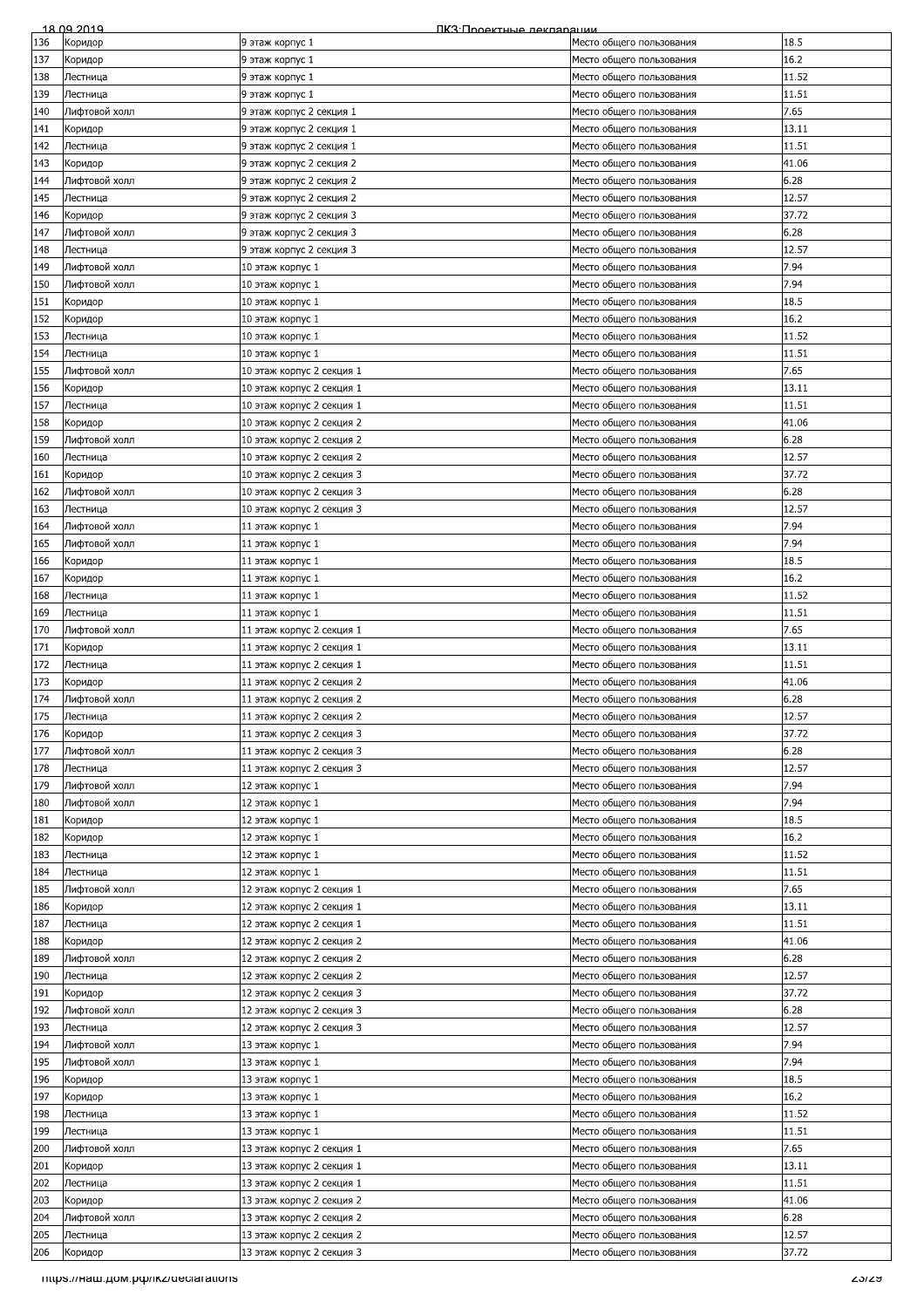|     | 18 09 2019                            | ПКЗ: Проектные лекляряции |                          |              |
|-----|---------------------------------------|---------------------------|--------------------------|--------------|
| 136 | Коридор                               | 9 этаж корпус 1           | Место общего пользования | 18.5         |
| 137 | Коридор                               | 9 этаж корпус 1           | Место общего пользования | 16.2         |
|     |                                       |                           |                          |              |
| 138 | Лестница                              | 9 этаж корпус 1           | Место общего пользования | 11.52        |
| 139 | Лестница                              | 9 этаж корпус 1           | Место общего пользования | 11.51        |
| 140 | Лифтовой холл                         | 9 этаж корпус 2 секция 1  | Место общего пользования | 7.65         |
| 141 | Коридор                               | 9 этаж корпус 2 секция 1  | Место общего пользования | 13.11        |
| 142 | Лестница                              | 9 этаж корпус 2 секция 1  | Место общего пользования | 11.51        |
|     |                                       |                           |                          |              |
| 143 | Коридор                               | 9 этаж корпус 2 секция 2  | Место общего пользования | 41.06        |
| 144 | Лифтовой холл                         | 9 этаж корпус 2 секция 2  | Место общего пользования | 6.28         |
| 145 | Лестница                              | 9 этаж корпус 2 секция 2  | Место общего пользования | 12.57        |
| 146 | Коридор                               | 9 этаж корпус 2 секция 3  | Место общего пользования | 37.72        |
|     |                                       |                           | Место общего пользования |              |
| 147 | Лифтовой холл                         | 9 этаж корпус 2 секция 3  |                          | 6.28         |
| 148 | Лестница                              | 9 этаж корпус 2 секция 3  | Место общего пользования | 12.57        |
| 149 | Лифтовой холл                         | 10 этаж корпус 1          | Место общего пользования | 7.94         |
| 150 | Лифтовой холл                         | 10 этаж корпус 1          | Место общего пользования | 7.94         |
| 151 | Коридор                               | 10 этаж корпус 1          | Место общего пользования | 18.5         |
|     |                                       |                           |                          | 16.2         |
| 152 | Коридор                               | 10 этаж корпус 1          | Место общего пользования |              |
| 153 | Лестница                              | 10 этаж корпус 1          | Место общего пользования | 11.52        |
| 154 | Лестница                              | 10 этаж корпус 1          | Место общего пользования | 11.51        |
| 155 | Лифтовой холл                         | 10 этаж корпус 2 секция 1 | Место общего пользования | 7.65         |
| 156 | Коридор                               | 10 этаж корпус 2 секция 1 | Место общего пользования | 13.11        |
|     |                                       |                           |                          | 11.51        |
| 157 | Лестница                              | 10 этаж корпус 2 секция 1 | Место общего пользования |              |
| 158 | Коридор                               | 10 этаж корпус 2 секция 2 | Место общего пользования | 41.06        |
| 159 | Лифтовой холл                         | 10 этаж корпус 2 секция 2 | Место общего пользования | 6.28         |
| 160 | Лестница                              | 10 этаж корпус 2 секция 2 | Место общего пользования | 12.57        |
| 161 | Коридор                               | 10 этаж корпус 2 секция 3 | Место общего пользования | 37.72        |
|     |                                       |                           |                          |              |
| 162 | Лифтовой холл                         | 10 этаж корпус 2 секция 3 | Место общего пользования | 6.28         |
| 163 | Лестница                              | 10 этаж корпус 2 секция 3 | Место общего пользования | 12.57        |
| 164 | Лифтовой холл                         | 11 этаж корпус 1          | Место общего пользования | 7.94         |
| 165 | Лифтовой холл                         | 11 этаж корпус 1          | Место общего пользования | 7.94         |
| 166 | Коридор                               | 11 этаж корпус 1          | Место общего пользования | 18.5         |
|     |                                       |                           |                          |              |
| 167 | Коридор                               | 11 этаж корпус 1          | Место общего пользования | 16.2         |
| 168 | Лестница                              | 11 этаж корпус 1          | Место общего пользования | 11.52        |
| 169 | Лестница                              | 11 этаж корпус 1          | Место общего пользования | 11.51        |
| 170 | Лифтовой холл                         | 11 этаж корпус 2 секция 1 | Место общего пользования | 7.65         |
| 171 | Коридор                               | 11 этаж корпус 2 секция 1 | Место общего пользования | 13.11        |
|     |                                       |                           |                          |              |
| 172 | Лестница                              | 11 этаж корпус 2 секция 1 | Место общего пользования | 11.51        |
| 173 | Коридор                               | 11 этаж корпус 2 секция 2 | Место общего пользования | 41.06        |
| 174 | Лифтовой холл                         | 11 этаж корпус 2 секция 2 | Место общего пользования | 6.28         |
| 175 | Лестница                              | 11 этаж корпус 2 секция 2 | Место общего пользования | 12.57        |
| 176 | Коридор                               | 11 этаж корпус 2 секция 3 |                          | 37.72        |
|     |                                       |                           | Место общего пользования |              |
| 177 | Лифтовой холл                         | 11 этаж корпус 2 секция 3 | Место общего пользования | 6.28         |
| 178 | Лестница                              | 11 этаж корпус 2 секция 3 | Место общего пользования | 12.57        |
| 179 | Лифтовой холл                         | 12 этаж корпус 1          | Место общего пользования | 7.94         |
| 180 | Лифтовой холл                         | 12 этаж корпус 1          | Место общего пользования | 7.94         |
| 181 |                                       |                           | Место общего пользования | 18.5         |
|     | Коридор                               | 12 этаж корпус 1          |                          |              |
| 182 | Коридор                               | 12 этаж корпус 1          | Место общего пользования | 16.2         |
| 183 | Лестница                              | 12 этаж корпус 1          | Место общего пользования | 11.52        |
| 184 | Лестница                              | 12 этаж корпус 1          | Место общего пользования | 11.51        |
| 185 | Лифтовой холл                         | 12 этаж корпус 2 секция 1 | Место общего пользования | 7.65         |
|     |                                       | 12 этаж корпус 2 секция 1 |                          | 13.11        |
| 186 | Коридор                               |                           | Место общего пользования |              |
| 187 | Лестница                              | 12 этаж корпус 2 секция 1 | Место общего пользования | 11.51        |
| 188 | Коридор                               | 12 этаж корпус 2 секция 2 | Место общего пользования | 41.06        |
| 189 | Лифтовой холл                         | 12 этаж корпус 2 секция 2 | Место общего пользования | 6.28         |
| 190 | Лестница                              | 12 этаж корпус 2 секция 2 | Место общего пользования | 12.57        |
| 191 | Коридор                               | 12 этаж корпус 2 секция 3 | Место общего пользования | 37.72        |
|     |                                       |                           |                          |              |
| 192 | Лифтовой холл                         | 12 этаж корпус 2 секция 3 | Место общего пользования | 6.28         |
| 193 | Лестница                              | 12 этаж корпус 2 секция 3 | Место общего пользования | 12.57        |
| 194 | Лифтовой холл                         | 13 этаж корпус 1          | Место общего пользования | 7.94         |
| 195 | Лифтовой холл                         | 13 этаж корпус 1          | Место общего пользования | 7.94         |
| 196 | Коридор                               | 13 этаж корпус 1          | Место общего пользования | 18.5         |
|     |                                       |                           |                          |              |
| 197 | Коридор                               | 13 этаж корпус 1          | Место общего пользования | 16.2         |
| 198 | Лестница                              | 13 этаж корпус 1          | Место общего пользования | 11.52        |
| 199 | Лестница                              | 13 этаж корпус 1          | Место общего пользования | 11.51        |
| 200 | Лифтовой холл                         | 13 этаж корпус 2 секция 1 | Место общего пользования | 7.65         |
| 201 | Коридор                               | 13 этаж корпус 2 секция 1 | Место общего пользования | 13.11        |
|     |                                       |                           |                          |              |
| 202 | Лестница                              | 13 этаж корпус 2 секция 1 | Место общего пользования | 11.51        |
| 203 | Коридор                               | 13 этаж корпус 2 секция 2 | Место общего пользования | 41.06        |
| 204 | Лифтовой холл                         | 13 этаж корпус 2 секция 2 | Место общего пользования | 6.28         |
| 205 | Лестница                              | 13 этаж корпус 2 секция 2 | Место общего пользования | 12.57        |
| 206 | Коридор                               | 13 этаж корпус 2 секция 3 | Место общего пользования | 37.72        |
|     |                                       |                           |                          |              |
|     | TITIps.//Ham.gom.po//IKZ/declarations |                           |                          | <u>zəizə</u> |
|     |                                       |                           |                          |              |
|     |                                       |                           |                          |              |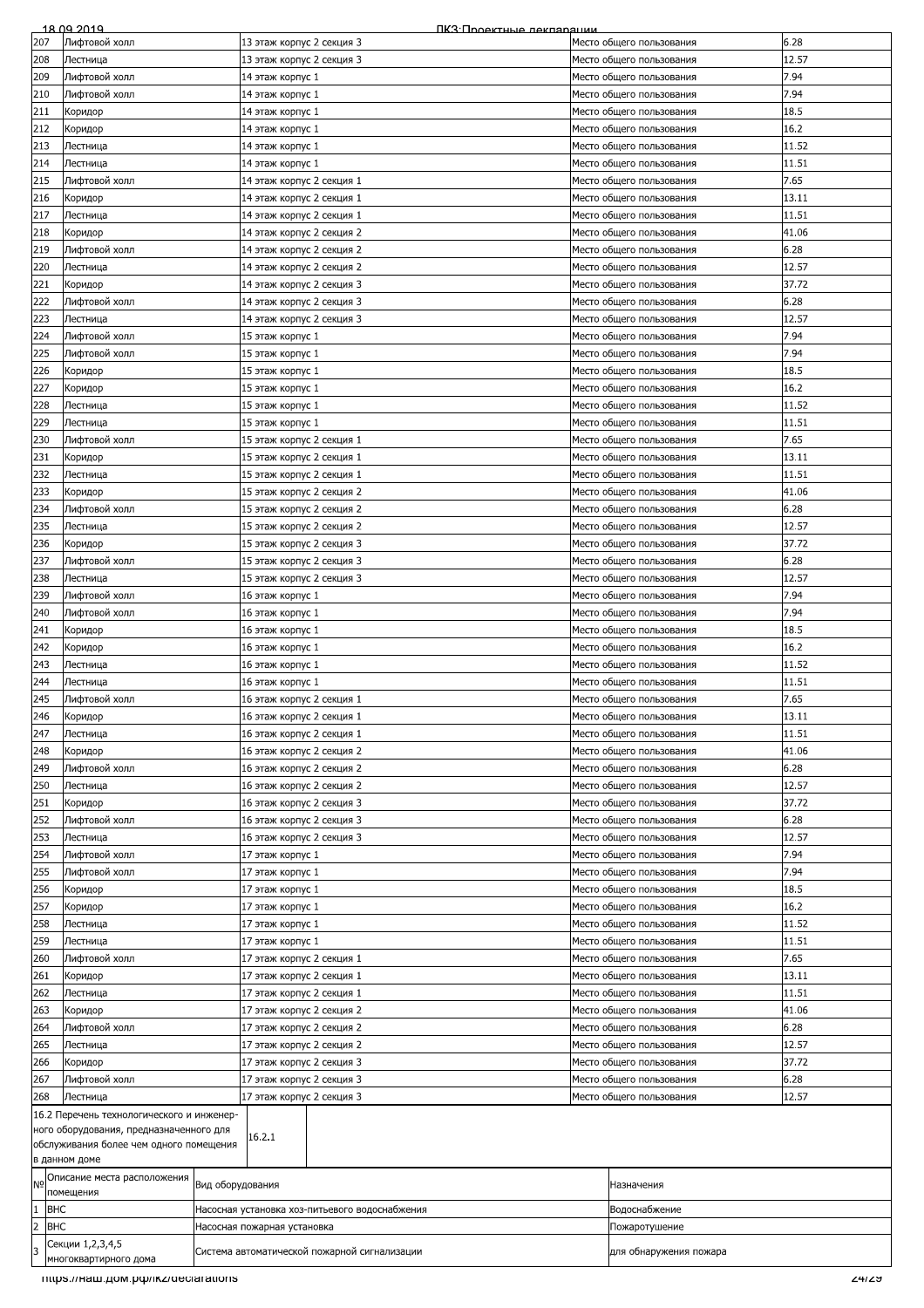|                              | 18.09.2019                                    |                  | ПКЗ:Проектные лекпарации                       |  |                          |       |
|------------------------------|-----------------------------------------------|------------------|------------------------------------------------|--|--------------------------|-------|
| 207                          | Лифтовой холл                                 |                  | 13 этаж корпус 2 секция 3                      |  | Место общего пользования | 6.28  |
| 208                          | Лестница                                      |                  | 13 этаж корпус 2 секция 3                      |  | Место общего пользования | 12.57 |
| 209                          | Лифтовой холл                                 |                  | 14 этаж корпус 1                               |  | Место общего пользования | 7.94  |
|                              |                                               |                  |                                                |  |                          | 7.94  |
| 210                          | Лифтовой холл                                 |                  | 14 этаж корпус 1                               |  | Место общего пользования |       |
| 211                          | Коридор                                       |                  | 14 этаж корпус 1                               |  | Место общего пользования | 18.5  |
| 212                          | Коридор                                       |                  | 14 этаж корпус 1                               |  | Место общего пользования | 16.2  |
| 213                          | Лестница                                      |                  | 14 этаж корпус 1                               |  | Место общего пользования | 11.52 |
| 214                          | Лестница                                      |                  | 14 этаж корпус 1                               |  | Место общего пользования | 11.51 |
| 215                          | Лифтовой холл                                 |                  | 14 этаж корпус 2 секция 1                      |  | Место общего пользования | 7.65  |
|                              |                                               |                  |                                                |  |                          |       |
| 216                          | Коридор                                       |                  | 14 этаж корпус 2 секция 1                      |  | Место общего пользования | 13.11 |
| 217                          | Лестница                                      |                  | 14 этаж корпус 2 секция 1                      |  | Место общего пользования | 11.51 |
| 218                          | Коридор                                       |                  | 14 этаж корпус 2 секция 2                      |  | Место общего пользования | 41.06 |
| 219                          | Лифтовой холл                                 |                  | 14 этаж корпус 2 секция 2                      |  | Место общего пользования | 6.28  |
| 220                          | Лестница                                      |                  | 14 этаж корпус 2 секция 2                      |  | Место общего пользования | 12.57 |
| 221                          |                                               |                  |                                                |  |                          | 37.72 |
|                              | Коридор                                       |                  | 14 этаж корпус 2 секция 3                      |  | Место общего пользования |       |
| 222                          | Лифтовой холл                                 |                  | 14 этаж корпус 2 секция 3                      |  | Место общего пользования | 6.28  |
| 223                          | Лестница                                      |                  | 14 этаж корпус 2 секция 3                      |  | Место общего пользования | 12.57 |
| 224                          | Лифтовой холл                                 |                  | 15 этаж корпус 1                               |  | Место общего пользования | 7.94  |
| 225                          | Лифтовой холл                                 |                  | 15 этаж корпус 1                               |  | Место общего пользования | 7.94  |
| 226                          | Коридор                                       |                  | 15 этаж корпус 1                               |  | Место общего пользования | 18.5  |
|                              |                                               |                  |                                                |  |                          |       |
| 227                          | Коридор                                       |                  | 15 этаж корпус 1                               |  | Место общего пользования | 16.2  |
| 228                          | Лестница                                      |                  | 15 этаж корпус 1                               |  | Место общего пользования | 11.52 |
| 229                          | Лестница                                      |                  | 15 этаж корпус 1                               |  | Место общего пользования | 11.51 |
| 230                          | Лифтовой холл                                 |                  | 15 этаж корпус 2 секция 1                      |  | Место общего пользования | 7.65  |
| 231                          | Коридор                                       |                  | 15 этаж корпус 2 секция 1                      |  | Место общего пользования | 13.11 |
| 232                          |                                               |                  | 15 этаж корпус 2 секция 1                      |  |                          | 11.51 |
|                              | Лестница                                      |                  |                                                |  | Место общего пользования |       |
| 233                          | Коридор                                       |                  | 15 этаж корпус 2 секция 2                      |  | Место общего пользования | 41.06 |
| 234                          | Лифтовой холл                                 |                  | 15 этаж корпус 2 секция 2                      |  | Место общего пользования | 6.28  |
| 235                          | Лестница                                      |                  | 15 этаж корпус 2 секция 2                      |  | Место общего пользования | 12.57 |
| 236                          | Коридор                                       |                  | 15 этаж корпус 2 секция 3                      |  | Место общего пользования | 37.72 |
| 237                          | Лифтовой холл                                 |                  | 15 этаж корпус 2 секция 3                      |  | Место общего пользования | 6.28  |
|                              |                                               |                  |                                                |  |                          | 12.57 |
| 238                          | Лестница                                      |                  | 15 этаж корпус 2 секция 3                      |  | Место общего пользования |       |
| 239                          | Лифтовой холл                                 |                  | 16 этаж корпус 1                               |  | Место общего пользования | 7.94  |
| 240                          | Лифтовой холл                                 |                  | 16 этаж корпус 1                               |  | Место общего пользования | 7.94  |
| 241                          | Коридор                                       |                  | 16 этаж корпус 1                               |  | Место общего пользования | 18.5  |
| 242                          | Коридор                                       |                  | 16 этаж корпус 1                               |  | Место общего пользования | 16.2  |
| 243                          | Лестница                                      |                  | 16 этаж корпус 1                               |  | Место общего пользования | 11.52 |
|                              |                                               |                  | 16 этаж корпус 1                               |  |                          | 11.51 |
| 244                          | Лестница                                      |                  |                                                |  | Место общего пользования |       |
| 245                          | Лифтовой холл                                 |                  | 16 этаж корпус 2 секция 1                      |  | Место общего пользования | 7.65  |
| 246                          | Коридор                                       |                  | 16 этаж корпус 2 секция 1                      |  | Место общего пользования | 13.11 |
| 247                          | Лестница                                      |                  | 16 этаж корпус 2 секция 1                      |  | Место общего пользования | 11.51 |
| 248                          | Коридор                                       |                  | 16 этаж корпус 2 секция 2                      |  | Место общего пользования | 41.06 |
| 249                          | Лифтовой холл                                 |                  | 16 этаж корпус 2 секция 2                      |  | Место общего пользования | 6.28  |
|                              |                                               |                  |                                                |  |                          |       |
| 250                          | Лестница                                      |                  | 16 этаж корпус 2 секция 2                      |  | Место общего пользования | 12.57 |
| 251                          | Коридор                                       |                  | 16 этаж корпус 2 секция 3                      |  | Место общего пользования | 37.72 |
| 252                          | Лифтовой холл                                 |                  | 16 этаж корпус 2 секция 3                      |  | Место общего пользования | 6.28  |
| 253                          | Лестница                                      |                  | 16 этаж корпус 2 секция 3                      |  | Место общего пользования | 12.57 |
| 254                          | Лифтовой холл                                 |                  | 17 этаж корпус 1                               |  | Место общего пользования | 7.94  |
| 255                          | Лифтовой холл                                 |                  | 17 этаж корпус 1                               |  | Место общего пользования | 7.94  |
|                              |                                               |                  | 17 этаж корпус 1                               |  |                          | 18.5  |
| 256                          | Коридор                                       |                  |                                                |  | Место общего пользования |       |
| 257                          | Коридор                                       |                  | 17 этаж корпус 1                               |  | Место общего пользования | 16.2  |
| 258                          | Лестница                                      |                  | 17 этаж корпус 1                               |  | Место общего пользования | 11.52 |
| 259                          | Лестница                                      |                  | 17 этаж корпус 1                               |  | Место общего пользования | 11.51 |
| 260                          | Лифтовой холл                                 |                  | 17 этаж корпус 2 секция 1                      |  | Место общего пользования | 7.65  |
| 261                          | Коридор                                       |                  | 17 этаж корпус 2 секция 1                      |  | Место общего пользования | 13.11 |
|                              |                                               |                  |                                                |  |                          |       |
| 262                          | Лестница                                      |                  | 17 этаж корпус 2 секция 1                      |  | Место общего пользования | 11.51 |
| 263                          | Коридор                                       |                  | 17 этаж корпус 2 секция 2                      |  | Место общего пользования | 41.06 |
| 264                          | Лифтовой холл                                 |                  | 17 этаж корпус 2 секция 2                      |  | Место общего пользования | 6.28  |
| 265                          | Лестница                                      |                  | 17 этаж корпус 2 секция 2                      |  | Место общего пользования | 12.57 |
| 266                          | Коридор                                       |                  | 17 этаж корпус 2 секция 3                      |  | Место общего пользования | 37.72 |
| 267                          | Лифтовой холл                                 |                  | 17 этаж корпус 2 секция 3                      |  | Место общего пользования | 6.28  |
|                              |                                               |                  |                                                |  |                          |       |
| 268                          | Лестница                                      |                  | 17 этаж корпус 2 секция 3                      |  | Место общего пользования | 12.57 |
|                              | 16.2 Перечень технологического и инженер-     |                  |                                                |  |                          |       |
|                              | ного оборудования, предназначенного для       |                  | 16.2.1                                         |  |                          |       |
|                              | обслуживания более чем одного помещения       |                  |                                                |  |                          |       |
|                              | в данном доме                                 |                  |                                                |  |                          |       |
| N <sub>o</sub>               | Описание места расположения                   |                  |                                                |  |                          |       |
|                              | помещения                                     | Вид оборудования |                                                |  | Назначения               |       |
| $\mathbf{1}$<br><b>BHC</b>   |                                               |                  | Насосная установка хоз-питьевого водоснабжения |  | Водоснабжение            |       |
| $\overline{c}$<br><b>BHC</b> |                                               |                  | Насосная пожарная установка                    |  | Пожаротушение            |       |
|                              | Секции 1,2,3,4,5                              |                  |                                                |  |                          |       |
| l3                           |                                               |                  | Система автоматической пожарной сигнализации   |  | для обнаружения пожара   |       |
|                              | многоквартирного дома                         |                  |                                                |  |                          |       |
|                              | mups.//Ham.pom.po/ikz/declarations<br>24/29 - |                  |                                                |  |                          |       |
|                              |                                               |                  |                                                |  |                          |       |
|                              |                                               |                  |                                                |  |                          |       |
|                              |                                               |                  |                                                |  |                          |       |
|                              |                                               |                  |                                                |  |                          |       |
|                              |                                               |                  |                                                |  |                          |       |
|                              |                                               |                  |                                                |  |                          |       |
|                              |                                               |                  |                                                |  |                          |       |
|                              |                                               |                  |                                                |  |                          |       |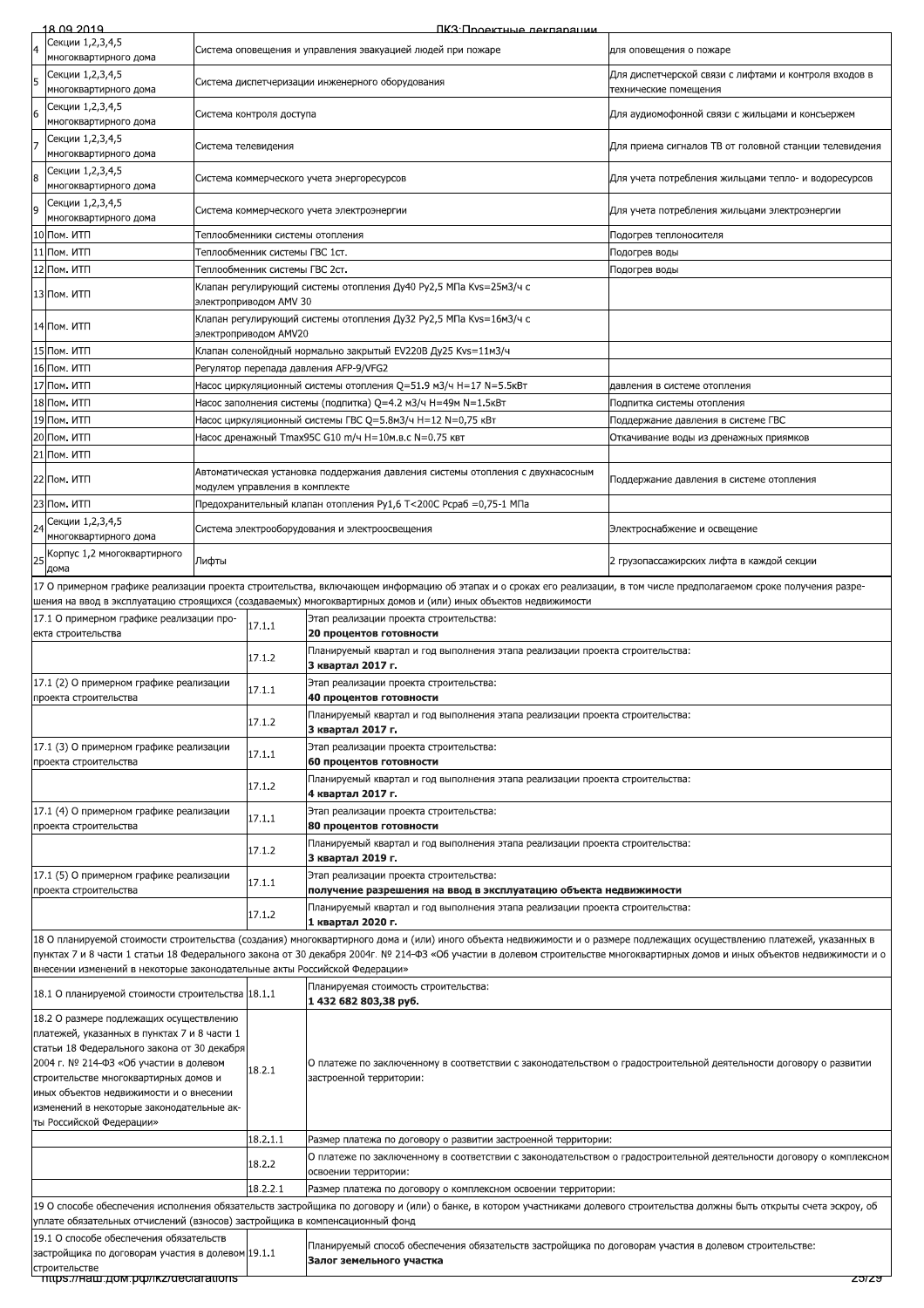|                                                                                                                                | 18 09 2019                                                                                                                                                                                                                                                                                                                                               | ПКЗ Проектные леклярации                                                                                    |                                                                                                                                              |                                                                                                                                                                                                                                                                                         |                                                                  |  |  |
|--------------------------------------------------------------------------------------------------------------------------------|----------------------------------------------------------------------------------------------------------------------------------------------------------------------------------------------------------------------------------------------------------------------------------------------------------------------------------------------------------|-------------------------------------------------------------------------------------------------------------|----------------------------------------------------------------------------------------------------------------------------------------------|-----------------------------------------------------------------------------------------------------------------------------------------------------------------------------------------------------------------------------------------------------------------------------------------|------------------------------------------------------------------|--|--|
|                                                                                                                                | Секции 1,2,3,4,5<br>многоквартирного дома                                                                                                                                                                                                                                                                                                                |                                                                                                             | Система оповещения и управления эвакуацией людей при пожаре<br>для оповещения о пожаре                                                       |                                                                                                                                                                                                                                                                                         |                                                                  |  |  |
| 5                                                                                                                              | Секции 1,2,3,4,5                                                                                                                                                                                                                                                                                                                                         |                                                                                                             |                                                                                                                                              | Система диспетчеризации инженерного оборудования                                                                                                                                                                                                                                        | Для диспетчерской связи с лифтами и контроля входов в            |  |  |
|                                                                                                                                | многоквартирного дома<br>Секции 1,2,3,4,5                                                                                                                                                                                                                                                                                                                |                                                                                                             |                                                                                                                                              |                                                                                                                                                                                                                                                                                         | технические помещения                                            |  |  |
| 6                                                                                                                              | многоквартирного дома<br>Секции 1,2,3,4,5                                                                                                                                                                                                                                                                                                                |                                                                                                             | Система контроля доступа                                                                                                                     |                                                                                                                                                                                                                                                                                         | Для аудиомофонной связи с жильцами и консъержем                  |  |  |
|                                                                                                                                | многоквартирного дома                                                                                                                                                                                                                                                                                                                                    | Система телевидения                                                                                         |                                                                                                                                              |                                                                                                                                                                                                                                                                                         | Для приема сигналов ТВ от головной станции телевидения           |  |  |
| 8                                                                                                                              | Секции 1,2,3,4,5<br>многоквартирного дома                                                                                                                                                                                                                                                                                                                |                                                                                                             |                                                                                                                                              | Система коммерческого учета энергоресурсов                                                                                                                                                                                                                                              | Для учета потребления жильцами тепло- и водоресурсов             |  |  |
| 9                                                                                                                              | Секции 1,2,3,4,5<br>многоквартирного дома                                                                                                                                                                                                                                                                                                                |                                                                                                             |                                                                                                                                              | Система коммерческого учета электроэнергии                                                                                                                                                                                                                                              | Для учета потребления жильцами электроэнергии                    |  |  |
|                                                                                                                                | 10 Пом. ИТП                                                                                                                                                                                                                                                                                                                                              |                                                                                                             |                                                                                                                                              | Теплообменники системы отопления                                                                                                                                                                                                                                                        | Подогрев теплоносителя                                           |  |  |
|                                                                                                                                | 11 Пом. ИТП                                                                                                                                                                                                                                                                                                                                              |                                                                                                             | Теплообменник системы ГВС 1ст.                                                                                                               |                                                                                                                                                                                                                                                                                         | Подогрев воды                                                    |  |  |
|                                                                                                                                | 12 Пом. ИТП                                                                                                                                                                                                                                                                                                                                              |                                                                                                             | Теплообменник системы ГВС 2ст.                                                                                                               | Клапан регулирующий системы отопления Ду40 Ру2,5 МПа Kvs=25м3/ч с                                                                                                                                                                                                                       | Подогрев воды                                                    |  |  |
|                                                                                                                                | 13 Пом. ИТП                                                                                                                                                                                                                                                                                                                                              |                                                                                                             | электроприводом AMV 30                                                                                                                       |                                                                                                                                                                                                                                                                                         |                                                                  |  |  |
|                                                                                                                                | 14 Пом. ИТП                                                                                                                                                                                                                                                                                                                                              |                                                                                                             | электроприводом AMV20                                                                                                                        | Клапан регулирующий системы отопления Ду32 Ру2,5 МПа Kvs=16м3/ч с                                                                                                                                                                                                                       |                                                                  |  |  |
|                                                                                                                                | 15 Пом. ИТП                                                                                                                                                                                                                                                                                                                                              |                                                                                                             |                                                                                                                                              | Клапан соленойдный нормально закрытый EV220B Ду25 Kvs=11м3/ч                                                                                                                                                                                                                            |                                                                  |  |  |
|                                                                                                                                | 16 Пом. ИТП                                                                                                                                                                                                                                                                                                                                              |                                                                                                             |                                                                                                                                              | Регулятор перепада давления AFP-9/VFG2                                                                                                                                                                                                                                                  |                                                                  |  |  |
|                                                                                                                                | 17 Пом. ИТП<br>18 Пом. ИТП                                                                                                                                                                                                                                                                                                                               |                                                                                                             |                                                                                                                                              | Насос циркуляционный системы отопления Q=51.9 м3/ч H=17 N=5.5кВт                                                                                                                                                                                                                        | давления в системе отопления                                     |  |  |
|                                                                                                                                | 19 Пом. ИТП                                                                                                                                                                                                                                                                                                                                              |                                                                                                             |                                                                                                                                              | Hacoc заполнения системы (подпитка) Q=4.2 м3/ч H=49м N=1.5кВт<br>Hacoc циркуляционный системы ГВС Q=5.8м3/ч H=12 N=0,75 кВт                                                                                                                                                             | Подпитка системы отопления<br>Поддержание давления в системе ГВС |  |  |
|                                                                                                                                | 20 Пом. ИТП                                                                                                                                                                                                                                                                                                                                              |                                                                                                             |                                                                                                                                              | Hacoc дренажный Tmax95C G10 m/ч H=10м.в.с N=0.75 квт                                                                                                                                                                                                                                    | Откачивание воды из дренажных приямков                           |  |  |
| 21                                                                                                                             | Пом. ИТП                                                                                                                                                                                                                                                                                                                                                 |                                                                                                             |                                                                                                                                              |                                                                                                                                                                                                                                                                                         |                                                                  |  |  |
|                                                                                                                                | 22 Пом. ИТП                                                                                                                                                                                                                                                                                                                                              |                                                                                                             |                                                                                                                                              | Автоматическая установка поддержания давления системы отопления с двухнасосным                                                                                                                                                                                                          | Поддержание давления в системе отопления                         |  |  |
|                                                                                                                                | 23 Пом. ИТП                                                                                                                                                                                                                                                                                                                                              |                                                                                                             | модулем управления в комплекте                                                                                                               | Предохранительный клапан отопления Py1,6 T<200C Pcpa6 =0,75-1 МПа                                                                                                                                                                                                                       |                                                                  |  |  |
|                                                                                                                                | Секции 1,2,3,4,5                                                                                                                                                                                                                                                                                                                                         |                                                                                                             |                                                                                                                                              | Система электрооборудования и электроосвещения                                                                                                                                                                                                                                          | Электроснабжение и освещение                                     |  |  |
|                                                                                                                                | многоквартирного дома                                                                                                                                                                                                                                                                                                                                    |                                                                                                             |                                                                                                                                              |                                                                                                                                                                                                                                                                                         |                                                                  |  |  |
| 25                                                                                                                             | Корпус 1,2 многоквартирного<br>дома                                                                                                                                                                                                                                                                                                                      | Лифты                                                                                                       |                                                                                                                                              |                                                                                                                                                                                                                                                                                         | 2 грузопассажирских лифта в каждой секции                        |  |  |
|                                                                                                                                |                                                                                                                                                                                                                                                                                                                                                          |                                                                                                             |                                                                                                                                              | 17 О примерном графике реализации проекта строительства, включающем информацию об этапах и о сроках его реализации, в том числе предполагаемом сроке получения разре-<br>шения на ввод в эксплуатацию строящихся (создаваемых) многоквартирных домов и (или) иных объектов недвижимости |                                                                  |  |  |
|                                                                                                                                | 17.1 О примерном графике реализации про-<br>екта строительства                                                                                                                                                                                                                                                                                           |                                                                                                             | 17.1.1                                                                                                                                       | Этап реализации проекта строительства:<br>20 процентов готовности                                                                                                                                                                                                                       |                                                                  |  |  |
|                                                                                                                                |                                                                                                                                                                                                                                                                                                                                                          |                                                                                                             | 17.1.2                                                                                                                                       | Планируемый квартал и год выполнения этапа реализации проекта строительства:<br>3 квартал 2017 г.                                                                                                                                                                                       |                                                                  |  |  |
|                                                                                                                                | 17.1 (2) О примерном графике реализации<br>проекта строительства                                                                                                                                                                                                                                                                                         |                                                                                                             | 17.1.1                                                                                                                                       | Этап реализации проекта строительства:<br>40 процентов готовности                                                                                                                                                                                                                       |                                                                  |  |  |
|                                                                                                                                |                                                                                                                                                                                                                                                                                                                                                          |                                                                                                             | 17.1.2                                                                                                                                       | Планируемый квартал и год выполнения этапа реализации проекта строительства:                                                                                                                                                                                                            |                                                                  |  |  |
|                                                                                                                                | 17.1 (3) О примерном графике реализации                                                                                                                                                                                                                                                                                                                  |                                                                                                             | 17.1.1                                                                                                                                       | 3 квартал 2017 г.<br>Этап реализации проекта строительства:                                                                                                                                                                                                                             |                                                                  |  |  |
|                                                                                                                                | проекта строительства                                                                                                                                                                                                                                                                                                                                    |                                                                                                             | 17.1.2                                                                                                                                       | 60 процентов готовности<br>Планируемый квартал и год выполнения этапа реализации проекта строительства:                                                                                                                                                                                 |                                                                  |  |  |
|                                                                                                                                | 17.1 (4) О примерном графике реализации                                                                                                                                                                                                                                                                                                                  |                                                                                                             |                                                                                                                                              | 4 квартал 2017 г.<br>Этап реализации проекта строительства:                                                                                                                                                                                                                             |                                                                  |  |  |
|                                                                                                                                | проекта строительства                                                                                                                                                                                                                                                                                                                                    |                                                                                                             | 17.1.1                                                                                                                                       | 80 процентов готовности<br>Планируемый квартал и год выполнения этапа реализации проекта строительства:                                                                                                                                                                                 |                                                                  |  |  |
|                                                                                                                                |                                                                                                                                                                                                                                                                                                                                                          |                                                                                                             | 17.1.2                                                                                                                                       | 3 квартал 2019 г.                                                                                                                                                                                                                                                                       |                                                                  |  |  |
| 17.1 (5) О примерном графике реализации<br>проекта строительства                                                               |                                                                                                                                                                                                                                                                                                                                                          | 17.1.1                                                                                                      | Этап реализации проекта строительства:<br>получение разрешения на ввод в эксплуатацию объекта недвижимости                                   |                                                                                                                                                                                                                                                                                         |                                                                  |  |  |
|                                                                                                                                |                                                                                                                                                                                                                                                                                                                                                          | Планируемый квартал и год выполнения этапа реализации проекта строительства:<br>17.1.2<br>1 квартал 2020 г. |                                                                                                                                              |                                                                                                                                                                                                                                                                                         |                                                                  |  |  |
|                                                                                                                                | 18 О планируемой стоимости строительства (создания) многоквартирного дома и (или) иного объекта недвижимости и о размере подлежащих осуществлению платежей, указанных в<br> пунктах 7 и 8 части 1 статьи 18 Федерального закона от 30 декабря 2004г. № 214-ФЗ «Об участии в долевом строительстве многоквартирных домов и иных объектов недвижимости и о |                                                                                                             |                                                                                                                                              |                                                                                                                                                                                                                                                                                         |                                                                  |  |  |
| внесении изменений в некоторые законодательные акты Российской Федерации»<br>18.1 О планируемой стоимости строительства 18.1.1 |                                                                                                                                                                                                                                                                                                                                                          |                                                                                                             |                                                                                                                                              | Планируемая стоимость строительства:                                                                                                                                                                                                                                                    |                                                                  |  |  |
|                                                                                                                                | 18.2 О размере подлежащих осуществлению                                                                                                                                                                                                                                                                                                                  |                                                                                                             |                                                                                                                                              | 1432 682 803,38 py6.                                                                                                                                                                                                                                                                    |                                                                  |  |  |
| платежей, указанных в пунктах 7 и 8 части 1<br>статьи 18 Федерального закона от 30 декабря                                     |                                                                                                                                                                                                                                                                                                                                                          |                                                                                                             |                                                                                                                                              |                                                                                                                                                                                                                                                                                         |                                                                  |  |  |
|                                                                                                                                | 2004 г. № 214-ФЗ «Об участии в долевом                                                                                                                                                                                                                                                                                                                   |                                                                                                             | 18.2.1                                                                                                                                       | О платеже по заключенному в соответствии с законодательством о градостроительной деятельности договору о развитии                                                                                                                                                                       |                                                                  |  |  |
| строительстве многоквартирных домов и                                                                                          |                                                                                                                                                                                                                                                                                                                                                          |                                                                                                             |                                                                                                                                              | застроенной территории:                                                                                                                                                                                                                                                                 |                                                                  |  |  |
|                                                                                                                                | иных объектов недвижимости и о внесении<br>изменений в некоторые законодательные ак-                                                                                                                                                                                                                                                                     |                                                                                                             |                                                                                                                                              |                                                                                                                                                                                                                                                                                         |                                                                  |  |  |
|                                                                                                                                | ты Российской Федерации»                                                                                                                                                                                                                                                                                                                                 |                                                                                                             |                                                                                                                                              |                                                                                                                                                                                                                                                                                         |                                                                  |  |  |
| 18.2.1.1                                                                                                                       |                                                                                                                                                                                                                                                                                                                                                          |                                                                                                             |                                                                                                                                              | Размер платежа по договору о развитии застроенной территории:                                                                                                                                                                                                                           |                                                                  |  |  |
| 18.2.2                                                                                                                         |                                                                                                                                                                                                                                                                                                                                                          |                                                                                                             | О платеже по заключенному в соответствии с законодательством о градостроительной деятельности договору о комплексном<br>освоении территории: |                                                                                                                                                                                                                                                                                         |                                                                  |  |  |
| 18.2.2.1<br>Размер платежа по договору о комплексном освоении территории:                                                      |                                                                                                                                                                                                                                                                                                                                                          |                                                                                                             |                                                                                                                                              |                                                                                                                                                                                                                                                                                         |                                                                  |  |  |
|                                                                                                                                | 19 О способе обеспечения исполнения обязательств застройщика по договору и (или) о банке, в котором участниками долевого строительства должны быть открыты счета эскроу, об<br>уплате обязательных отчислений (взносов) застройщика в компенсационный фонд                                                                                               |                                                                                                             |                                                                                                                                              |                                                                                                                                                                                                                                                                                         |                                                                  |  |  |
|                                                                                                                                | 19.1 О способе обеспечения обязательств                                                                                                                                                                                                                                                                                                                  |                                                                                                             |                                                                                                                                              |                                                                                                                                                                                                                                                                                         |                                                                  |  |  |
|                                                                                                                                | застройщика по договорам участия в долевом 19.1.1                                                                                                                                                                                                                                                                                                        |                                                                                                             |                                                                                                                                              | Планируемый способ обеспечения обязательств застройщика по договорам участия в долевом строительстве:<br>Залог земельного участка                                                                                                                                                       |                                                                  |  |  |
|                                                                                                                                | строительстве<br>mups://Ham.gom.po//ikz/declarations<br>221ZY                                                                                                                                                                                                                                                                                            |                                                                                                             |                                                                                                                                              |                                                                                                                                                                                                                                                                                         |                                                                  |  |  |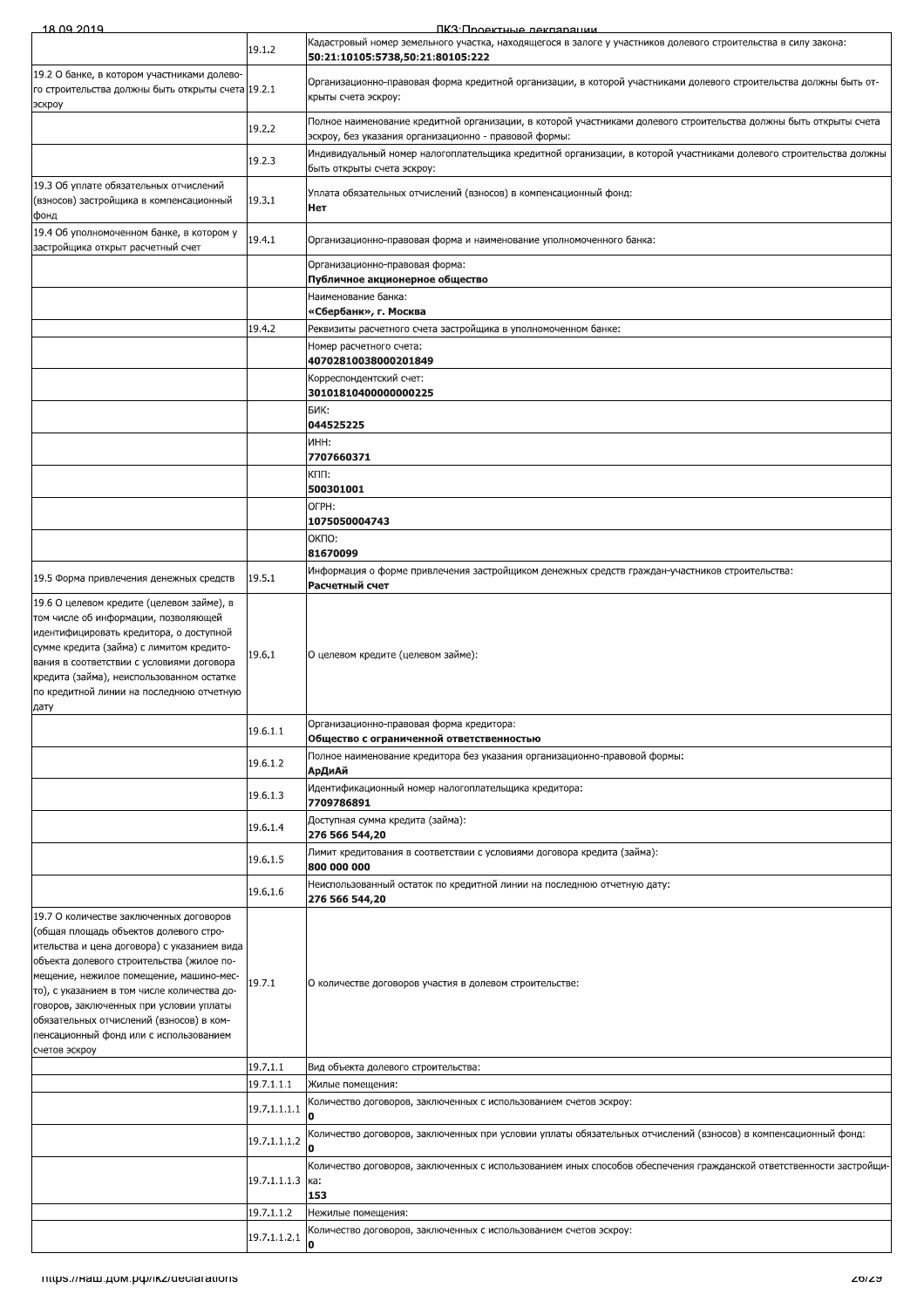| 18.09.2019                                                                                                                                                                                                                                                                                                                                                                                                                |                        | ПКЗ: Проектные лекларации                                                                                                                                                  |
|---------------------------------------------------------------------------------------------------------------------------------------------------------------------------------------------------------------------------------------------------------------------------------------------------------------------------------------------------------------------------------------------------------------------------|------------------------|----------------------------------------------------------------------------------------------------------------------------------------------------------------------------|
|                                                                                                                                                                                                                                                                                                                                                                                                                           | 19.1.2                 | Кадастровый номер земельного участка, находящегося в залоге у участников долевого строительства в силу закона:<br>50:21:10105:5738,50:21:80105:222                         |
| 19.2 О банке, в котором участниками долево-<br>го строительства должны быть открыты счета 19.2.1<br>эскроу                                                                                                                                                                                                                                                                                                                |                        | Организационно-правовая форма кредитной организации, в которой участниками долевого строительства должны быть от-<br>крыты счета эскроу:                                   |
|                                                                                                                                                                                                                                                                                                                                                                                                                           | 19.2.2                 | Полное наименование кредитной организации, в которой участниками долевого строительства должны быть открыты счета<br>эскроу, без указания организационно - правовой формы: |
|                                                                                                                                                                                                                                                                                                                                                                                                                           | 19.2.3                 | Индивидуальный номер налогоплательщика кредитной организации, в которой участниками долевого строительства должны<br>быть открыты счета эскроу:                            |
| 19.3 Об уплате обязательных отчислений<br>(взносов) застройщика в компенсационный<br>фонд                                                                                                                                                                                                                                                                                                                                 | 19.3.1                 | Уплата обязательных отчислений (взносов) в компенсационный фонд:<br>Нет                                                                                                    |
| 19.4 Об уполномоченном банке, в котором у<br>застройщика открыт расчетный счет                                                                                                                                                                                                                                                                                                                                            | 19.4.1                 | Организационно-правовая форма и наименование уполномоченного банка:                                                                                                        |
|                                                                                                                                                                                                                                                                                                                                                                                                                           |                        | Организационно-правовая форма:<br>Публичное акционерное общество                                                                                                           |
|                                                                                                                                                                                                                                                                                                                                                                                                                           |                        | Наименование банка:<br>«Сбербанк», г. Москва                                                                                                                               |
|                                                                                                                                                                                                                                                                                                                                                                                                                           | 19.4.2                 | Реквизиты расчетного счета застройщика в уполномоченном банке:                                                                                                             |
|                                                                                                                                                                                                                                                                                                                                                                                                                           |                        | Номер расчетного счета:<br>40702810038000201849                                                                                                                            |
|                                                                                                                                                                                                                                                                                                                                                                                                                           |                        | Корреспондентский счет:<br>30101810400000000225                                                                                                                            |
|                                                                                                                                                                                                                                                                                                                                                                                                                           |                        | БИК:                                                                                                                                                                       |
|                                                                                                                                                                                                                                                                                                                                                                                                                           |                        | 044525225<br>NHH:                                                                                                                                                          |
|                                                                                                                                                                                                                                                                                                                                                                                                                           |                        | 7707660371<br>кпп:                                                                                                                                                         |
|                                                                                                                                                                                                                                                                                                                                                                                                                           |                        | 500301001                                                                                                                                                                  |
|                                                                                                                                                                                                                                                                                                                                                                                                                           |                        | OFPH:<br>1075050004743                                                                                                                                                     |
|                                                                                                                                                                                                                                                                                                                                                                                                                           |                        | ОКПО:<br>81670099                                                                                                                                                          |
|                                                                                                                                                                                                                                                                                                                                                                                                                           | 19.5.1                 | Информация о форме привлечения застройщиком денежных средств граждан-участников строительства:                                                                             |
| 19.5 Форма привлечения денежных средств                                                                                                                                                                                                                                                                                                                                                                                   |                        | Расчетный счет                                                                                                                                                             |
| 19.6 О целевом кредите (целевом займе), в<br>том числе об информации, позволяющей<br>идентифицировать кредитора, о доступной<br>сумме кредита (займа) с лимитом кредито-<br>вания в соответствии с условиями договора<br>кредита (займа), неиспользованном остатке<br>по кредитной линии на последнюю отчетную<br>дату                                                                                                    | 19.6.1                 | О целевом кредите (целевом займе):                                                                                                                                         |
|                                                                                                                                                                                                                                                                                                                                                                                                                           | 19.6.1.1               | Организационно-правовая форма кредитора:<br>Общество с ограниченной ответственностью                                                                                       |
|                                                                                                                                                                                                                                                                                                                                                                                                                           | 19.6.1.2               | Полное наименование кредитора без указания организационно-правовой формы:<br>АрДиАй                                                                                        |
|                                                                                                                                                                                                                                                                                                                                                                                                                           | 19.6.1.3               | Идентификационный номер налогоплательщика кредитора:<br>7709786891                                                                                                         |
|                                                                                                                                                                                                                                                                                                                                                                                                                           | 19.6.1.4               | Доступная сумма кредита (займа):<br>276 566 544,20                                                                                                                         |
|                                                                                                                                                                                                                                                                                                                                                                                                                           | 19.6.1.5               | Лимит кредитования в соответствии с условиями договора кредита (займа):                                                                                                    |
|                                                                                                                                                                                                                                                                                                                                                                                                                           | 19.6.1.6               | 800 000 000<br>Неиспользованный остаток по кредитной линии на последнюю отчетную дату:                                                                                     |
|                                                                                                                                                                                                                                                                                                                                                                                                                           |                        | 276 566 544,20                                                                                                                                                             |
| 19.7 О количестве заключенных договоров<br>(общая площадь объектов долевого стро-<br>ительства и цена договора) с указанием вида<br>объекта долевого строительства (жилое по-<br>мещение, нежилое помещение, машино-мес-<br>то), с указанием в том числе количества до-<br>говоров, заключенных при условии уплаты<br>обязательных отчислений (взносов) в ком-<br>пенсационный фонд или с использованием<br>счетов эскроу | 19.7.1                 | О количестве договоров участия в долевом строительстве:                                                                                                                    |
|                                                                                                                                                                                                                                                                                                                                                                                                                           | 19.7.1.1<br>19.7.1.1.1 | Вид объекта долевого строительства:<br>Жилые помещения:                                                                                                                    |
|                                                                                                                                                                                                                                                                                                                                                                                                                           | 19.7.1.1.1.1           | Количество договоров, заключенных с использованием счетов эскроу:                                                                                                          |
|                                                                                                                                                                                                                                                                                                                                                                                                                           | 19.7.1.1.1.2           | Количество договоров, заключенных при условии уплаты обязательных отчислений (взносов) в компенсационный фонд:                                                             |
|                                                                                                                                                                                                                                                                                                                                                                                                                           |                        | O<br>Количество договоров, заключенных с использованием иных способов обеспечения гражданской ответственности застройщи-                                                   |
|                                                                                                                                                                                                                                                                                                                                                                                                                           | 19.7.1.1.1.3           | ка:<br>153                                                                                                                                                                 |
|                                                                                                                                                                                                                                                                                                                                                                                                                           | 19.7.1.1.2             | Нежилые помещения:                                                                                                                                                         |
|                                                                                                                                                                                                                                                                                                                                                                                                                           | 19.7.1.1.2.1           | Количество договоров, заключенных с использованием счетов эскроу:                                                                                                          |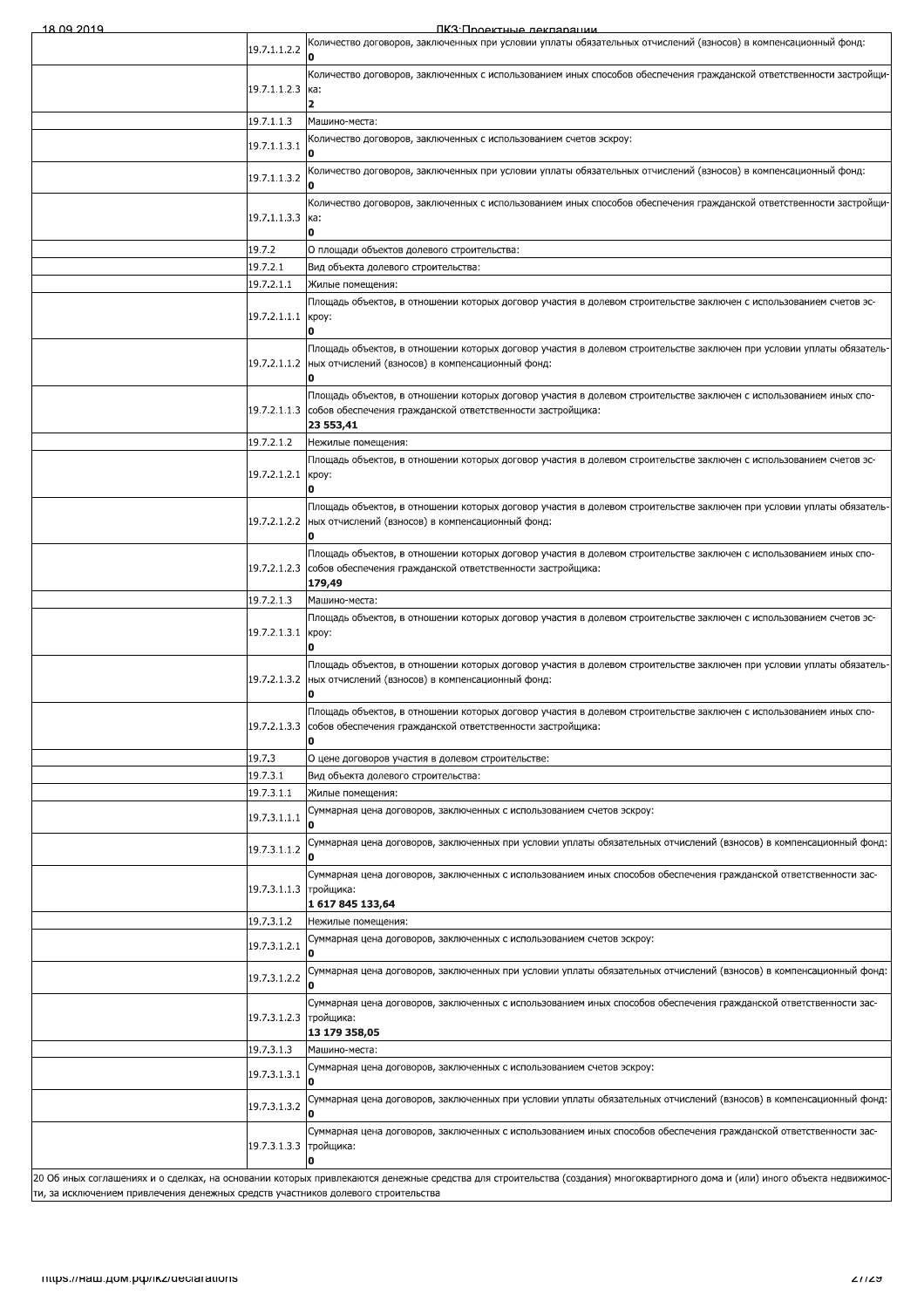ПКЗ Полектные лекпарации

| Количество договоров, заключенных при условии уплаты обязательных отчислений (взносов) в компенсационный фонд:<br>19.7.1.1.2.2<br>O<br>Количество договоров, заключенных с использованием иных способов обеспечения гражданской ответственности застройщи-<br>19.7.1.1.2.3<br>ка:<br>19.7.1.1.3<br>Машино-места:<br>Соличество договоров, заключенных с использованием счетов эскроу:<br>19.7.1.1.3.1<br>«Количество договоров, заключенных при условии уплаты обязательных отчислений (взносов) в компенсационный фонд:<br>19.7.1.1.3.2<br>Количество договоров, заключенных с использованием иных способов обеспечения гражданской ответственности застройщи-<br>19.7.1.1.3.3 ка:<br>ח<br>19.7.2<br>О площади объектов долевого строительства:<br>19.7.2.1<br>Вид объекта долевого строительства:<br>19.7.2.1.1<br>Жилые помещения:<br>Площадь объектов, в отношении которых договор участия в долевом строительстве заключен с использованием счетов эс-<br>19.7.2.1.1.1 кроу:<br>Площадь объектов, в отношении которых договор участия в долевом строительстве заключен при условии уплаты обязатель<br>19.7.2.1.1.2<br>ных отчислений (взносов) в компенсационный фонд:<br>Площадь объектов, в отношении которых договор участия в долевом строительстве заключен с использованием иных спо-<br>19.7.2.1.1.3 собов обеспечения гражданской ответственности застройщика:<br>23 553,41<br>19.7.2.1.2<br>Нежилые помещения:<br>Площадь объектов, в отношении которых договор участия в долевом строительстве заключен с использованием счетов эс-<br>19.7.2.1.2.1<br>кроу:<br>Площадь объектов, в отношении которых договор участия в долевом строительстве заключен при условии уплаты обязатель<br>19.7.2.1.2.2 ных отчислений (взносов) в компенсационный фонд:<br>Площадь объектов, в отношении которых договор участия в долевом строительстве заключен с использованием иных спо-<br>19.7.2.1.2.3 собов обеспечения гражданской ответственности застройщика:<br>179,49<br>19.7.2.1.3<br>Машино-места:<br>Площадь объектов, в отношении которых договор участия в долевом строительстве заключен с использованием счетов эс-<br>19.7.2.1.3.1 кроу:<br>Площадь объектов, в отношении которых договор участия в долевом строительстве заключен при условии уплаты обязатель-<br>19.7.2.1.3.2<br>ных отчислений (взносов) в компенсационный фонд:<br>Площадь объектов, в отношении которых договор участия в долевом строительстве заключен с использованием иных спо-<br>19.7.2.1.3.3 собов обеспечения гражданской ответственности застройщика:<br>19.7.3<br>О цене договоров участия в долевом строительстве:<br>19.7.3.1<br>Вид объекта долевого строительства:<br>19.7.3.1.1<br>Жилые помещения:<br>Суммарная цена договоров, заключенных с использованием счетов эскроу:<br>19.7.3.1.1.1<br>Суммарная цена договоров, заключенных при условии уплаты обязательных отчислений (взносов) в компенсационный фонд:<br>19.7.3.1.1.2<br>Суммарная цена договоров, заключенных с использованием иных способов обеспечения гражданской ответственности зас-<br>19.7.3.1.1.3 тройшика:<br>1 617 845 133,64<br>19.7.3.1.2<br>Нежилые помещения:<br>Суммарная цена договоров, заключенных с использованием счетов эскроу:<br>19.7.3.1.2.1<br>Суммарная цена договоров, заключенных при условии уплаты обязательных отчислений (взносов) в компенсационный фонд:<br>19.7.3.1.2.2<br>Суммарная цена договоров, заключенных с использованием иных способов обеспечения гражданской ответственности зас-<br>19.7.3.1.2.3 тройщика:<br>13 179 358,05<br>19.7.3.1.3<br>Машино-места:<br>Суммарная цена договоров, заключенных с использованием счетов эскроу:<br>19.7.3.1.3.1<br>Суммарная цена договоров, заключенных при условии уплаты обязательных отчислений (взносов) в компенсационный фонд:<br>19.7.3.1.3.2<br>Суммарная цена договоров, заключенных с использованием иных способов обеспечения гражданской ответственности зас-<br>19.7.3.1.3.3 тройщика:<br>0<br>20 Об иных соглашениях и о сделках, на основании которых привлекаются денежные средства для строительства (создания) многоквартирного дома и (или) иного объекта недвижимос-<br>ти, за исключением привлечения денежных средств участников долевого строительства<br>Thups.//Ham.pow.po//ikz/declarations<br>21129 I | 18 11 YU 2011 Y | IK: SI INOAKTHLIA DAKUSALIMM |
|------------------------------------------------------------------------------------------------------------------------------------------------------------------------------------------------------------------------------------------------------------------------------------------------------------------------------------------------------------------------------------------------------------------------------------------------------------------------------------------------------------------------------------------------------------------------------------------------------------------------------------------------------------------------------------------------------------------------------------------------------------------------------------------------------------------------------------------------------------------------------------------------------------------------------------------------------------------------------------------------------------------------------------------------------------------------------------------------------------------------------------------------------------------------------------------------------------------------------------------------------------------------------------------------------------------------------------------------------------------------------------------------------------------------------------------------------------------------------------------------------------------------------------------------------------------------------------------------------------------------------------------------------------------------------------------------------------------------------------------------------------------------------------------------------------------------------------------------------------------------------------------------------------------------------------------------------------------------------------------------------------------------------------------------------------------------------------------------------------------------------------------------------------------------------------------------------------------------------------------------------------------------------------------------------------------------------------------------------------------------------------------------------------------------------------------------------------------------------------------------------------------------------------------------------------------------------------------------------------------------------------------------------------------------------------------------------------------------------------------------------------------------------------------------------------------------------------------------------------------------------------------------------------------------------------------------------------------------------------------------------------------------------------------------------------------------------------------------------------------------------------------------------------------------------------------------------------------------------------------------------------------------------------------------------------------------------------------------------------------------------------------------------------------------------------------------------------------------------------------------------------------------------------------------------------------------------------------------------------------------------------------------------------------------------------------------------------------------------------------------------------------------------------------------------------------------------------------------------------------------------------------------------------------------------------------------------------------------------------------------------------------------------------------------------------------------------------------------------------------------------------------------------------------------------------------------------------------------------------------------------------------------------------------|-----------------|------------------------------|
|                                                                                                                                                                                                                                                                                                                                                                                                                                                                                                                                                                                                                                                                                                                                                                                                                                                                                                                                                                                                                                                                                                                                                                                                                                                                                                                                                                                                                                                                                                                                                                                                                                                                                                                                                                                                                                                                                                                                                                                                                                                                                                                                                                                                                                                                                                                                                                                                                                                                                                                                                                                                                                                                                                                                                                                                                                                                                                                                                                                                                                                                                                                                                                                                                                                                                                                                                                                                                                                                                                                                                                                                                                                                                                                                                                                                                                                                                                                                                                                                                                                                                                                                                                                                                                                                                          |                 |                              |
|                                                                                                                                                                                                                                                                                                                                                                                                                                                                                                                                                                                                                                                                                                                                                                                                                                                                                                                                                                                                                                                                                                                                                                                                                                                                                                                                                                                                                                                                                                                                                                                                                                                                                                                                                                                                                                                                                                                                                                                                                                                                                                                                                                                                                                                                                                                                                                                                                                                                                                                                                                                                                                                                                                                                                                                                                                                                                                                                                                                                                                                                                                                                                                                                                                                                                                                                                                                                                                                                                                                                                                                                                                                                                                                                                                                                                                                                                                                                                                                                                                                                                                                                                                                                                                                                                          |                 |                              |
|                                                                                                                                                                                                                                                                                                                                                                                                                                                                                                                                                                                                                                                                                                                                                                                                                                                                                                                                                                                                                                                                                                                                                                                                                                                                                                                                                                                                                                                                                                                                                                                                                                                                                                                                                                                                                                                                                                                                                                                                                                                                                                                                                                                                                                                                                                                                                                                                                                                                                                                                                                                                                                                                                                                                                                                                                                                                                                                                                                                                                                                                                                                                                                                                                                                                                                                                                                                                                                                                                                                                                                                                                                                                                                                                                                                                                                                                                                                                                                                                                                                                                                                                                                                                                                                                                          |                 |                              |
|                                                                                                                                                                                                                                                                                                                                                                                                                                                                                                                                                                                                                                                                                                                                                                                                                                                                                                                                                                                                                                                                                                                                                                                                                                                                                                                                                                                                                                                                                                                                                                                                                                                                                                                                                                                                                                                                                                                                                                                                                                                                                                                                                                                                                                                                                                                                                                                                                                                                                                                                                                                                                                                                                                                                                                                                                                                                                                                                                                                                                                                                                                                                                                                                                                                                                                                                                                                                                                                                                                                                                                                                                                                                                                                                                                                                                                                                                                                                                                                                                                                                                                                                                                                                                                                                                          |                 |                              |
|                                                                                                                                                                                                                                                                                                                                                                                                                                                                                                                                                                                                                                                                                                                                                                                                                                                                                                                                                                                                                                                                                                                                                                                                                                                                                                                                                                                                                                                                                                                                                                                                                                                                                                                                                                                                                                                                                                                                                                                                                                                                                                                                                                                                                                                                                                                                                                                                                                                                                                                                                                                                                                                                                                                                                                                                                                                                                                                                                                                                                                                                                                                                                                                                                                                                                                                                                                                                                                                                                                                                                                                                                                                                                                                                                                                                                                                                                                                                                                                                                                                                                                                                                                                                                                                                                          |                 |                              |
|                                                                                                                                                                                                                                                                                                                                                                                                                                                                                                                                                                                                                                                                                                                                                                                                                                                                                                                                                                                                                                                                                                                                                                                                                                                                                                                                                                                                                                                                                                                                                                                                                                                                                                                                                                                                                                                                                                                                                                                                                                                                                                                                                                                                                                                                                                                                                                                                                                                                                                                                                                                                                                                                                                                                                                                                                                                                                                                                                                                                                                                                                                                                                                                                                                                                                                                                                                                                                                                                                                                                                                                                                                                                                                                                                                                                                                                                                                                                                                                                                                                                                                                                                                                                                                                                                          |                 |                              |
|                                                                                                                                                                                                                                                                                                                                                                                                                                                                                                                                                                                                                                                                                                                                                                                                                                                                                                                                                                                                                                                                                                                                                                                                                                                                                                                                                                                                                                                                                                                                                                                                                                                                                                                                                                                                                                                                                                                                                                                                                                                                                                                                                                                                                                                                                                                                                                                                                                                                                                                                                                                                                                                                                                                                                                                                                                                                                                                                                                                                                                                                                                                                                                                                                                                                                                                                                                                                                                                                                                                                                                                                                                                                                                                                                                                                                                                                                                                                                                                                                                                                                                                                                                                                                                                                                          |                 |                              |
|                                                                                                                                                                                                                                                                                                                                                                                                                                                                                                                                                                                                                                                                                                                                                                                                                                                                                                                                                                                                                                                                                                                                                                                                                                                                                                                                                                                                                                                                                                                                                                                                                                                                                                                                                                                                                                                                                                                                                                                                                                                                                                                                                                                                                                                                                                                                                                                                                                                                                                                                                                                                                                                                                                                                                                                                                                                                                                                                                                                                                                                                                                                                                                                                                                                                                                                                                                                                                                                                                                                                                                                                                                                                                                                                                                                                                                                                                                                                                                                                                                                                                                                                                                                                                                                                                          |                 |                              |
|                                                                                                                                                                                                                                                                                                                                                                                                                                                                                                                                                                                                                                                                                                                                                                                                                                                                                                                                                                                                                                                                                                                                                                                                                                                                                                                                                                                                                                                                                                                                                                                                                                                                                                                                                                                                                                                                                                                                                                                                                                                                                                                                                                                                                                                                                                                                                                                                                                                                                                                                                                                                                                                                                                                                                                                                                                                                                                                                                                                                                                                                                                                                                                                                                                                                                                                                                                                                                                                                                                                                                                                                                                                                                                                                                                                                                                                                                                                                                                                                                                                                                                                                                                                                                                                                                          |                 |                              |
|                                                                                                                                                                                                                                                                                                                                                                                                                                                                                                                                                                                                                                                                                                                                                                                                                                                                                                                                                                                                                                                                                                                                                                                                                                                                                                                                                                                                                                                                                                                                                                                                                                                                                                                                                                                                                                                                                                                                                                                                                                                                                                                                                                                                                                                                                                                                                                                                                                                                                                                                                                                                                                                                                                                                                                                                                                                                                                                                                                                                                                                                                                                                                                                                                                                                                                                                                                                                                                                                                                                                                                                                                                                                                                                                                                                                                                                                                                                                                                                                                                                                                                                                                                                                                                                                                          |                 |                              |
|                                                                                                                                                                                                                                                                                                                                                                                                                                                                                                                                                                                                                                                                                                                                                                                                                                                                                                                                                                                                                                                                                                                                                                                                                                                                                                                                                                                                                                                                                                                                                                                                                                                                                                                                                                                                                                                                                                                                                                                                                                                                                                                                                                                                                                                                                                                                                                                                                                                                                                                                                                                                                                                                                                                                                                                                                                                                                                                                                                                                                                                                                                                                                                                                                                                                                                                                                                                                                                                                                                                                                                                                                                                                                                                                                                                                                                                                                                                                                                                                                                                                                                                                                                                                                                                                                          |                 |                              |
|                                                                                                                                                                                                                                                                                                                                                                                                                                                                                                                                                                                                                                                                                                                                                                                                                                                                                                                                                                                                                                                                                                                                                                                                                                                                                                                                                                                                                                                                                                                                                                                                                                                                                                                                                                                                                                                                                                                                                                                                                                                                                                                                                                                                                                                                                                                                                                                                                                                                                                                                                                                                                                                                                                                                                                                                                                                                                                                                                                                                                                                                                                                                                                                                                                                                                                                                                                                                                                                                                                                                                                                                                                                                                                                                                                                                                                                                                                                                                                                                                                                                                                                                                                                                                                                                                          |                 |                              |
|                                                                                                                                                                                                                                                                                                                                                                                                                                                                                                                                                                                                                                                                                                                                                                                                                                                                                                                                                                                                                                                                                                                                                                                                                                                                                                                                                                                                                                                                                                                                                                                                                                                                                                                                                                                                                                                                                                                                                                                                                                                                                                                                                                                                                                                                                                                                                                                                                                                                                                                                                                                                                                                                                                                                                                                                                                                                                                                                                                                                                                                                                                                                                                                                                                                                                                                                                                                                                                                                                                                                                                                                                                                                                                                                                                                                                                                                                                                                                                                                                                                                                                                                                                                                                                                                                          |                 |                              |
|                                                                                                                                                                                                                                                                                                                                                                                                                                                                                                                                                                                                                                                                                                                                                                                                                                                                                                                                                                                                                                                                                                                                                                                                                                                                                                                                                                                                                                                                                                                                                                                                                                                                                                                                                                                                                                                                                                                                                                                                                                                                                                                                                                                                                                                                                                                                                                                                                                                                                                                                                                                                                                                                                                                                                                                                                                                                                                                                                                                                                                                                                                                                                                                                                                                                                                                                                                                                                                                                                                                                                                                                                                                                                                                                                                                                                                                                                                                                                                                                                                                                                                                                                                                                                                                                                          |                 |                              |
|                                                                                                                                                                                                                                                                                                                                                                                                                                                                                                                                                                                                                                                                                                                                                                                                                                                                                                                                                                                                                                                                                                                                                                                                                                                                                                                                                                                                                                                                                                                                                                                                                                                                                                                                                                                                                                                                                                                                                                                                                                                                                                                                                                                                                                                                                                                                                                                                                                                                                                                                                                                                                                                                                                                                                                                                                                                                                                                                                                                                                                                                                                                                                                                                                                                                                                                                                                                                                                                                                                                                                                                                                                                                                                                                                                                                                                                                                                                                                                                                                                                                                                                                                                                                                                                                                          |                 |                              |
|                                                                                                                                                                                                                                                                                                                                                                                                                                                                                                                                                                                                                                                                                                                                                                                                                                                                                                                                                                                                                                                                                                                                                                                                                                                                                                                                                                                                                                                                                                                                                                                                                                                                                                                                                                                                                                                                                                                                                                                                                                                                                                                                                                                                                                                                                                                                                                                                                                                                                                                                                                                                                                                                                                                                                                                                                                                                                                                                                                                                                                                                                                                                                                                                                                                                                                                                                                                                                                                                                                                                                                                                                                                                                                                                                                                                                                                                                                                                                                                                                                                                                                                                                                                                                                                                                          |                 |                              |
|                                                                                                                                                                                                                                                                                                                                                                                                                                                                                                                                                                                                                                                                                                                                                                                                                                                                                                                                                                                                                                                                                                                                                                                                                                                                                                                                                                                                                                                                                                                                                                                                                                                                                                                                                                                                                                                                                                                                                                                                                                                                                                                                                                                                                                                                                                                                                                                                                                                                                                                                                                                                                                                                                                                                                                                                                                                                                                                                                                                                                                                                                                                                                                                                                                                                                                                                                                                                                                                                                                                                                                                                                                                                                                                                                                                                                                                                                                                                                                                                                                                                                                                                                                                                                                                                                          |                 |                              |
|                                                                                                                                                                                                                                                                                                                                                                                                                                                                                                                                                                                                                                                                                                                                                                                                                                                                                                                                                                                                                                                                                                                                                                                                                                                                                                                                                                                                                                                                                                                                                                                                                                                                                                                                                                                                                                                                                                                                                                                                                                                                                                                                                                                                                                                                                                                                                                                                                                                                                                                                                                                                                                                                                                                                                                                                                                                                                                                                                                                                                                                                                                                                                                                                                                                                                                                                                                                                                                                                                                                                                                                                                                                                                                                                                                                                                                                                                                                                                                                                                                                                                                                                                                                                                                                                                          |                 |                              |
|                                                                                                                                                                                                                                                                                                                                                                                                                                                                                                                                                                                                                                                                                                                                                                                                                                                                                                                                                                                                                                                                                                                                                                                                                                                                                                                                                                                                                                                                                                                                                                                                                                                                                                                                                                                                                                                                                                                                                                                                                                                                                                                                                                                                                                                                                                                                                                                                                                                                                                                                                                                                                                                                                                                                                                                                                                                                                                                                                                                                                                                                                                                                                                                                                                                                                                                                                                                                                                                                                                                                                                                                                                                                                                                                                                                                                                                                                                                                                                                                                                                                                                                                                                                                                                                                                          |                 |                              |
|                                                                                                                                                                                                                                                                                                                                                                                                                                                                                                                                                                                                                                                                                                                                                                                                                                                                                                                                                                                                                                                                                                                                                                                                                                                                                                                                                                                                                                                                                                                                                                                                                                                                                                                                                                                                                                                                                                                                                                                                                                                                                                                                                                                                                                                                                                                                                                                                                                                                                                                                                                                                                                                                                                                                                                                                                                                                                                                                                                                                                                                                                                                                                                                                                                                                                                                                                                                                                                                                                                                                                                                                                                                                                                                                                                                                                                                                                                                                                                                                                                                                                                                                                                                                                                                                                          |                 |                              |
|                                                                                                                                                                                                                                                                                                                                                                                                                                                                                                                                                                                                                                                                                                                                                                                                                                                                                                                                                                                                                                                                                                                                                                                                                                                                                                                                                                                                                                                                                                                                                                                                                                                                                                                                                                                                                                                                                                                                                                                                                                                                                                                                                                                                                                                                                                                                                                                                                                                                                                                                                                                                                                                                                                                                                                                                                                                                                                                                                                                                                                                                                                                                                                                                                                                                                                                                                                                                                                                                                                                                                                                                                                                                                                                                                                                                                                                                                                                                                                                                                                                                                                                                                                                                                                                                                          |                 |                              |
|                                                                                                                                                                                                                                                                                                                                                                                                                                                                                                                                                                                                                                                                                                                                                                                                                                                                                                                                                                                                                                                                                                                                                                                                                                                                                                                                                                                                                                                                                                                                                                                                                                                                                                                                                                                                                                                                                                                                                                                                                                                                                                                                                                                                                                                                                                                                                                                                                                                                                                                                                                                                                                                                                                                                                                                                                                                                                                                                                                                                                                                                                                                                                                                                                                                                                                                                                                                                                                                                                                                                                                                                                                                                                                                                                                                                                                                                                                                                                                                                                                                                                                                                                                                                                                                                                          |                 |                              |
|                                                                                                                                                                                                                                                                                                                                                                                                                                                                                                                                                                                                                                                                                                                                                                                                                                                                                                                                                                                                                                                                                                                                                                                                                                                                                                                                                                                                                                                                                                                                                                                                                                                                                                                                                                                                                                                                                                                                                                                                                                                                                                                                                                                                                                                                                                                                                                                                                                                                                                                                                                                                                                                                                                                                                                                                                                                                                                                                                                                                                                                                                                                                                                                                                                                                                                                                                                                                                                                                                                                                                                                                                                                                                                                                                                                                                                                                                                                                                                                                                                                                                                                                                                                                                                                                                          |                 |                              |
|                                                                                                                                                                                                                                                                                                                                                                                                                                                                                                                                                                                                                                                                                                                                                                                                                                                                                                                                                                                                                                                                                                                                                                                                                                                                                                                                                                                                                                                                                                                                                                                                                                                                                                                                                                                                                                                                                                                                                                                                                                                                                                                                                                                                                                                                                                                                                                                                                                                                                                                                                                                                                                                                                                                                                                                                                                                                                                                                                                                                                                                                                                                                                                                                                                                                                                                                                                                                                                                                                                                                                                                                                                                                                                                                                                                                                                                                                                                                                                                                                                                                                                                                                                                                                                                                                          |                 |                              |
|                                                                                                                                                                                                                                                                                                                                                                                                                                                                                                                                                                                                                                                                                                                                                                                                                                                                                                                                                                                                                                                                                                                                                                                                                                                                                                                                                                                                                                                                                                                                                                                                                                                                                                                                                                                                                                                                                                                                                                                                                                                                                                                                                                                                                                                                                                                                                                                                                                                                                                                                                                                                                                                                                                                                                                                                                                                                                                                                                                                                                                                                                                                                                                                                                                                                                                                                                                                                                                                                                                                                                                                                                                                                                                                                                                                                                                                                                                                                                                                                                                                                                                                                                                                                                                                                                          |                 |                              |
|                                                                                                                                                                                                                                                                                                                                                                                                                                                                                                                                                                                                                                                                                                                                                                                                                                                                                                                                                                                                                                                                                                                                                                                                                                                                                                                                                                                                                                                                                                                                                                                                                                                                                                                                                                                                                                                                                                                                                                                                                                                                                                                                                                                                                                                                                                                                                                                                                                                                                                                                                                                                                                                                                                                                                                                                                                                                                                                                                                                                                                                                                                                                                                                                                                                                                                                                                                                                                                                                                                                                                                                                                                                                                                                                                                                                                                                                                                                                                                                                                                                                                                                                                                                                                                                                                          |                 |                              |
|                                                                                                                                                                                                                                                                                                                                                                                                                                                                                                                                                                                                                                                                                                                                                                                                                                                                                                                                                                                                                                                                                                                                                                                                                                                                                                                                                                                                                                                                                                                                                                                                                                                                                                                                                                                                                                                                                                                                                                                                                                                                                                                                                                                                                                                                                                                                                                                                                                                                                                                                                                                                                                                                                                                                                                                                                                                                                                                                                                                                                                                                                                                                                                                                                                                                                                                                                                                                                                                                                                                                                                                                                                                                                                                                                                                                                                                                                                                                                                                                                                                                                                                                                                                                                                                                                          |                 |                              |
|                                                                                                                                                                                                                                                                                                                                                                                                                                                                                                                                                                                                                                                                                                                                                                                                                                                                                                                                                                                                                                                                                                                                                                                                                                                                                                                                                                                                                                                                                                                                                                                                                                                                                                                                                                                                                                                                                                                                                                                                                                                                                                                                                                                                                                                                                                                                                                                                                                                                                                                                                                                                                                                                                                                                                                                                                                                                                                                                                                                                                                                                                                                                                                                                                                                                                                                                                                                                                                                                                                                                                                                                                                                                                                                                                                                                                                                                                                                                                                                                                                                                                                                                                                                                                                                                                          |                 |                              |
|                                                                                                                                                                                                                                                                                                                                                                                                                                                                                                                                                                                                                                                                                                                                                                                                                                                                                                                                                                                                                                                                                                                                                                                                                                                                                                                                                                                                                                                                                                                                                                                                                                                                                                                                                                                                                                                                                                                                                                                                                                                                                                                                                                                                                                                                                                                                                                                                                                                                                                                                                                                                                                                                                                                                                                                                                                                                                                                                                                                                                                                                                                                                                                                                                                                                                                                                                                                                                                                                                                                                                                                                                                                                                                                                                                                                                                                                                                                                                                                                                                                                                                                                                                                                                                                                                          |                 |                              |
|                                                                                                                                                                                                                                                                                                                                                                                                                                                                                                                                                                                                                                                                                                                                                                                                                                                                                                                                                                                                                                                                                                                                                                                                                                                                                                                                                                                                                                                                                                                                                                                                                                                                                                                                                                                                                                                                                                                                                                                                                                                                                                                                                                                                                                                                                                                                                                                                                                                                                                                                                                                                                                                                                                                                                                                                                                                                                                                                                                                                                                                                                                                                                                                                                                                                                                                                                                                                                                                                                                                                                                                                                                                                                                                                                                                                                                                                                                                                                                                                                                                                                                                                                                                                                                                                                          |                 |                              |
|                                                                                                                                                                                                                                                                                                                                                                                                                                                                                                                                                                                                                                                                                                                                                                                                                                                                                                                                                                                                                                                                                                                                                                                                                                                                                                                                                                                                                                                                                                                                                                                                                                                                                                                                                                                                                                                                                                                                                                                                                                                                                                                                                                                                                                                                                                                                                                                                                                                                                                                                                                                                                                                                                                                                                                                                                                                                                                                                                                                                                                                                                                                                                                                                                                                                                                                                                                                                                                                                                                                                                                                                                                                                                                                                                                                                                                                                                                                                                                                                                                                                                                                                                                                                                                                                                          |                 |                              |
|                                                                                                                                                                                                                                                                                                                                                                                                                                                                                                                                                                                                                                                                                                                                                                                                                                                                                                                                                                                                                                                                                                                                                                                                                                                                                                                                                                                                                                                                                                                                                                                                                                                                                                                                                                                                                                                                                                                                                                                                                                                                                                                                                                                                                                                                                                                                                                                                                                                                                                                                                                                                                                                                                                                                                                                                                                                                                                                                                                                                                                                                                                                                                                                                                                                                                                                                                                                                                                                                                                                                                                                                                                                                                                                                                                                                                                                                                                                                                                                                                                                                                                                                                                                                                                                                                          |                 |                              |
|                                                                                                                                                                                                                                                                                                                                                                                                                                                                                                                                                                                                                                                                                                                                                                                                                                                                                                                                                                                                                                                                                                                                                                                                                                                                                                                                                                                                                                                                                                                                                                                                                                                                                                                                                                                                                                                                                                                                                                                                                                                                                                                                                                                                                                                                                                                                                                                                                                                                                                                                                                                                                                                                                                                                                                                                                                                                                                                                                                                                                                                                                                                                                                                                                                                                                                                                                                                                                                                                                                                                                                                                                                                                                                                                                                                                                                                                                                                                                                                                                                                                                                                                                                                                                                                                                          |                 |                              |
|                                                                                                                                                                                                                                                                                                                                                                                                                                                                                                                                                                                                                                                                                                                                                                                                                                                                                                                                                                                                                                                                                                                                                                                                                                                                                                                                                                                                                                                                                                                                                                                                                                                                                                                                                                                                                                                                                                                                                                                                                                                                                                                                                                                                                                                                                                                                                                                                                                                                                                                                                                                                                                                                                                                                                                                                                                                                                                                                                                                                                                                                                                                                                                                                                                                                                                                                                                                                                                                                                                                                                                                                                                                                                                                                                                                                                                                                                                                                                                                                                                                                                                                                                                                                                                                                                          |                 |                              |
|                                                                                                                                                                                                                                                                                                                                                                                                                                                                                                                                                                                                                                                                                                                                                                                                                                                                                                                                                                                                                                                                                                                                                                                                                                                                                                                                                                                                                                                                                                                                                                                                                                                                                                                                                                                                                                                                                                                                                                                                                                                                                                                                                                                                                                                                                                                                                                                                                                                                                                                                                                                                                                                                                                                                                                                                                                                                                                                                                                                                                                                                                                                                                                                                                                                                                                                                                                                                                                                                                                                                                                                                                                                                                                                                                                                                                                                                                                                                                                                                                                                                                                                                                                                                                                                                                          |                 |                              |
|                                                                                                                                                                                                                                                                                                                                                                                                                                                                                                                                                                                                                                                                                                                                                                                                                                                                                                                                                                                                                                                                                                                                                                                                                                                                                                                                                                                                                                                                                                                                                                                                                                                                                                                                                                                                                                                                                                                                                                                                                                                                                                                                                                                                                                                                                                                                                                                                                                                                                                                                                                                                                                                                                                                                                                                                                                                                                                                                                                                                                                                                                                                                                                                                                                                                                                                                                                                                                                                                                                                                                                                                                                                                                                                                                                                                                                                                                                                                                                                                                                                                                                                                                                                                                                                                                          |                 |                              |
|                                                                                                                                                                                                                                                                                                                                                                                                                                                                                                                                                                                                                                                                                                                                                                                                                                                                                                                                                                                                                                                                                                                                                                                                                                                                                                                                                                                                                                                                                                                                                                                                                                                                                                                                                                                                                                                                                                                                                                                                                                                                                                                                                                                                                                                                                                                                                                                                                                                                                                                                                                                                                                                                                                                                                                                                                                                                                                                                                                                                                                                                                                                                                                                                                                                                                                                                                                                                                                                                                                                                                                                                                                                                                                                                                                                                                                                                                                                                                                                                                                                                                                                                                                                                                                                                                          |                 |                              |
|                                                                                                                                                                                                                                                                                                                                                                                                                                                                                                                                                                                                                                                                                                                                                                                                                                                                                                                                                                                                                                                                                                                                                                                                                                                                                                                                                                                                                                                                                                                                                                                                                                                                                                                                                                                                                                                                                                                                                                                                                                                                                                                                                                                                                                                                                                                                                                                                                                                                                                                                                                                                                                                                                                                                                                                                                                                                                                                                                                                                                                                                                                                                                                                                                                                                                                                                                                                                                                                                                                                                                                                                                                                                                                                                                                                                                                                                                                                                                                                                                                                                                                                                                                                                                                                                                          |                 |                              |
|                                                                                                                                                                                                                                                                                                                                                                                                                                                                                                                                                                                                                                                                                                                                                                                                                                                                                                                                                                                                                                                                                                                                                                                                                                                                                                                                                                                                                                                                                                                                                                                                                                                                                                                                                                                                                                                                                                                                                                                                                                                                                                                                                                                                                                                                                                                                                                                                                                                                                                                                                                                                                                                                                                                                                                                                                                                                                                                                                                                                                                                                                                                                                                                                                                                                                                                                                                                                                                                                                                                                                                                                                                                                                                                                                                                                                                                                                                                                                                                                                                                                                                                                                                                                                                                                                          |                 |                              |
|                                                                                                                                                                                                                                                                                                                                                                                                                                                                                                                                                                                                                                                                                                                                                                                                                                                                                                                                                                                                                                                                                                                                                                                                                                                                                                                                                                                                                                                                                                                                                                                                                                                                                                                                                                                                                                                                                                                                                                                                                                                                                                                                                                                                                                                                                                                                                                                                                                                                                                                                                                                                                                                                                                                                                                                                                                                                                                                                                                                                                                                                                                                                                                                                                                                                                                                                                                                                                                                                                                                                                                                                                                                                                                                                                                                                                                                                                                                                                                                                                                                                                                                                                                                                                                                                                          |                 |                              |
|                                                                                                                                                                                                                                                                                                                                                                                                                                                                                                                                                                                                                                                                                                                                                                                                                                                                                                                                                                                                                                                                                                                                                                                                                                                                                                                                                                                                                                                                                                                                                                                                                                                                                                                                                                                                                                                                                                                                                                                                                                                                                                                                                                                                                                                                                                                                                                                                                                                                                                                                                                                                                                                                                                                                                                                                                                                                                                                                                                                                                                                                                                                                                                                                                                                                                                                                                                                                                                                                                                                                                                                                                                                                                                                                                                                                                                                                                                                                                                                                                                                                                                                                                                                                                                                                                          |                 |                              |
|                                                                                                                                                                                                                                                                                                                                                                                                                                                                                                                                                                                                                                                                                                                                                                                                                                                                                                                                                                                                                                                                                                                                                                                                                                                                                                                                                                                                                                                                                                                                                                                                                                                                                                                                                                                                                                                                                                                                                                                                                                                                                                                                                                                                                                                                                                                                                                                                                                                                                                                                                                                                                                                                                                                                                                                                                                                                                                                                                                                                                                                                                                                                                                                                                                                                                                                                                                                                                                                                                                                                                                                                                                                                                                                                                                                                                                                                                                                                                                                                                                                                                                                                                                                                                                                                                          |                 |                              |
|                                                                                                                                                                                                                                                                                                                                                                                                                                                                                                                                                                                                                                                                                                                                                                                                                                                                                                                                                                                                                                                                                                                                                                                                                                                                                                                                                                                                                                                                                                                                                                                                                                                                                                                                                                                                                                                                                                                                                                                                                                                                                                                                                                                                                                                                                                                                                                                                                                                                                                                                                                                                                                                                                                                                                                                                                                                                                                                                                                                                                                                                                                                                                                                                                                                                                                                                                                                                                                                                                                                                                                                                                                                                                                                                                                                                                                                                                                                                                                                                                                                                                                                                                                                                                                                                                          |                 |                              |
|                                                                                                                                                                                                                                                                                                                                                                                                                                                                                                                                                                                                                                                                                                                                                                                                                                                                                                                                                                                                                                                                                                                                                                                                                                                                                                                                                                                                                                                                                                                                                                                                                                                                                                                                                                                                                                                                                                                                                                                                                                                                                                                                                                                                                                                                                                                                                                                                                                                                                                                                                                                                                                                                                                                                                                                                                                                                                                                                                                                                                                                                                                                                                                                                                                                                                                                                                                                                                                                                                                                                                                                                                                                                                                                                                                                                                                                                                                                                                                                                                                                                                                                                                                                                                                                                                          |                 |                              |
|                                                                                                                                                                                                                                                                                                                                                                                                                                                                                                                                                                                                                                                                                                                                                                                                                                                                                                                                                                                                                                                                                                                                                                                                                                                                                                                                                                                                                                                                                                                                                                                                                                                                                                                                                                                                                                                                                                                                                                                                                                                                                                                                                                                                                                                                                                                                                                                                                                                                                                                                                                                                                                                                                                                                                                                                                                                                                                                                                                                                                                                                                                                                                                                                                                                                                                                                                                                                                                                                                                                                                                                                                                                                                                                                                                                                                                                                                                                                                                                                                                                                                                                                                                                                                                                                                          |                 |                              |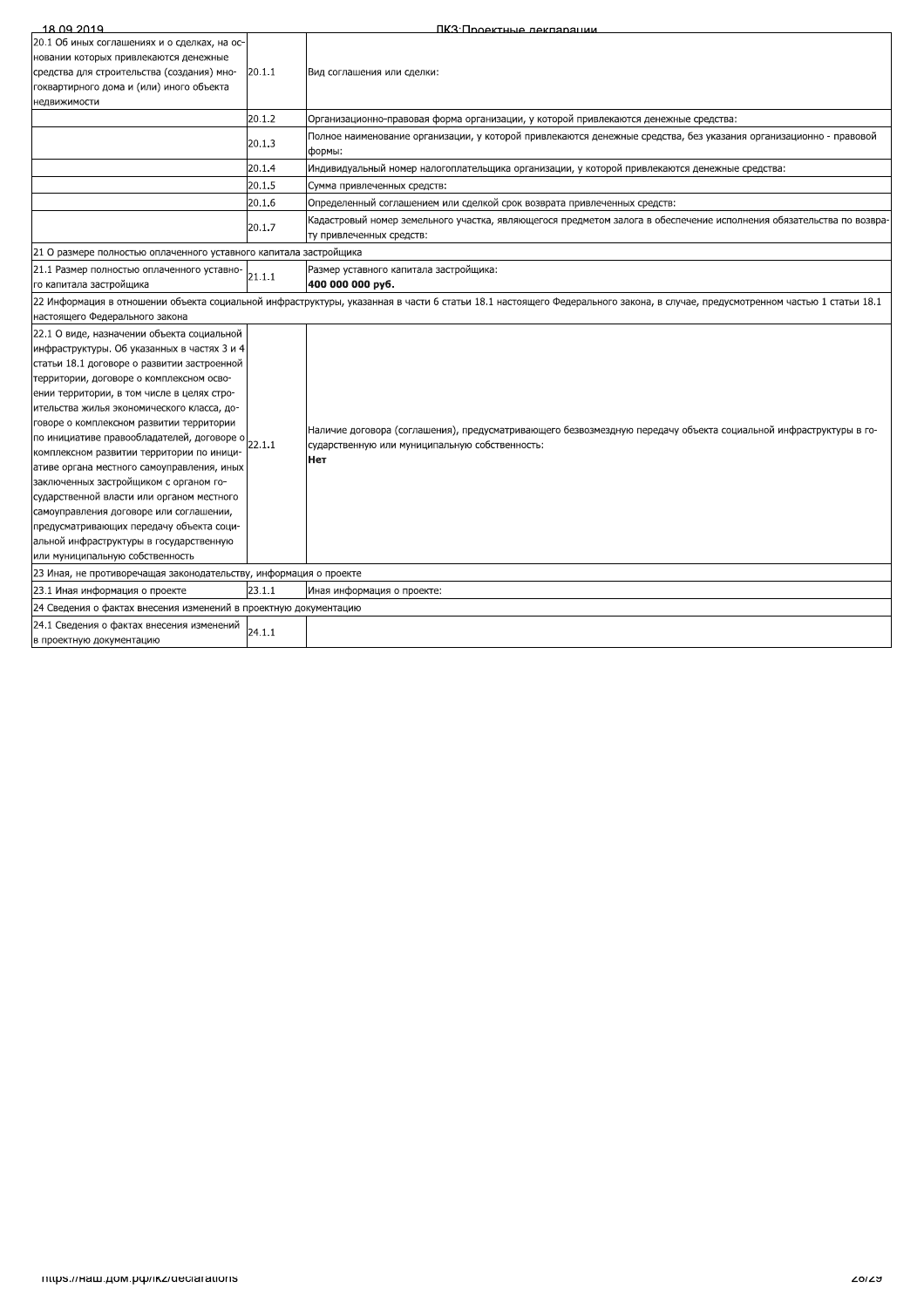| 18 09 2019                                                                                                                                                                                                                                                                                                                                                                                                                                                                                                                                                                                                                                                                                                                        |                                                                                                                                                                             | ПКЗ Подектные лекпарации                                                                                                                                                  |  |  |
|-----------------------------------------------------------------------------------------------------------------------------------------------------------------------------------------------------------------------------------------------------------------------------------------------------------------------------------------------------------------------------------------------------------------------------------------------------------------------------------------------------------------------------------------------------------------------------------------------------------------------------------------------------------------------------------------------------------------------------------|-----------------------------------------------------------------------------------------------------------------------------------------------------------------------------|---------------------------------------------------------------------------------------------------------------------------------------------------------------------------|--|--|
| 20.1 Об иных соглашениях и о сделках, на ос-<br>новании которых привлекаются денежные<br>средства для строительства (создания) мно-<br>гоквартирного дома и (или) иного объекта<br>недвижимости                                                                                                                                                                                                                                                                                                                                                                                                                                                                                                                                   | 20.1.1                                                                                                                                                                      | Вид соглашения или сделки:                                                                                                                                                |  |  |
|                                                                                                                                                                                                                                                                                                                                                                                                                                                                                                                                                                                                                                                                                                                                   | 20.1.2                                                                                                                                                                      | Организационно-правовая форма организации, у которой привлекаются денежные средства:                                                                                      |  |  |
|                                                                                                                                                                                                                                                                                                                                                                                                                                                                                                                                                                                                                                                                                                                                   | 20.1.3                                                                                                                                                                      | Полное наименование организации, у которой привлекаются денежные средства, без указания организационно - правовой<br>формы:                                               |  |  |
|                                                                                                                                                                                                                                                                                                                                                                                                                                                                                                                                                                                                                                                                                                                                   | 20.1.4                                                                                                                                                                      | Индивидуальный номер налогоплательщика организации, у которой привлекаются денежные средства:                                                                             |  |  |
|                                                                                                                                                                                                                                                                                                                                                                                                                                                                                                                                                                                                                                                                                                                                   | 20.1.5                                                                                                                                                                      | Сумма привлеченных средств:                                                                                                                                               |  |  |
|                                                                                                                                                                                                                                                                                                                                                                                                                                                                                                                                                                                                                                                                                                                                   | 20.1.6                                                                                                                                                                      | Определенный соглашением или сделкой срок возврата привлеченных средств:                                                                                                  |  |  |
|                                                                                                                                                                                                                                                                                                                                                                                                                                                                                                                                                                                                                                                                                                                                   | 20.1.7                                                                                                                                                                      | Кадастровый номер земельного участка, являющегося предметом залога в обеспечение исполнения обязательства по возвра-<br>ту привлеченных средств:                          |  |  |
| 21 О размере полностью оплаченного уставного капитала застройщика                                                                                                                                                                                                                                                                                                                                                                                                                                                                                                                                                                                                                                                                 |                                                                                                                                                                             |                                                                                                                                                                           |  |  |
| 21.1 Размер полностью оплаченного уставно-<br>го капитала застройщика                                                                                                                                                                                                                                                                                                                                                                                                                                                                                                                                                                                                                                                             | 21.1.1                                                                                                                                                                      | Размер уставного капитала застройщика:<br>400 000 000 py6.                                                                                                                |  |  |
| настоящего Федерального закона                                                                                                                                                                                                                                                                                                                                                                                                                                                                                                                                                                                                                                                                                                    | 22 Информация в отношении объекта социальной инфраструктуры, указанная в части 6 статьи 18.1 настоящего Федерального закона, в случае, предусмотренном частью 1 статьи 18.1 |                                                                                                                                                                           |  |  |
| 22.1 О виде, назначении объекта социальной<br>инфраструктуры. Об указанных в частях 3 и 4<br>статьи 18.1 договоре о развитии застроенной<br>территории, договоре о комплексном осво-<br>ении территории, в том числе в целях стро-<br>ительства жилья экономического класса, до-<br>говоре о комплексном развитии территории<br>по инициативе правообладателей, договоре о<br>комплексном развитии территории по иници-<br>ативе органа местного самоуправления, иных<br>заключенных застройщиком с органом го-<br>сударственной власти или органом местного<br>самоуправления договоре или соглашении,<br>предусматривающих передачу объекта соци-<br>альной инфраструктуры в государственную<br>или муниципальную собственность | 22.1.1                                                                                                                                                                      | Наличие договора (соглашения), предусматривающего безвозмездную передачу объекта социальной инфраструктуры в го-<br>сударственную или муниципальную собственность:<br>Нет |  |  |
| 23 Иная, не противоречащая законодательству, информация о проекте                                                                                                                                                                                                                                                                                                                                                                                                                                                                                                                                                                                                                                                                 |                                                                                                                                                                             |                                                                                                                                                                           |  |  |
| 23.1 Иная информация о проекте                                                                                                                                                                                                                                                                                                                                                                                                                                                                                                                                                                                                                                                                                                    | 23.1.1                                                                                                                                                                      | Иная информация о проекте:                                                                                                                                                |  |  |
| 24 Сведения о фактах внесения изменений в проектную документацию                                                                                                                                                                                                                                                                                                                                                                                                                                                                                                                                                                                                                                                                  |                                                                                                                                                                             |                                                                                                                                                                           |  |  |
| 24.1 Сведения о фактах внесения изменений<br>в проектную документацию                                                                                                                                                                                                                                                                                                                                                                                                                                                                                                                                                                                                                                                             | 24.1.1                                                                                                                                                                      |                                                                                                                                                                           |  |  |